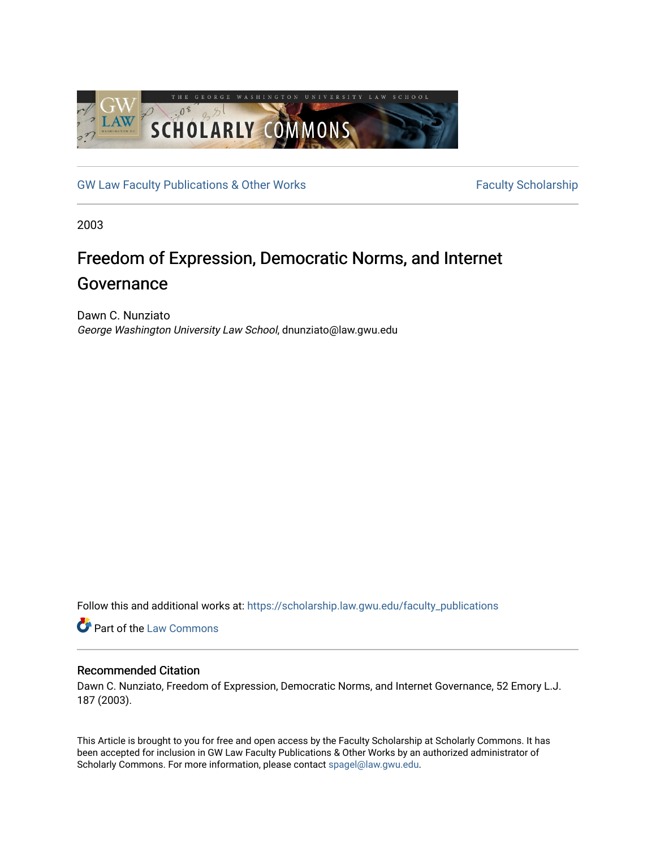

[GW Law Faculty Publications & Other Works](https://scholarship.law.gwu.edu/faculty_publications) Faculty Scholarship

2003

# Freedom of Expression, Democratic Norms, and Internet Governance

Dawn C. Nunziato George Washington University Law School, dnunziato@law.gwu.edu

Follow this and additional works at: [https://scholarship.law.gwu.edu/faculty\\_publications](https://scholarship.law.gwu.edu/faculty_publications?utm_source=scholarship.law.gwu.edu%2Ffaculty_publications%2F836&utm_medium=PDF&utm_campaign=PDFCoverPages) 

Part of the [Law Commons](http://network.bepress.com/hgg/discipline/578?utm_source=scholarship.law.gwu.edu%2Ffaculty_publications%2F836&utm_medium=PDF&utm_campaign=PDFCoverPages)

#### Recommended Citation

Dawn C. Nunziato, Freedom of Expression, Democratic Norms, and Internet Governance, 52 Emory L.J. 187 (2003).

This Article is brought to you for free and open access by the Faculty Scholarship at Scholarly Commons. It has been accepted for inclusion in GW Law Faculty Publications & Other Works by an authorized administrator of Scholarly Commons. For more information, please contact [spagel@law.gwu.edu](mailto:spagel@law.gwu.edu).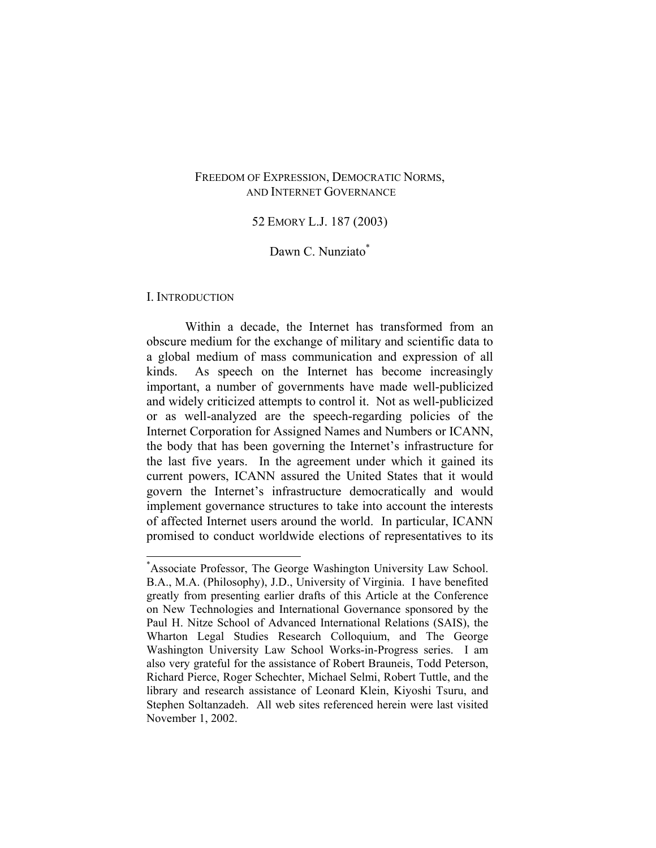#### FREEDOM OF EXPRESSION, DEMOCRATIC NORMS, AND INTERNET GOVERNANCE

#### 52 EMORY L.J. 187 (2003)

#### Dawn C. Nunziato<sup>\*</sup>

#### I. INTRODUCTION

1

Within a decade, the Internet has transformed from an obscure medium for the exchange of military and scientific data to a global medium of mass communication and expression of all kinds. As speech on the Internet has become increasingly important, a number of governments have made well-publicized and widely criticized attempts to control it. Not as well-publicized or as well-analyzed are the speech-regarding policies of the Internet Corporation for Assigned Names and Numbers or ICANN, the body that has been governing the Internet's infrastructure for the last five years. In the agreement under which it gained its current powers, ICANN assured the United States that it would govern the Internet's infrastructure democratically and would implement governance structures to take into account the interests of affected Internet users around the world. In particular, ICANN promised to conduct worldwide elections of representatives to its

<sup>\*</sup> Associate Professor, The George Washington University Law School. B.A., M.A. (Philosophy), J.D., University of Virginia. I have benefited greatly from presenting earlier drafts of this Article at the Conference on New Technologies and International Governance sponsored by the Paul H. Nitze School of Advanced International Relations (SAIS), the Wharton Legal Studies Research Colloquium, and The George Washington University Law School Works-in-Progress series. I am also very grateful for the assistance of Robert Brauneis, Todd Peterson, Richard Pierce, Roger Schechter, Michael Selmi, Robert Tuttle, and the library and research assistance of Leonard Klein, Kiyoshi Tsuru, and Stephen Soltanzadeh. All web sites referenced herein were last visited November 1, 2002.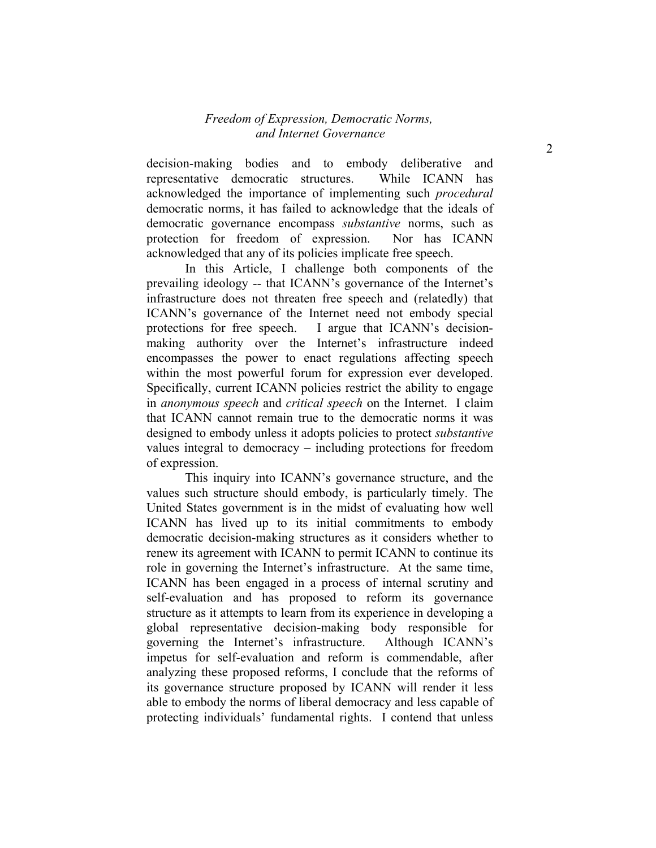decision-making bodies and to embody deliberative and representative democratic structures. While ICANN has acknowledged the importance of implementing such *procedural* democratic norms, it has failed to acknowledge that the ideals of democratic governance encompass *substantive* norms, such as protection for freedom of expression. Nor has ICANN acknowledged that any of its policies implicate free speech.

In this Article, I challenge both components of the prevailing ideology -- that ICANN's governance of the Internet's infrastructure does not threaten free speech and (relatedly) that ICANN's governance of the Internet need not embody special protections for free speech. I argue that ICANN's decisionmaking authority over the Internet's infrastructure indeed encompasses the power to enact regulations affecting speech within the most powerful forum for expression ever developed. Specifically, current ICANN policies restrict the ability to engage in *anonymous speech* and *critical speech* on the Internet. I claim that ICANN cannot remain true to the democratic norms it was designed to embody unless it adopts policies to protect *substantive* values integral to democracy – including protections for freedom of expression.

This inquiry into ICANN's governance structure, and the values such structure should embody, is particularly timely. The United States government is in the midst of evaluating how well ICANN has lived up to its initial commitments to embody democratic decision-making structures as it considers whether to renew its agreement with ICANN to permit ICANN to continue its role in governing the Internet's infrastructure. At the same time, ICANN has been engaged in a process of internal scrutiny and self-evaluation and has proposed to reform its governance structure as it attempts to learn from its experience in developing a global representative decision-making body responsible for governing the Internet's infrastructure. Although ICANN's impetus for self-evaluation and reform is commendable, after analyzing these proposed reforms, I conclude that the reforms of its governance structure proposed by ICANN will render it less able to embody the norms of liberal democracy and less capable of protecting individuals' fundamental rights. I contend that unless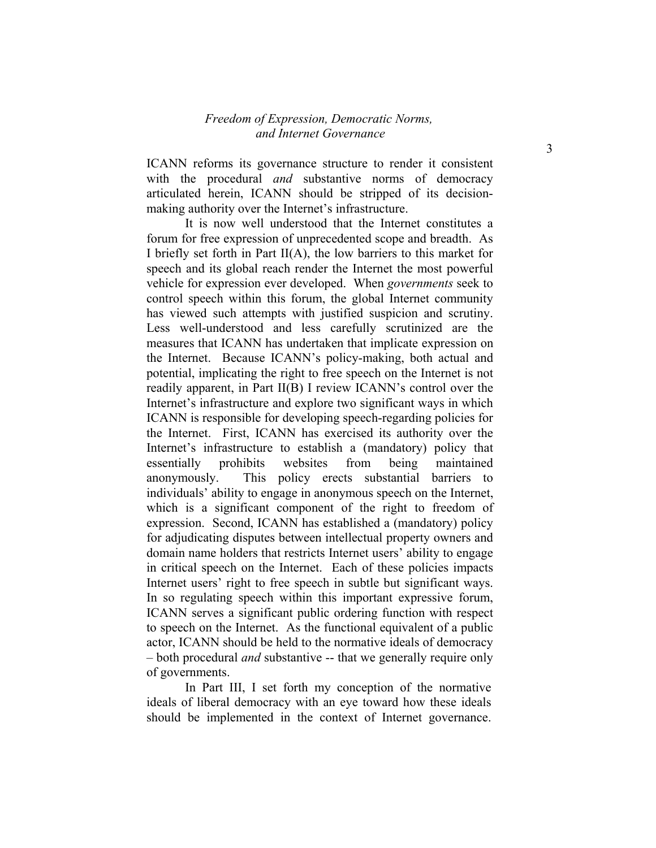ICANN reforms its governance structure to render it consistent with the procedural *and* substantive norms of democracy articulated herein, ICANN should be stripped of its decisionmaking authority over the Internet's infrastructure.

It is now well understood that the Internet constitutes a forum for free expression of unprecedented scope and breadth. As I briefly set forth in Part II(A), the low barriers to this market for speech and its global reach render the Internet the most powerful vehicle for expression ever developed. When *governments* seek to control speech within this forum, the global Internet community has viewed such attempts with justified suspicion and scrutiny. Less well-understood and less carefully scrutinized are the measures that ICANN has undertaken that implicate expression on the Internet. Because ICANN's policy-making, both actual and potential, implicating the right to free speech on the Internet is not readily apparent, in Part II(B) I review ICANN's control over the Internet's infrastructure and explore two significant ways in which ICANN is responsible for developing speech-regarding policies for the Internet. First, ICANN has exercised its authority over the Internet's infrastructure to establish a (mandatory) policy that essentially prohibits websites from being maintained anonymously. This policy erects substantial barriers to individuals' ability to engage in anonymous speech on the Internet, which is a significant component of the right to freedom of expression. Second, ICANN has established a (mandatory) policy for adjudicating disputes between intellectual property owners and domain name holders that restricts Internet users' ability to engage in critical speech on the Internet. Each of these policies impacts Internet users' right to free speech in subtle but significant ways. In so regulating speech within this important expressive forum, ICANN serves a significant public ordering function with respect to speech on the Internet. As the functional equivalent of a public actor, ICANN should be held to the normative ideals of democracy – both procedural *and* substantive -- that we generally require only of governments.

In Part III, I set forth my conception of the normative ideals of liberal democracy with an eye toward how these ideals should be implemented in the context of Internet governance.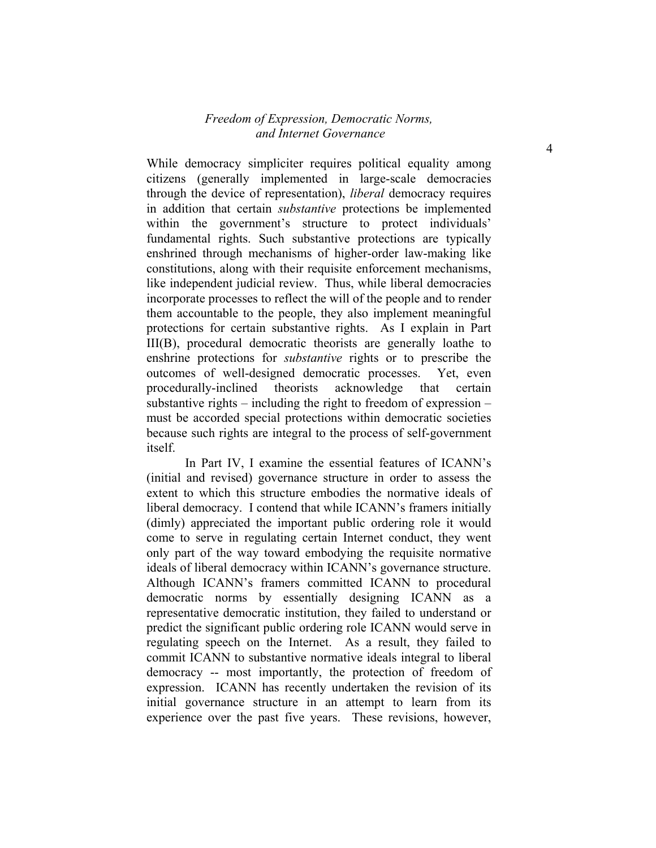While democracy simpliciter requires political equality among citizens (generally implemented in large-scale democracies through the device of representation), *liberal* democracy requires in addition that certain *substantive* protections be implemented within the government's structure to protect individuals' fundamental rights. Such substantive protections are typically enshrined through mechanisms of higher-order law-making like constitutions, along with their requisite enforcement mechanisms, like independent judicial review. Thus, while liberal democracies incorporate processes to reflect the will of the people and to render them accountable to the people, they also implement meaningful protections for certain substantive rights. As I explain in Part III(B), procedural democratic theorists are generally loathe to enshrine protections for *substantive* rights or to prescribe the outcomes of well-designed democratic processes. Yet, even procedurally-inclined theorists acknowledge that certain substantive rights – including the right to freedom of expression – must be accorded special protections within democratic societies because such rights are integral to the process of self-government itself.

In Part IV, I examine the essential features of ICANN's (initial and revised) governance structure in order to assess the extent to which this structure embodies the normative ideals of liberal democracy. I contend that while ICANN's framers initially (dimly) appreciated the important public ordering role it would come to serve in regulating certain Internet conduct, they went only part of the way toward embodying the requisite normative ideals of liberal democracy within ICANN's governance structure. Although ICANN's framers committed ICANN to procedural democratic norms by essentially designing ICANN as a representative democratic institution, they failed to understand or predict the significant public ordering role ICANN would serve in regulating speech on the Internet. As a result, they failed to commit ICANN to substantive normative ideals integral to liberal democracy -- most importantly, the protection of freedom of expression. ICANN has recently undertaken the revision of its initial governance structure in an attempt to learn from its experience over the past five years. These revisions, however,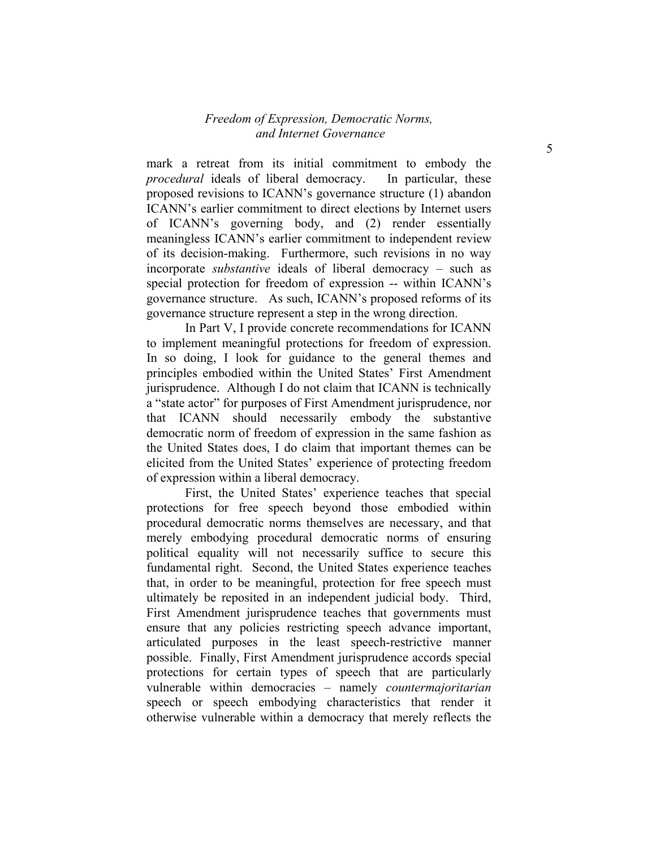mark a retreat from its initial commitment to embody the *procedural* ideals of liberal democracy. In particular, these proposed revisions to ICANN's governance structure (1) abandon ICANN's earlier commitment to direct elections by Internet users of ICANN's governing body, and (2) render essentially meaningless ICANN's earlier commitment to independent review of its decision-making. Furthermore, such revisions in no way incorporate *substantive* ideals of liberal democracy – such as special protection for freedom of expression -- within ICANN's governance structure. As such, ICANN's proposed reforms of its governance structure represent a step in the wrong direction.

In Part V, I provide concrete recommendations for ICANN to implement meaningful protections for freedom of expression. In so doing, I look for guidance to the general themes and principles embodied within the United States' First Amendment jurisprudence. Although I do not claim that ICANN is technically a "state actor" for purposes of First Amendment jurisprudence, nor that ICANN should necessarily embody the substantive democratic norm of freedom of expression in the same fashion as the United States does, I do claim that important themes can be elicited from the United States' experience of protecting freedom of expression within a liberal democracy.

First, the United States' experience teaches that special protections for free speech beyond those embodied within procedural democratic norms themselves are necessary, and that merely embodying procedural democratic norms of ensuring political equality will not necessarily suffice to secure this fundamental right. Second, the United States experience teaches that, in order to be meaningful, protection for free speech must ultimately be reposited in an independent judicial body. Third, First Amendment jurisprudence teaches that governments must ensure that any policies restricting speech advance important, articulated purposes in the least speech-restrictive manner possible. Finally, First Amendment jurisprudence accords special protections for certain types of speech that are particularly vulnerable within democracies – namely *countermajoritarian* speech or speech embodying characteristics that render it otherwise vulnerable within a democracy that merely reflects the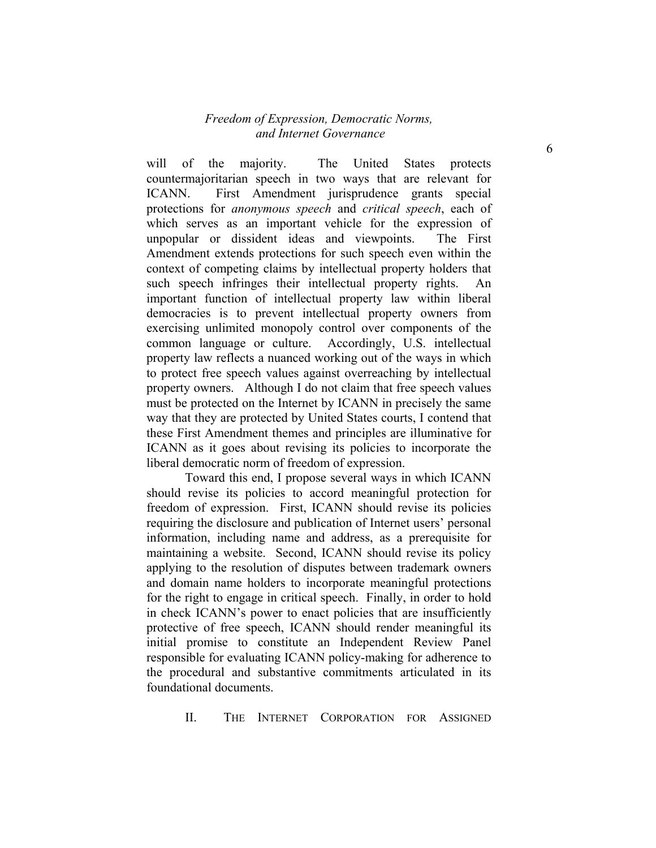will of the majority. The United States protects countermajoritarian speech in two ways that are relevant for ICANN. First Amendment jurisprudence grants special protections for *anonymous speech* and *critical speech*, each of which serves as an important vehicle for the expression of unpopular or dissident ideas and viewpoints. The First Amendment extends protections for such speech even within the context of competing claims by intellectual property holders that such speech infringes their intellectual property rights. An important function of intellectual property law within liberal democracies is to prevent intellectual property owners from exercising unlimited monopoly control over components of the common language or culture. Accordingly, U.S. intellectual property law reflects a nuanced working out of the ways in which to protect free speech values against overreaching by intellectual property owners. Although I do not claim that free speech values must be protected on the Internet by ICANN in precisely the same way that they are protected by United States courts, I contend that these First Amendment themes and principles are illuminative for ICANN as it goes about revising its policies to incorporate the liberal democratic norm of freedom of expression.

Toward this end, I propose several ways in which ICANN should revise its policies to accord meaningful protection for freedom of expression. First, ICANN should revise its policies requiring the disclosure and publication of Internet users' personal information, including name and address, as a prerequisite for maintaining a website. Second, ICANN should revise its policy applying to the resolution of disputes between trademark owners and domain name holders to incorporate meaningful protections for the right to engage in critical speech. Finally, in order to hold in check ICANN's power to enact policies that are insufficiently protective of free speech, ICANN should render meaningful its initial promise to constitute an Independent Review Panel responsible for evaluating ICANN policy-making for adherence to the procedural and substantive commitments articulated in its foundational documents.

II. THE INTERNET CORPORATION FOR ASSIGNED

6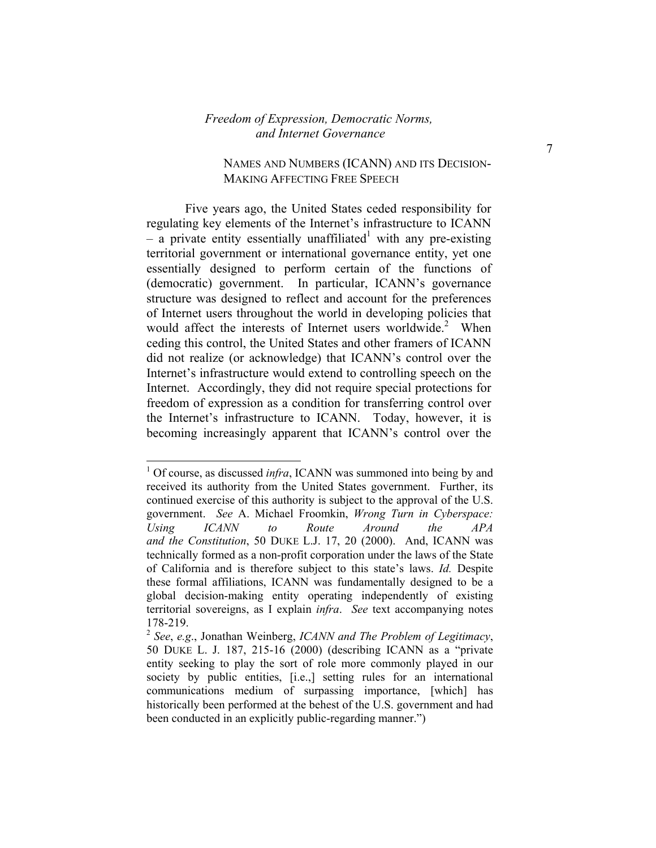#### NAMES AND NUMBERS (ICANN) AND ITS DECISION-MAKING AFFECTING FREE SPEECH

Five years ago, the United States ceded responsibility for regulating key elements of the Internet's infrastructure to ICANN  $-$  a private entity essentially unaffiliated<sup>1</sup> with any pre-existing territorial government or international governance entity, yet one essentially designed to perform certain of the functions of (democratic) government. In particular, ICANN's governance structure was designed to reflect and account for the preferences of Internet users throughout the world in developing policies that would affect the interests of Internet users worldwide.<sup>2</sup> When ceding this control, the United States and other framers of ICANN did not realize (or acknowledge) that ICANN's control over the Internet's infrastructure would extend to controlling speech on the Internet. Accordingly, they did not require special protections for freedom of expression as a condition for transferring control over the Internet's infrastructure to ICANN. Today, however, it is becoming increasingly apparent that ICANN's control over the

<sup>&</sup>lt;sup>1</sup> Of course, as discussed *infra*, ICANN was summoned into being by and received its authority from the United States government. Further, its continued exercise of this authority is subject to the approval of the U.S. government. *See* A. Michael Froomkin, *Wrong Turn in Cyberspace: Using ICANN to Route Around the APA and the Constitution*, 50 DUKE L.J. 17, 20 (2000). And, ICANN was technically formed as a non-profit corporation under the laws of the State of California and is therefore subject to this state's laws. *Id.* Despite these formal affiliations, ICANN was fundamentally designed to be a global decision-making entity operating independently of existing territorial sovereigns, as I explain *infra*. *See* text accompanying notes 178-219.

<sup>2</sup> *See*, *e.g*., Jonathan Weinberg, *ICANN and The Problem of Legitimacy*, 50 DUKE L. J. 187, 215-16 (2000) (describing ICANN as a "private entity seeking to play the sort of role more commonly played in our society by public entities, [i.e.,] setting rules for an international communications medium of surpassing importance, [which] has historically been performed at the behest of the U.S. government and had been conducted in an explicitly public-regarding manner.")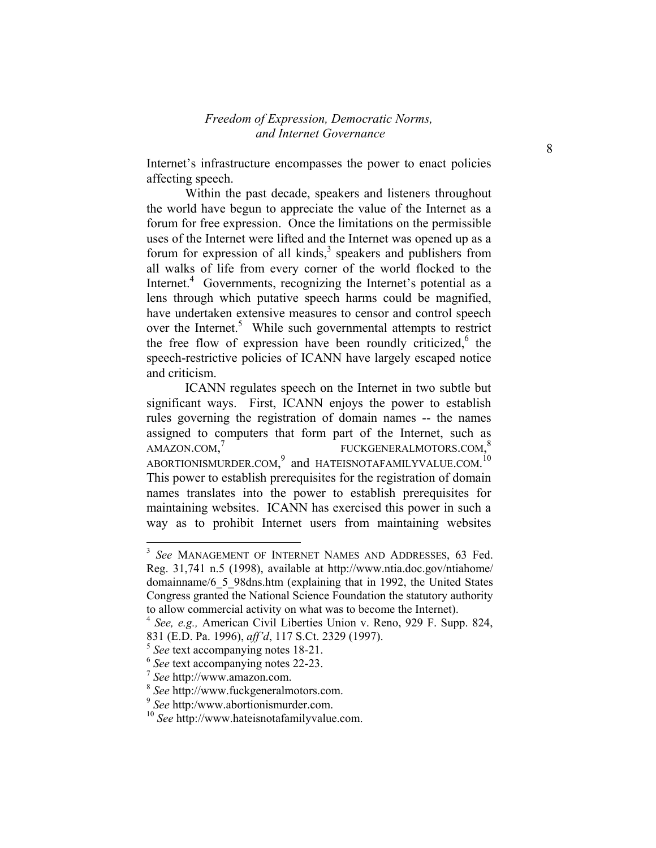Internet's infrastructure encompasses the power to enact policies affecting speech.

Within the past decade, speakers and listeners throughout the world have begun to appreciate the value of the Internet as a forum for free expression. Once the limitations on the permissible uses of the Internet were lifted and the Internet was opened up as a forum for expression of all kinds, $3$  speakers and publishers from all walks of life from every corner of the world flocked to the Internet.<sup>4</sup> Governments, recognizing the Internet's potential as a lens through which putative speech harms could be magnified, have undertaken extensive measures to censor and control speech over the Internet.<sup>5</sup> While such governmental attempts to restrict the free flow of expression have been roundly criticized, $6$  the speech-restrictive policies of ICANN have largely escaped notice and criticism.

ICANN regulates speech on the Internet in two subtle but significant ways. First, ICANN enjoys the power to establish rules governing the registration of domain names -- the names assigned to computers that form part of the Internet, such as AMAZON.COM, 7 FUCKGENERALMOTORS.COM,<sup>8</sup> ABORTIONISMURDER.COM,<sup>9</sup> and HATEISNOTAFAMILYVALUE.COM.<sup>10</sup> This power to establish prerequisites for the registration of domain names translates into the power to establish prerequisites for maintaining websites. ICANN has exercised this power in such a way as to prohibit Internet users from maintaining websites

 $\overline{a}$ 

<sup>3</sup> *See* MANAGEMENT OF INTERNET NAMES AND ADDRESSES, 63 Fed. Reg. 31,741 n.5 (1998), available at http://www.ntia.doc.gov/ntiahome/ domainname/6\_5\_98dns.htm (explaining that in 1992, the United States Congress granted the National Science Foundation the statutory authority to allow commercial activity on what was to become the Internet).

<sup>4</sup> *See, e.g.,* American Civil Liberties Union v. Reno, 929 F. Supp. 824, 831 (E.D. Pa. 1996), *aff'd*, 117 S.Ct. 2329 (1997).

<sup>5</sup> *See* text accompanying notes 18-21.

<sup>6</sup> *See* text accompanying notes 22-23.

<sup>7</sup> *See* http://www.amazon.com.

<sup>8</sup> *See* http://www.fuckgeneralmotors.com.

<sup>9</sup> *See* http:/www.abortionismurder.com.

<sup>10</sup> *See* http://www.hateisnotafamilyvalue.com.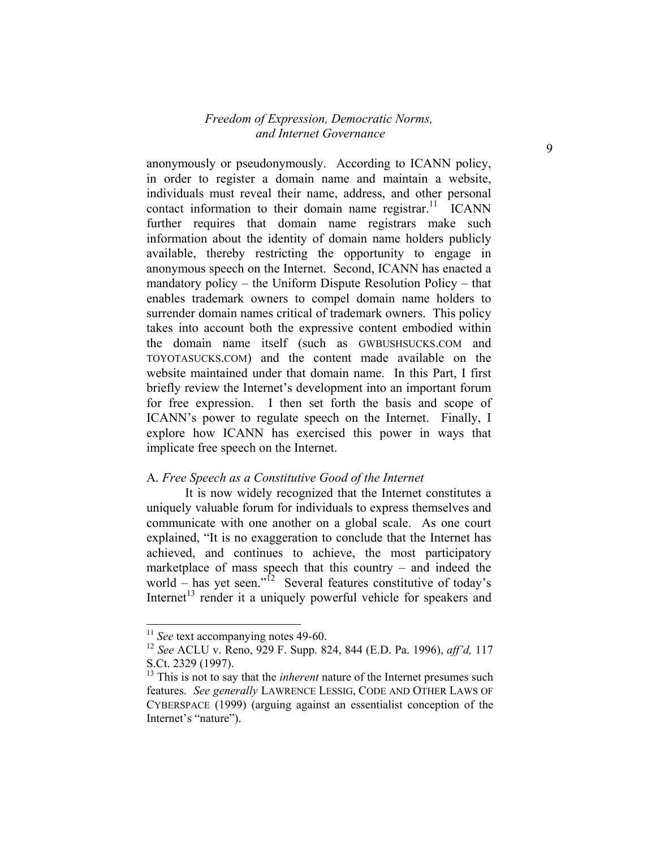anonymously or pseudonymously. According to ICANN policy, in order to register a domain name and maintain a website, individuals must reveal their name, address, and other personal contact information to their domain name registrar.<sup>11</sup> ICANN further requires that domain name registrars make such information about the identity of domain name holders publicly available, thereby restricting the opportunity to engage in anonymous speech on the Internet. Second, ICANN has enacted a mandatory policy – the Uniform Dispute Resolution Policy – that enables trademark owners to compel domain name holders to surrender domain names critical of trademark owners. This policy takes into account both the expressive content embodied within the domain name itself (such as GWBUSHSUCKS.COM and TOYOTASUCKS.COM) and the content made available on the website maintained under that domain name. In this Part, I first briefly review the Internet's development into an important forum for free expression. I then set forth the basis and scope of ICANN's power to regulate speech on the Internet. Finally, I explore how ICANN has exercised this power in ways that implicate free speech on the Internet.

#### A. *Free Speech as a Constitutive Good of the Internet*

It is now widely recognized that the Internet constitutes a uniquely valuable forum for individuals to express themselves and communicate with one another on a global scale. As one court explained, "It is no exaggeration to conclude that the Internet has achieved, and continues to achieve, the most participatory marketplace of mass speech that this country – and indeed the world – has yet seen."<sup>12</sup> Several features constitutive of today's Internet<sup> $13$ </sup> render it a uniquely powerful vehicle for speakers and

<sup>&</sup>lt;sup>11</sup> See text accompanying notes 49-60.

<sup>12</sup> *See* ACLU v. Reno, 929 F. Supp. 824, 844 (E.D. Pa. 1996), *aff'd,* 117 S.Ct. 2329 (1997).

<sup>&</sup>lt;sup>13</sup> This is not to say that the *inherent* nature of the Internet presumes such features. *See generally* LAWRENCE LESSIG, CODE AND OTHER LAWS OF CYBERSPACE (1999) (arguing against an essentialist conception of the Internet's "nature").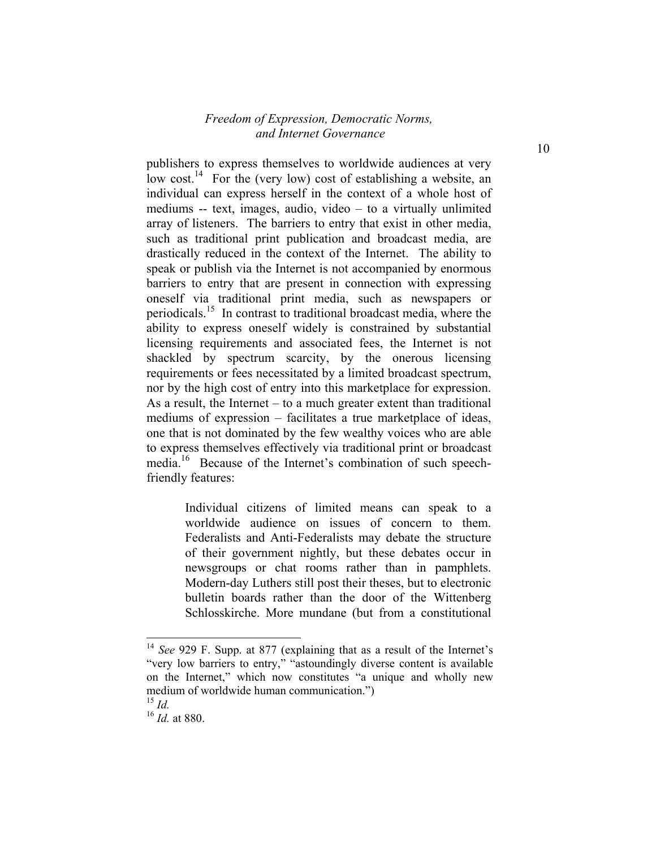publishers to express themselves to worldwide audiences at very low cost.<sup>14</sup> For the (very low) cost of establishing a website, an individual can express herself in the context of a whole host of mediums -- text, images, audio, video – to a virtually unlimited array of listeners. The barriers to entry that exist in other media, such as traditional print publication and broadcast media, are drastically reduced in the context of the Internet. The ability to speak or publish via the Internet is not accompanied by enormous barriers to entry that are present in connection with expressing oneself via traditional print media, such as newspapers or periodicals.15 In contrast to traditional broadcast media, where the ability to express oneself widely is constrained by substantial licensing requirements and associated fees, the Internet is not shackled by spectrum scarcity, by the onerous licensing requirements or fees necessitated by a limited broadcast spectrum, nor by the high cost of entry into this marketplace for expression. As a result, the Internet – to a much greater extent than traditional mediums of expression – facilitates a true marketplace of ideas, one that is not dominated by the few wealthy voices who are able to express themselves effectively via traditional print or broadcast media.<sup>16</sup> Because of the Internet's combination of such speechfriendly features:

> Individual citizens of limited means can speak to a worldwide audience on issues of concern to them. Federalists and Anti-Federalists may debate the structure of their government nightly, but these debates occur in newsgroups or chat rooms rather than in pamphlets. Modern-day Luthers still post their theses, but to electronic bulletin boards rather than the door of the Wittenberg Schlosskirche. More mundane (but from a constitutional

<sup>&</sup>lt;sup>14</sup> *See* 929 F. Supp. at 877 (explaining that as a result of the Internet's "very low barriers to entry," "astoundingly diverse content is available on the Internet," which now constitutes "a unique and wholly new medium of worldwide human communication.") <sup>15</sup> *Id.*

<sup>16</sup> *Id.* at 880.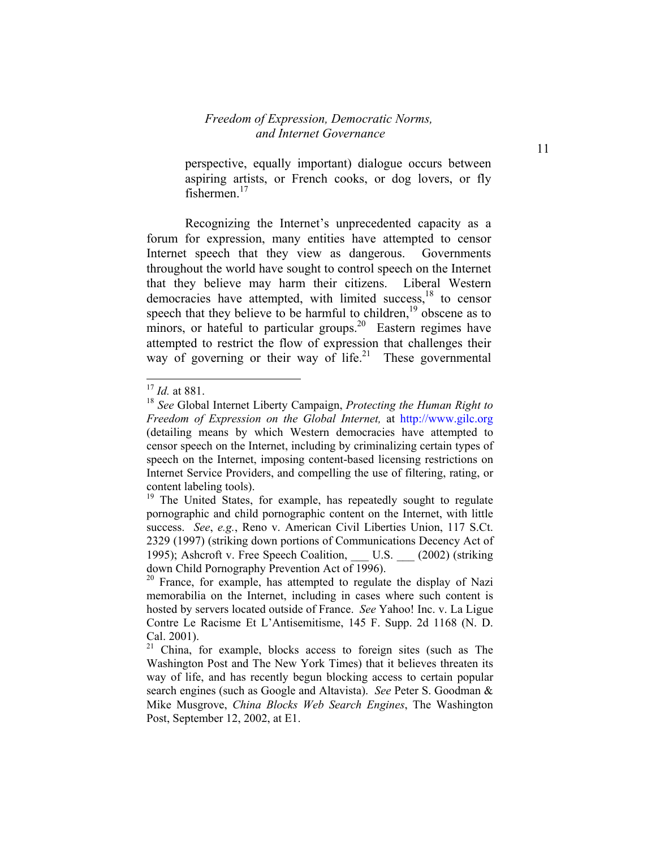perspective, equally important) dialogue occurs between aspiring artists, or French cooks, or dog lovers, or fly fishermen $17$ 

Recognizing the Internet's unprecedented capacity as a forum for expression, many entities have attempted to censor Internet speech that they view as dangerous. Governments throughout the world have sought to control speech on the Internet that they believe may harm their citizens. Liberal Western democracies have attempted, with limited success,<sup>18</sup> to censor speech that they believe to be harmful to children, $19$  obscene as to minors, or hateful to particular groups.<sup>20</sup> Eastern regimes have attempted to restrict the flow of expression that challenges their way of governing or their way of life.<sup>21</sup> These governmental

1

<sup>17</sup> *Id.* at 881.

<sup>18</sup> *See* Global Internet Liberty Campaign, *Protecting the Human Right to Freedom of Expression on the Global Internet,* at http://www.gilc.org (detailing means by which Western democracies have attempted to censor speech on the Internet, including by criminalizing certain types of speech on the Internet, imposing content-based licensing restrictions on Internet Service Providers, and compelling the use of filtering, rating, or content labeling tools).

<sup>&</sup>lt;sup>19</sup> The United States, for example, has repeatedly sought to regulate pornographic and child pornographic content on the Internet, with little success. *See*, *e.g.*, Reno v. American Civil Liberties Union, 117 S.Ct. 2329 (1997) (striking down portions of Communications Decency Act of 1995); Ashcroft v. Free Speech Coalition, U.S. (2002) (striking down Child Pornography Prevention Act of 1996).

<sup>&</sup>lt;sup>20</sup> France, for example, has attempted to regulate the display of Nazi memorabilia on the Internet, including in cases where such content is hosted by servers located outside of France. *See* Yahoo! Inc. v. La Ligue Contre Le Racisme Et L'Antisemitisme, 145 F. Supp. 2d 1168 (N. D. Cal. 2001).

<sup>&</sup>lt;sup>21</sup> China, for example, blocks access to foreign sites (such as The Washington Post and The New York Times) that it believes threaten its way of life, and has recently begun blocking access to certain popular search engines (such as Google and Altavista). *See* Peter S. Goodman & Mike Musgrove, *China Blocks Web Search Engines*, The Washington Post, September 12, 2002, at E1.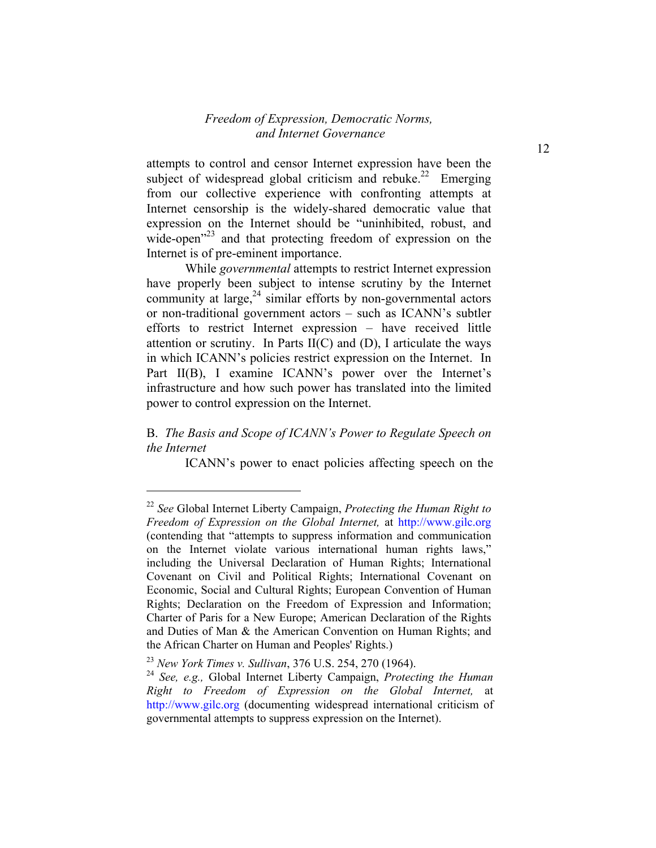attempts to control and censor Internet expression have been the subject of widespread global criticism and rebuke.<sup>22</sup> Emerging from our collective experience with confronting attempts at Internet censorship is the widely-shared democratic value that expression on the Internet should be "uninhibited, robust, and wide-open<sup>223</sup> and that protecting freedom of expression on the Internet is of pre-eminent importance.

While *governmental* attempts to restrict Internet expression have properly been subject to intense scrutiny by the Internet community at large, $24$  similar efforts by non-governmental actors or non-traditional government actors – such as ICANN's subtler efforts to restrict Internet expression – have received little attention or scrutiny. In Parts  $II(C)$  and  $(D)$ , I articulate the ways in which ICANN's policies restrict expression on the Internet. In Part II(B), I examine ICANN's power over the Internet's infrastructure and how such power has translated into the limited power to control expression on the Internet.

#### B. *The Basis and Scope of ICANN's Power to Regulate Speech on the Internet*

ICANN's power to enact policies affecting speech on the

<sup>22</sup> *See* Global Internet Liberty Campaign, *Protecting the Human Right to Freedom of Expression on the Global Internet,* at http://www.gilc.org (contending that "attempts to suppress information and communication on the Internet violate various international human rights laws," including the Universal Declaration of Human Rights; International Covenant on Civil and Political Rights; International Covenant on Economic, Social and Cultural Rights; European Convention of Human Rights; Declaration on the Freedom of Expression and Information; Charter of Paris for a New Europe; American Declaration of the Rights and Duties of Man & the American Convention on Human Rights; and the African Charter on Human and Peoples' Rights.)

<sup>23</sup> *New York Times v. Sullivan*, 376 U.S. 254, 270 (1964).

<sup>24</sup> *See, e.g.,* Global Internet Liberty Campaign, *Protecting the Human Right to Freedom of Expression on the Global Internet,* at http://www.gilc.org (documenting widespread international criticism of governmental attempts to suppress expression on the Internet).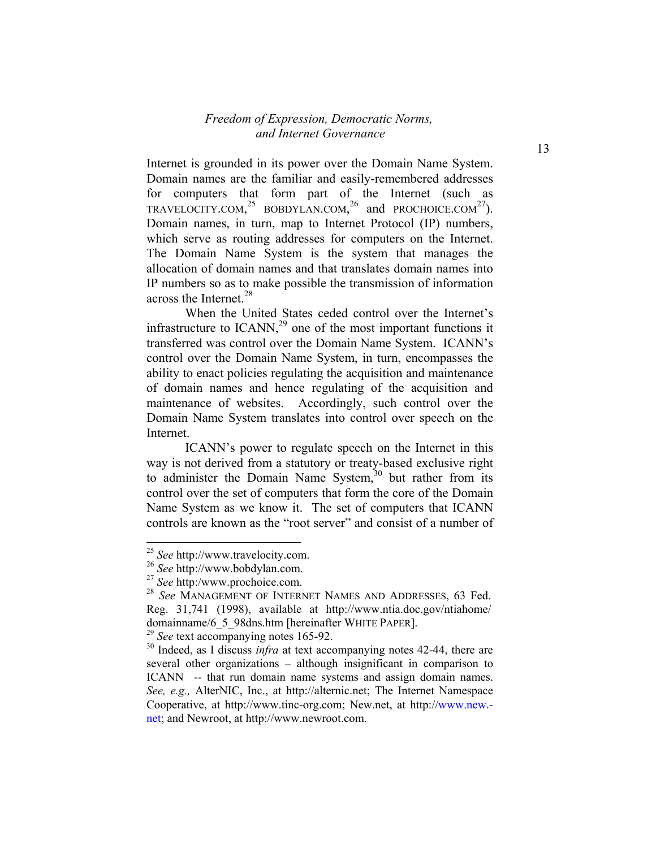Internet is grounded in its power over the Domain Name System. Domain names are the familiar and easily-remembered addresses for computers that form part of the Internet (such as TRAVELOCITY.COM,<sup>25</sup> BOBDYLAN.COM,<sup>26</sup> and PROCHOICE.COM<sup>27</sup>). Domain names, in turn, map to Internet Protocol (IP) numbers, which serve as routing addresses for computers on the Internet. The Domain Name System is the system that manages the allocation of domain names and that translates domain names into IP numbers so as to make possible the transmission of information across the Internet.<sup>28</sup>

When the United States ceded control over the Internet's infrastructure to ICANN,<sup>29</sup> one of the most important functions it transferred was control over the Domain Name System. ICANN's control over the Domain Name System, in turn, encompasses the ability to enact policies regulating the acquisition and maintenance of domain names and hence regulating of the acquisition and maintenance of websites. Accordingly, such control over the Domain Name System translates into control over speech on the Internet.

ICANN's power to regulate speech on the Internet in this way is not derived from a statutory or treaty-based exclusive right to administer the Domain Name System, $30$  but rather from its control over the set of computers that form the core of the Domain Name System as we know it. The set of computers that ICANN controls are known as the "root server" and consist of a number of

 $\overline{a}$ 

<sup>25</sup> *See* http://www.travelocity.com.

<sup>26</sup> *See* http://www.bobdylan.com.

<sup>27</sup> *See* http:/www.prochoice.com.

<sup>28</sup> *See* MANAGEMENT OF INTERNET NAMES AND ADDRESSES, 63 Fed. Reg. 31,741 (1998), available at http://www.ntia.doc.gov/ntiahome/ domainname/6\_5\_98dns.htm [hereinafter WHITE PAPER].

<sup>29</sup> *See* text accompanying notes 165-92.

<sup>30</sup> Indeed, as I discuss *infra* at text accompanying notes 42-44, there are several other organizations – although insignificant in comparison to ICANN -- that run domain name systems and assign domain names. *See, e.g.,* AlterNIC, Inc., at http://alternic.net; The Internet Namespace Cooperative, at http://www.tinc-org.com; New.net, at http://www.new. net; and Newroot, at http://www.newroot.com.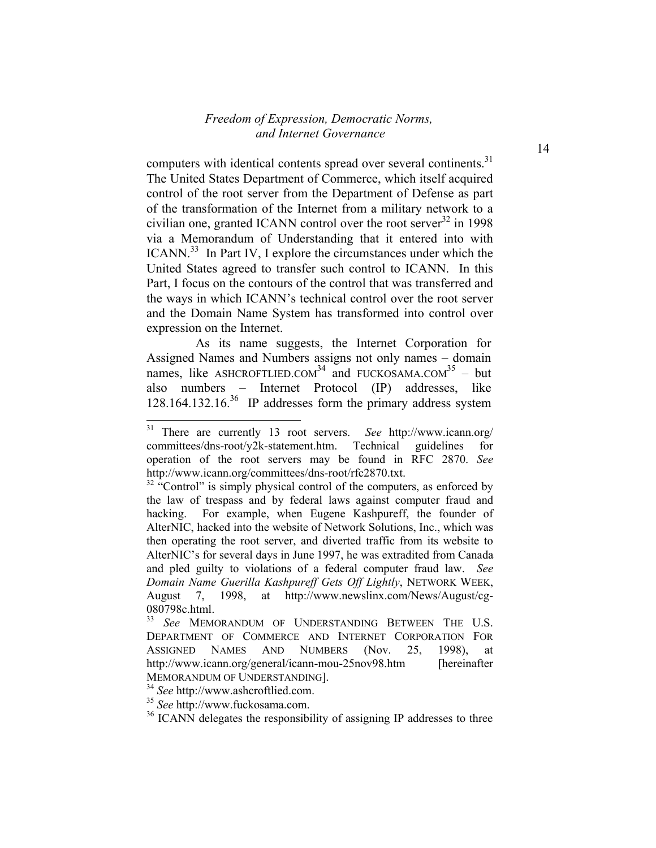computers with identical contents spread over several continents.<sup>31</sup> The United States Department of Commerce, which itself acquired control of the root server from the Department of Defense as part of the transformation of the Internet from a military network to a civilian one, granted ICANN control over the root server $32$  in 1998 via a Memorandum of Understanding that it entered into with ICANN.<sup>33</sup> In Part IV, I explore the circumstances under which the United States agreed to transfer such control to ICANN. In this Part, I focus on the contours of the control that was transferred and the ways in which ICANN's technical control over the root server and the Domain Name System has transformed into control over expression on the Internet.

 As its name suggests, the Internet Corporation for Assigned Names and Numbers assigns not only names – domain names, like ASHCROFTLIED.COM<sup>34</sup> and FUCKOSAMA.COM<sup>35</sup> – but also numbers – Internet Protocol (IP) addresses, like  $128.164.132.16^{36}$  IP addresses form the primary address system

<sup>34</sup> *See* http://www.ashcroftlied.com.

<sup>31</sup> There are currently 13 root servers. *See* http://www.icann.org/ committees/dns-root/y2k-statement.htm. Technical guidelines for operation of the root servers may be found in RFC 2870. *See* http://www.icann.org/committees/dns-root/rfc2870.txt.

 $32$  "Control" is simply physical control of the computers, as enforced by the law of trespass and by federal laws against computer fraud and hacking. For example, when Eugene Kashpureff, the founder of AlterNIC, hacked into the website of Network Solutions, Inc., which was then operating the root server, and diverted traffic from its website to AlterNIC's for several days in June 1997, he was extradited from Canada and pled guilty to violations of a federal computer fraud law. *See Domain Name Guerilla Kashpureff Gets Off Lightly*, NETWORK WEEK, August 7, 1998, at http://www.newslinx.com/News/August/cg-080798c.html.

<sup>33</sup> *See* MEMORANDUM OF UNDERSTANDING BETWEEN THE U.S. DEPARTMENT OF COMMERCE AND INTERNET CORPORATION FOR ASSIGNED NAMES AND NUMBERS (Nov. 25, 1998), at http://www.icann.org/general/icann-mou-25nov98.htm [hereinafter] MEMORANDUM OF UNDERSTANDING].

<sup>35</sup> *See* http://www.fuckosama.com.

<sup>&</sup>lt;sup>36</sup> ICANN delegates the responsibility of assigning IP addresses to three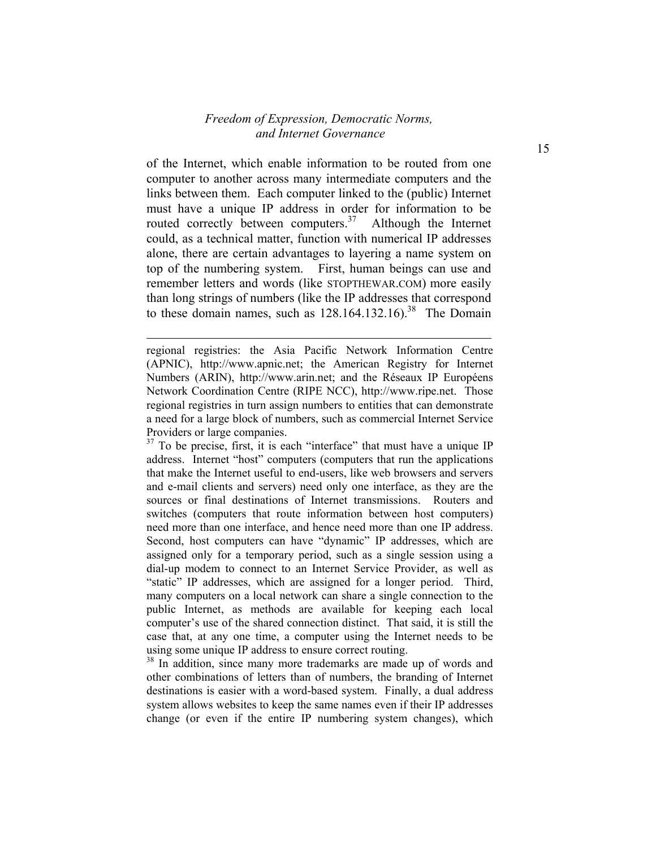of the Internet, which enable information to be routed from one computer to another across many intermediate computers and the links between them. Each computer linked to the (public) Internet must have a unique IP address in order for information to be routed correctly between computers.<sup>37</sup> Although the Internet could, as a technical matter, function with numerical IP addresses alone, there are certain advantages to layering a name system on top of the numbering system. First, human beings can use and remember letters and words (like STOPTHEWAR.COM) more easily than long strings of numbers (like the IP addresses that correspond to these domain names, such as  $128.164.132.16$ .<sup>38</sup> The Domain

l

regional registries: the Asia Pacific Network Information Centre (APNIC), http://www.apnic.net; the American Registry for Internet Numbers (ARIN), http://www.arin.net; and the Réseaux IP Européens Network Coordination Centre (RIPE NCC), http://www.ripe.net. Those regional registries in turn assign numbers to entities that can demonstrate a need for a large block of numbers, such as commercial Internet Service Providers or large companies.

<sup>&</sup>lt;sup>37</sup> To be precise, first, it is each "interface" that must have a unique IP address. Internet "host" computers (computers that run the applications that make the Internet useful to end-users, like web browsers and servers and e-mail clients and servers) need only one interface, as they are the sources or final destinations of Internet transmissions. Routers and switches (computers that route information between host computers) need more than one interface, and hence need more than one IP address. Second, host computers can have "dynamic" IP addresses, which are assigned only for a temporary period, such as a single session using a dial-up modem to connect to an Internet Service Provider, as well as "static" IP addresses, which are assigned for a longer period. Third, many computers on a local network can share a single connection to the public Internet, as methods are available for keeping each local computer's use of the shared connection distinct. That said, it is still the case that, at any one time, a computer using the Internet needs to be using some unique IP address to ensure correct routing.

 $38$  In addition, since many more trademarks are made up of words and other combinations of letters than of numbers, the branding of Internet destinations is easier with a word-based system. Finally, a dual address system allows websites to keep the same names even if their IP addresses change (or even if the entire IP numbering system changes), which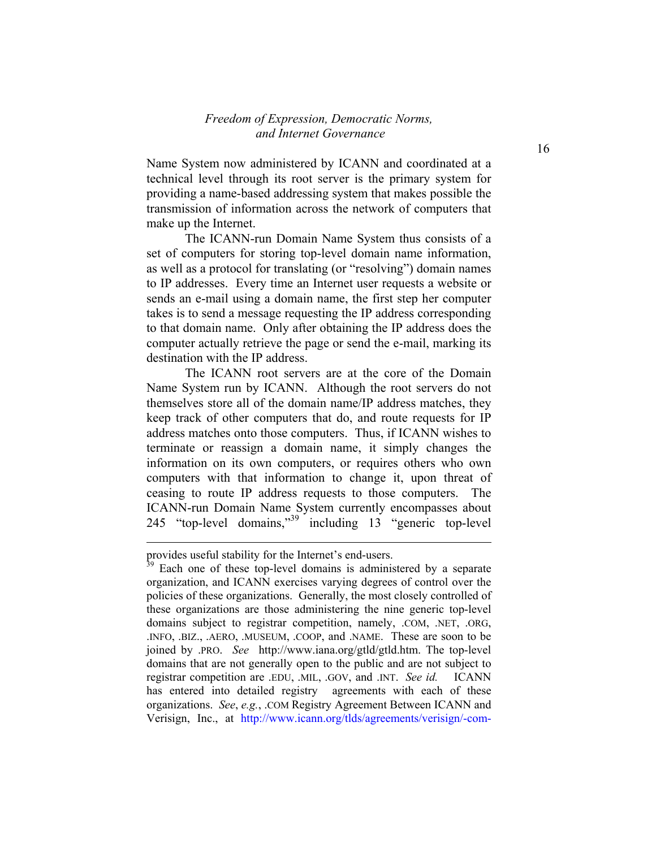Name System now administered by ICANN and coordinated at a technical level through its root server is the primary system for providing a name-based addressing system that makes possible the transmission of information across the network of computers that make up the Internet.

The ICANN-run Domain Name System thus consists of a set of computers for storing top-level domain name information, as well as a protocol for translating (or "resolving") domain names to IP addresses. Every time an Internet user requests a website or sends an e-mail using a domain name, the first step her computer takes is to send a message requesting the IP address corresponding to that domain name. Only after obtaining the IP address does the computer actually retrieve the page or send the e-mail, marking its destination with the IP address.

The ICANN root servers are at the core of the Domain Name System run by ICANN. Although the root servers do not themselves store all of the domain name/IP address matches, they keep track of other computers that do, and route requests for IP address matches onto those computers. Thus, if ICANN wishes to terminate or reassign a domain name, it simply changes the information on its own computers, or requires others who own computers with that information to change it, upon threat of ceasing to route IP address requests to those computers. The ICANN-run Domain Name System currently encompasses about 245 "top-level domains,"39 including 13 "generic top-level

l

provides useful stability for the Internet's end-users.

 $39$  Each one of these top-level domains is administered by a separate organization, and ICANN exercises varying degrees of control over the policies of these organizations. Generally, the most closely controlled of these organizations are those administering the nine generic top-level domains subject to registrar competition, namely, .COM, .NET, .ORG, .INFO, .BIZ., .AERO, .MUSEUM, .COOP, and .NAME. These are soon to be joined by .PRO. *See* http://www.iana.org/gtld/gtld.htm. The top-level domains that are not generally open to the public and are not subject to registrar competition are .EDU, .MIL, .GOV, and .INT. *See id.* ICANN has entered into detailed registry agreements with each of these organizations. *See*, *e.g.*, .COM Registry Agreement Between ICANN and Verisign, Inc., at http://www.icann.org/tlds/agreements/verisign/-com-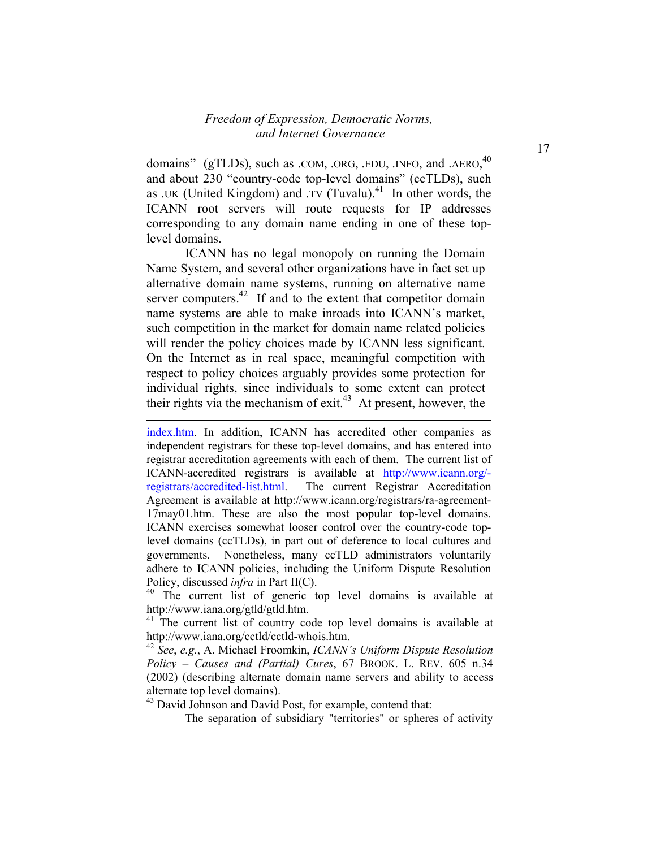domains" (gTLDs), such as .COM, .ORG, .EDU, .INFO, and .AERO,<sup>40</sup> and about 230 "country-code top-level domains" (ccTLDs), such as .UK (United Kingdom) and .TV (Tuvalu).<sup>41</sup> In other words, the ICANN root servers will route requests for IP addresses corresponding to any domain name ending in one of these toplevel domains.

ICANN has no legal monopoly on running the Domain Name System, and several other organizations have in fact set up alternative domain name systems, running on alternative name server computers.<sup>42</sup> If and to the extent that competitor domain name systems are able to make inroads into ICANN's market, such competition in the market for domain name related policies will render the policy choices made by ICANN less significant. On the Internet as in real space, meaningful competition with respect to policy choices arguably provides some protection for individual rights, since individuals to some extent can protect their rights via the mechanism of exit.<sup>43</sup> At present, however, the

l

<sup>40</sup> The current list of generic top level domains is available at http://www.iana.org/gtld/gtld.htm.

 $41$  The current list of country code top level domains is available at http://www.iana.org/cctld/cctld-whois.htm.

<sup>42</sup> *See*, *e.g.*, A. Michael Froomkin, *ICANN's Uniform Dispute Resolution Policy – Causes and (Partial) Cures*, 67 BROOK. L. REV. 605 n.34 (2002) (describing alternate domain name servers and ability to access alternate top level domains).

<sup>43</sup> David Johnson and David Post, for example, contend that:

The separation of subsidiary "territories" or spheres of activity

index.htm. In addition, ICANN has accredited other companies as independent registrars for these top-level domains, and has entered into registrar accreditation agreements with each of them. The current list of ICANN-accredited registrars is available at http://www.icann.org/ registrars/accredited-list.html. The current Registrar Accreditation Agreement is available at http://www.icann.org/registrars/ra-agreement-17may01.htm. These are also the most popular top-level domains. ICANN exercises somewhat looser control over the country-code toplevel domains (ccTLDs), in part out of deference to local cultures and governments. Nonetheless, many ccTLD administrators voluntarily adhere to ICANN policies, including the Uniform Dispute Resolution Policy, discussed *infra* in Part II(C).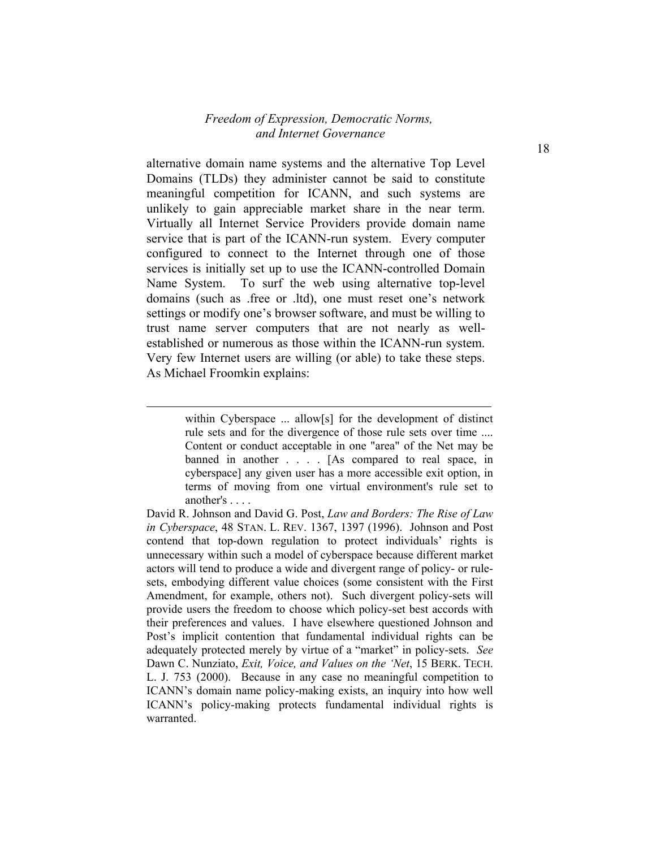alternative domain name systems and the alternative Top Level Domains (TLDs) they administer cannot be said to constitute meaningful competition for ICANN, and such systems are unlikely to gain appreciable market share in the near term. Virtually all Internet Service Providers provide domain name service that is part of the ICANN-run system. Every computer configured to connect to the Internet through one of those services is initially set up to use the ICANN-controlled Domain Name System. To surf the web using alternative top-level domains (such as .free or .ltd), one must reset one's network settings or modify one's browser software, and must be willing to trust name server computers that are not nearly as wellestablished or numerous as those within the ICANN-run system. Very few Internet users are willing (or able) to take these steps. As Michael Froomkin explains:

l

within Cyberspace ... allow[s] for the development of distinct rule sets and for the divergence of those rule sets over time .... Content or conduct acceptable in one "area" of the Net may be banned in another . . . . [As compared to real space, in cyberspace] any given user has a more accessible exit option, in terms of moving from one virtual environment's rule set to another's . . . .

David R. Johnson and David G. Post, *Law and Borders: The Rise of Law in Cyberspace*, 48 STAN. L. REV. 1367, 1397 (1996). Johnson and Post contend that top-down regulation to protect individuals' rights is unnecessary within such a model of cyberspace because different market actors will tend to produce a wide and divergent range of policy- or rulesets, embodying different value choices (some consistent with the First Amendment, for example, others not). Such divergent policy-sets will provide users the freedom to choose which policy-set best accords with their preferences and values. I have elsewhere questioned Johnson and Post's implicit contention that fundamental individual rights can be adequately protected merely by virtue of a "market" in policy-sets. *See* Dawn C. Nunziato, *Exit, Voice, and Values on the 'Net*, 15 BERK. TECH. L. J. 753 (2000). Because in any case no meaningful competition to ICANN's domain name policy-making exists, an inquiry into how well ICANN's policy-making protects fundamental individual rights is warranted.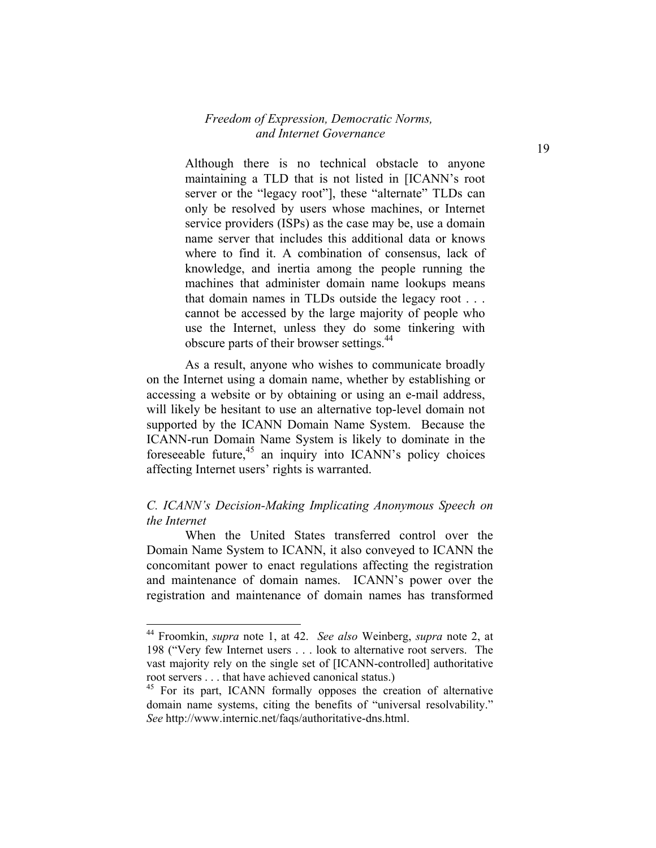Although there is no technical obstacle to anyone maintaining a TLD that is not listed in [ICANN's root server or the "legacy root"], these "alternate" TLDs can only be resolved by users whose machines, or Internet service providers (ISPs) as the case may be, use a domain name server that includes this additional data or knows where to find it. A combination of consensus, lack of knowledge, and inertia among the people running the machines that administer domain name lookups means that domain names in TLDs outside the legacy root . . . cannot be accessed by the large majority of people who use the Internet, unless they do some tinkering with obscure parts of their browser settings.<sup>44</sup>

As a result, anyone who wishes to communicate broadly on the Internet using a domain name, whether by establishing or accessing a website or by obtaining or using an e-mail address, will likely be hesitant to use an alternative top-level domain not supported by the ICANN Domain Name System. Because the ICANN-run Domain Name System is likely to dominate in the foreseeable future, $45$  an inquiry into ICANN's policy choices affecting Internet users' rights is warranted.

#### *C. ICANN's Decision-Making Implicating Anonymous Speech on the Internet*

 When the United States transferred control over the Domain Name System to ICANN, it also conveyed to ICANN the concomitant power to enact regulations affecting the registration and maintenance of domain names. ICANN's power over the registration and maintenance of domain names has transformed

<sup>44</sup> Froomkin, *supra* note 1, at 42. *See also* Weinberg, *supra* note 2, at 198 ("Very few Internet users . . . look to alternative root servers. The vast majority rely on the single set of [ICANN-controlled] authoritative root servers . . . that have achieved canonical status.)

<sup>&</sup>lt;sup>45</sup> For its part, ICANN formally opposes the creation of alternative domain name systems, citing the benefits of "universal resolvability." *See* http://www.internic.net/faqs/authoritative-dns.html.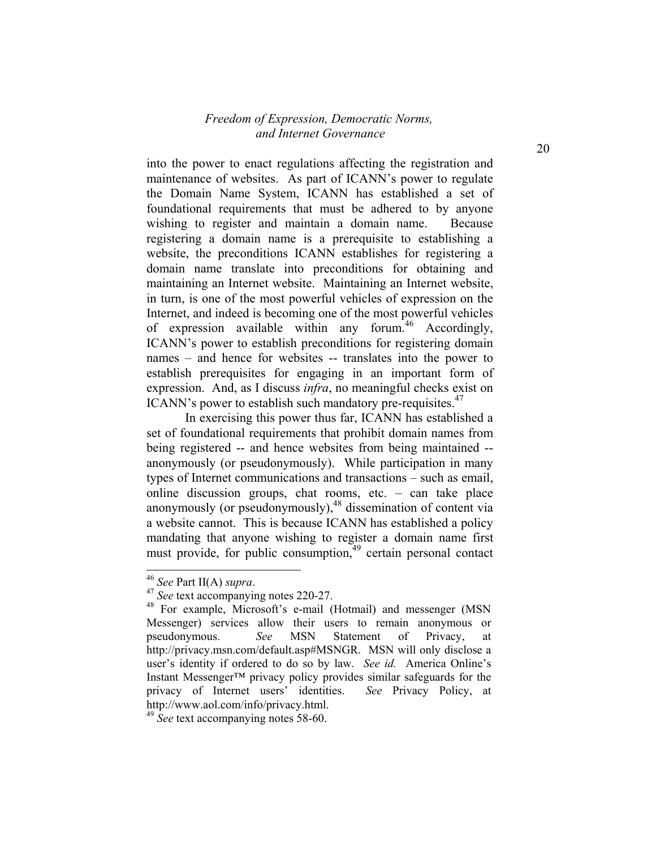into the power to enact regulations affecting the registration and maintenance of websites. As part of ICANN's power to regulate the Domain Name System, ICANN has established a set of foundational requirements that must be adhered to by anyone wishing to register and maintain a domain name. Because registering a domain name is a prerequisite to establishing a website, the preconditions ICANN establishes for registering a domain name translate into preconditions for obtaining and maintaining an Internet website. Maintaining an Internet website, in turn, is one of the most powerful vehicles of expression on the Internet, and indeed is becoming one of the most powerful vehicles of expression available within any forum.<sup>46</sup> Accordingly, ICANN's power to establish preconditions for registering domain names – and hence for websites -- translates into the power to establish prerequisites for engaging in an important form of expression. And, as I discuss *infra*, no meaningful checks exist on ICANN's power to establish such mandatory pre-requisites.<sup>47</sup>

In exercising this power thus far, ICANN has established a set of foundational requirements that prohibit domain names from being registered -- and hence websites from being maintained - anonymously (or pseudonymously). While participation in many types of Internet communications and transactions – such as email, online discussion groups, chat rooms, etc. – can take place anonymously (or pseudonymously),<sup>48</sup> dissemination of content via a website cannot. This is because ICANN has established a policy mandating that anyone wishing to register a domain name first must provide, for public consumption, $49$  certain personal contact

1

<sup>46</sup> *See* Part II(A) *supra*. 47 *See* text accompanying notes 220-27.

<sup>&</sup>lt;sup>48</sup> For example, Microsoft's e-mail (Hotmail) and messenger (MSN Messenger) services allow their users to remain anonymous or pseudonymous. *See* MSN Statement of Privacy, at http://privacy.msn.com/default.asp#MSNGR. MSN will only disclose a user's identity if ordered to do so by law. *See id.* America Online's Instant Messenger™ privacy policy provides similar safeguards for the privacy of Internet users' identities. *See* Privacy Policy, at http://www.aol.com/info/privacy.html.

<sup>49</sup> *See* text accompanying notes 58-60.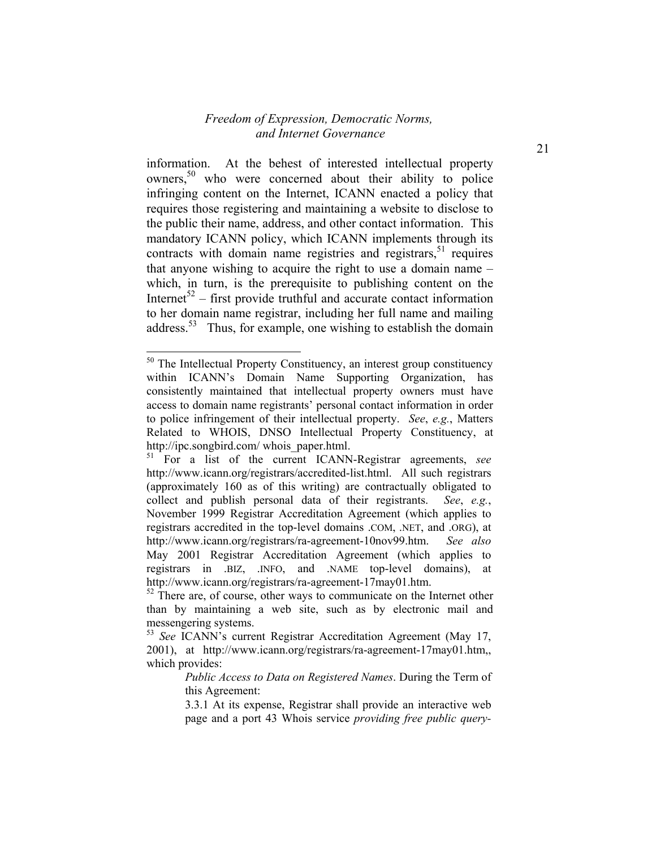information. At the behest of interested intellectual property owners,<sup>50</sup> who were concerned about their ability to police infringing content on the Internet, ICANN enacted a policy that requires those registering and maintaining a website to disclose to the public their name, address, and other contact information. This mandatory ICANN policy, which ICANN implements through its contracts with domain name registries and registrars,  $51$  requires that anyone wishing to acquire the right to use a domain name – which, in turn, is the prerequisite to publishing content on the Internet<sup>52</sup> – first provide truthful and accurate contact information to her domain name registrar, including her full name and mailing address.<sup>53</sup> Thus, for example, one wishing to establish the domain

<sup>&</sup>lt;sup>50</sup> The Intellectual Property Constituency, an interest group constituency within ICANN's Domain Name Supporting Organization, has consistently maintained that intellectual property owners must have access to domain name registrants' personal contact information in order to police infringement of their intellectual property. *See*, *e.g.*, Matters Related to WHOIS, DNSO Intellectual Property Constituency, at http://ipc.songbird.com/ whois\_paper.html.

<sup>51</sup> For a list of the current ICANN-Registrar agreements, *see* http://www.icann.org/registrars/accredited-list.html. All such registrars (approximately 160 as of this writing) are contractually obligated to collect and publish personal data of their registrants. *See*, *e.g.*, November 1999 Registrar Accreditation Agreement (which applies to registrars accredited in the top-level domains .COM, .NET, and .ORG), at http://www.icann.org/registrars/ra-agreement-10nov99.htm. *See also* May 2001 Registrar Accreditation Agreement (which applies to registrars in .BIZ, .INFO, and .NAME top-level domains), at http://www.icann.org/registrars/ra-agreement-17may01.htm.

 $52$  There are, of course, other ways to communicate on the Internet other than by maintaining a web site, such as by electronic mail and messengering systems.

<sup>53</sup> *See* ICANN's current Registrar Accreditation Agreement (May 17, 2001), at http://www.icann.org/registrars/ra-agreement-17may01.htm,, which provides:

*Public Access to Data on Registered Names*. During the Term of this Agreement:

<sup>3.3.1</sup> At its expense, Registrar shall provide an interactive web page and a port 43 Whois service *providing free public query-*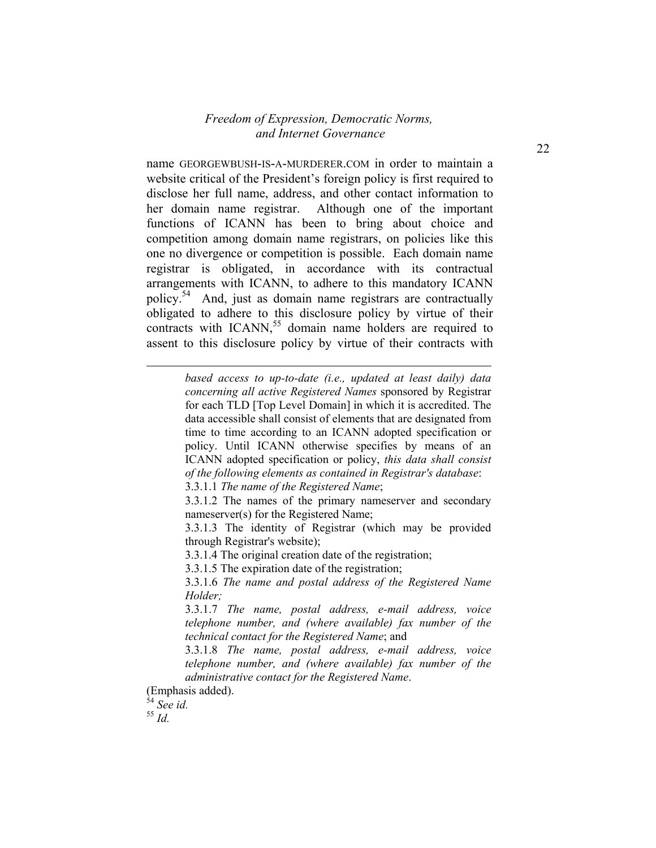name GEORGEWBUSH-IS-A-MURDERER.COM in order to maintain a website critical of the President's foreign policy is first required to disclose her full name, address, and other contact information to her domain name registrar. Although one of the important functions of ICANN has been to bring about choice and competition among domain name registrars, on policies like this one no divergence or competition is possible. Each domain name registrar is obligated, in accordance with its contractual arrangements with ICANN, to adhere to this mandatory ICANN policy.54 And, just as domain name registrars are contractually obligated to adhere to this disclosure policy by virtue of their contracts with  $ICANN$ ,<sup>55</sup> domain name holders are required to assent to this disclosure policy by virtue of their contracts with

> *based access to up-to-date (i.e., updated at least daily) data concerning all active Registered Names* sponsored by Registrar for each TLD [Top Level Domain] in which it is accredited. The data accessible shall consist of elements that are designated from time to time according to an ICANN adopted specification or policy. Until ICANN otherwise specifies by means of an ICANN adopted specification or policy, *this data shall consist of the following elements as contained in Registrar's database*:

3.3.1.1 *The name of the Registered Name*;

3.3.1.2 The names of the primary nameserver and secondary nameserver(s) for the Registered Name;

3.3.1.3 The identity of Registrar (which may be provided through Registrar's website);

3.3.1.4 The original creation date of the registration;

3.3.1.5 The expiration date of the registration;

3.3.1.6 *The name and postal address of the Registered Name Holder;*

3.3.1.7 *The name, postal address, e-mail address, voice telephone number, and (where available) fax number of the technical contact for the Registered Name*; and

3.3.1.8 *The name, postal address, e-mail address, voice telephone number, and (where available) fax number of the administrative contact for the Registered Name*.

(Emphasis added).

<sup>54</sup> *See id.* <sup>55</sup> *Id.*

l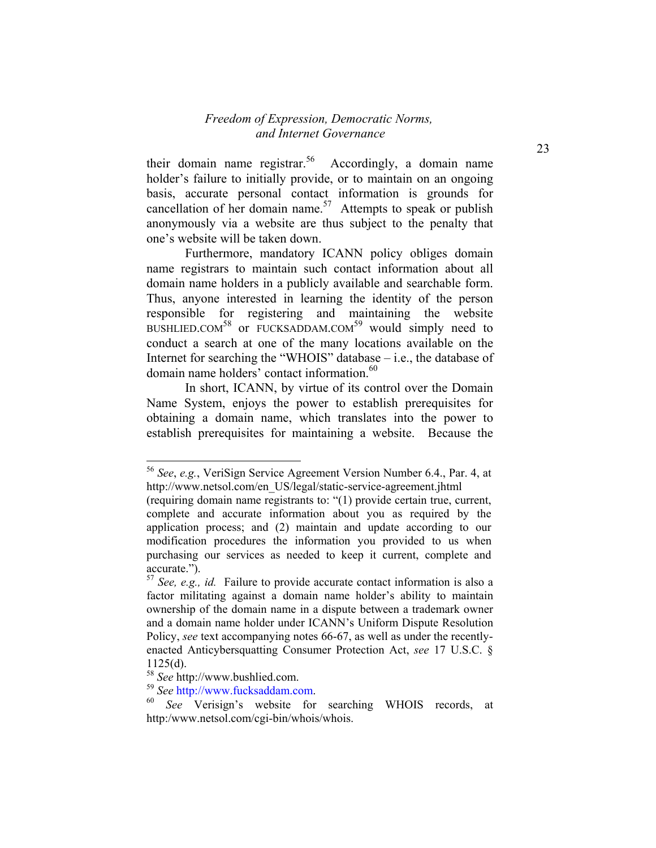their domain name registrar.<sup>56</sup> Accordingly, a domain name holder's failure to initially provide, or to maintain on an ongoing basis, accurate personal contact information is grounds for cancellation of her domain name.<sup>57</sup> Attempts to speak or publish anonymously via a website are thus subject to the penalty that one's website will be taken down.

Furthermore, mandatory ICANN policy obliges domain name registrars to maintain such contact information about all domain name holders in a publicly available and searchable form. Thus, anyone interested in learning the identity of the person responsible for registering and maintaining the website BUSHLIED.COM<sup>58</sup> or FUCKSADDAM.COM<sup>59</sup> would simply need to conduct a search at one of the many locations available on the Internet for searching the "WHOIS" database – i.e., the database of domain name holders' contact information.<sup>60</sup>

In short, ICANN, by virtue of its control over the Domain Name System, enjoys the power to establish prerequisites for obtaining a domain name, which translates into the power to establish prerequisites for maintaining a website. Because the

<sup>56</sup> *See*, *e.g.*, VeriSign Service Agreement Version Number 6.4., Par. 4, at http://www.netsol.com/en\_US/legal/static-service-agreement.jhtml

<sup>(</sup>requiring domain name registrants to: "(1) provide certain true, current, complete and accurate information about you as required by the application process; and (2) maintain and update according to our modification procedures the information you provided to us when purchasing our services as needed to keep it current, complete and accurate.").

<sup>57</sup> *See, e.g., id.* Failure to provide accurate contact information is also a factor militating against a domain name holder's ability to maintain ownership of the domain name in a dispute between a trademark owner and a domain name holder under ICANN's Uniform Dispute Resolution Policy, *see* text accompanying notes 66-67, as well as under the recentlyenacted Anticybersquatting Consumer Protection Act, *see* 17 U.S.C. § 1125(d).

<sup>&</sup>lt;sup>58</sup> *See* http://www.bushlied.com.<br><sup>59</sup> *See* http://www.fucksaddam.com.

<sup>&</sup>lt;sup>60</sup> *See* Verisign's website for searching WHOIS records, at http:/www.netsol.com/cgi-bin/whois/whois.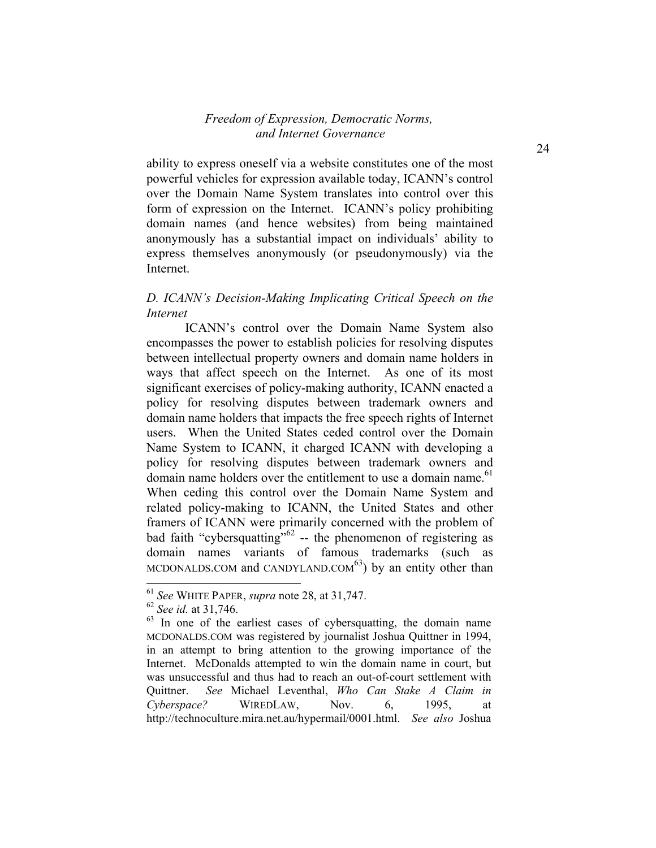ability to express oneself via a website constitutes one of the most powerful vehicles for expression available today, ICANN's control over the Domain Name System translates into control over this form of expression on the Internet. ICANN's policy prohibiting domain names (and hence websites) from being maintained anonymously has a substantial impact on individuals' ability to express themselves anonymously (or pseudonymously) via the Internet.

#### *D. ICANN's Decision-Making Implicating Critical Speech on the Internet*

ICANN's control over the Domain Name System also encompasses the power to establish policies for resolving disputes between intellectual property owners and domain name holders in ways that affect speech on the Internet. As one of its most significant exercises of policy-making authority, ICANN enacted a policy for resolving disputes between trademark owners and domain name holders that impacts the free speech rights of Internet users. When the United States ceded control over the Domain Name System to ICANN, it charged ICANN with developing a policy for resolving disputes between trademark owners and domain name holders over the entitlement to use a domain name.<sup>61</sup> When ceding this control over the Domain Name System and related policy-making to ICANN, the United States and other framers of ICANN were primarily concerned with the problem of bad faith "cybersquatting"<sup>62</sup> -- the phenomenon of registering as domain names variants of famous trademarks (such as MCDONALDS.COM and CANDYLAND.COM $<sup>63</sup>$ ) by an entity other than</sup>

1

<sup>61</sup> *See* WHITE PAPER, *supra* note 28, at 31,747.

<sup>62</sup> *See id.* at 31,746.

 $63$  In one of the earliest cases of cybersquatting, the domain name MCDONALDS.COM was registered by journalist Joshua Quittner in 1994, in an attempt to bring attention to the growing importance of the Internet. McDonalds attempted to win the domain name in court, but was unsuccessful and thus had to reach an out-of-court settlement with Quittner. *See* Michael Leventhal, *Who Can Stake A Claim in Cyberspace?* WIREDLAW, Nov. 6, 1995, at http://technoculture.mira.net.au/hypermail/0001.html. *See also* Joshua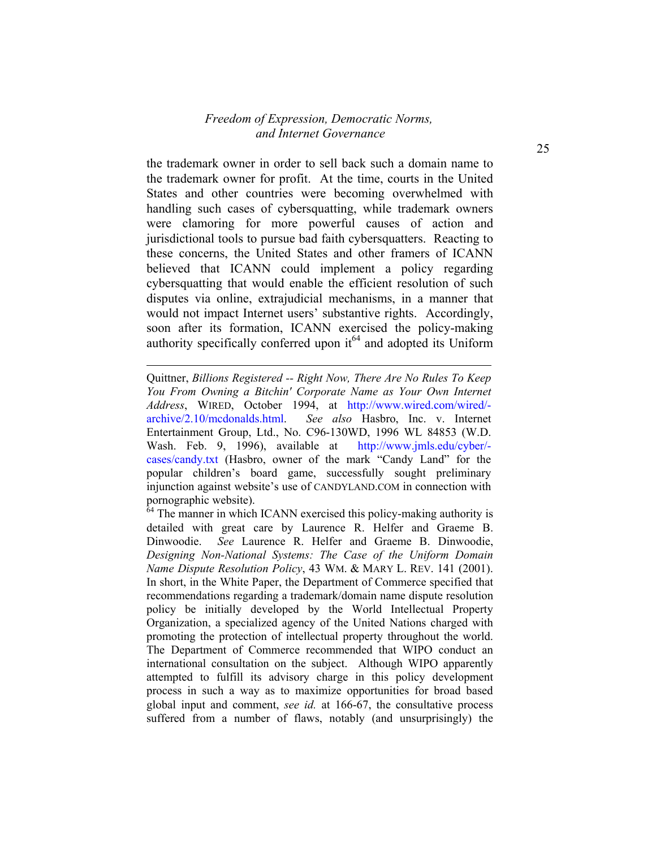the trademark owner in order to sell back such a domain name to the trademark owner for profit. At the time, courts in the United States and other countries were becoming overwhelmed with handling such cases of cybersquatting, while trademark owners were clamoring for more powerful causes of action and jurisdictional tools to pursue bad faith cybersquatters. Reacting to these concerns, the United States and other framers of ICANN believed that ICANN could implement a policy regarding cybersquatting that would enable the efficient resolution of such disputes via online, extrajudicial mechanisms, in a manner that would not impact Internet users' substantive rights. Accordingly, soon after its formation, ICANN exercised the policy-making authority specifically conferred upon  $it^{64}$  and adopted its Uniform

Quittner, *Billions Registered -- Right Now, There Are No Rules To Keep You From Owning a Bitchin' Corporate Name as Your Own Internet Address*, WIRED, October 1994, at http://www.wired.com/wired/ archive/2.10/mcdonalds.html. *See also* Hasbro, Inc. v. Internet Entertainment Group, Ltd., No. C96-130WD, 1996 WL 84853 (W.D. Wash. Feb. 9, 1996), available at http://www.jmls.edu/cyber/ cases/candy.txt (Hasbro, owner of the mark "Candy Land" for the popular children's board game, successfully sought preliminary injunction against website's use of CANDYLAND.COM in connection with pornographic website).

l

 $64$  The manner in which ICANN exercised this policy-making authority is detailed with great care by Laurence R. Helfer and Graeme B. Dinwoodie. *See* Laurence R. Helfer and Graeme B. Dinwoodie, *Designing Non-National Systems: The Case of the Uniform Domain Name Dispute Resolution Policy*, 43 WM. & MARY L. REV. 141 (2001). In short, in the White Paper, the Department of Commerce specified that recommendations regarding a trademark/domain name dispute resolution policy be initially developed by the World Intellectual Property Organization, a specialized agency of the United Nations charged with promoting the protection of intellectual property throughout the world. The Department of Commerce recommended that WIPO conduct an international consultation on the subject. Although WIPO apparently attempted to fulfill its advisory charge in this policy development process in such a way as to maximize opportunities for broad based global input and comment, *see id.* at 166-67, the consultative process suffered from a number of flaws, notably (and unsurprisingly) the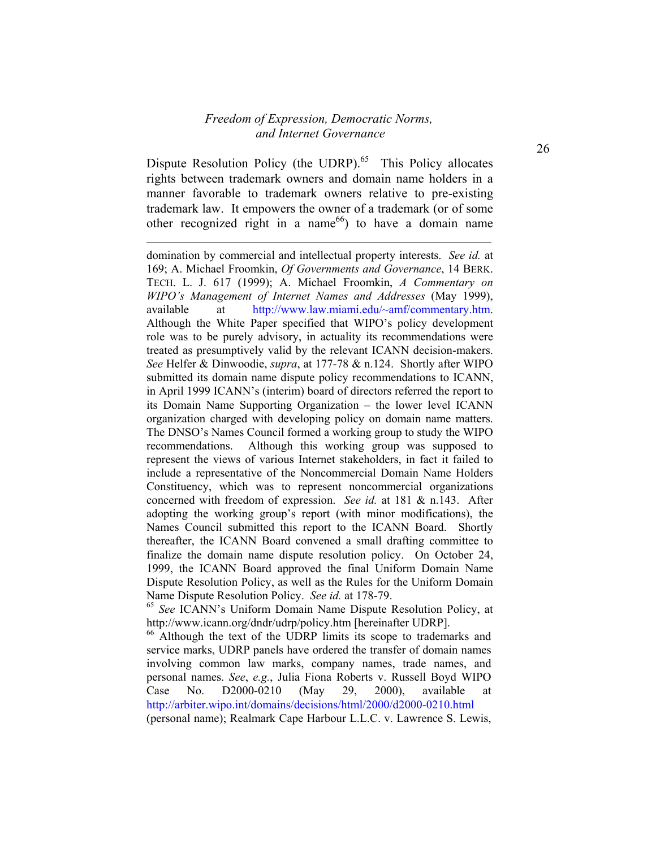Dispute Resolution Policy (the UDRP). $65$  This Policy allocates rights between trademark owners and domain name holders in a manner favorable to trademark owners relative to pre-existing trademark law. It empowers the owner of a trademark (or of some other recognized right in a name<sup>66</sup>) to have a domain name

l

domination by commercial and intellectual property interests. *See id.* at 169; A. Michael Froomkin, *Of Governments and Governance*, 14 BERK. TECH. L. J. 617 (1999); A. Michael Froomkin, *A Commentary on WIPO's Management of Internet Names and Addresses* (May 1999), available at http://www.law.miami.edu/~amf/commentary.htm. Although the White Paper specified that WIPO's policy development role was to be purely advisory, in actuality its recommendations were treated as presumptively valid by the relevant ICANN decision-makers. *See* Helfer & Dinwoodie, *supra*, at 177-78 & n.124. Shortly after WIPO submitted its domain name dispute policy recommendations to ICANN, in April 1999 ICANN's (interim) board of directors referred the report to its Domain Name Supporting Organization – the lower level ICANN organization charged with developing policy on domain name matters. The DNSO's Names Council formed a working group to study the WIPO recommendations. Although this working group was supposed to represent the views of various Internet stakeholders, in fact it failed to include a representative of the Noncommercial Domain Name Holders Constituency, which was to represent noncommercial organizations concerned with freedom of expression. *See id.* at 181 & n.143. After adopting the working group's report (with minor modifications), the Names Council submitted this report to the ICANN Board. Shortly thereafter, the ICANN Board convened a small drafting committee to finalize the domain name dispute resolution policy. On October 24, 1999, the ICANN Board approved the final Uniform Domain Name Dispute Resolution Policy, as well as the Rules for the Uniform Domain Name Dispute Resolution Policy. *See id.* at 178-79.

<sup>65</sup> *See* ICANN's Uniform Domain Name Dispute Resolution Policy, at http://www.icann.org/dndr/udrp/policy.htm [hereinafter UDRP].

<sup>&</sup>lt;sup>66</sup> Although the text of the UDRP limits its scope to trademarks and service marks, UDRP panels have ordered the transfer of domain names involving common law marks, company names, trade names, and personal names. *See*, *e.g.*, Julia Fiona Roberts v. Russell Boyd WIPO Case No. D2000-0210 (May 29, 2000), available at http://arbiter.wipo.int/domains/decisions/html/2000/d2000-0210.html (personal name); Realmark Cape Harbour L.L.C. v. Lawrence S. Lewis,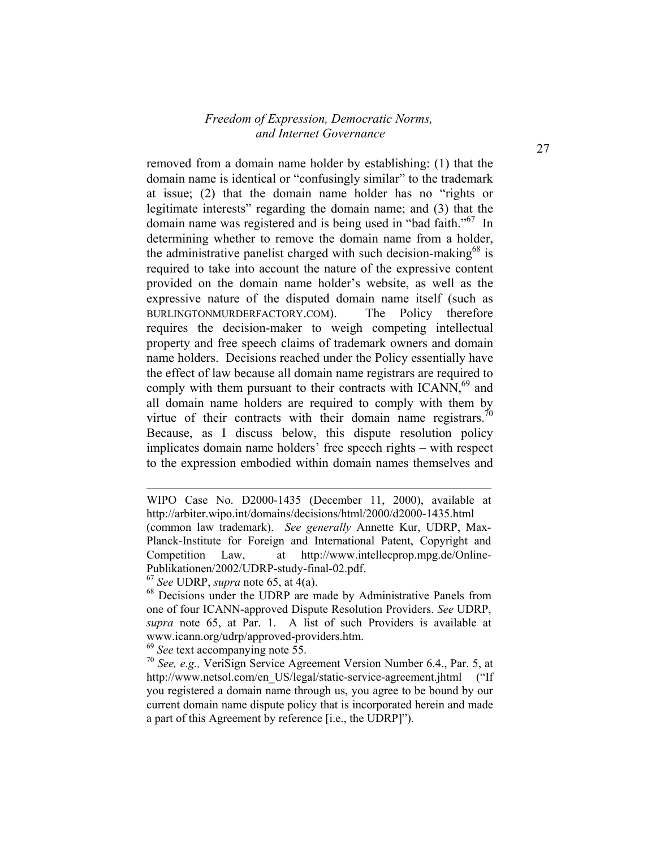removed from a domain name holder by establishing: (1) that the domain name is identical or "confusingly similar" to the trademark at issue; (2) that the domain name holder has no "rights or legitimate interests" regarding the domain name; and (3) that the domain name was registered and is being used in "bad faith."<sup>67</sup> In determining whether to remove the domain name from a holder, the administrative panelist charged with such decision-making<sup>68</sup> is required to take into account the nature of the expressive content provided on the domain name holder's website, as well as the expressive nature of the disputed domain name itself (such as BURLINGTONMURDERFACTORY.COM). The Policy therefore requires the decision-maker to weigh competing intellectual property and free speech claims of trademark owners and domain name holders. Decisions reached under the Policy essentially have the effect of law because all domain name registrars are required to comply with them pursuant to their contracts with  $ICANN<sub>1</sub><sup>69</sup>$  and all domain name holders are required to comply with them by virtue of their contracts with their domain name registrars.<sup>70</sup> Because, as I discuss below, this dispute resolution policy implicates domain name holders' free speech rights – with respect to the expression embodied within domain names themselves and

l

<sup>69</sup> *See* text accompanying note 55.

WIPO Case No. D2000-1435 (December 11, 2000), available at http://arbiter.wipo.int/domains/decisions/html/2000/d2000-1435.html (common law trademark). *See generally* Annette Kur, UDRP, Max-Planck-Institute for Foreign and International Patent, Copyright and Competition Law, at http://www.intellecprop.mpg.de/Online-Publikationen/2002/UDRP-study-final-02.pdf.

<sup>67</sup> *See* UDRP, *supra* note 65, at 4(a).

<sup>68</sup> Decisions under the UDRP are made by Administrative Panels from one of four ICANN-approved Dispute Resolution Providers. *See* UDRP, *supra* note 65, at Par. 1. A list of such Providers is available at www.icann.org/udrp/approved-providers.htm.

<sup>70</sup> *See, e.g.,* VeriSign Service Agreement Version Number 6.4., Par. 5, at http://www.netsol.com/en\_US/legal/static-service-agreement.jhtml ("If you registered a domain name through us, you agree to be bound by our current domain name dispute policy that is incorporated herein and made a part of this Agreement by reference [i.e., the UDRP]").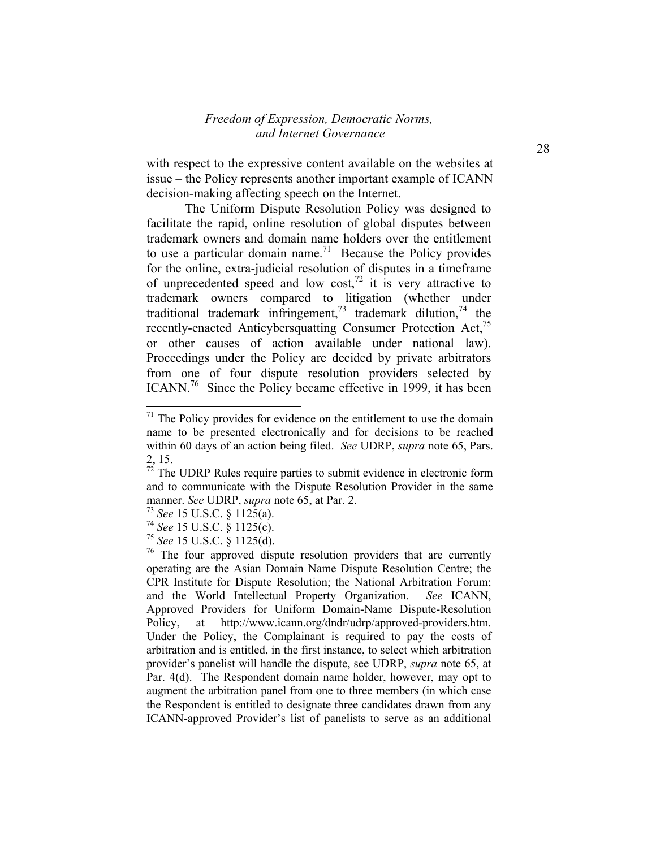with respect to the expressive content available on the websites at issue – the Policy represents another important example of ICANN decision-making affecting speech on the Internet.

The Uniform Dispute Resolution Policy was designed to facilitate the rapid, online resolution of global disputes between trademark owners and domain name holders over the entitlement to use a particular domain name.<sup>71</sup> Because the Policy provides for the online, extra-judicial resolution of disputes in a timeframe of unprecedented speed and low cost,<sup>72</sup> it is very attractive to trademark owners compared to litigation (whether under traditional trademark infringement,<sup>73</sup> trademark dilution,<sup>74</sup> the recently-enacted Anticybersquatting Consumer Protection Act,<sup>75</sup> or other causes of action available under national law). Proceedings under the Policy are decided by private arbitrators from one of four dispute resolution providers selected by ICANN.<sup>76</sup> Since the Policy became effective in 1999, it has been

1

 $71$  The Policy provides for evidence on the entitlement to use the domain name to be presented electronically and for decisions to be reached within 60 days of an action being filed. *See* UDRP, *supra* note 65, Pars. 2, 15.

 $72$  The UDRP Rules require parties to submit evidence in electronic form and to communicate with the Dispute Resolution Provider in the same manner. *See* UDRP, *supra* note 65, at Par. 2.

<sup>73</sup> *See* 15 U.S.C. § 1125(a).

<sup>74</sup> *See* 15 U.S.C. § 1125(c).

<sup>75</sup> *See* 15 U.S.C. § 1125(d).

<sup>&</sup>lt;sup>76</sup> The four approved dispute resolution providers that are currently operating are the Asian Domain Name Dispute Resolution Centre; the CPR Institute for Dispute Resolution; the National Arbitration Forum; and the World Intellectual Property Organization. *See* ICANN, Approved Providers for Uniform Domain-Name Dispute-Resolution Policy, at http://www.icann.org/dndr/udrp/approved-providers.htm. Under the Policy, the Complainant is required to pay the costs of arbitration and is entitled, in the first instance, to select which arbitration provider's panelist will handle the dispute, see UDRP, *supra* note 65, at Par. 4(d). The Respondent domain name holder, however, may opt to augment the arbitration panel from one to three members (in which case the Respondent is entitled to designate three candidates drawn from any ICANN-approved Provider's list of panelists to serve as an additional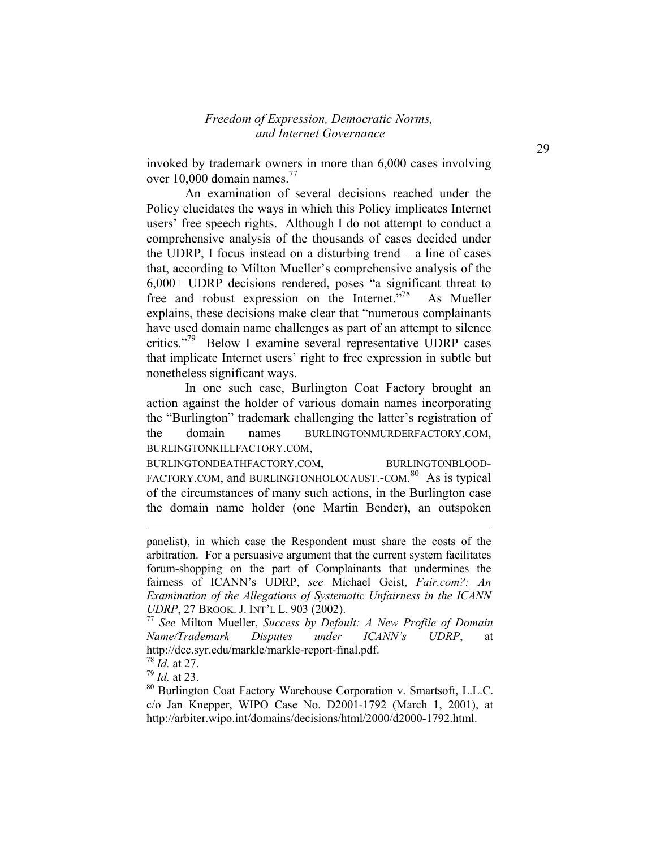invoked by trademark owners in more than 6,000 cases involving over 10,000 domain names.<sup>77</sup>

An examination of several decisions reached under the Policy elucidates the ways in which this Policy implicates Internet users' free speech rights. Although I do not attempt to conduct a comprehensive analysis of the thousands of cases decided under the UDRP, I focus instead on a disturbing trend – a line of cases that, according to Milton Mueller's comprehensive analysis of the 6,000+ UDRP decisions rendered, poses "a significant threat to free and robust expression on the Internet. $\frac{5.78}{1.78}$  As Mueller explains, these decisions make clear that "numerous complainants have used domain name challenges as part of an attempt to silence critics."<sup>79</sup> Below I examine several representative UDRP cases that implicate Internet users' right to free expression in subtle but nonetheless significant ways.

In one such case, Burlington Coat Factory brought an action against the holder of various domain names incorporating the "Burlington" trademark challenging the latter's registration of the domain names BURLINGTONMURDERFACTORY.COM, BURLINGTONKILLFACTORY.COM,

BURLINGTONDEATHFACTORY.COM, BURLINGTONBLOOD-FACTORY.COM, and BURLINGTONHOLOCAUST.-COM.<sup>80</sup> As is typical of the circumstances of many such actions, in the Burlington case the domain name holder (one Martin Bender), an outspoken

l

<sup>79</sup> *Id.* at 23.

panelist), in which case the Respondent must share the costs of the arbitration. For a persuasive argument that the current system facilitates forum-shopping on the part of Complainants that undermines the fairness of ICANN's UDRP, *see* Michael Geist, *Fair.com?: An Examination of the Allegations of Systematic Unfairness in the ICANN UDRP*, 27 BROOK. J. INT'L L. 903 (2002).

<sup>77</sup> *See* Milton Mueller, *Success by Default: A New Profile of Domain Name/Trademark Disputes under ICANN's UDRP*, at http://dcc.syr.edu/markle/markle-report-final.pdf.

<sup>78</sup> *Id.* at 27.

<sup>80</sup> Burlington Coat Factory Warehouse Corporation v. Smartsoft, L.L.C. c/o Jan Knepper, WIPO Case No. D2001-1792 (March 1, 2001), at http://arbiter.wipo.int/domains/decisions/html/2000/d2000-1792.html.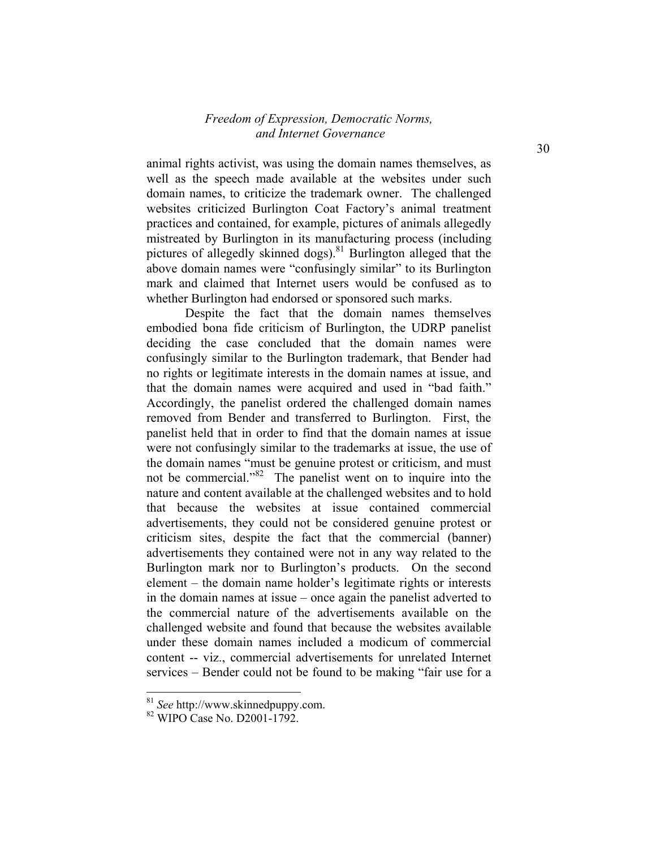animal rights activist, was using the domain names themselves, as well as the speech made available at the websites under such domain names, to criticize the trademark owner. The challenged websites criticized Burlington Coat Factory's animal treatment practices and contained, for example, pictures of animals allegedly mistreated by Burlington in its manufacturing process (including pictures of allegedly skinned dogs).<sup>81</sup> Burlington alleged that the above domain names were "confusingly similar" to its Burlington mark and claimed that Internet users would be confused as to whether Burlington had endorsed or sponsored such marks.

Despite the fact that the domain names themselves embodied bona fide criticism of Burlington, the UDRP panelist deciding the case concluded that the domain names were confusingly similar to the Burlington trademark, that Bender had no rights or legitimate interests in the domain names at issue, and that the domain names were acquired and used in "bad faith." Accordingly, the panelist ordered the challenged domain names removed from Bender and transferred to Burlington. First, the panelist held that in order to find that the domain names at issue were not confusingly similar to the trademarks at issue, the use of the domain names "must be genuine protest or criticism, and must not be commercial."<sup>82</sup> The panelist went on to inquire into the nature and content available at the challenged websites and to hold that because the websites at issue contained commercial advertisements, they could not be considered genuine protest or criticism sites, despite the fact that the commercial (banner) advertisements they contained were not in any way related to the Burlington mark nor to Burlington's products. On the second element – the domain name holder's legitimate rights or interests in the domain names at issue – once again the panelist adverted to the commercial nature of the advertisements available on the challenged website and found that because the websites available under these domain names included a modicum of commercial content -- viz., commercial advertisements for unrelated Internet services – Bender could not be found to be making "fair use for a

<sup>81</sup> *See* http://www.skinnedpuppy.com.

 $82$  WIPO Case No. D2001-1792.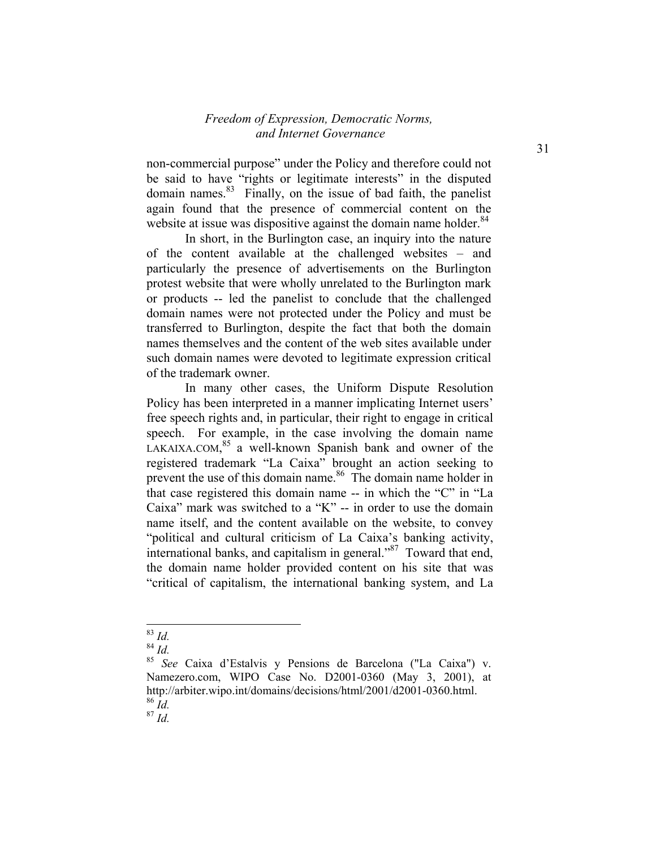non-commercial purpose" under the Policy and therefore could not be said to have "rights or legitimate interests" in the disputed domain names.83 Finally, on the issue of bad faith, the panelist again found that the presence of commercial content on the website at issue was dispositive against the domain name holder.<sup>84</sup>

In short, in the Burlington case, an inquiry into the nature of the content available at the challenged websites – and particularly the presence of advertisements on the Burlington protest website that were wholly unrelated to the Burlington mark or products -- led the panelist to conclude that the challenged domain names were not protected under the Policy and must be transferred to Burlington, despite the fact that both the domain names themselves and the content of the web sites available under such domain names were devoted to legitimate expression critical of the trademark owner.

 In many other cases, the Uniform Dispute Resolution Policy has been interpreted in a manner implicating Internet users' free speech rights and, in particular, their right to engage in critical speech. For example, in the case involving the domain name LAKAIXA.COM, <sup>85</sup> a well-known Spanish bank and owner of the registered trademark "La Caixa" brought an action seeking to prevent the use of this domain name.<sup>86</sup> The domain name holder in that case registered this domain name -- in which the "C" in "La Caixa" mark was switched to a "K"  $-$  in order to use the domain name itself, and the content available on the website, to convey "political and cultural criticism of La Caixa's banking activity, international banks, and capitalism in general."87 Toward that end, the domain name holder provided content on his site that was "critical of capitalism, the international banking system, and La

<sup>-</sup><sup>83</sup> *Id.*

<sup>84</sup> *Id.*

<sup>85</sup> *See* Caixa d'Estalvis y Pensions de Barcelona ("La Caixa") v. Namezero.com, WIPO Case No. D2001-0360 (May 3, 2001), at http://arbiter.wipo.int/domains/decisions/html/2001/d2001-0360.html. <sup>86</sup> *Id.*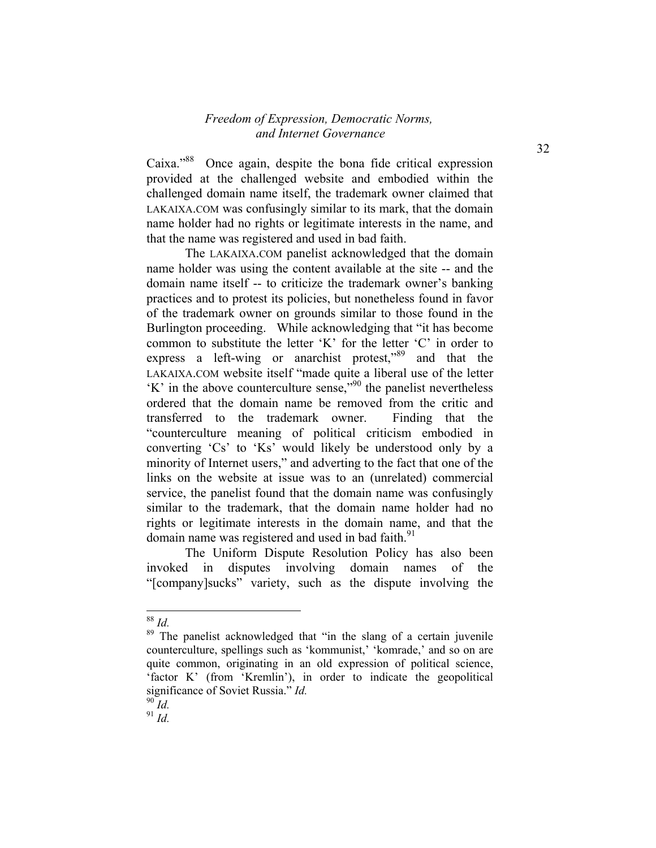Caixa."<sup>88</sup> Once again, despite the bona fide critical expression provided at the challenged website and embodied within the challenged domain name itself, the trademark owner claimed that LAKAIXA.COM was confusingly similar to its mark, that the domain name holder had no rights or legitimate interests in the name, and that the name was registered and used in bad faith.

The LAKAIXA.COM panelist acknowledged that the domain name holder was using the content available at the site -- and the domain name itself -- to criticize the trademark owner's banking practices and to protest its policies, but nonetheless found in favor of the trademark owner on grounds similar to those found in the Burlington proceeding. While acknowledging that "it has become common to substitute the letter 'K' for the letter 'C' in order to express a left-wing or anarchist protest,<sup>89</sup> and that the LAKAIXA.COM website itself "made quite a liberal use of the letter  $K'$  in the above counterculture sense,"<sup>90</sup> the panelist nevertheless ordered that the domain name be removed from the critic and transferred to the trademark owner. Finding that the "counterculture meaning of political criticism embodied in converting 'Cs' to 'Ks' would likely be understood only by a minority of Internet users," and adverting to the fact that one of the links on the website at issue was to an (unrelated) commercial service, the panelist found that the domain name was confusingly similar to the trademark, that the domain name holder had no rights or legitimate interests in the domain name, and that the domain name was registered and used in bad faith.<sup>91</sup>

The Uniform Dispute Resolution Policy has also been invoked in disputes involving domain names of the "[company]sucks" variety, such as the dispute involving the

<sup>88</sup> *Id.*

<sup>&</sup>lt;sup>89</sup> The panelist acknowledged that "in the slang of a certain juvenile" counterculture, spellings such as 'kommunist,' 'komrade,' and so on are quite common, originating in an old expression of political science, 'factor K' (from 'Kremlin'), in order to indicate the geopolitical significance of Soviet Russia." *Id.*

<sup>90</sup> *Id.*

 $91 \frac{1}{10}$ .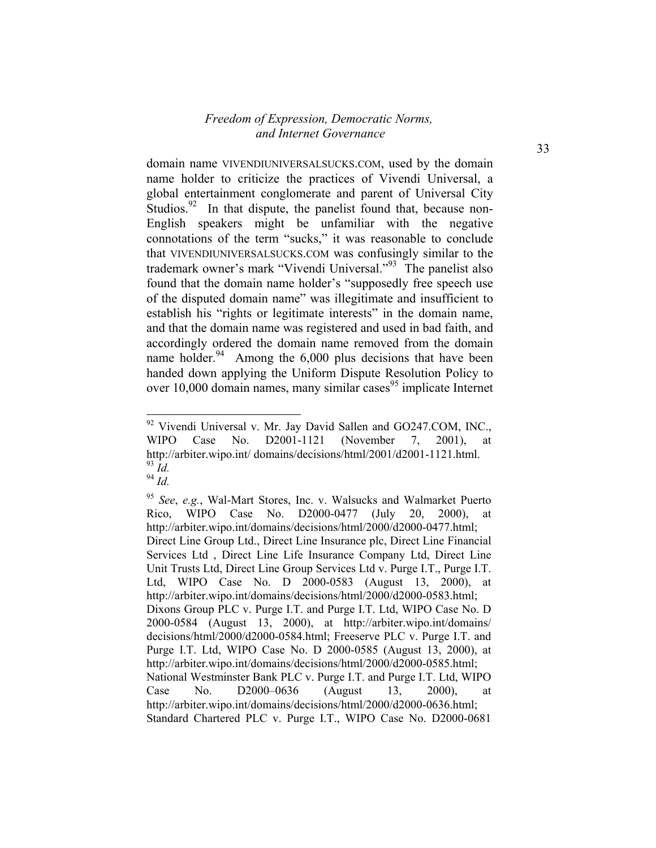domain name VIVENDIUNIVERSALSUCKS.COM, used by the domain name holder to criticize the practices of Vivendi Universal, a global entertainment conglomerate and parent of Universal City Studios. $92$  In that dispute, the panelist found that, because non-English speakers might be unfamiliar with the negative connotations of the term "sucks," it was reasonable to conclude that VIVENDIUNIVERSALSUCKS.COM was confusingly similar to the trademark owner's mark "Vivendi Universal."<sup>93</sup> The panelist also found that the domain name holder's "supposedly free speech use of the disputed domain name" was illegitimate and insufficient to establish his "rights or legitimate interests" in the domain name, and that the domain name was registered and used in bad faith, and accordingly ordered the domain name removed from the domain name holder. $94$  Among the 6,000 plus decisions that have been handed down applying the Uniform Dispute Resolution Policy to over  $10,000$  domain names, many similar cases<sup>95</sup> implicate Internet

<sup>94</sup> *Id.*

 $92$  Vivendi Universal v. Mr. Jay David Sallen and GO247.COM, INC., WIPO Case No. D2001-1121 (November 7, 2001), at http://arbiter.wipo.int/ domains/decisions/html/2001/d2001-1121.html. <sup>93</sup> *Id.*

<sup>95</sup> *See*, *e.g.*, Wal-Mart Stores, Inc. v. Walsucks and Walmarket Puerto Rico, WIPO Case No. D2000-0477 (July 20, 2000), at http://arbiter.wipo.int/domains/decisions/html/2000/d2000-0477.html; Direct Line Group Ltd., Direct Line Insurance plc, Direct Line Financial Services Ltd , Direct Line Life Insurance Company Ltd, Direct Line Unit Trusts Ltd, Direct Line Group Services Ltd v. Purge I.T., Purge I.T. Ltd, WIPO Case No. D 2000-0583 (August 13, 2000), at http://arbiter.wipo.int/domains/decisions/html/2000/d2000-0583.html; Dixons Group PLC v. Purge I.T. and Purge I.T. Ltd, WIPO Case No. D 2000-0584 (August 13, 2000), at http://arbiter.wipo.int/domains/ decisions/html/2000/d2000-0584.html; Freeserve PLC v. Purge I.T. and Purge I.T. Ltd, WIPO Case No. D 2000-0585 (August 13, 2000), at http://arbiter.wipo.int/domains/decisions/html/2000/d2000-0585.html; National Westminster Bank PLC v. Purge I.T. and Purge I.T. Ltd, WIPO Case No. D2000–0636 (August 13, 2000), at http://arbiter.wipo.int/domains/decisions/html/2000/d2000-0636.html; Standard Chartered PLC v. Purge I.T., WIPO Case No. D2000-0681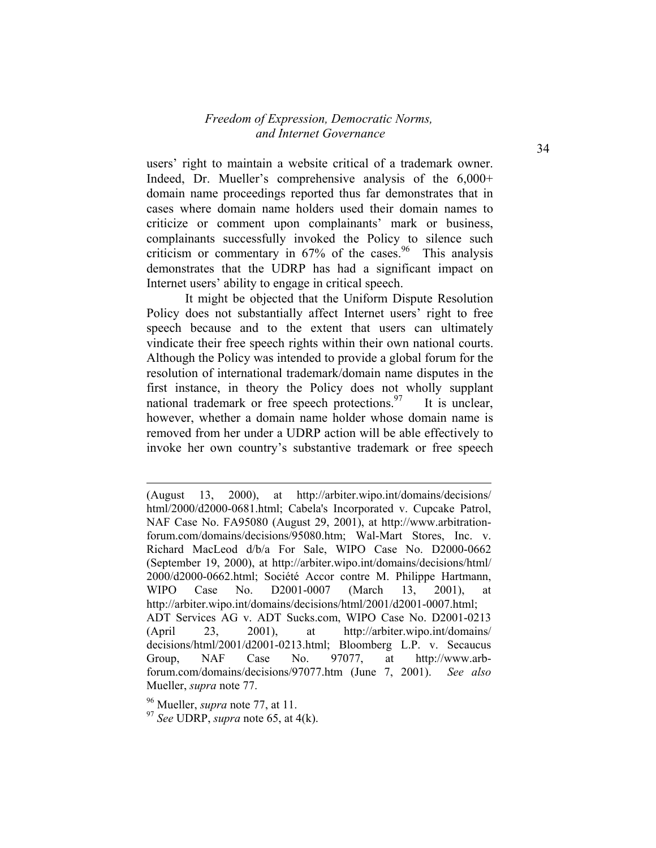users' right to maintain a website critical of a trademark owner. Indeed, Dr. Mueller's comprehensive analysis of the 6,000+ domain name proceedings reported thus far demonstrates that in cases where domain name holders used their domain names to criticize or comment upon complainants' mark or business, complainants successfully invoked the Policy to silence such criticism or commentary in  $67\%$  of the cases.<sup>96</sup> This analysis demonstrates that the UDRP has had a significant impact on Internet users' ability to engage in critical speech.

It might be objected that the Uniform Dispute Resolution Policy does not substantially affect Internet users' right to free speech because and to the extent that users can ultimately vindicate their free speech rights within their own national courts. Although the Policy was intended to provide a global forum for the resolution of international trademark/domain name disputes in the first instance, in theory the Policy does not wholly supplant national trademark or free speech protections.<sup>97</sup> It is unclear, however, whether a domain name holder whose domain name is removed from her under a UDRP action will be able effectively to invoke her own country's substantive trademark or free speech

96 Mueller, *supra* note 77, at 11.

l

<sup>(</sup>August 13, 2000), at http://arbiter.wipo.int/domains/decisions/ html/2000/d2000-0681.html; Cabela's Incorporated v. Cupcake Patrol, NAF Case No. FA95080 (August 29, 2001), at http://www.arbitrationforum.com/domains/decisions/95080.htm; Wal-Mart Stores, Inc. v. Richard MacLeod d/b/a For Sale, WIPO Case No. D2000-0662 (September 19, 2000), at http://arbiter.wipo.int/domains/decisions/html/ 2000/d2000-0662.html; Société Accor contre M. Philippe Hartmann, WIPO Case No. D2001-0007 (March 13, 2001), at http://arbiter.wipo.int/domains/decisions/html/2001/d2001-0007.html; ADT Services AG v. ADT Sucks.com, WIPO Case No. D2001-0213 (April 23, 2001), at http://arbiter.wipo.int/domains/ decisions/html/2001/d2001-0213.html; Bloomberg L.P. v. Secaucus Group, NAF Case No. 97077, at http://www.arbforum.com/domains/decisions/97077.htm (June 7, 2001). *See also* Mueller, *supra* note 77.

<sup>97</sup> *See* UDRP, *supra* note 65, at 4(k).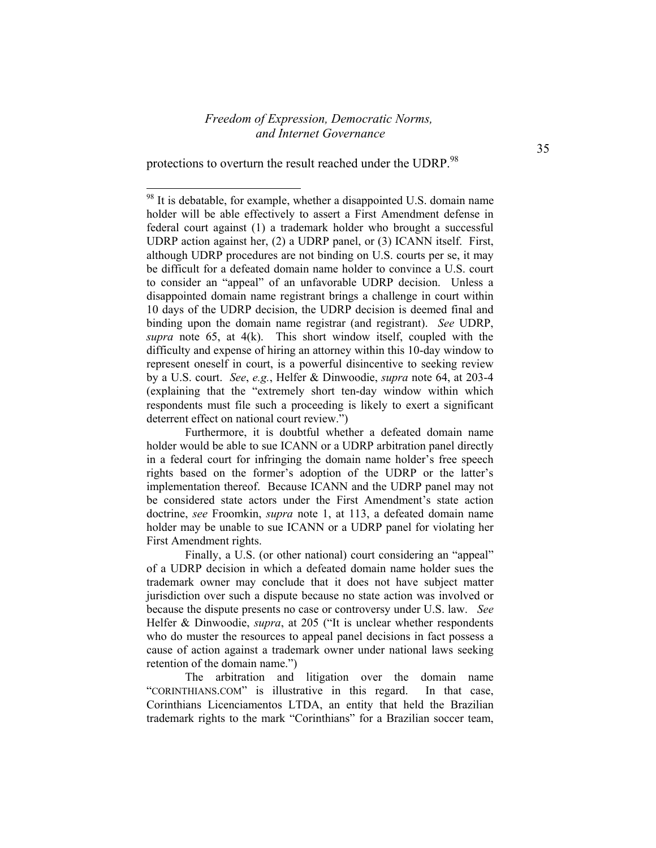protections to overturn the result reached under the UDRP.<sup>98</sup>

-

The arbitration and litigation over the domain name "CORINTHIANS.COM" is illustrative in this regard. In that case, Corinthians Licenciamentos LTDA, an entity that held the Brazilian trademark rights to the mark "Corinthians" for a Brazilian soccer team,

<sup>&</sup>lt;sup>98</sup> It is debatable, for example, whether a disappointed U.S. domain name holder will be able effectively to assert a First Amendment defense in federal court against (1) a trademark holder who brought a successful UDRP action against her, (2) a UDRP panel, or (3) ICANN itself. First, although UDRP procedures are not binding on U.S. courts per se, it may be difficult for a defeated domain name holder to convince a U.S. court to consider an "appeal" of an unfavorable UDRP decision. Unless a disappointed domain name registrant brings a challenge in court within 10 days of the UDRP decision, the UDRP decision is deemed final and binding upon the domain name registrar (and registrant). *See* UDRP, *supra* note 65, at 4(k). This short window itself, coupled with the difficulty and expense of hiring an attorney within this 10-day window to represent oneself in court, is a powerful disincentive to seeking review by a U.S. court. *See*, *e.g.*, Helfer & Dinwoodie, *supra* note 64, at 203-4 (explaining that the "extremely short ten-day window within which respondents must file such a proceeding is likely to exert a significant deterrent effect on national court review.")

Furthermore, it is doubtful whether a defeated domain name holder would be able to sue ICANN or a UDRP arbitration panel directly in a federal court for infringing the domain name holder's free speech rights based on the former's adoption of the UDRP or the latter's implementation thereof. Because ICANN and the UDRP panel may not be considered state actors under the First Amendment's state action doctrine, *see* Froomkin, *supra* note 1, at 113, a defeated domain name holder may be unable to sue ICANN or a UDRP panel for violating her First Amendment rights.

Finally, a U.S. (or other national) court considering an "appeal" of a UDRP decision in which a defeated domain name holder sues the trademark owner may conclude that it does not have subject matter jurisdiction over such a dispute because no state action was involved or because the dispute presents no case or controversy under U.S. law. *See* Helfer & Dinwoodie, *supra*, at 205 ("It is unclear whether respondents who do muster the resources to appeal panel decisions in fact possess a cause of action against a trademark owner under national laws seeking retention of the domain name.")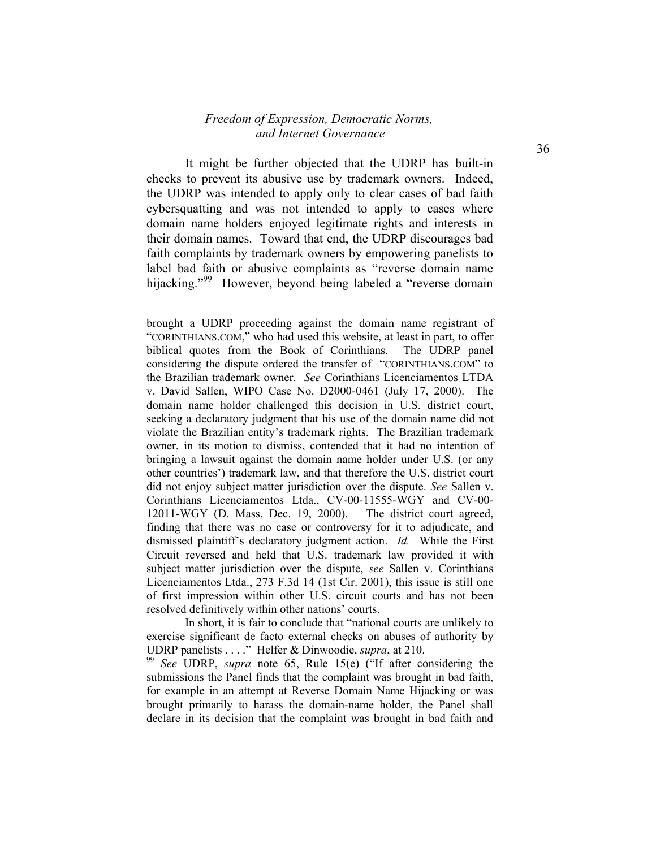It might be further objected that the UDRP has built-in checks to prevent its abusive use by trademark owners. Indeed, the UDRP was intended to apply only to clear cases of bad faith cybersquatting and was not intended to apply to cases where domain name holders enjoyed legitimate rights and interests in their domain names. Toward that end, the UDRP discourages bad faith complaints by trademark owners by empowering panelists to label bad faith or abusive complaints as "reverse domain name hijacking."<sup>99</sup> However, beyond being labeled a "reverse domain

l

brought a UDRP proceeding against the domain name registrant of "CORINTHIANS.COM," who had used this website, at least in part, to offer biblical quotes from the Book of Corinthians. The UDRP panel considering the dispute ordered the transfer of "CORINTHIANS.COM" to the Brazilian trademark owner. *See* Corinthians Licenciamentos LTDA v. David Sallen, WIPO Case No. D2000-0461 (July 17, 2000). The domain name holder challenged this decision in U.S. district court, seeking a declaratory judgment that his use of the domain name did not violate the Brazilian entity's trademark rights. The Brazilian trademark owner, in its motion to dismiss, contended that it had no intention of bringing a lawsuit against the domain name holder under U.S. (or any other countries') trademark law, and that therefore the U.S. district court did not enjoy subject matter jurisdiction over the dispute. *See* Sallen v. Corinthians Licenciamentos Ltda., CV-00-11555-WGY and CV-00- 12011-WGY (D. Mass. Dec. 19, 2000). The district court agreed, finding that there was no case or controversy for it to adjudicate, and dismissed plaintiff's declaratory judgment action. *Id.* While the First Circuit reversed and held that U.S. trademark law provided it with subject matter jurisdiction over the dispute, *see* Sallen v. Corinthians Licenciamentos Ltda., 273 F.3d 14 (1st Cir. 2001), this issue is still one of first impression within other U.S. circuit courts and has not been resolved definitively within other nations' courts.

In short, it is fair to conclude that "national courts are unlikely to exercise significant de facto external checks on abuses of authority by UDRP panelists . . . ." Helfer & Dinwoodie, *supra*, at 210.

<sup>99</sup> *See* UDRP, *supra* note 65, Rule 15(e) ("If after considering the submissions the Panel finds that the complaint was brought in bad faith, for example in an attempt at Reverse Domain Name Hijacking or was brought primarily to harass the domain-name holder, the Panel shall declare in its decision that the complaint was brought in bad faith and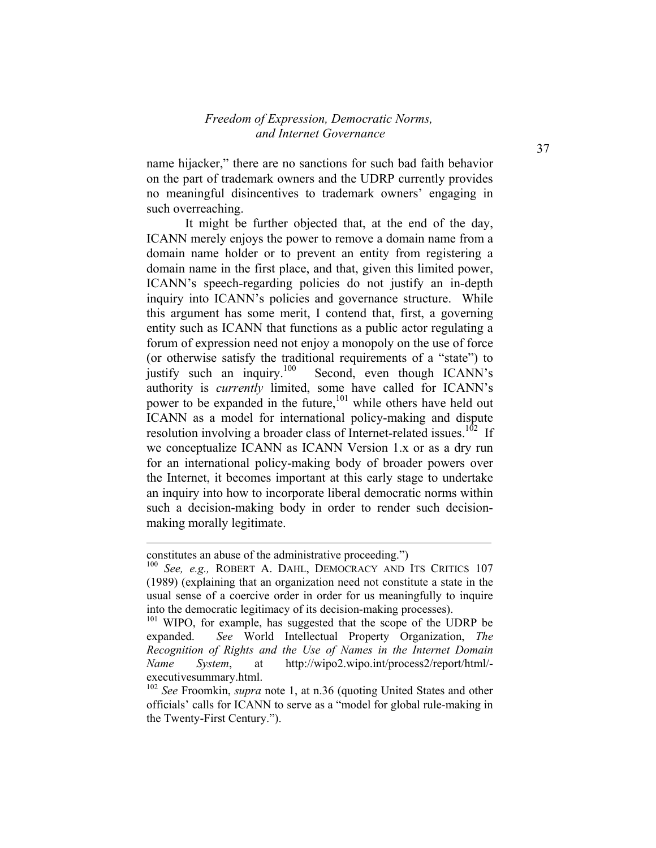name hijacker," there are no sanctions for such bad faith behavior on the part of trademark owners and the UDRP currently provides no meaningful disincentives to trademark owners' engaging in such overreaching.

It might be further objected that, at the end of the day, ICANN merely enjoys the power to remove a domain name from a domain name holder or to prevent an entity from registering a domain name in the first place, and that, given this limited power, ICANN's speech-regarding policies do not justify an in-depth inquiry into ICANN's policies and governance structure. While this argument has some merit, I contend that, first, a governing entity such as ICANN that functions as a public actor regulating a forum of expression need not enjoy a monopoly on the use of force (or otherwise satisfy the traditional requirements of a "state") to justify such an inquiry.<sup>100</sup> Second, even though ICANN's Second, even though ICANN's authority is *currently* limited, some have called for ICANN's power to be expanded in the future,<sup>101</sup> while others have held out ICANN as a model for international policy-making and dispute resolution involving a broader class of Internet-related issues.<sup>102</sup> If we conceptualize ICANN as ICANN Version 1.x or as a dry run for an international policy-making body of broader powers over the Internet, it becomes important at this early stage to undertake an inquiry into how to incorporate liberal democratic norms within such a decision-making body in order to render such decisionmaking morally legitimate.

l

constitutes an abuse of the administrative proceeding.")

<sup>100</sup> *See, e.g.,* ROBERT A. DAHL, DEMOCRACY AND ITS CRITICS 107 (1989) (explaining that an organization need not constitute a state in the usual sense of a coercive order in order for us meaningfully to inquire into the democratic legitimacy of its decision-making processes).

<sup>&</sup>lt;sup>101</sup> WIPO, for example, has suggested that the scope of the UDRP be expanded. *See* World Intellectual Property Organization, *The Recognition of Rights and the Use of Names in the Internet Domain Name System*, at http://wipo2.wipo.int/process2/report/html/ executivesummary.html.

<sup>102</sup> *See* Froomkin, *supra* note 1, at n.36 (quoting United States and other officials' calls for ICANN to serve as a "model for global rule-making in the Twenty-First Century.").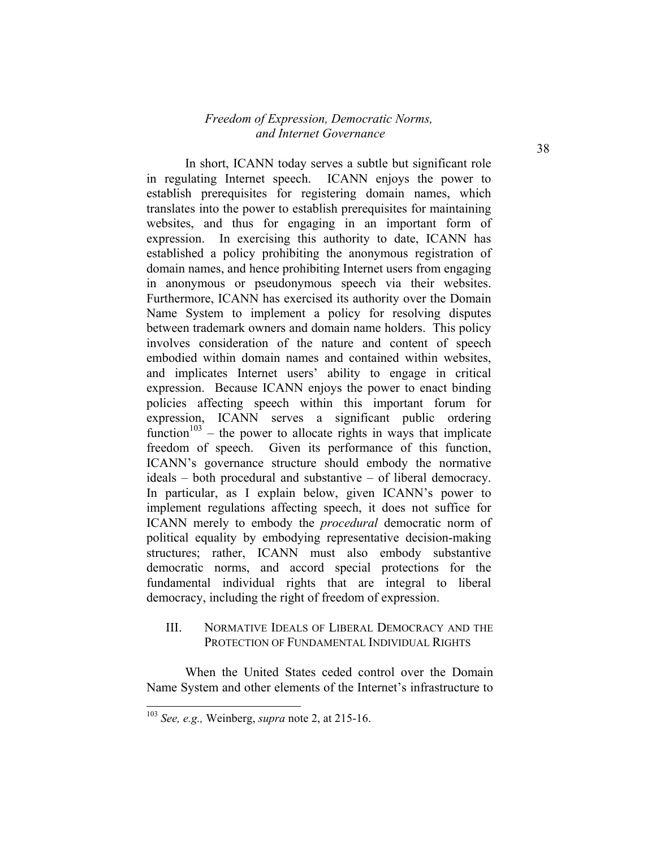In short, ICANN today serves a subtle but significant role in regulating Internet speech. ICANN enjoys the power to establish prerequisites for registering domain names, which translates into the power to establish prerequisites for maintaining websites, and thus for engaging in an important form of expression. In exercising this authority to date, ICANN has established a policy prohibiting the anonymous registration of domain names, and hence prohibiting Internet users from engaging in anonymous or pseudonymous speech via their websites. Furthermore, ICANN has exercised its authority over the Domain Name System to implement a policy for resolving disputes between trademark owners and domain name holders. This policy involves consideration of the nature and content of speech embodied within domain names and contained within websites, and implicates Internet users' ability to engage in critical expression. Because ICANN enjoys the power to enact binding policies affecting speech within this important forum for expression, ICANN serves a significant public ordering function<sup> $103$ </sup> – the power to allocate rights in ways that implicate freedom of speech. Given its performance of this function, ICANN's governance structure should embody the normative ideals – both procedural and substantive – of liberal democracy. In particular, as I explain below, given ICANN's power to implement regulations affecting speech, it does not suffice for ICANN merely to embody the *procedural* democratic norm of political equality by embodying representative decision-making structures; rather, ICANN must also embody substantive democratic norms, and accord special protections for the fundamental individual rights that are integral to liberal democracy, including the right of freedom of expression.

#### III. NORMATIVE IDEALS OF LIBERAL DEMOCRACY AND THE PROTECTION OF FUNDAMENTAL INDIVIDUAL RIGHTS

When the United States ceded control over the Domain Name System and other elements of the Internet's infrastructure to

-

38

<sup>103</sup> *See, e.g.,* Weinberg, *supra* note 2, at 215-16.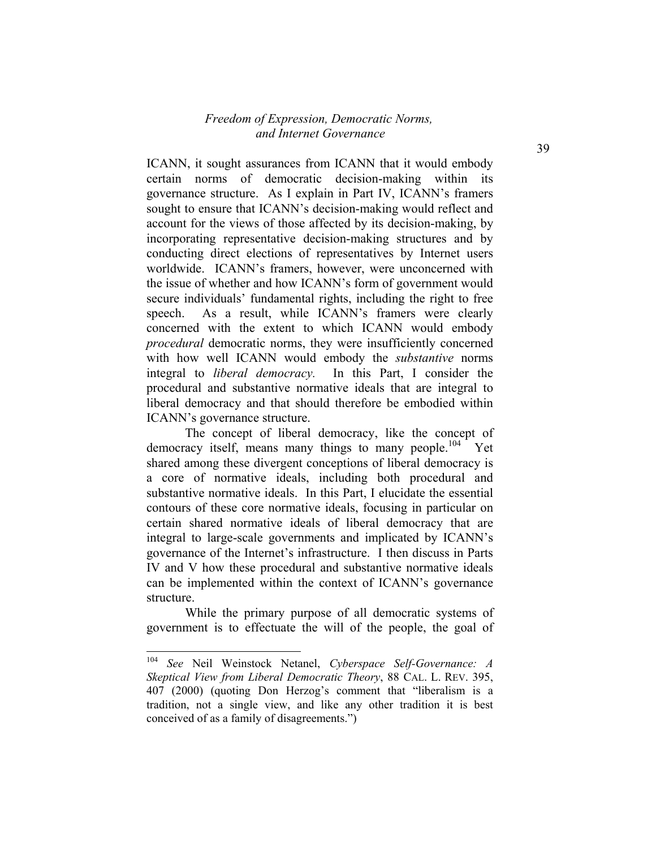ICANN, it sought assurances from ICANN that it would embody certain norms of democratic decision-making within its governance structure. As I explain in Part IV, ICANN's framers sought to ensure that ICANN's decision-making would reflect and account for the views of those affected by its decision-making, by incorporating representative decision-making structures and by conducting direct elections of representatives by Internet users worldwide. ICANN's framers, however, were unconcerned with the issue of whether and how ICANN's form of government would secure individuals' fundamental rights, including the right to free speech. As a result, while ICANN's framers were clearly concerned with the extent to which ICANN would embody *procedural* democratic norms, they were insufficiently concerned with how well ICANN would embody the *substantive* norms integral to *liberal democracy.* In this Part, I consider the procedural and substantive normative ideals that are integral to liberal democracy and that should therefore be embodied within ICANN's governance structure.

The concept of liberal democracy, like the concept of democracy itself, means many things to many people.<sup>104</sup> Yet shared among these divergent conceptions of liberal democracy is a core of normative ideals, including both procedural and substantive normative ideals. In this Part, I elucidate the essential contours of these core normative ideals, focusing in particular on certain shared normative ideals of liberal democracy that are integral to large-scale governments and implicated by ICANN's governance of the Internet's infrastructure. I then discuss in Parts IV and V how these procedural and substantive normative ideals can be implemented within the context of ICANN's governance structure.

While the primary purpose of all democratic systems of government is to effectuate the will of the people, the goal of

<sup>104</sup> *See* Neil Weinstock Netanel, *Cyberspace Self-Governance: A Skeptical View from Liberal Democratic Theory*, 88 CAL. L. REV. 395, 407 (2000) (quoting Don Herzog's comment that "liberalism is a tradition, not a single view, and like any other tradition it is best conceived of as a family of disagreements.")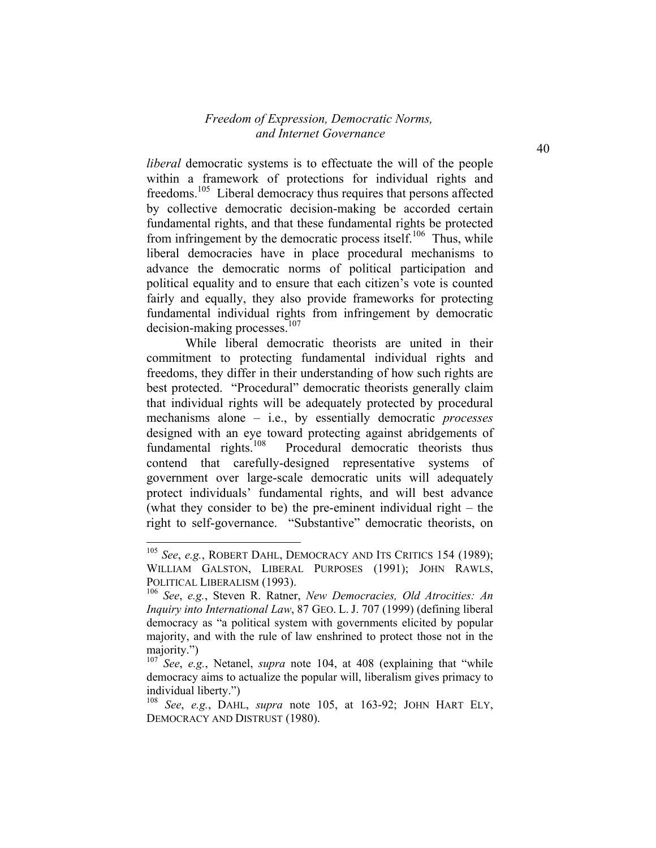*liberal* democratic systems is to effectuate the will of the people within a framework of protections for individual rights and freedoms.<sup>105</sup> Liberal democracy thus requires that persons affected by collective democratic decision-making be accorded certain fundamental rights, and that these fundamental rights be protected from infringement by the democratic process itself.<sup>106</sup> Thus, while liberal democracies have in place procedural mechanisms to advance the democratic norms of political participation and political equality and to ensure that each citizen's vote is counted fairly and equally, they also provide frameworks for protecting fundamental individual rights from infringement by democratic  $decision-making$  processes.<sup>107</sup>

While liberal democratic theorists are united in their commitment to protecting fundamental individual rights and freedoms, they differ in their understanding of how such rights are best protected. "Procedural" democratic theorists generally claim that individual rights will be adequately protected by procedural mechanisms alone – i.e., by essentially democratic *processes* designed with an eye toward protecting against abridgements of fundamental rights. $108$  Procedural democratic theorists thus contend that carefully-designed representative systems of government over large-scale democratic units will adequately protect individuals' fundamental rights, and will best advance (what they consider to be) the pre-eminent individual right – the right to self-governance. "Substantive" democratic theorists, on

 $\overline{a}$ 

<sup>105</sup> *See*, *e.g.*, ROBERT DAHL, DEMOCRACY AND ITS CRITICS 154 (1989); WILLIAM GALSTON, LIBERAL PURPOSES (1991); JOHN RAWLS, POLITICAL LIBERALISM (1993).

<sup>106</sup> *See*, *e.g.*, Steven R. Ratner, *New Democracies, Old Atrocities: An Inquiry into International Law*, 87 GEO. L. J. 707 (1999) (defining liberal democracy as "a political system with governments elicited by popular majority, and with the rule of law enshrined to protect those not in the majority.")

<sup>107</sup> *See*, *e.g.*, Netanel, *supra* note 104, at 408 (explaining that "while democracy aims to actualize the popular will, liberalism gives primacy to individual liberty.")

<sup>108</sup> *See*, *e.g.*, DAHL, *supra* note 105, at 163-92; JOHN HART ELY, DEMOCRACY AND DISTRUST (1980).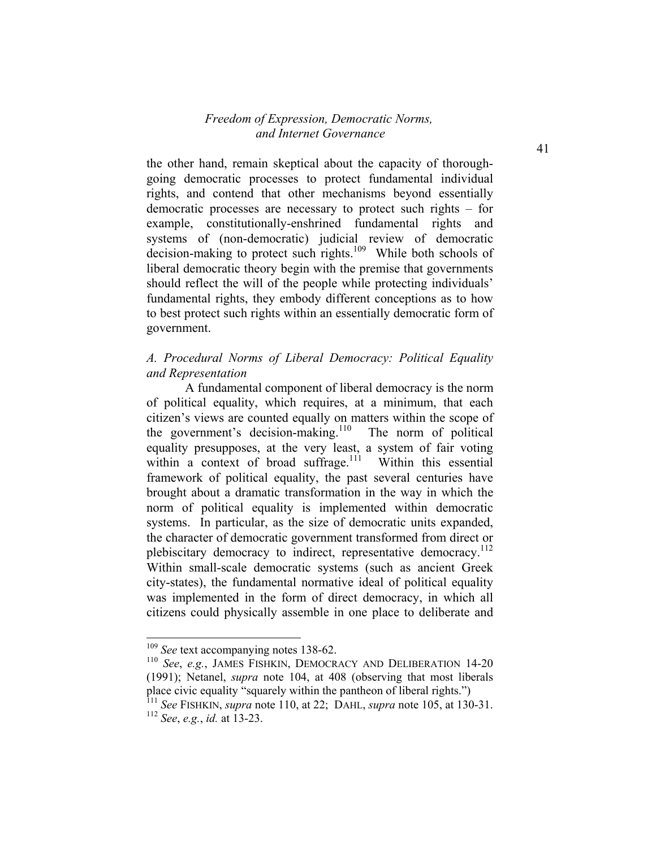the other hand, remain skeptical about the capacity of thoroughgoing democratic processes to protect fundamental individual rights, and contend that other mechanisms beyond essentially democratic processes are necessary to protect such rights – for example, constitutionally-enshrined fundamental rights and systems of (non-democratic) judicial review of democratic decision-making to protect such rights.<sup>109</sup> While both schools of liberal democratic theory begin with the premise that governments should reflect the will of the people while protecting individuals' fundamental rights, they embody different conceptions as to how to best protect such rights within an essentially democratic form of government.

## *A. Procedural Norms of Liberal Democracy: Political Equality and Representation*

A fundamental component of liberal democracy is the norm of political equality, which requires, at a minimum, that each citizen's views are counted equally on matters within the scope of the government's decision-making.<sup>110</sup> The norm of political equality presupposes, at the very least, a system of fair voting within a context of broad suffrage.<sup>111</sup> Within this essential framework of political equality, the past several centuries have brought about a dramatic transformation in the way in which the norm of political equality is implemented within democratic systems. In particular, as the size of democratic units expanded, the character of democratic government transformed from direct or plebiscitary democracy to indirect, representative democracy.<sup>112</sup> Within small-scale democratic systems (such as ancient Greek city-states), the fundamental normative ideal of political equality was implemented in the form of direct democracy, in which all citizens could physically assemble in one place to deliberate and

<sup>109</sup> *See* text accompanying notes 138-62.

<sup>110</sup> *See*, *e.g.*, JAMES FISHKIN, DEMOCRACY AND DELIBERATION 14-20 (1991); Netanel, *supra* note 104, at 408 (observing that most liberals place civic equality "squarely within the pantheon of liberal rights.")

<sup>111</sup> *See* FISHKIN, *supra* note 110, at 22; DAHL, *supra* note 105, at 130-31. <sup>112</sup> *See*, *e.g.*, *id.* at 13-23.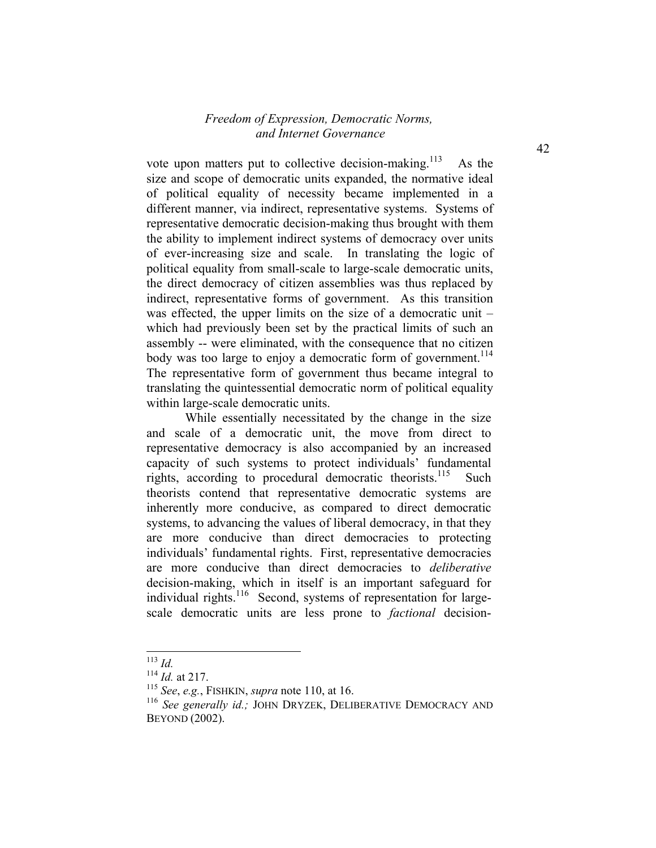vote upon matters put to collective decision-making.<sup>113</sup> As the size and scope of democratic units expanded, the normative ideal of political equality of necessity became implemented in a different manner, via indirect, representative systems. Systems of representative democratic decision-making thus brought with them the ability to implement indirect systems of democracy over units of ever-increasing size and scale. In translating the logic of political equality from small-scale to large-scale democratic units, the direct democracy of citizen assemblies was thus replaced by indirect, representative forms of government. As this transition was effected, the upper limits on the size of a democratic unit – which had previously been set by the practical limits of such an assembly -- were eliminated, with the consequence that no citizen body was too large to enjoy a democratic form of government.<sup>114</sup> The representative form of government thus became integral to translating the quintessential democratic norm of political equality within large-scale democratic units.

While essentially necessitated by the change in the size and scale of a democratic unit, the move from direct to representative democracy is also accompanied by an increased capacity of such systems to protect individuals' fundamental rights, according to procedural democratic theorists.<sup>115</sup> Such theorists contend that representative democratic systems are inherently more conducive, as compared to direct democratic systems, to advancing the values of liberal democracy, in that they are more conducive than direct democracies to protecting individuals' fundamental rights. First, representative democracies are more conducive than direct democracies to *deliberative* decision-making, which in itself is an important safeguard for individual rights.<sup>116</sup> Second, systems of representation for largescale democratic units are less prone to *factional* decision-

<sup>113</sup> *Id.*

<sup>114</sup> *Id.* at 217.

<sup>115</sup> *See*, *e.g.*, FISHKIN, *supra* note 110, at 16.

<sup>116</sup> *See generally id.;* JOHN DRYZEK, DELIBERATIVE DEMOCRACY AND BEYOND (2002).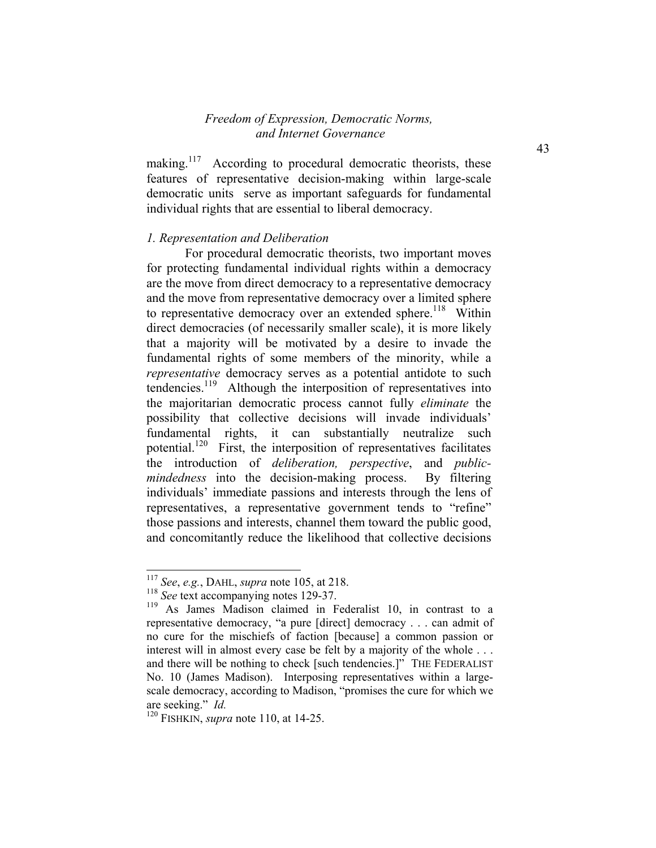making.<sup>117</sup> According to procedural democratic theorists, these features of representative decision-making within large-scale democratic units serve as important safeguards for fundamental individual rights that are essential to liberal democracy.

#### *1. Representation and Deliberation*

For procedural democratic theorists, two important moves for protecting fundamental individual rights within a democracy are the move from direct democracy to a representative democracy and the move from representative democracy over a limited sphere to representative democracy over an extended sphere.<sup>118</sup> Within direct democracies (of necessarily smaller scale), it is more likely that a majority will be motivated by a desire to invade the fundamental rights of some members of the minority, while a *representative* democracy serves as a potential antidote to such tendencies.<sup>119</sup> Although the interposition of representatives into the majoritarian democratic process cannot fully *eliminate* the possibility that collective decisions will invade individuals' fundamental rights, it can substantially neutralize such potential.120 First, the interposition of representatives facilitates the introduction of *deliberation, perspective*, and *publicmindedness* into the decision-making process. By filtering individuals' immediate passions and interests through the lens of representatives, a representative government tends to "refine" those passions and interests, channel them toward the public good, and concomitantly reduce the likelihood that collective decisions

1

<sup>117</sup> *See*, *e.g.*, DAHL, *supra* note 105, at 218.

<sup>&</sup>lt;sup>118</sup> *See* text accompanying notes 129-37.<br><sup>119</sup> As James Madison claimed in F

As James Madison claimed in Federalist 10, in contrast to a representative democracy, "a pure [direct] democracy . . . can admit of no cure for the mischiefs of faction [because] a common passion or interest will in almost every case be felt by a majority of the whole . . . and there will be nothing to check [such tendencies.]" THE FEDERALIST No. 10 (James Madison). Interposing representatives within a largescale democracy, according to Madison, "promises the cure for which we are seeking." *Id.*

<sup>120</sup> FISHKIN, *supra* note 110, at 14-25.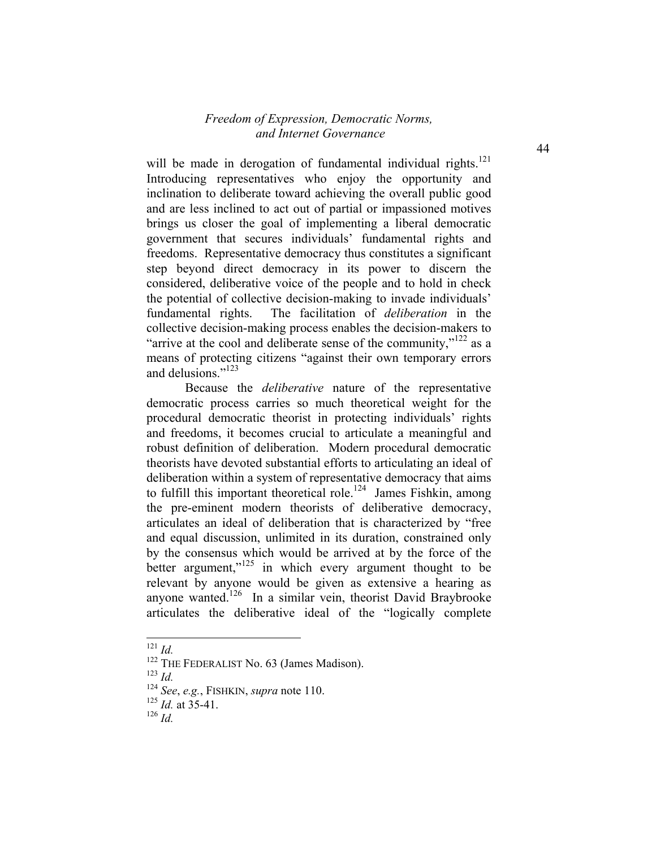will be made in derogation of fundamental individual rights.<sup>121</sup> Introducing representatives who enjoy the opportunity and inclination to deliberate toward achieving the overall public good and are less inclined to act out of partial or impassioned motives brings us closer the goal of implementing a liberal democratic government that secures individuals' fundamental rights and freedoms. Representative democracy thus constitutes a significant step beyond direct democracy in its power to discern the considered, deliberative voice of the people and to hold in check the potential of collective decision-making to invade individuals' fundamental rights. The facilitation of *deliberation* in the collective decision-making process enables the decision-makers to "arrive at the cool and deliberate sense of the community," $122$  as a means of protecting citizens "against their own temporary errors and delusions<sup>",123</sup>

Because the *deliberative* nature of the representative democratic process carries so much theoretical weight for the procedural democratic theorist in protecting individuals' rights and freedoms, it becomes crucial to articulate a meaningful and robust definition of deliberation. Modern procedural democratic theorists have devoted substantial efforts to articulating an ideal of deliberation within a system of representative democracy that aims to fulfill this important theoretical role.<sup>124</sup> James Fishkin, among the pre-eminent modern theorists of deliberative democracy, articulates an ideal of deliberation that is characterized by "free and equal discussion, unlimited in its duration, constrained only by the consensus which would be arrived at by the force of the better argument," $125$  in which every argument thought to be relevant by anyone would be given as extensive a hearing as anyone wanted.<sup>126</sup> In a similar vein, theorist David Braybrooke articulates the deliberative ideal of the "logically complete

-

<sup>123</sup> *Id.*

<sup>121</sup> *Id.*

 $122$  THE FEDERALIST No. 63 (James Madison).

<sup>124</sup> *See*, *e.g.*, FISHKIN, *supra* note 110.

<sup>125</sup> *Id.* at 35-41.

<sup>126</sup> *Id.*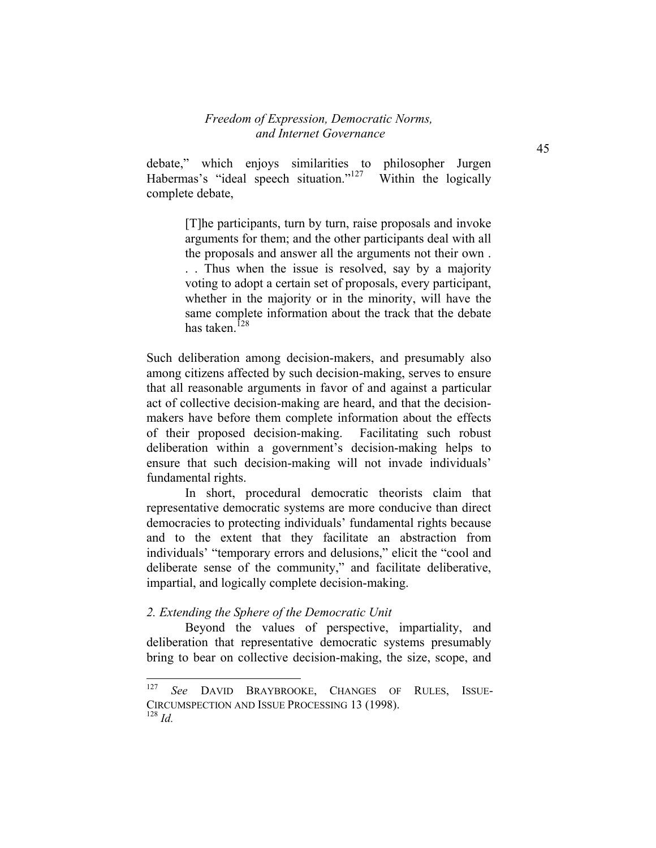debate," which enjoys similarities to philosopher Jurgen Habermas's "ideal speech situation."<sup>127</sup> Within the logically complete debate,

> [T]he participants, turn by turn, raise proposals and invoke arguments for them; and the other participants deal with all the proposals and answer all the arguments not their own . . . Thus when the issue is resolved, say by a majority voting to adopt a certain set of proposals, every participant, whether in the majority or in the minority, will have the same complete information about the track that the debate has taken $128$

Such deliberation among decision-makers, and presumably also among citizens affected by such decision-making, serves to ensure that all reasonable arguments in favor of and against a particular act of collective decision-making are heard, and that the decisionmakers have before them complete information about the effects of their proposed decision-making. Facilitating such robust deliberation within a government's decision-making helps to ensure that such decision-making will not invade individuals' fundamental rights.

In short, procedural democratic theorists claim that representative democratic systems are more conducive than direct democracies to protecting individuals' fundamental rights because and to the extent that they facilitate an abstraction from individuals' "temporary errors and delusions," elicit the "cool and deliberate sense of the community," and facilitate deliberative, impartial, and logically complete decision-making.

#### *2. Extending the Sphere of the Democratic Unit*

 Beyond the values of perspective, impartiality, and deliberation that representative democratic systems presumably bring to bear on collective decision-making, the size, scope, and

<sup>127</sup> See DAVID BRAYBROOKE, CHANGES OF RULES, ISSUE-CIRCUMSPECTION AND ISSUE PROCESSING 13 (1998).  $128$  *Id.*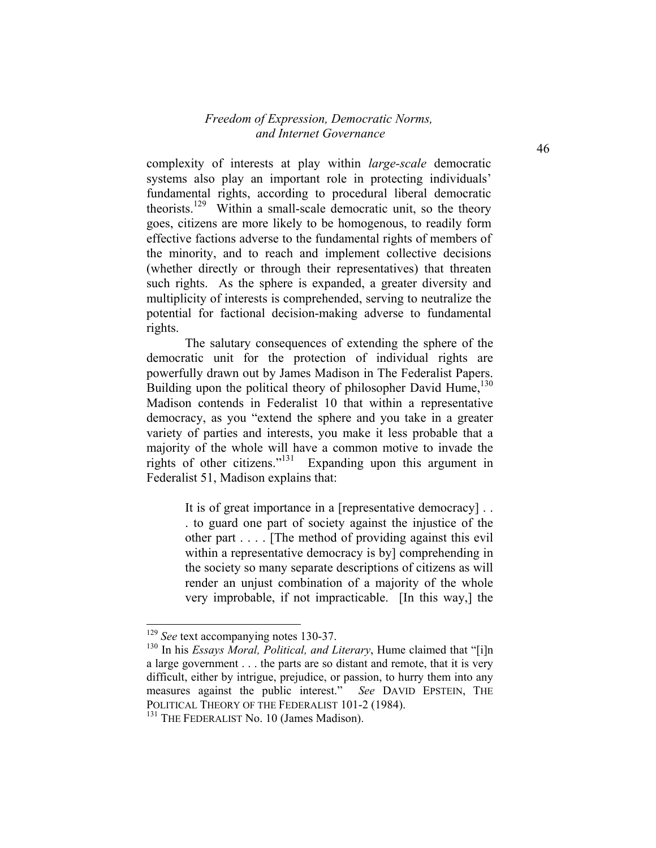complexity of interests at play within *large-scale* democratic systems also play an important role in protecting individuals' fundamental rights, according to procedural liberal democratic theorists.<sup>129</sup> Within a small-scale democratic unit, so the theory goes, citizens are more likely to be homogenous, to readily form effective factions adverse to the fundamental rights of members of the minority, and to reach and implement collective decisions (whether directly or through their representatives) that threaten such rights. As the sphere is expanded, a greater diversity and multiplicity of interests is comprehended, serving to neutralize the potential for factional decision-making adverse to fundamental rights.

The salutary consequences of extending the sphere of the democratic unit for the protection of individual rights are powerfully drawn out by James Madison in The Federalist Papers. Building upon the political theory of philosopher David Hume,<sup>130</sup> Madison contends in Federalist 10 that within a representative democracy, as you "extend the sphere and you take in a greater variety of parties and interests, you make it less probable that a majority of the whole will have a common motive to invade the rights of other citizens."131 Expanding upon this argument in Federalist 51, Madison explains that:

> It is of great importance in a [representative democracy] . . . to guard one part of society against the injustice of the other part . . . . [The method of providing against this evil within a representative democracy is by] comprehending in the society so many separate descriptions of citizens as will render an unjust combination of a majority of the whole very improbable, if not impracticable. [In this way,] the

<sup>&</sup>lt;sup>129</sup> *See* text accompanying notes 130-37.

<sup>130</sup> In his *Essays Moral, Political, and Literary*, Hume claimed that "[i]n a large government . . . the parts are so distant and remote, that it is very difficult, either by intrigue, prejudice, or passion, to hurry them into any measures against the public interest." *See* DAVID EPSTEIN, THE POLITICAL THEORY OF THE FEDERALIST 101-2 (1984).

<sup>&</sup>lt;sup>131</sup> THE FEDERALIST No. 10 (James Madison).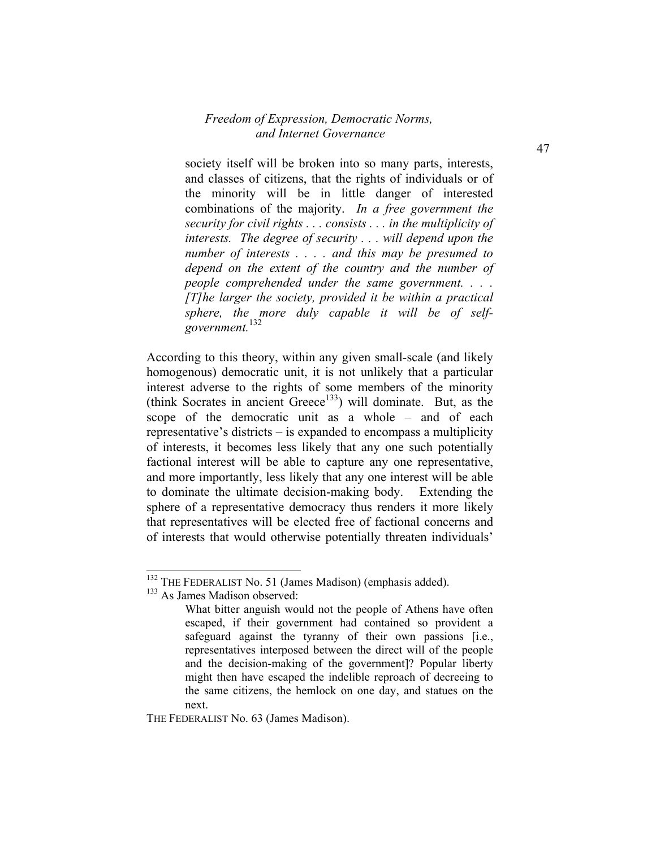society itself will be broken into so many parts, interests, and classes of citizens, that the rights of individuals or of the minority will be in little danger of interested combinations of the majority. *In a free government the security for civil rights . . . consists . . . in the multiplicity of interests. The degree of security . . . will depend upon the number of interests . . . . and this may be presumed to depend on the extent of the country and the number of people comprehended under the same government. . . . [T]he larger the society, provided it be within a practical sphere, the more duly capable it will be of selfgovernment.*132

According to this theory, within any given small-scale (and likely homogenous) democratic unit, it is not unlikely that a particular interest adverse to the rights of some members of the minority (think Socrates in ancient Greece<sup>133</sup>) will dominate. But, as the scope of the democratic unit as a whole – and of each representative's districts – is expanded to encompass a multiplicity of interests, it becomes less likely that any one such potentially factional interest will be able to capture any one representative, and more importantly, less likely that any one interest will be able to dominate the ultimate decision-making body. Extending the sphere of a representative democracy thus renders it more likely that representatives will be elected free of factional concerns and of interests that would otherwise potentially threaten individuals'

1

THE FEDERALIST No. 63 (James Madison).

<sup>&</sup>lt;sup>132</sup> THE FEDERALIST No. 51 (James Madison) (emphasis added).

<sup>133</sup> As James Madison observed:

What bitter anguish would not the people of Athens have often escaped, if their government had contained so provident a safeguard against the tyranny of their own passions [i.e., representatives interposed between the direct will of the people and the decision-making of the government]? Popular liberty might then have escaped the indelible reproach of decreeing to the same citizens, the hemlock on one day, and statues on the next.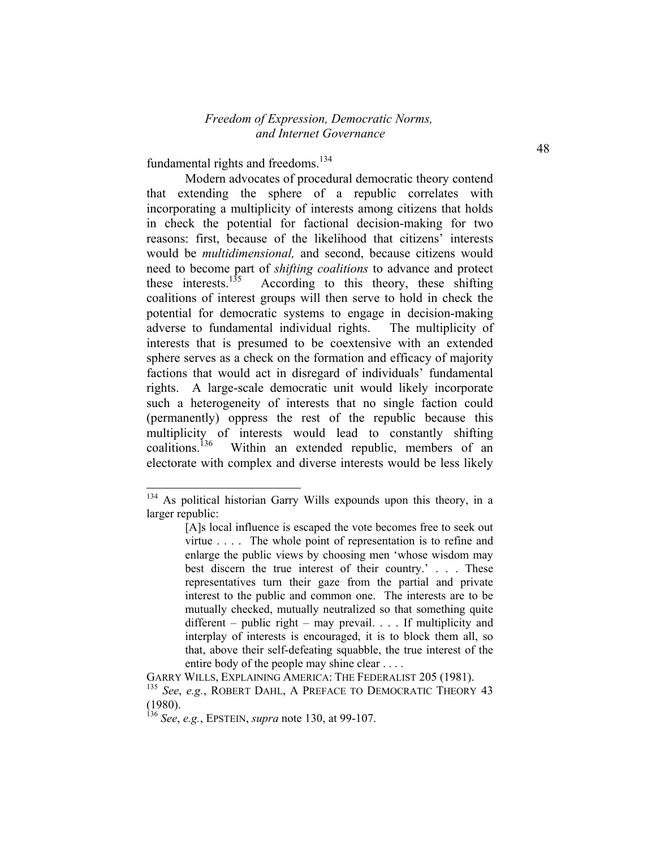fundamental rights and freedoms.<sup>134</sup>

-

Modern advocates of procedural democratic theory contend that extending the sphere of a republic correlates with incorporating a multiplicity of interests among citizens that holds in check the potential for factional decision-making for two reasons: first, because of the likelihood that citizens' interests would be *multidimensional,* and second, because citizens would need to become part of *shifting coalitions* to advance and protect these interests.<sup>135</sup> According to this theory, these shifting coalitions of interest groups will then serve to hold in check the potential for democratic systems to engage in decision-making adverse to fundamental individual rights. The multiplicity of interests that is presumed to be coextensive with an extended sphere serves as a check on the formation and efficacy of majority factions that would act in disregard of individuals' fundamental rights. A large-scale democratic unit would likely incorporate such a heterogeneity of interests that no single faction could (permanently) oppress the rest of the republic because this multiplicity of interests would lead to constantly shifting coalitions.<sup>136</sup> Within an extended republic, members of an Within an extended republic, members of an electorate with complex and diverse interests would be less likely

<sup>&</sup>lt;sup>134</sup> As political historian Garry Wills expounds upon this theory, in a larger republic:

<sup>[</sup>A]s local influence is escaped the vote becomes free to seek out virtue . . . . The whole point of representation is to refine and enlarge the public views by choosing men 'whose wisdom may best discern the true interest of their country.' . . . These representatives turn their gaze from the partial and private interest to the public and common one. The interests are to be mutually checked, mutually neutralized so that something quite different – public right – may prevail. . . . If multiplicity and interplay of interests is encouraged, it is to block them all, so that, above their self-defeating squabble, the true interest of the entire body of the people may shine clear . . . .

GARRY WILLS, EXPLAINING AMERICA: THE FEDERALIST 205 (1981).

<sup>135</sup> *See*, *e.g.*, ROBERT DAHL, A PREFACE TO DEMOCRATIC THEORY 43 (1980).

<sup>136</sup> *See*, *e.g.*, EPSTEIN, *supra* note 130, at 99-107.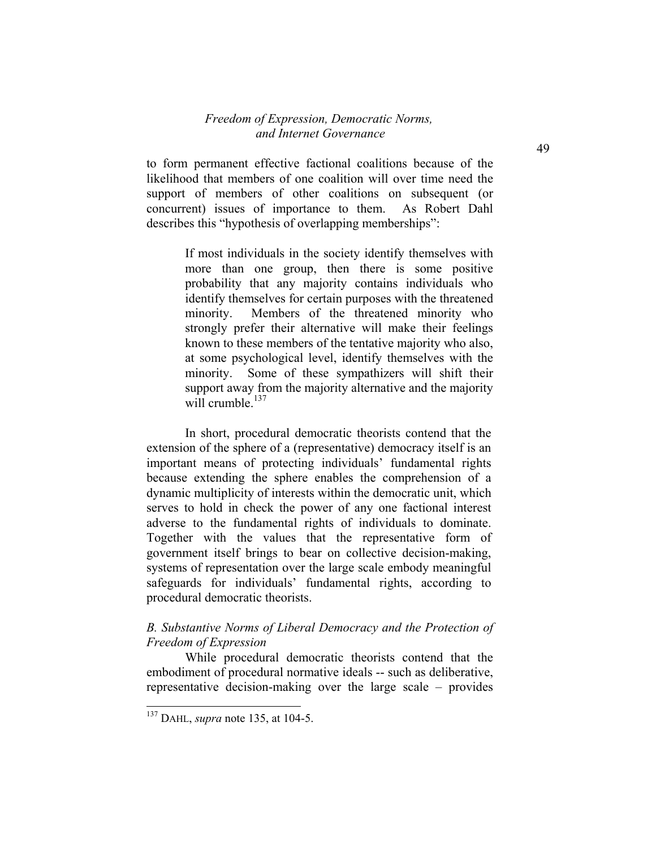to form permanent effective factional coalitions because of the likelihood that members of one coalition will over time need the support of members of other coalitions on subsequent (or concurrent) issues of importance to them. As Robert Dahl describes this "hypothesis of overlapping memberships":

> If most individuals in the society identify themselves with more than one group, then there is some positive probability that any majority contains individuals who identify themselves for certain purposes with the threatened minority. Members of the threatened minority who strongly prefer their alternative will make their feelings known to these members of the tentative majority who also, at some psychological level, identify themselves with the minority. Some of these sympathizers will shift their support away from the majority alternative and the majority will crumble.<sup>137</sup>

 In short, procedural democratic theorists contend that the extension of the sphere of a (representative) democracy itself is an important means of protecting individuals' fundamental rights because extending the sphere enables the comprehension of a dynamic multiplicity of interests within the democratic unit, which serves to hold in check the power of any one factional interest adverse to the fundamental rights of individuals to dominate. Together with the values that the representative form of government itself brings to bear on collective decision-making, systems of representation over the large scale embody meaningful safeguards for individuals' fundamental rights, according to procedural democratic theorists.

#### *B. Substantive Norms of Liberal Democracy and the Protection of Freedom of Expression*

While procedural democratic theorists contend that the embodiment of procedural normative ideals -- such as deliberative, representative decision-making over the large scale – provides

<sup>137</sup> DAHL, *supra* note 135, at 104-5.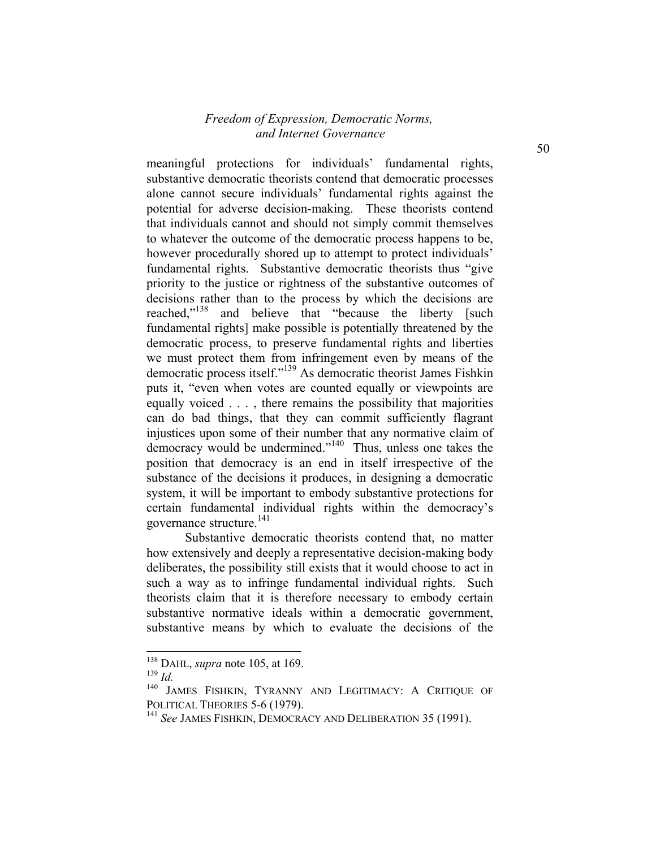meaningful protections for individuals' fundamental rights, substantive democratic theorists contend that democratic processes alone cannot secure individuals' fundamental rights against the potential for adverse decision-making. These theorists contend that individuals cannot and should not simply commit themselves to whatever the outcome of the democratic process happens to be, however procedurally shored up to attempt to protect individuals' fundamental rights. Substantive democratic theorists thus "give priority to the justice or rightness of the substantive outcomes of decisions rather than to the process by which the decisions are reached,"<sup>138</sup> and believe that "because the liberty [such fundamental rights] make possible is potentially threatened by the democratic process, to preserve fundamental rights and liberties we must protect them from infringement even by means of the democratic process itself."139 As democratic theorist James Fishkin puts it, "even when votes are counted equally or viewpoints are equally voiced . . . , there remains the possibility that majorities can do bad things, that they can commit sufficiently flagrant injustices upon some of their number that any normative claim of democracy would be undermined."140 Thus, unless one takes the position that democracy is an end in itself irrespective of the substance of the decisions it produces, in designing a democratic system, it will be important to embody substantive protections for certain fundamental individual rights within the democracy's governance structure.<sup>141</sup>

Substantive democratic theorists contend that, no matter how extensively and deeply a representative decision-making body deliberates, the possibility still exists that it would choose to act in such a way as to infringe fundamental individual rights. Such theorists claim that it is therefore necessary to embody certain substantive normative ideals within a democratic government, substantive means by which to evaluate the decisions of the

<sup>138</sup> DAHL, *supra* note 105, at 169.

<sup>139</sup> *Id.*

<sup>140</sup> JAMES FISHKIN, TYRANNY AND LEGITIMACY: A CRITIQUE OF POLITICAL THEORIES 5-6 (1979).

<sup>141</sup> *See* JAMES FISHKIN, DEMOCRACY AND DELIBERATION 35 (1991).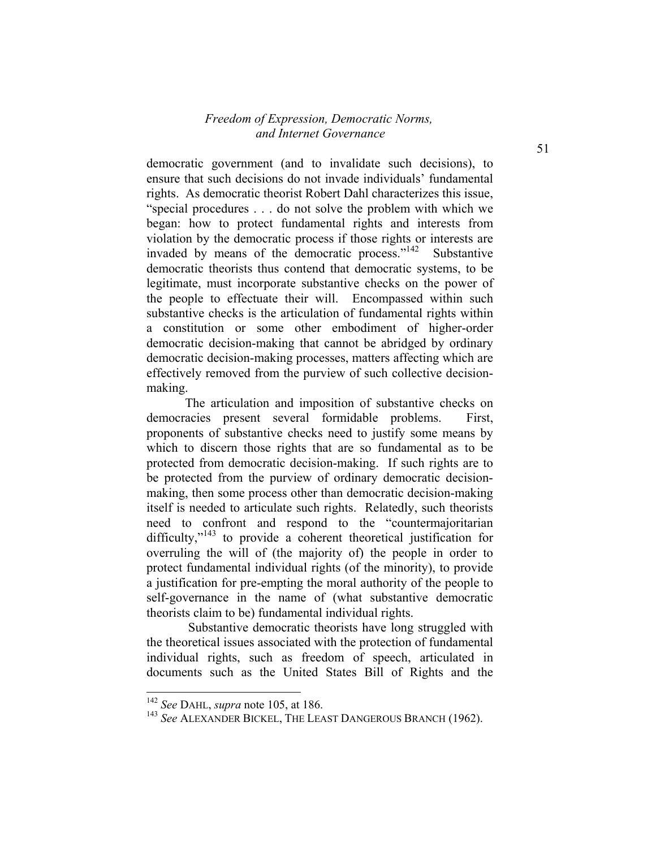democratic government (and to invalidate such decisions), to ensure that such decisions do not invade individuals' fundamental rights. As democratic theorist Robert Dahl characterizes this issue, "special procedures . . . do not solve the problem with which we began: how to protect fundamental rights and interests from violation by the democratic process if those rights or interests are invaded by means of the democratic process."142 Substantive democratic theorists thus contend that democratic systems, to be legitimate, must incorporate substantive checks on the power of the people to effectuate their will. Encompassed within such substantive checks is the articulation of fundamental rights within a constitution or some other embodiment of higher-order democratic decision-making that cannot be abridged by ordinary democratic decision-making processes, matters affecting which are effectively removed from the purview of such collective decisionmaking.

The articulation and imposition of substantive checks on democracies present several formidable problems. First, proponents of substantive checks need to justify some means by which to discern those rights that are so fundamental as to be protected from democratic decision-making. If such rights are to be protected from the purview of ordinary democratic decisionmaking, then some process other than democratic decision-making itself is needed to articulate such rights. Relatedly, such theorists need to confront and respond to the "countermajoritarian difficulty,"<sup>143</sup> to provide a coherent theoretical justification for overruling the will of (the majority of) the people in order to protect fundamental individual rights (of the minority), to provide a justification for pre-empting the moral authority of the people to self-governance in the name of (what substantive democratic theorists claim to be) fundamental individual rights.

 Substantive democratic theorists have long struggled with the theoretical issues associated with the protection of fundamental individual rights, such as freedom of speech, articulated in documents such as the United States Bill of Rights and the

<sup>142</sup> *See* DAHL, *supra* note 105, at 186.

<sup>143</sup> *See* ALEXANDER BICKEL, THE LEAST DANGEROUS BRANCH (1962).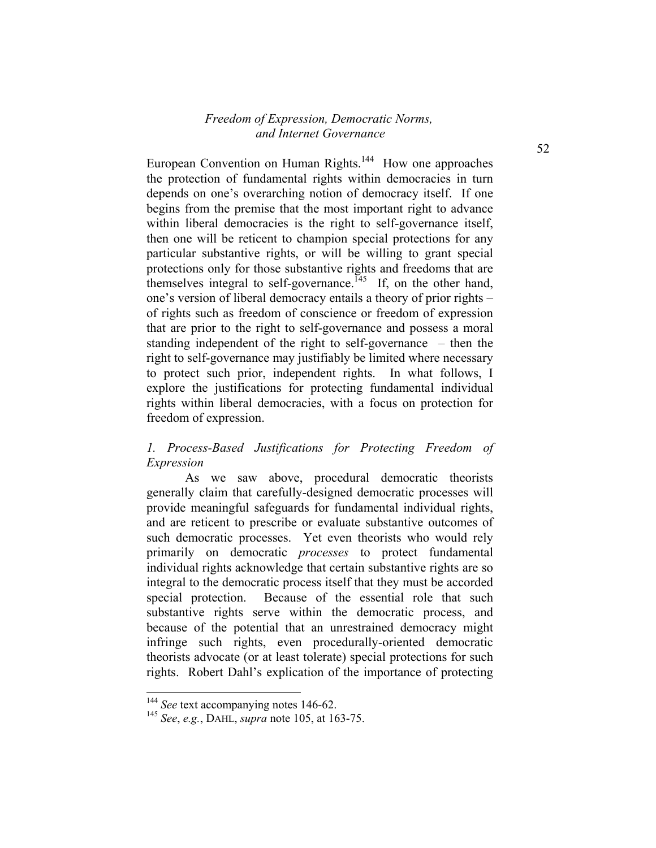European Convention on Human Rights.<sup>144</sup> How one approaches the protection of fundamental rights within democracies in turn depends on one's overarching notion of democracy itself. If one begins from the premise that the most important right to advance within liberal democracies is the right to self-governance itself, then one will be reticent to champion special protections for any particular substantive rights, or will be willing to grant special protections only for those substantive rights and freedoms that are themselves integral to self-governance.<sup> $145$ </sup> If, on the other hand, one's version of liberal democracy entails a theory of prior rights – of rights such as freedom of conscience or freedom of expression that are prior to the right to self-governance and possess a moral standing independent of the right to self-governance – then the right to self-governance may justifiably be limited where necessary to protect such prior, independent rights. In what follows, I explore the justifications for protecting fundamental individual rights within liberal democracies, with a focus on protection for freedom of expression.

# *1. Process-Based Justifications for Protecting Freedom of Expression*

As we saw above, procedural democratic theorists generally claim that carefully-designed democratic processes will provide meaningful safeguards for fundamental individual rights, and are reticent to prescribe or evaluate substantive outcomes of such democratic processes. Yet even theorists who would rely primarily on democratic *processes* to protect fundamental individual rights acknowledge that certain substantive rights are so integral to the democratic process itself that they must be accorded special protection. Because of the essential role that such substantive rights serve within the democratic process, and because of the potential that an unrestrained democracy might infringe such rights, even procedurally-oriented democratic theorists advocate (or at least tolerate) special protections for such rights. Robert Dahl's explication of the importance of protecting

<sup>&</sup>lt;sup>144</sup> *See* text accompanying notes 146-62.

<sup>145</sup> *See*, *e.g.*, DAHL, *supra* note 105, at 163-75.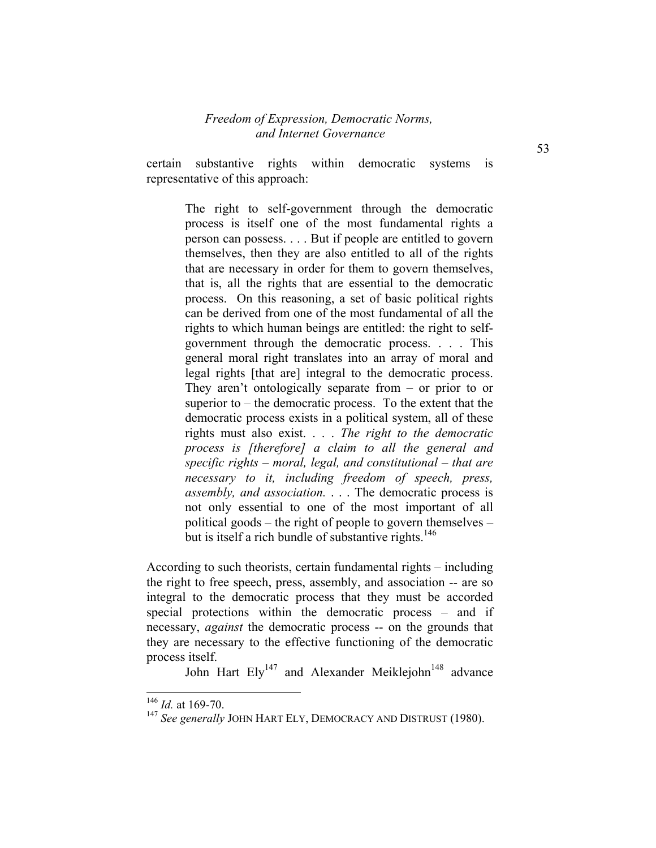certain substantive rights within democratic systems is representative of this approach:

> The right to self-government through the democratic process is itself one of the most fundamental rights a person can possess. . . . But if people are entitled to govern themselves, then they are also entitled to all of the rights that are necessary in order for them to govern themselves, that is, all the rights that are essential to the democratic process. On this reasoning, a set of basic political rights can be derived from one of the most fundamental of all the rights to which human beings are entitled: the right to selfgovernment through the democratic process. . . . This general moral right translates into an array of moral and legal rights [that are] integral to the democratic process. They aren't ontologically separate from  $-$  or prior to or superior to  $-$  the democratic process. To the extent that the democratic process exists in a political system, all of these rights must also exist. . . . *The right to the democratic process is [therefore] a claim to all the general and specific rights – moral, legal, and constitutional – that are necessary to it, including freedom of speech, press, assembly, and association.* . . . The democratic process is not only essential to one of the most important of all political goods – the right of people to govern themselves – but is itself a rich bundle of substantive rights.<sup>146</sup>

According to such theorists, certain fundamental rights – including the right to free speech, press, assembly, and association -- are so integral to the democratic process that they must be accorded special protections within the democratic process – and if necessary, *against* the democratic process -- on the grounds that they are necessary to the effective functioning of the democratic process itself.

John Hart  $Ely^{147}$  and Alexander Meiklejohn<sup>148</sup> advance

<sup>146</sup> *Id.* at 169-70.

<sup>147</sup> *See generally* JOHN HART ELY, DEMOCRACY AND DISTRUST (1980).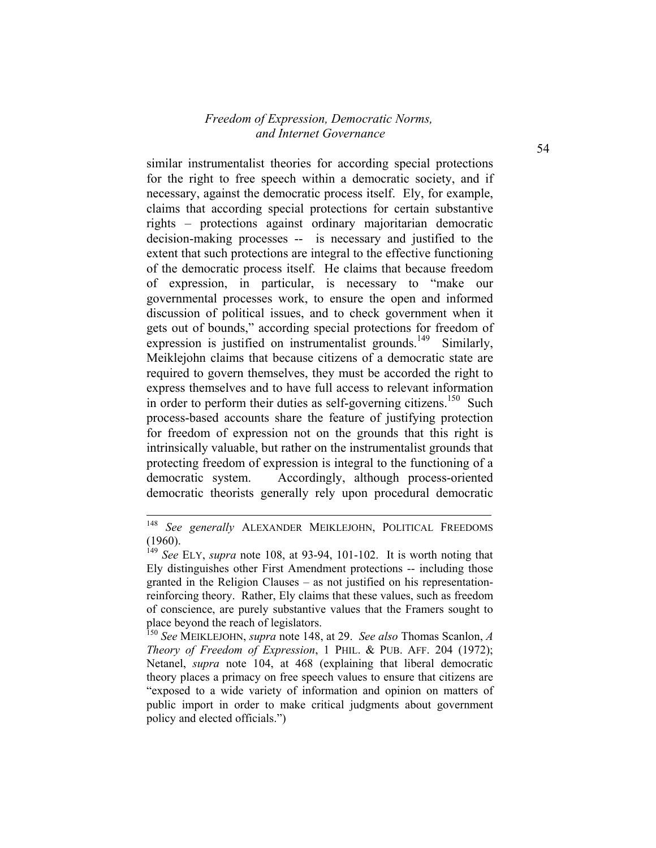similar instrumentalist theories for according special protections for the right to free speech within a democratic society, and if necessary, against the democratic process itself. Ely, for example, claims that according special protections for certain substantive rights – protections against ordinary majoritarian democratic decision-making processes -- is necessary and justified to the extent that such protections are integral to the effective functioning of the democratic process itself. He claims that because freedom of expression, in particular, is necessary to "make our governmental processes work, to ensure the open and informed discussion of political issues, and to check government when it gets out of bounds," according special protections for freedom of expression is justified on instrumentalist grounds.<sup>149</sup> Similarly, Meiklejohn claims that because citizens of a democratic state are required to govern themselves, they must be accorded the right to express themselves and to have full access to relevant information in order to perform their duties as self-governing citizens.<sup>150</sup> Such process-based accounts share the feature of justifying protection for freedom of expression not on the grounds that this right is intrinsically valuable, but rather on the instrumentalist grounds that protecting freedom of expression is integral to the functioning of a democratic system. Accordingly, although process-oriented democratic theorists generally rely upon procedural democratic

<sup>148</sup> See generally ALEXANDER MEIKLEJOHN, POLITICAL FREEDOMS (1960).

<sup>149</sup> *See* ELY, *supra* note 108, at 93-94, 101-102. It is worth noting that Ely distinguishes other First Amendment protections -- including those granted in the Religion Clauses – as not justified on his representationreinforcing theory. Rather, Ely claims that these values, such as freedom of conscience, are purely substantive values that the Framers sought to place beyond the reach of legislators.

<sup>150</sup> *See* MEIKLEJOHN, *supra* note 148, at 29. *See also* Thomas Scanlon, *A Theory of Freedom of Expression*, 1 PHIL. & PUB. AFF. 204 (1972); Netanel, *supra* note 104, at 468 (explaining that liberal democratic theory places a primacy on free speech values to ensure that citizens are "exposed to a wide variety of information and opinion on matters of public import in order to make critical judgments about government policy and elected officials.")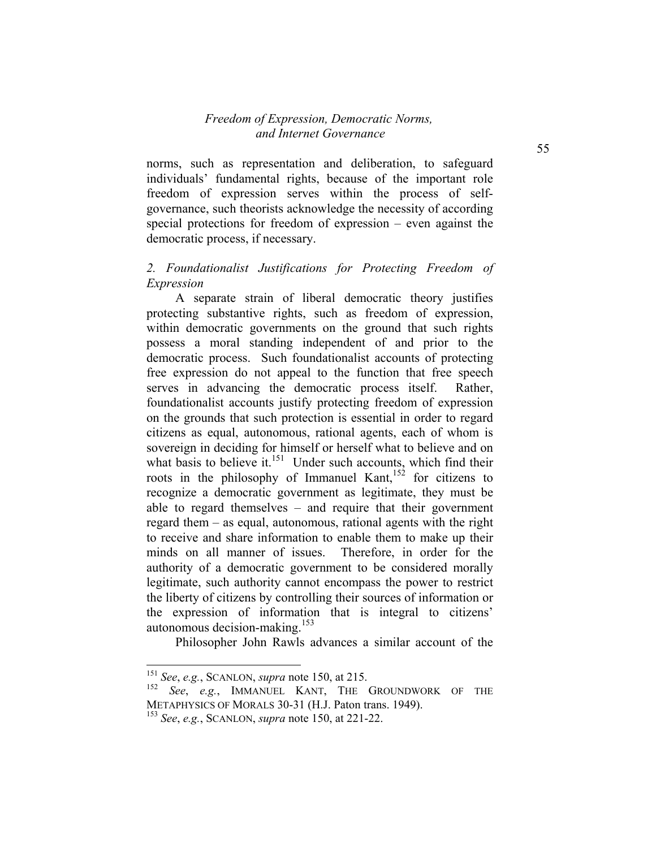norms, such as representation and deliberation, to safeguard individuals' fundamental rights, because of the important role freedom of expression serves within the process of selfgovernance, such theorists acknowledge the necessity of according special protections for freedom of expression – even against the democratic process, if necessary.

## *2. Foundationalist Justifications for Protecting Freedom of Expression*

A separate strain of liberal democratic theory justifies protecting substantive rights, such as freedom of expression, within democratic governments on the ground that such rights possess a moral standing independent of and prior to the democratic process. Such foundationalist accounts of protecting free expression do not appeal to the function that free speech serves in advancing the democratic process itself. Rather, foundationalist accounts justify protecting freedom of expression on the grounds that such protection is essential in order to regard citizens as equal, autonomous, rational agents, each of whom is sovereign in deciding for himself or herself what to believe and on what basis to believe it. $151$  Under such accounts, which find their roots in the philosophy of Immanuel Kant,  $152$  for citizens to recognize a democratic government as legitimate, they must be able to regard themselves – and require that their government regard them – as equal, autonomous, rational agents with the right to receive and share information to enable them to make up their minds on all manner of issues. Therefore, in order for the authority of a democratic government to be considered morally legitimate, such authority cannot encompass the power to restrict the liberty of citizens by controlling their sources of information or the expression of information that is integral to citizens' autonomous decision-making.<sup>153</sup>

Philosopher John Rawls advances a similar account of the

<sup>151</sup> *See*, *e.g.*, SCANLON, *supra* note 150, at 215.

<sup>152</sup> *See*, *e.g.*, IMMANUEL KANT, THE GROUNDWORK OF THE METAPHYSICS OF MORALS 30-31 (H.J. Paton trans. 1949).

<sup>153</sup> *See*, *e.g.*, SCANLON, *supra* note 150, at 221-22.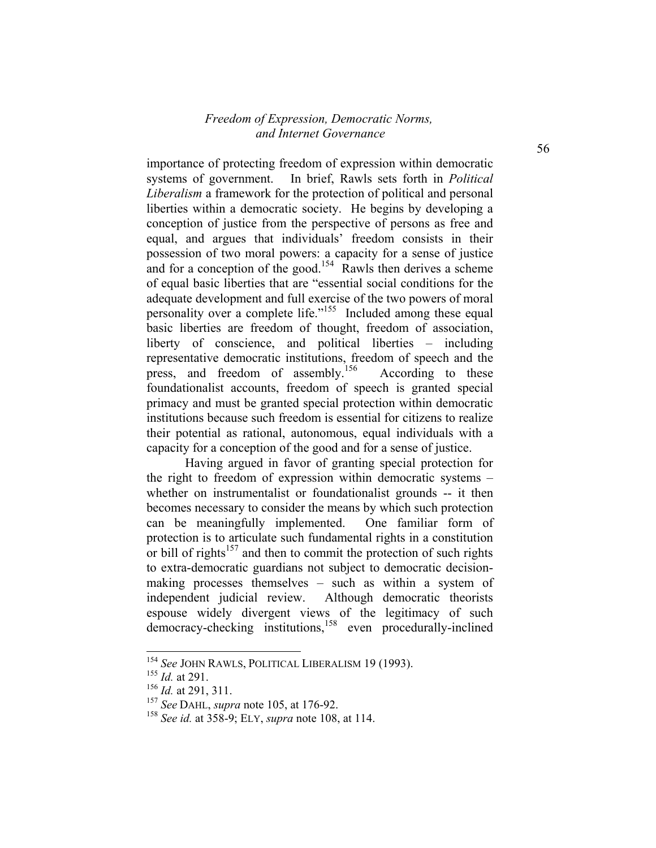importance of protecting freedom of expression within democratic systems of government. In brief, Rawls sets forth in *Political Liberalism* a framework for the protection of political and personal liberties within a democratic society. He begins by developing a conception of justice from the perspective of persons as free and equal, and argues that individuals' freedom consists in their possession of two moral powers: a capacity for a sense of justice and for a conception of the good.<sup>154</sup> Rawls then derives a scheme of equal basic liberties that are "essential social conditions for the adequate development and full exercise of the two powers of moral personality over a complete life."155 Included among these equal basic liberties are freedom of thought, freedom of association, liberty of conscience, and political liberties – including representative democratic institutions, freedom of speech and the press, and freedom of assembly.<sup>156</sup> According to these foundationalist accounts, freedom of speech is granted special primacy and must be granted special protection within democratic institutions because such freedom is essential for citizens to realize their potential as rational, autonomous, equal individuals with a capacity for a conception of the good and for a sense of justice.

Having argued in favor of granting special protection for the right to freedom of expression within democratic systems – whether on instrumentalist or foundationalist grounds -- it then becomes necessary to consider the means by which such protection can be meaningfully implemented. One familiar form of protection is to articulate such fundamental rights in a constitution or bill of rights<sup>157</sup> and then to commit the protection of such rights to extra-democratic guardians not subject to democratic decisionmaking processes themselves – such as within a system of independent judicial review. Although democratic theorists espouse widely divergent views of the legitimacy of such democracy-checking institutions,<sup>158</sup> even procedurally-inclined

<sup>154</sup> *See* JOHN RAWLS, POLITICAL LIBERALISM 19 (1993).

<sup>155</sup> *Id.* at 291.

<sup>156</sup> *Id.* at 291, 311.

<sup>157</sup> *See* DAHL, *supra* note 105, at 176-92.

<sup>158</sup> *See id.* at 358-9; ELY, *supra* note 108, at 114.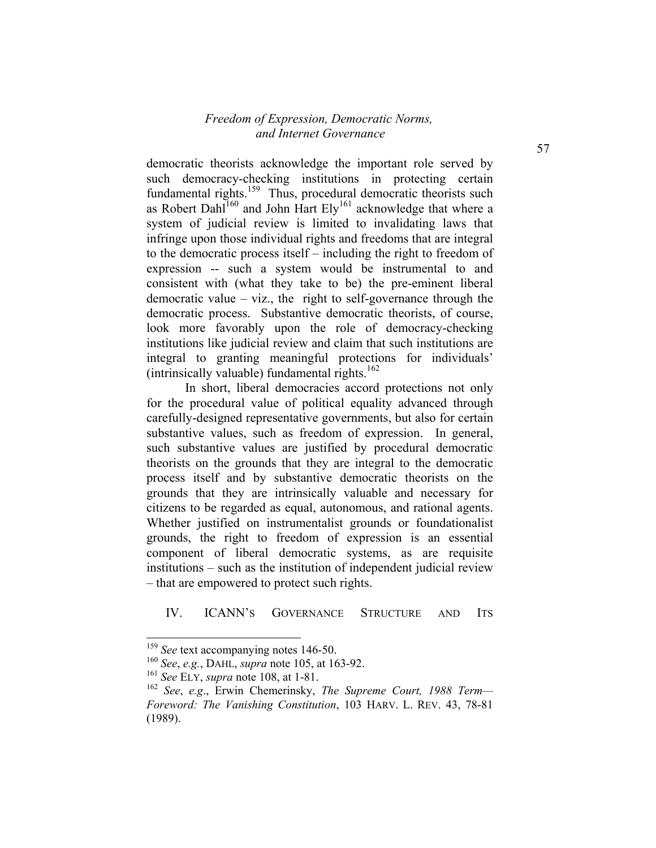democratic theorists acknowledge the important role served by such democracy-checking institutions in protecting certain fundamental rights.<sup>159</sup> Thus, procedural democratic theorists such as Robert Dahl<sup>160</sup> and John Hart Ely<sup>161</sup> acknowledge that where a system of judicial review is limited to invalidating laws that infringe upon those individual rights and freedoms that are integral to the democratic process itself – including the right to freedom of expression -- such a system would be instrumental to and consistent with (what they take to be) the pre-eminent liberal democratic value – viz., the right to self-governance through the democratic process. Substantive democratic theorists, of course, look more favorably upon the role of democracy-checking institutions like judicial review and claim that such institutions are integral to granting meaningful protections for individuals' (intrinsically valuable) fundamental rights.<sup>162</sup>

In short, liberal democracies accord protections not only for the procedural value of political equality advanced through carefully-designed representative governments, but also for certain substantive values, such as freedom of expression. In general, such substantive values are justified by procedural democratic theorists on the grounds that they are integral to the democratic process itself and by substantive democratic theorists on the grounds that they are intrinsically valuable and necessary for citizens to be regarded as equal, autonomous, and rational agents. Whether justified on instrumentalist grounds or foundationalist grounds, the right to freedom of expression is an essential component of liberal democratic systems, as are requisite institutions – such as the institution of independent judicial review – that are empowered to protect such rights.

#### IV. ICANN'S GOVERNANCE STRUCTURE AND ITS

<sup>&</sup>lt;sup>159</sup> *See* text accompanying notes 146-50.

<sup>160</sup> *See*, *e.g.*, DAHL, *supra* note 105, at 163-92.

<sup>161</sup> *See* ELY, *supra* note 108, at 1-81.

<sup>162</sup> *See*, *e.g*., Erwin Chemerinsky, *The Supreme Court, 1988 Term— Foreword: The Vanishing Constitution*, 103 HARV. L. REV. 43, 78-81 (1989).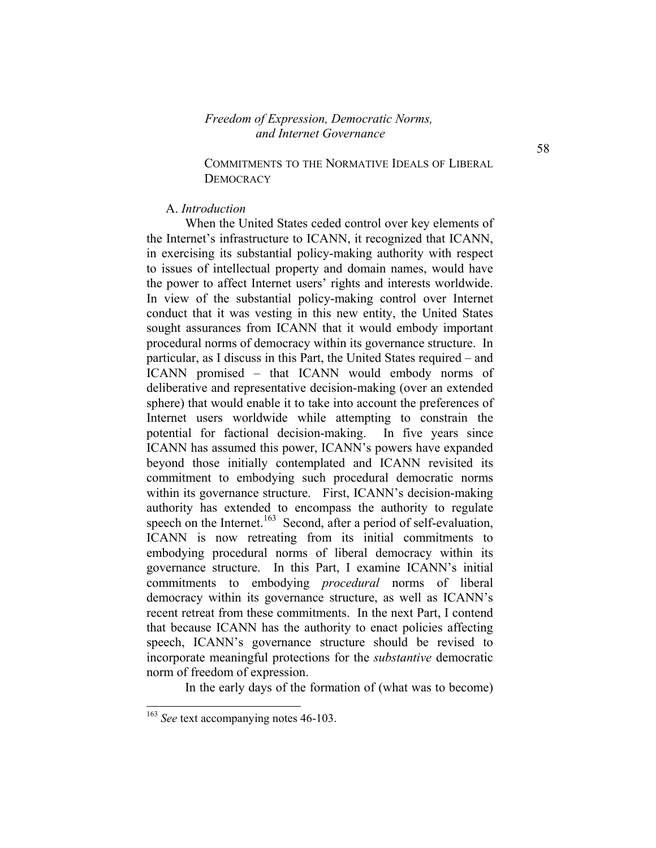#### COMMITMENTS TO THE NORMATIVE IDEALS OF LIBERAL **DEMOCRACY**

#### A. *Introduction*

When the United States ceded control over key elements of the Internet's infrastructure to ICANN, it recognized that ICANN, in exercising its substantial policy-making authority with respect to issues of intellectual property and domain names, would have the power to affect Internet users' rights and interests worldwide. In view of the substantial policy-making control over Internet conduct that it was vesting in this new entity, the United States sought assurances from ICANN that it would embody important procedural norms of democracy within its governance structure. In particular, as I discuss in this Part, the United States required – and ICANN promised – that ICANN would embody norms of deliberative and representative decision-making (over an extended sphere) that would enable it to take into account the preferences of Internet users worldwide while attempting to constrain the potential for factional decision-making. In five years since ICANN has assumed this power, ICANN's powers have expanded beyond those initially contemplated and ICANN revisited its commitment to embodying such procedural democratic norms within its governance structure. First, ICANN's decision-making authority has extended to encompass the authority to regulate speech on the Internet.<sup>163</sup> Second, after a period of self-evaluation, ICANN is now retreating from its initial commitments to embodying procedural norms of liberal democracy within its governance structure. In this Part, I examine ICANN's initial commitments to embodying *procedural* norms of liberal democracy within its governance structure, as well as ICANN's recent retreat from these commitments. In the next Part, I contend that because ICANN has the authority to enact policies affecting speech, ICANN's governance structure should be revised to incorporate meaningful protections for the *substantive* democratic norm of freedom of expression.

In the early days of the formation of (what was to become)

<sup>163</sup> *See* text accompanying notes 46-103.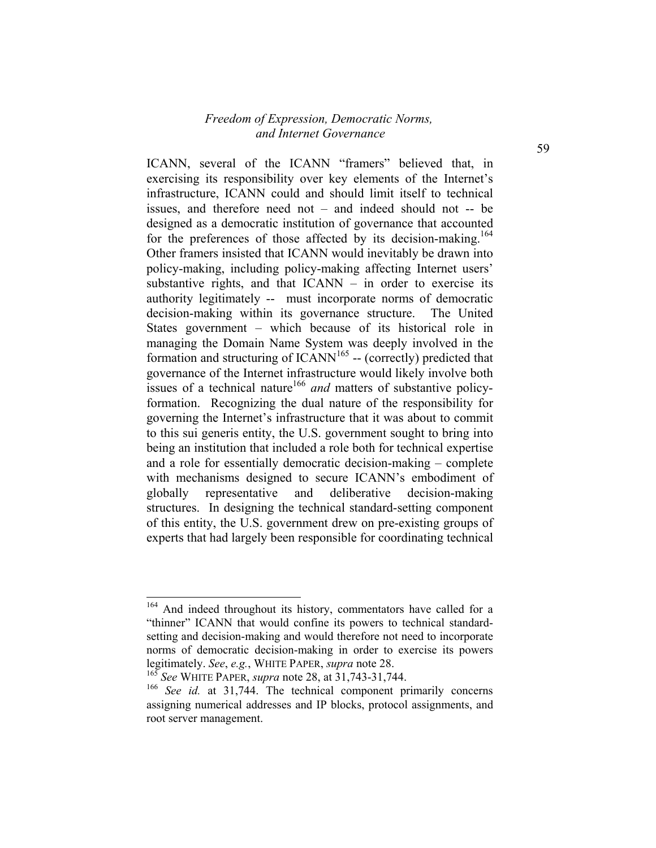ICANN, several of the ICANN "framers" believed that, in exercising its responsibility over key elements of the Internet's infrastructure, ICANN could and should limit itself to technical issues, and therefore need not – and indeed should not -- be designed as a democratic institution of governance that accounted for the preferences of those affected by its decision-making.<sup>164</sup> Other framers insisted that ICANN would inevitably be drawn into policy-making, including policy-making affecting Internet users' substantive rights, and that ICANN – in order to exercise its authority legitimately -- must incorporate norms of democratic decision-making within its governance structure. The United States government – which because of its historical role in managing the Domain Name System was deeply involved in the formation and structuring of  $ICANN<sup>165</sup>$  -- (correctly) predicted that governance of the Internet infrastructure would likely involve both issues of a technical nature<sup>166</sup> and matters of substantive policyformation. Recognizing the dual nature of the responsibility for governing the Internet's infrastructure that it was about to commit to this sui generis entity, the U.S. government sought to bring into being an institution that included a role both for technical expertise and a role for essentially democratic decision-making – complete with mechanisms designed to secure ICANN's embodiment of globally representative and deliberative decision-making structures. In designing the technical standard-setting component of this entity, the U.S. government drew on pre-existing groups of experts that had largely been responsible for coordinating technical

<sup>&</sup>lt;sup>164</sup> And indeed throughout its history, commentators have called for a "thinner" ICANN that would confine its powers to technical standardsetting and decision-making and would therefore not need to incorporate norms of democratic decision-making in order to exercise its powers legitimately. *See*, *e.g.*, WHITE PAPER, *supra* note 28.

<sup>165</sup> *See* WHITE PAPER, *supra* note 28, at 31,743-31,744.

<sup>166</sup> *See id.* at 31,744. The technical component primarily concerns assigning numerical addresses and IP blocks, protocol assignments, and root server management.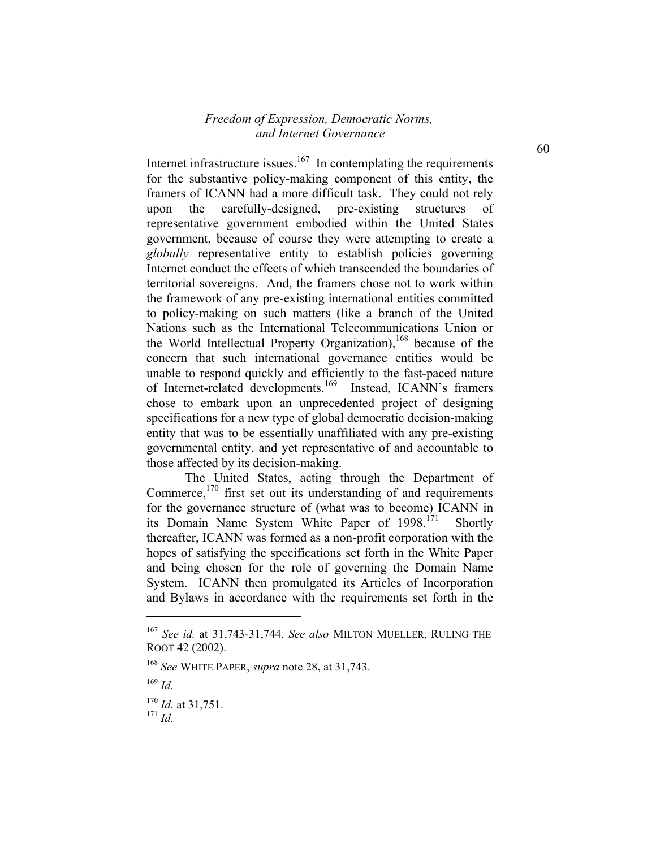Internet infrastructure issues. $167$  In contemplating the requirements for the substantive policy-making component of this entity, the framers of ICANN had a more difficult task. They could not rely upon the carefully-designed, pre-existing structures of representative government embodied within the United States government, because of course they were attempting to create a *globally* representative entity to establish policies governing Internet conduct the effects of which transcended the boundaries of territorial sovereigns. And, the framers chose not to work within the framework of any pre-existing international entities committed to policy-making on such matters (like a branch of the United Nations such as the International Telecommunications Union or the World Intellectual Property Organization),<sup>168</sup> because of the concern that such international governance entities would be unable to respond quickly and efficiently to the fast-paced nature of Internet-related developments.169 Instead, ICANN's framers chose to embark upon an unprecedented project of designing specifications for a new type of global democratic decision-making entity that was to be essentially unaffiliated with any pre-existing governmental entity, and yet representative of and accountable to those affected by its decision-making.

The United States, acting through the Department of Commerce, $170$  first set out its understanding of and requirements for the governance structure of (what was to become) ICANN in its Domain Name System White Paper of 1998.<sup>171</sup> Shortly thereafter, ICANN was formed as a non-profit corporation with the hopes of satisfying the specifications set forth in the White Paper and being chosen for the role of governing the Domain Name System. ICANN then promulgated its Articles of Incorporation and Bylaws in accordance with the requirements set forth in the

<sup>167</sup> *See id.* at 31,743-31,744. *See also* MILTON MUELLER, RULING THE ROOT 42 (2002).

<sup>168</sup> *See* WHITE PAPER, *supra* note 28, at 31,743.

<sup>169</sup> *Id.*

 $^{170}$  *Id.* at 31,751.

<sup>171</sup> *Id.*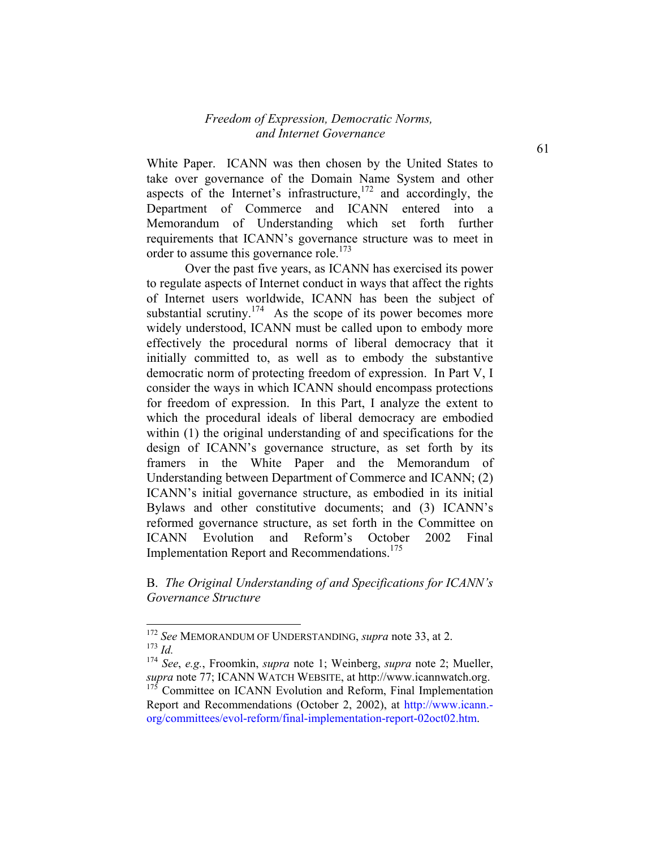White Paper. ICANN was then chosen by the United States to take over governance of the Domain Name System and other aspects of the Internet's infrastructure,  $172$  and accordingly, the Department of Commerce and ICANN entered into a Memorandum of Understanding which set forth further requirements that ICANN's governance structure was to meet in order to assume this governance role.<sup>173</sup>

Over the past five years, as ICANN has exercised its power to regulate aspects of Internet conduct in ways that affect the rights of Internet users worldwide, ICANN has been the subject of substantial scrutiny.<sup>174</sup> As the scope of its power becomes more widely understood, ICANN must be called upon to embody more effectively the procedural norms of liberal democracy that it initially committed to, as well as to embody the substantive democratic norm of protecting freedom of expression. In Part V, I consider the ways in which ICANN should encompass protections for freedom of expression. In this Part, I analyze the extent to which the procedural ideals of liberal democracy are embodied within (1) the original understanding of and specifications for the design of ICANN's governance structure, as set forth by its framers in the White Paper and the Memorandum of Understanding between Department of Commerce and ICANN; (2) ICANN's initial governance structure, as embodied in its initial Bylaws and other constitutive documents; and (3) ICANN's reformed governance structure, as set forth in the Committee on ICANN Evolution and Reform's October 2002 Final Implementation Report and Recommendations.<sup>175</sup>

B. *The Original Understanding of and Specifications for ICANN's Governance Structure* 

-

61

<sup>172</sup> *See* MEMORANDUM OF UNDERSTANDING, *supra* note 33, at 2. <sup>173</sup> *Id.*

<sup>174</sup> *See*, *e.g.*, Froomkin, *supra* note 1; Weinberg, *supra* note 2; Mueller, *supra* note 77; ICANN WATCH WEBSITE, at http://www.icannwatch.org.  $175$  Committee on ICANN Evolution and Reform, Final Implementation Report and Recommendations (October 2, 2002), at http://www.icann. org/committees/evol-reform/final-implementation-report-02oct02.htm.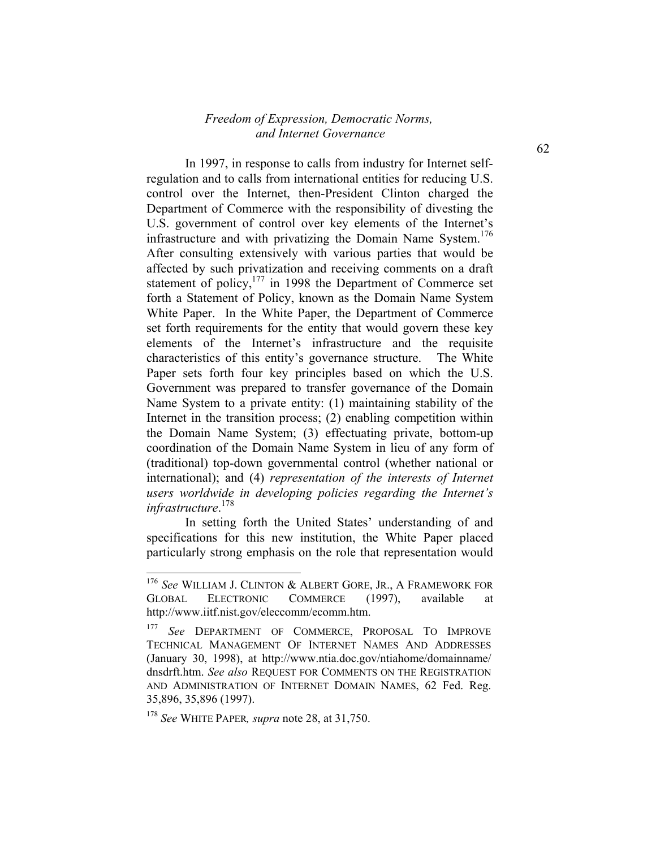In 1997, in response to calls from industry for Internet selfregulation and to calls from international entities for reducing U.S. control over the Internet, then-President Clinton charged the Department of Commerce with the responsibility of divesting the U.S. government of control over key elements of the Internet's infrastructure and with privatizing the Domain Name System.<sup>176</sup> After consulting extensively with various parties that would be affected by such privatization and receiving comments on a draft statement of policy, $177$  in 1998 the Department of Commerce set forth a Statement of Policy, known as the Domain Name System White Paper. In the White Paper, the Department of Commerce set forth requirements for the entity that would govern these key elements of the Internet's infrastructure and the requisite characteristics of this entity's governance structure. The White Paper sets forth four key principles based on which the U.S. Government was prepared to transfer governance of the Domain Name System to a private entity: (1) maintaining stability of the Internet in the transition process; (2) enabling competition within the Domain Name System; (3) effectuating private, bottom-up coordination of the Domain Name System in lieu of any form of (traditional) top-down governmental control (whether national or international); and (4) *representation of the interests of Internet users worldwide in developing policies regarding the Internet's infrastructure*. 178

In setting forth the United States' understanding of and specifications for this new institution, the White Paper placed particularly strong emphasis on the role that representation would

<sup>176</sup> *See* WILLIAM J. CLINTON & ALBERT GORE, JR., A FRAMEWORK FOR GLOBAL ELECTRONIC COMMERCE (1997), available at http://www.iitf.nist.gov/eleccomm/ecomm.htm.

<sup>177</sup> *See* DEPARTMENT OF COMMERCE, PROPOSAL TO IMPROVE TECHNICAL MANAGEMENT OF INTERNET NAMES AND ADDRESSES (January 30, 1998), at http://www.ntia.doc.gov/ntiahome/domainname/ dnsdrft.htm. *See also* REQUEST FOR COMMENTS ON THE REGISTRATION AND ADMINISTRATION OF INTERNET DOMAIN NAMES, 62 Fed. Reg. 35,896, 35,896 (1997).

<sup>178</sup> *See* WHITE PAPER*, supra* note 28, at 31,750.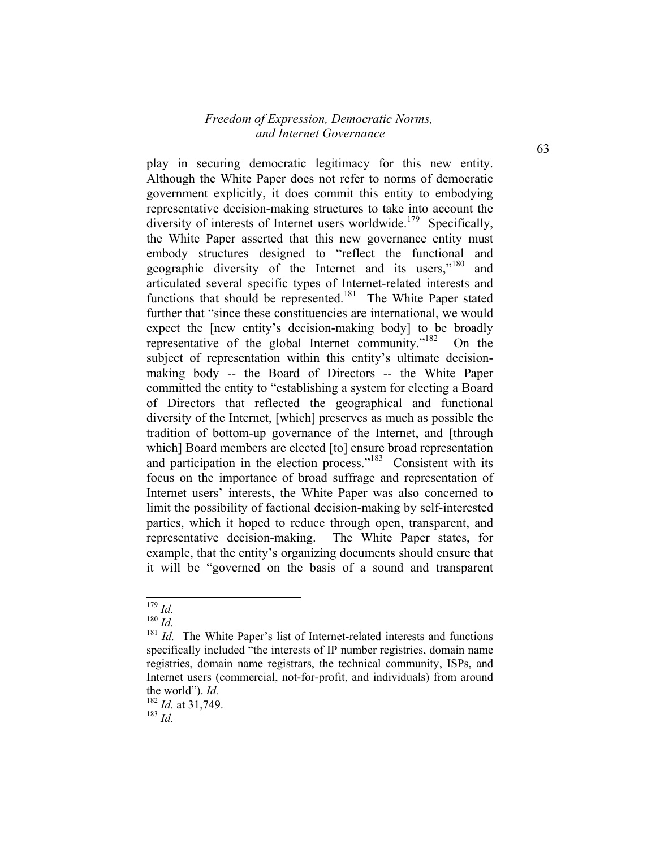play in securing democratic legitimacy for this new entity. Although the White Paper does not refer to norms of democratic government explicitly, it does commit this entity to embodying representative decision-making structures to take into account the diversity of interests of Internet users worldwide.<sup>179</sup> Specifically, the White Paper asserted that this new governance entity must embody structures designed to "reflect the functional and geographic diversity of the Internet and its users,<sup>"180</sup> and articulated several specific types of Internet-related interests and functions that should be represented.<sup>181</sup> The White Paper stated further that "since these constituencies are international, we would expect the [new entity's decision-making body] to be broadly representative of the global Internet community."182 On the subject of representation within this entity's ultimate decisionmaking body -- the Board of Directors -- the White Paper committed the entity to "establishing a system for electing a Board of Directors that reflected the geographical and functional diversity of the Internet, [which] preserves as much as possible the tradition of bottom-up governance of the Internet, and [through which] Board members are elected [to] ensure broad representation and participation in the election process."<sup>183</sup> Consistent with its focus on the importance of broad suffrage and representation of Internet users' interests, the White Paper was also concerned to limit the possibility of factional decision-making by self-interested parties, which it hoped to reduce through open, transparent, and representative decision-making. The White Paper states, for example, that the entity's organizing documents should ensure that it will be "governed on the basis of a sound and transparent

<sup>179</sup> *Id.*

<sup>180</sup> *Id.*

<sup>&</sup>lt;sup>181</sup> *Id.* The White Paper's list of Internet-related interests and functions specifically included "the interests of IP number registries, domain name registries, domain name registrars, the technical community, ISPs, and Internet users (commercial, not-for-profit, and individuals) from around the world"). *Id.*

<sup>182</sup> *Id.* at 31,749.

<sup>183</sup> *Id.*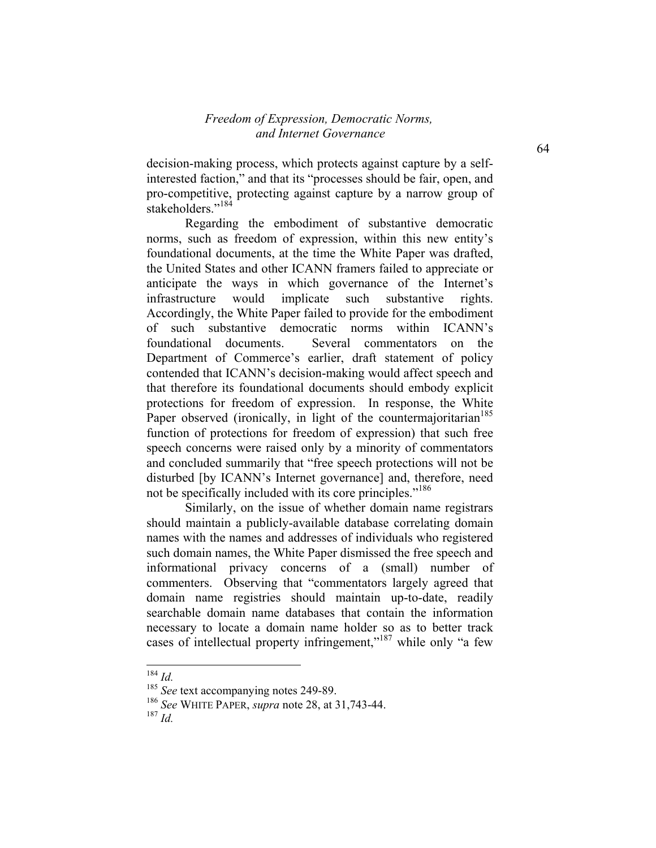decision-making process, which protects against capture by a selfinterested faction," and that its "processes should be fair, open, and pro-competitive, protecting against capture by a narrow group of stakeholders."<sup>184</sup>

Regarding the embodiment of substantive democratic norms, such as freedom of expression, within this new entity's foundational documents, at the time the White Paper was drafted, the United States and other ICANN framers failed to appreciate or anticipate the ways in which governance of the Internet's infrastructure would implicate such substantive rights. Accordingly, the White Paper failed to provide for the embodiment of such substantive democratic norms within ICANN's foundational documents. Several commentators on the Department of Commerce's earlier, draft statement of policy contended that ICANN's decision-making would affect speech and that therefore its foundational documents should embody explicit protections for freedom of expression. In response, the White Paper observed (ironically, in light of the countermajoritarian<sup>185</sup> function of protections for freedom of expression) that such free speech concerns were raised only by a minority of commentators and concluded summarily that "free speech protections will not be disturbed [by ICANN's Internet governance] and, therefore, need not be specifically included with its core principles."<sup>186</sup>

Similarly, on the issue of whether domain name registrars should maintain a publicly-available database correlating domain names with the names and addresses of individuals who registered such domain names, the White Paper dismissed the free speech and informational privacy concerns of a (small) number of commenters. Observing that "commentators largely agreed that domain name registries should maintain up-to-date, readily searchable domain name databases that contain the information necessary to locate a domain name holder so as to better track cases of intellectual property infringement,"<sup>187</sup> while only "a few

<sup>184</sup> *Id.*

<sup>&</sup>lt;sup>185</sup> See text accompanying notes 249-89.

<sup>186</sup> *See* WHITE PAPER, *supra* note 28, at 31,743-44.

<sup>187</sup> *Id.*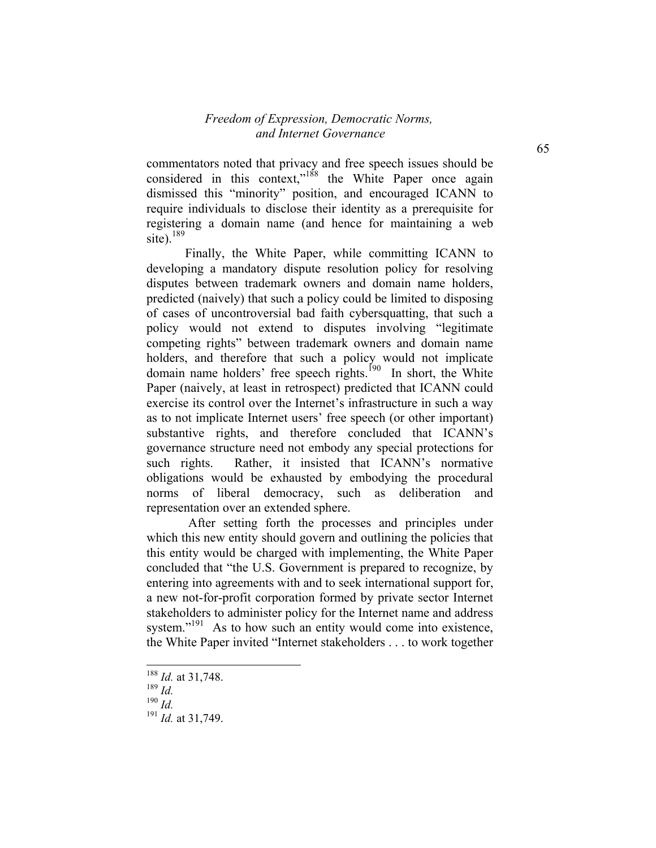commentators noted that privacy and free speech issues should be considered in this context,"<sup>188</sup> the White Paper once again dismissed this "minority" position, and encouraged ICANN to require individuals to disclose their identity as a prerequisite for registering a domain name (and hence for maintaining a web site). $189$ 

Finally, the White Paper, while committing ICANN to developing a mandatory dispute resolution policy for resolving disputes between trademark owners and domain name holders, predicted (naively) that such a policy could be limited to disposing of cases of uncontroversial bad faith cybersquatting, that such a policy would not extend to disputes involving "legitimate competing rights" between trademark owners and domain name holders, and therefore that such a policy would not implicate domain name holders' free speech rights.<sup>190</sup> In short, the White Paper (naively, at least in retrospect) predicted that ICANN could exercise its control over the Internet's infrastructure in such a way as to not implicate Internet users' free speech (or other important) substantive rights, and therefore concluded that ICANN's governance structure need not embody any special protections for such rights. Rather, it insisted that ICANN's normative obligations would be exhausted by embodying the procedural norms of liberal democracy, such as deliberation and representation over an extended sphere.

 After setting forth the processes and principles under which this new entity should govern and outlining the policies that this entity would be charged with implementing, the White Paper concluded that "the U.S. Government is prepared to recognize, by entering into agreements with and to seek international support for, a new not-for-profit corporation formed by private sector Internet stakeholders to administer policy for the Internet name and address system."<sup>191</sup> As to how such an entity would come into existence, the White Paper invited "Internet stakeholders . . . to work together

<sup>188</sup> *Id.* at 31,748.

<sup>189</sup> *Id.*

<sup>190</sup> *Id.*

<sup>191</sup> *Id.* at 31,749.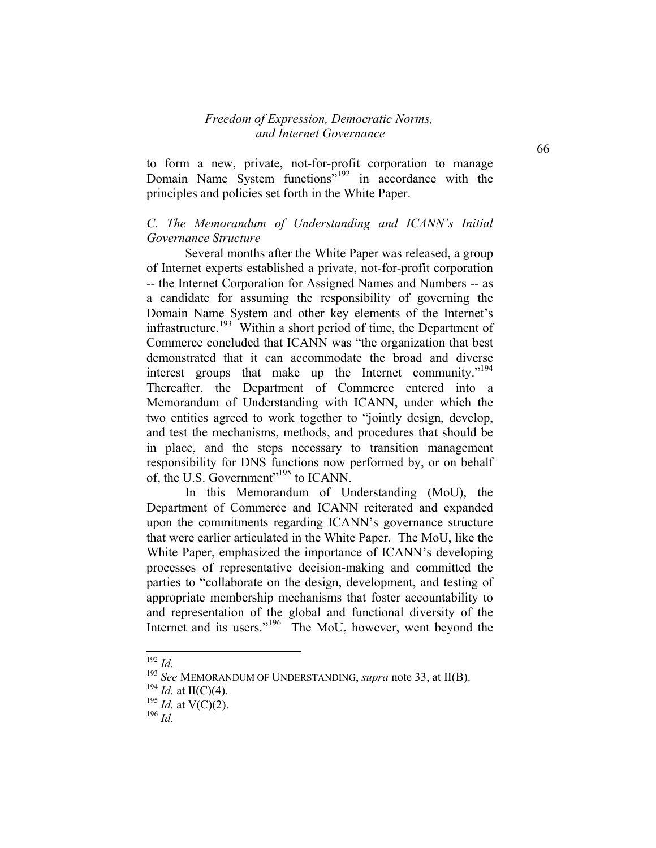to form a new, private, not-for-profit corporation to manage Domain Name System functions"192 in accordance with the principles and policies set forth in the White Paper.

## *C. The Memorandum of Understanding and ICANN's Initial Governance Structure*

Several months after the White Paper was released, a group of Internet experts established a private, not-for-profit corporation -- the Internet Corporation for Assigned Names and Numbers -- as a candidate for assuming the responsibility of governing the Domain Name System and other key elements of the Internet's infrastructure.<sup>193</sup> Within a short period of time, the Department of Commerce concluded that ICANN was "the organization that best demonstrated that it can accommodate the broad and diverse interest groups that make up the Internet community."<sup>194</sup> Thereafter, the Department of Commerce entered into a Memorandum of Understanding with ICANN, under which the two entities agreed to work together to "jointly design, develop, and test the mechanisms, methods, and procedures that should be in place, and the steps necessary to transition management responsibility for DNS functions now performed by, or on behalf of, the U.S. Government"<sup>195</sup> to ICANN.

In this Memorandum of Understanding (MoU), the Department of Commerce and ICANN reiterated and expanded upon the commitments regarding ICANN's governance structure that were earlier articulated in the White Paper. The MoU, like the White Paper, emphasized the importance of ICANN's developing processes of representative decision-making and committed the parties to "collaborate on the design, development, and testing of appropriate membership mechanisms that foster accountability to and representation of the global and functional diversity of the Internet and its users."<sup>196</sup> The MoU, however, went beyond the

<sup>192</sup> *Id.*

<sup>193</sup> *See* MEMORANDUM OF UNDERSTANDING, *supra* note 33, at II(B).

<sup>&</sup>lt;sup>194</sup> *Id.* at II(C)(4).

<sup>&</sup>lt;sup>195</sup> *Id.* at V(C)(2).

<sup>196</sup> *Id.*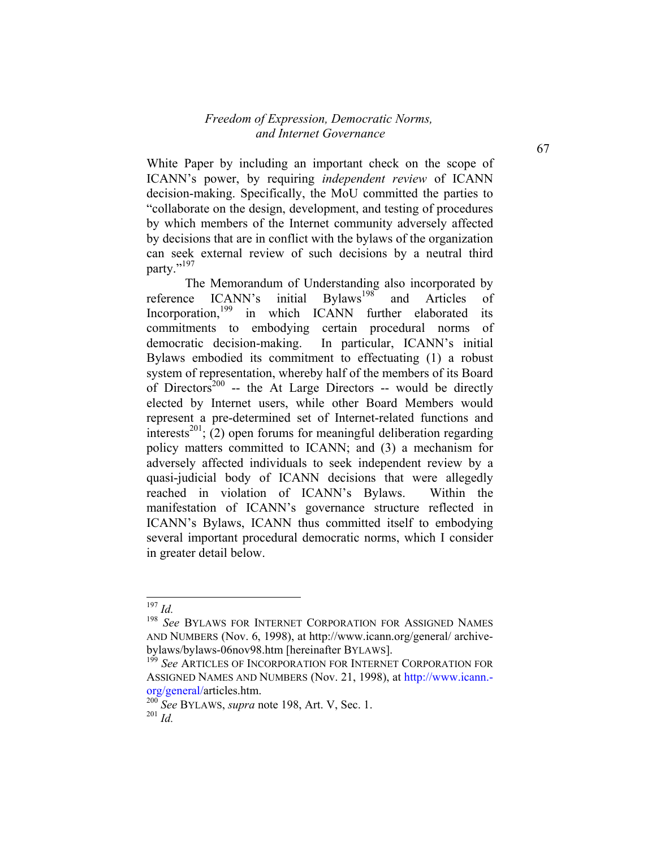White Paper by including an important check on the scope of ICANN's power, by requiring *independent review* of ICANN decision-making. Specifically, the MoU committed the parties to "collaborate on the design, development, and testing of procedures by which members of the Internet community adversely affected by decisions that are in conflict with the bylaws of the organization can seek external review of such decisions by a neutral third party."<sup>197</sup>

The Memorandum of Understanding also incorporated by<br>ce ICANN's initial Bylaws<sup>198</sup> and Articles of reference ICANN's initial Bylaws<sup>198</sup> and Articles of Incorporation,<sup>199</sup> in which ICANN further elaborated its commitments to embodying certain procedural norms of democratic decision-making. In particular, ICANN's initial Bylaws embodied its commitment to effectuating (1) a robust system of representation, whereby half of the members of its Board of Directors<sup>200</sup> -- the At Large Directors -- would be directly elected by Internet users, while other Board Members would represent a pre-determined set of Internet-related functions and interests<sup>201</sup>; (2) open forums for meaningful deliberation regarding policy matters committed to ICANN; and (3) a mechanism for adversely affected individuals to seek independent review by a quasi-judicial body of ICANN decisions that were allegedly reached in violation of ICANN's Bylaws. Within the manifestation of ICANN's governance structure reflected in ICANN's Bylaws, ICANN thus committed itself to embodying several important procedural democratic norms, which I consider in greater detail below.

-

67

<sup>197</sup> *Id.*

<sup>198</sup> *See* BYLAWS FOR INTERNET CORPORATION FOR ASSIGNED NAMES AND NUMBERS (Nov. 6, 1998), at http://www.icann.org/general/ archivebylaws/bylaws-06nov98.htm [hereinafter BYLAWS].

<sup>&</sup>lt;sup>199</sup> See ARTICLES OF INCORPORATION FOR INTERNET CORPORATION FOR ASSIGNED NAMES AND NUMBERS (Nov. 21, 1998), at http://www.icann. org/general/articles.htm.

<sup>200</sup> *See* BYLAWS, *supra* note 198, Art. V, Sec. 1. <sup>201</sup> *Id.*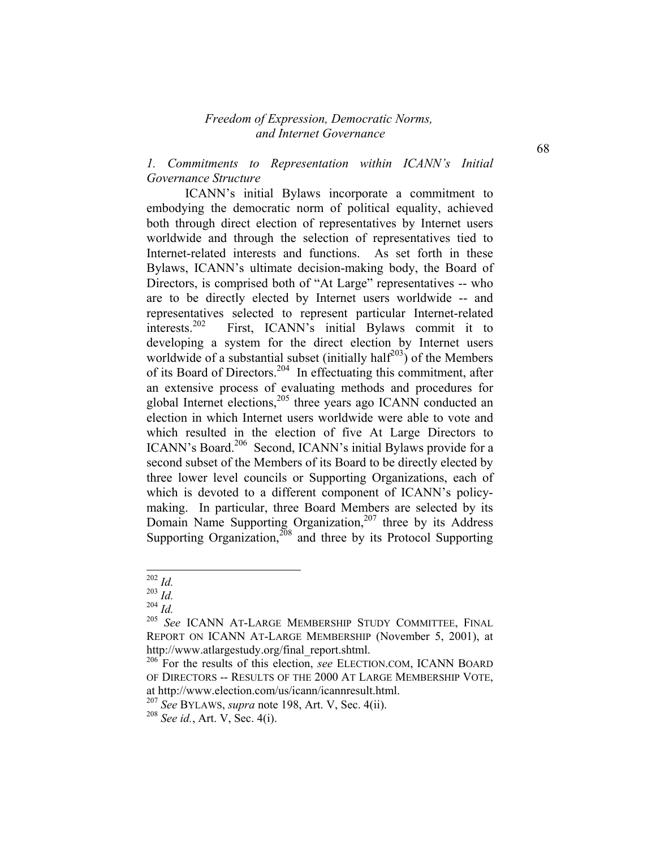### *1. Commitments to Representation within ICANN's Initial Governance Structure*

ICANN's initial Bylaws incorporate a commitment to embodying the democratic norm of political equality, achieved both through direct election of representatives by Internet users worldwide and through the selection of representatives tied to Internet-related interests and functions. As set forth in these Bylaws, ICANN's ultimate decision-making body, the Board of Directors, is comprised both of "At Large" representatives -- who are to be directly elected by Internet users worldwide -- and representatives selected to represent particular Internet-related interests.<sup>202</sup> First, ICANN's initial Bylaws commit it to developing a system for the direct election by Internet users worldwide of a substantial subset (initially half<sup>203</sup>) of the Members of its Board of Directors.<sup>204</sup> In effectuating this commitment, after an extensive process of evaluating methods and procedures for global Internet elections, $205$  three years ago ICANN conducted an election in which Internet users worldwide were able to vote and which resulted in the election of five At Large Directors to ICANN's Board.<sup>206</sup> Second, ICANN's initial Bylaws provide for a second subset of the Members of its Board to be directly elected by three lower level councils or Supporting Organizations, each of which is devoted to a different component of ICANN's policymaking. In particular, three Board Members are selected by its Domain Name Supporting Organization,<sup>207</sup> three by its Address Supporting Organization, $208$  and three by its Protocol Supporting

68

<sup>1</sup> <sup>202</sup> *Id.*

<sup>203</sup> *Id.*

<sup>204</sup> *Id.*

<sup>205</sup> *See* ICANN AT-LARGE MEMBERSHIP STUDY COMMITTEE, FINAL REPORT ON ICANN AT-LARGE MEMBERSHIP (November 5, 2001), at http://www.atlargestudy.org/final\_report.shtml.

<sup>206</sup> For the results of this election, *see* ELECTION.COM, ICANN BOARD OF DIRECTORS -- RESULTS OF THE 2000 AT LARGE MEMBERSHIP VOTE, at http://www.election.com/us/icann/icannresult.html.

<sup>207</sup> *See* BYLAWS, *supra* note 198, Art. V, Sec. 4(ii).

<sup>208</sup> *See id.*, Art. V, Sec. 4(i).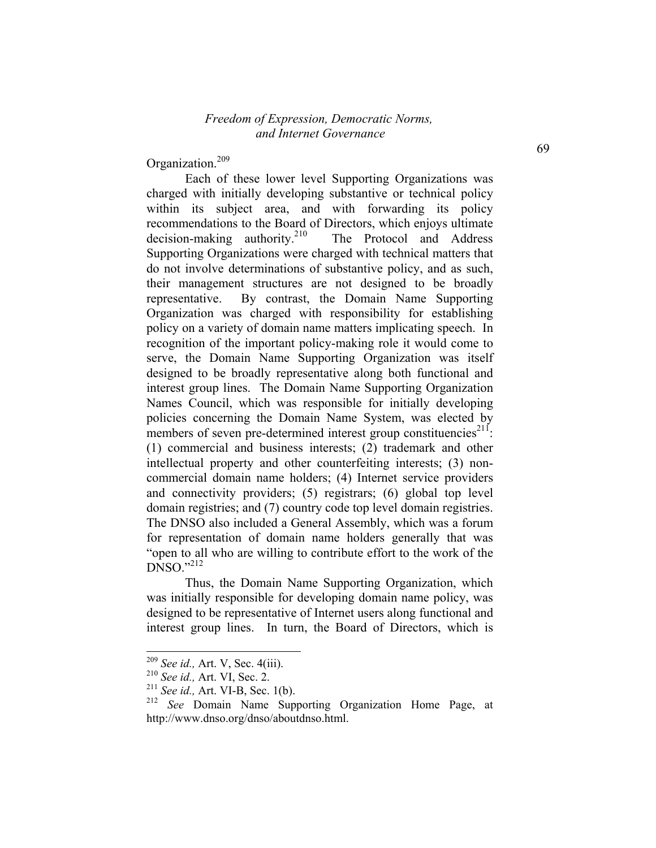Organization.<sup>209</sup>

Each of these lower level Supporting Organizations was charged with initially developing substantive or technical policy within its subject area, and with forwarding its policy recommendations to the Board of Directors, which enjoys ultimate decision-making authority.<sup>210</sup> The Protocol and Address Supporting Organizations were charged with technical matters that do not involve determinations of substantive policy, and as such, their management structures are not designed to be broadly representative. By contrast, the Domain Name Supporting Organization was charged with responsibility for establishing policy on a variety of domain name matters implicating speech. In recognition of the important policy-making role it would come to serve, the Domain Name Supporting Organization was itself designed to be broadly representative along both functional and interest group lines. The Domain Name Supporting Organization Names Council, which was responsible for initially developing policies concerning the Domain Name System, was elected by members of seven pre-determined interest group constituencies<sup>211</sup>: (1) commercial and business interests; (2) trademark and other intellectual property and other counterfeiting interests; (3) noncommercial domain name holders; (4) Internet service providers and connectivity providers; (5) registrars; (6) global top level domain registries; and (7) country code top level domain registries. The DNSO also included a General Assembly, which was a forum for representation of domain name holders generally that was "open to all who are willing to contribute effort to the work of the  $DNSO.$ <sup>212</sup>

Thus, the Domain Name Supporting Organization, which was initially responsible for developing domain name policy, was designed to be representative of Internet users along functional and interest group lines. In turn, the Board of Directors, which is

<sup>209</sup> *See id.,* Art. V, Sec. 4(iii).

<sup>210</sup> *See id.,* Art. VI, Sec. 2.

<sup>211</sup> *See id.,* Art. VI-B, Sec. 1(b).

<sup>212</sup> *See* Domain Name Supporting Organization Home Page, at http://www.dnso.org/dnso/aboutdnso.html.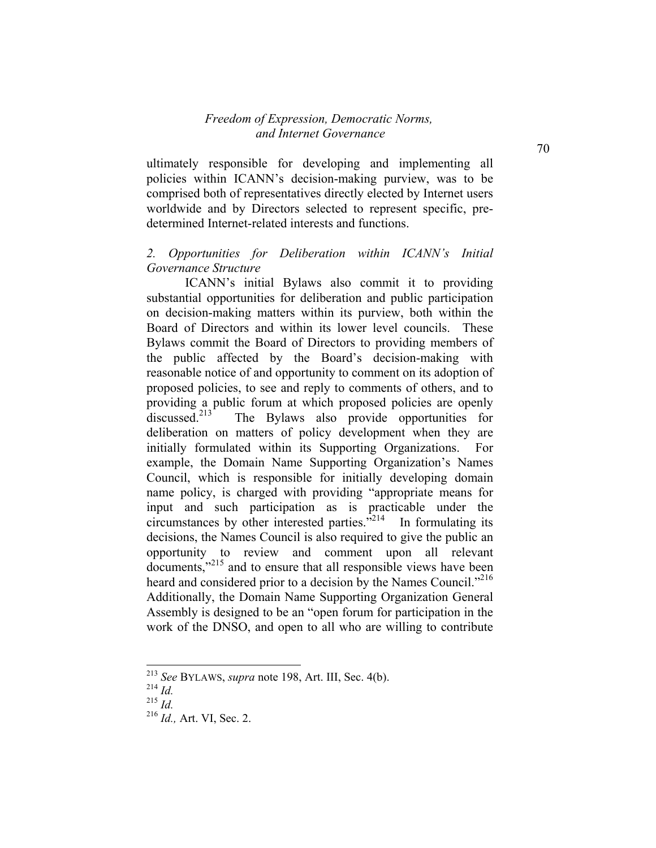ultimately responsible for developing and implementing all policies within ICANN's decision-making purview, was to be comprised both of representatives directly elected by Internet users worldwide and by Directors selected to represent specific, predetermined Internet-related interests and functions.

## *2. Opportunities for Deliberation within ICANN's Initial Governance Structure*

ICANN's initial Bylaws also commit it to providing substantial opportunities for deliberation and public participation on decision-making matters within its purview, both within the Board of Directors and within its lower level councils. These Bylaws commit the Board of Directors to providing members of the public affected by the Board's decision-making with reasonable notice of and opportunity to comment on its adoption of proposed policies, to see and reply to comments of others, and to providing a public forum at which proposed policies are openly discussed.<sup>213</sup> The Bylaws also provide opportunities for deliberation on matters of policy development when they are initially formulated within its Supporting Organizations. For example, the Domain Name Supporting Organization's Names Council, which is responsible for initially developing domain name policy, is charged with providing "appropriate means for input and such participation as is practicable under the circumstances by other interested parties."214 In formulating its decisions, the Names Council is also required to give the public an opportunity to review and comment upon all relevant documents,"<sup>215</sup> and to ensure that all responsible views have been heard and considered prior to a decision by the Names Council."<sup>216</sup> Additionally, the Domain Name Supporting Organization General Assembly is designed to be an "open forum for participation in the work of the DNSO, and open to all who are willing to contribute

<sup>213</sup> *See* BYLAWS, *supra* note 198, Art. III, Sec. 4(b).

<sup>214</sup> *Id.*

<sup>215</sup> *Id.*

<sup>216</sup> *Id.,* Art. VI, Sec. 2.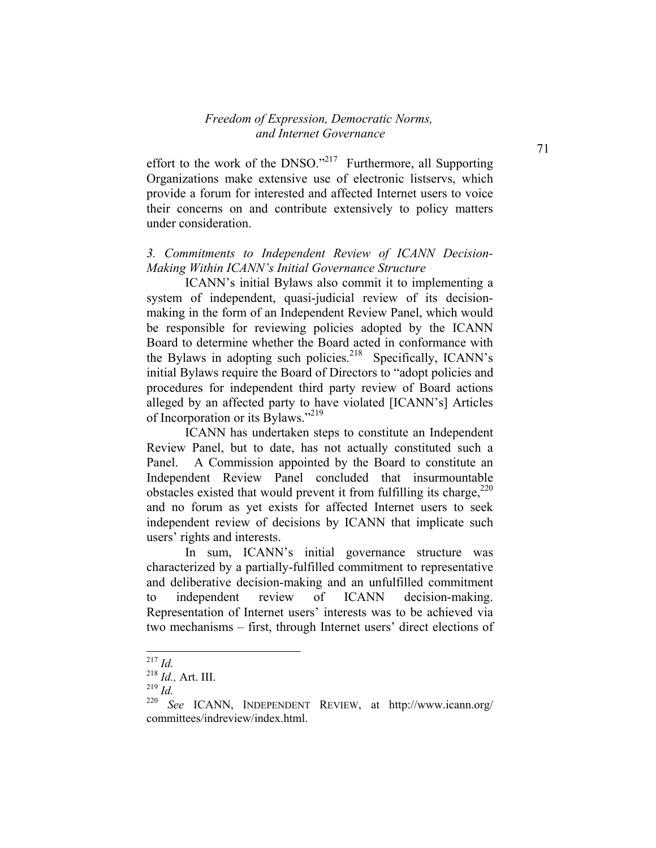effort to the work of the DNSO."<sup>217</sup> Furthermore, all Supporting Organizations make extensive use of electronic listservs, which provide a forum for interested and affected Internet users to voice their concerns on and contribute extensively to policy matters under consideration.

## *3. Commitments to Independent Review of ICANN Decision-Making Within ICANN's Initial Governance Structure*

ICANN's initial Bylaws also commit it to implementing a system of independent, quasi-judicial review of its decisionmaking in the form of an Independent Review Panel, which would be responsible for reviewing policies adopted by the ICANN Board to determine whether the Board acted in conformance with the Bylaws in adopting such policies.<sup>218</sup> Specifically, ICANN's initial Bylaws require the Board of Directors to "adopt policies and procedures for independent third party review of Board actions alleged by an affected party to have violated [ICANN's] Articles of Incorporation or its Bylaws."219

ICANN has undertaken steps to constitute an Independent Review Panel, but to date, has not actually constituted such a Panel. A Commission appointed by the Board to constitute an Independent Review Panel concluded that insurmountable obstacles existed that would prevent it from fulfilling its charge,  $220$ and no forum as yet exists for affected Internet users to seek independent review of decisions by ICANN that implicate such users' rights and interests.

In sum, ICANN's initial governance structure was characterized by a partially-fulfilled commitment to representative and deliberative decision-making and an unfulfilled commitment to independent review of ICANN decision-making. Representation of Internet users' interests was to be achieved via two mechanisms – first, through Internet users' direct elections of

-

<sup>219</sup> *Id.*

<sup>217</sup> *Id.*

<sup>218</sup> *Id.,* Art. III.

<sup>220</sup> *See* ICANN, INDEPENDENT REVIEW, at http://www.icann.org/ committees/indreview/index.html.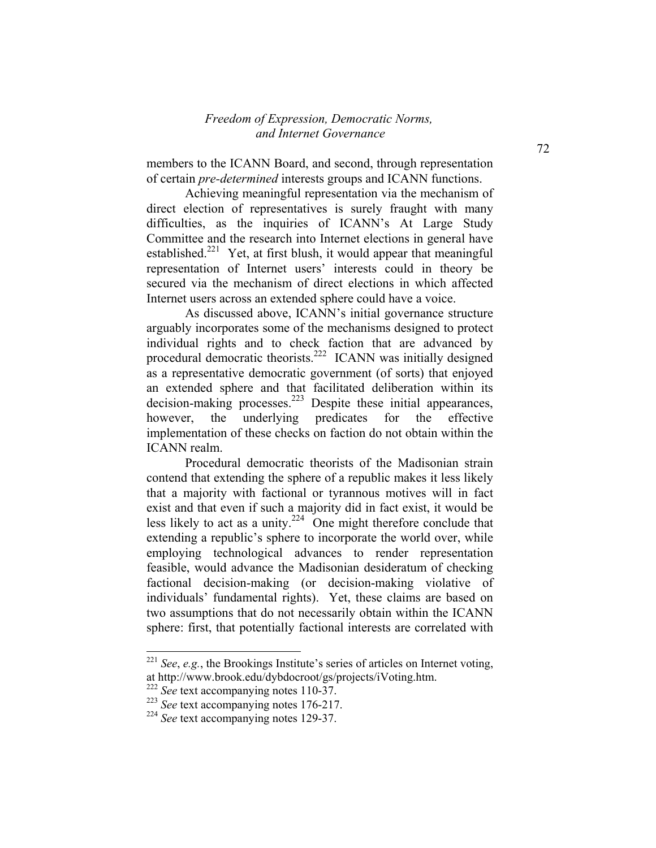members to the ICANN Board, and second, through representation of certain *pre-determined* interests groups and ICANN functions.

Achieving meaningful representation via the mechanism of direct election of representatives is surely fraught with many difficulties, as the inquiries of ICANN's At Large Study Committee and the research into Internet elections in general have established.<sup>221</sup> Yet, at first blush, it would appear that meaningful representation of Internet users' interests could in theory be secured via the mechanism of direct elections in which affected Internet users across an extended sphere could have a voice.

As discussed above, ICANN's initial governance structure arguably incorporates some of the mechanisms designed to protect individual rights and to check faction that are advanced by procedural democratic theorists.222 ICANN was initially designed as a representative democratic government (of sorts) that enjoyed an extended sphere and that facilitated deliberation within its decision-making processes.<sup>223</sup> Despite these initial appearances, however, the underlying predicates for the effective implementation of these checks on faction do not obtain within the ICANN realm.

 Procedural democratic theorists of the Madisonian strain contend that extending the sphere of a republic makes it less likely that a majority with factional or tyrannous motives will in fact exist and that even if such a majority did in fact exist, it would be less likely to act as a unity. $224$  One might therefore conclude that extending a republic's sphere to incorporate the world over, while employing technological advances to render representation feasible, would advance the Madisonian desideratum of checking factional decision-making (or decision-making violative of individuals' fundamental rights). Yet, these claims are based on two assumptions that do not necessarily obtain within the ICANN sphere: first, that potentially factional interests are correlated with

<sup>221</sup> *See*, *e.g.*, the Brookings Institute's series of articles on Internet voting, at http://www.brook.edu/dybdocroot/gs/projects/iVoting.htm.

<sup>&</sup>lt;sup>222</sup> See text accompanying notes 110-37.

<sup>223</sup> *See* text accompanying notes 176-217.

<sup>224</sup> *See* text accompanying notes 129-37.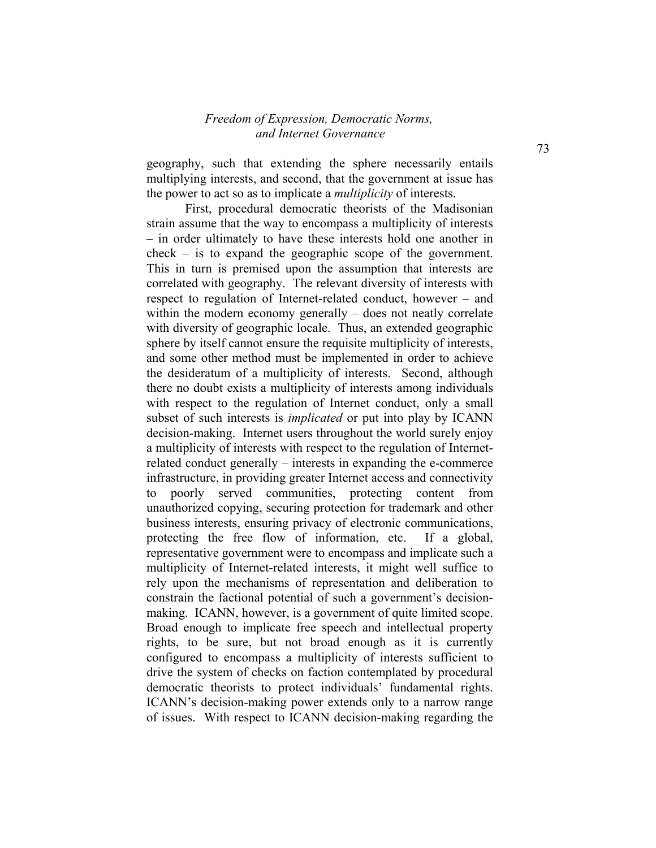geography, such that extending the sphere necessarily entails multiplying interests, and second, that the government at issue has the power to act so as to implicate a *multiplicity* of interests.

First, procedural democratic theorists of the Madisonian strain assume that the way to encompass a multiplicity of interests – in order ultimately to have these interests hold one another in check – is to expand the geographic scope of the government. This in turn is premised upon the assumption that interests are correlated with geography. The relevant diversity of interests with respect to regulation of Internet-related conduct, however – and within the modern economy generally – does not neatly correlate with diversity of geographic locale. Thus, an extended geographic sphere by itself cannot ensure the requisite multiplicity of interests, and some other method must be implemented in order to achieve the desideratum of a multiplicity of interests. Second, although there no doubt exists a multiplicity of interests among individuals with respect to the regulation of Internet conduct, only a small subset of such interests is *implicated* or put into play by ICANN decision-making. Internet users throughout the world surely enjoy a multiplicity of interests with respect to the regulation of Internetrelated conduct generally – interests in expanding the e-commerce infrastructure, in providing greater Internet access and connectivity to poorly served communities, protecting content from unauthorized copying, securing protection for trademark and other business interests, ensuring privacy of electronic communications, protecting the free flow of information, etc. If a global, representative government were to encompass and implicate such a multiplicity of Internet-related interests, it might well suffice to rely upon the mechanisms of representation and deliberation to constrain the factional potential of such a government's decisionmaking. ICANN, however, is a government of quite limited scope. Broad enough to implicate free speech and intellectual property rights, to be sure, but not broad enough as it is currently configured to encompass a multiplicity of interests sufficient to drive the system of checks on faction contemplated by procedural democratic theorists to protect individuals' fundamental rights. ICANN's decision-making power extends only to a narrow range of issues. With respect to ICANN decision-making regarding the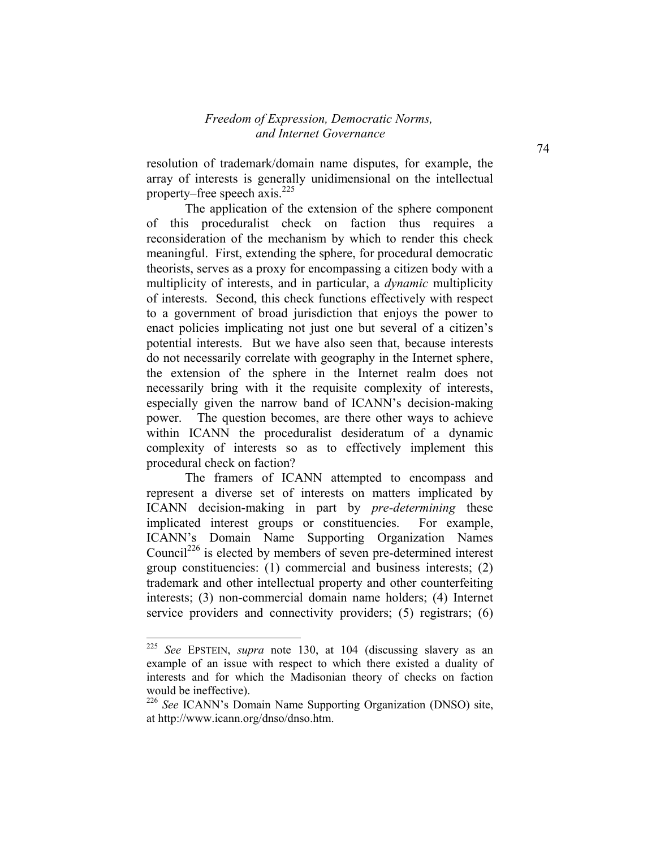resolution of trademark/domain name disputes, for example, the array of interests is generally unidimensional on the intellectual property–free speech axis. $^{225}$ 

The application of the extension of the sphere component of this proceduralist check on faction thus requires a reconsideration of the mechanism by which to render this check meaningful. First, extending the sphere, for procedural democratic theorists, serves as a proxy for encompassing a citizen body with a multiplicity of interests, and in particular, a *dynamic* multiplicity of interests. Second, this check functions effectively with respect to a government of broad jurisdiction that enjoys the power to enact policies implicating not just one but several of a citizen's potential interests. But we have also seen that, because interests do not necessarily correlate with geography in the Internet sphere, the extension of the sphere in the Internet realm does not necessarily bring with it the requisite complexity of interests, especially given the narrow band of ICANN's decision-making power. The question becomes, are there other ways to achieve within ICANN the proceduralist desideratum of a dynamic complexity of interests so as to effectively implement this procedural check on faction?

The framers of ICANN attempted to encompass and represent a diverse set of interests on matters implicated by ICANN decision-making in part by *pre-determining* these implicated interest groups or constituencies. For example, ICANN's Domain Name Supporting Organization Names Council<sup>226</sup> is elected by members of seven pre-determined interest group constituencies: (1) commercial and business interests; (2) trademark and other intellectual property and other counterfeiting interests; (3) non-commercial domain name holders; (4) Internet service providers and connectivity providers; (5) registrars; (6)

<sup>225</sup> *See* EPSTEIN, *supra* note 130, at 104 (discussing slavery as an example of an issue with respect to which there existed a duality of interests and for which the Madisonian theory of checks on faction would be ineffective).

<sup>226</sup> *See* ICANN's Domain Name Supporting Organization (DNSO) site, at http://www.icann.org/dnso/dnso.htm.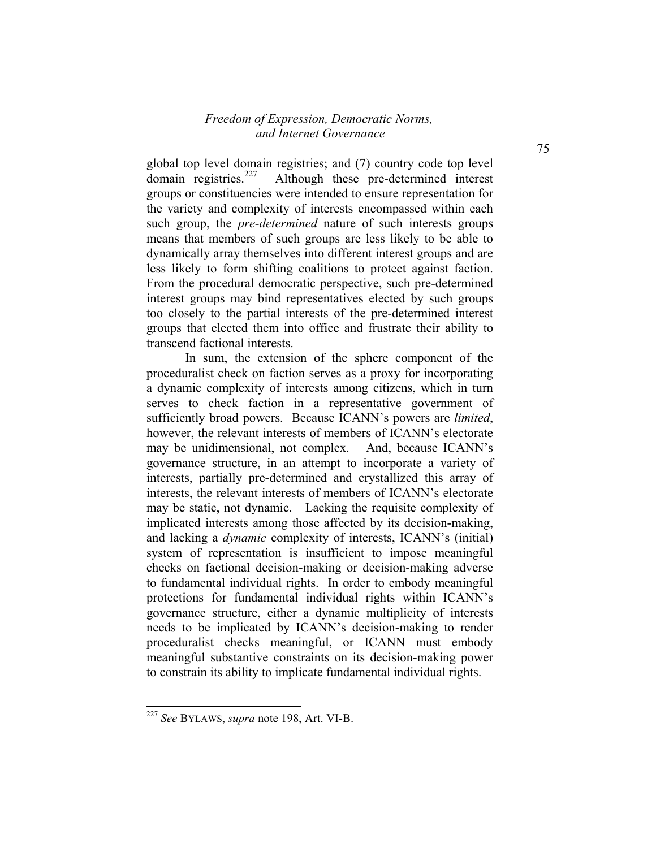global top level domain registries; and  $(7)$  country code top level domain registries.<sup>227</sup> Although these pre-determined interest Although these pre-determined interest groups or constituencies were intended to ensure representation for the variety and complexity of interests encompassed within each such group, the *pre-determined* nature of such interests groups means that members of such groups are less likely to be able to dynamically array themselves into different interest groups and are less likely to form shifting coalitions to protect against faction. From the procedural democratic perspective, such pre-determined interest groups may bind representatives elected by such groups too closely to the partial interests of the pre-determined interest groups that elected them into office and frustrate their ability to transcend factional interests.

In sum, the extension of the sphere component of the proceduralist check on faction serves as a proxy for incorporating a dynamic complexity of interests among citizens, which in turn serves to check faction in a representative government of sufficiently broad powers. Because ICANN's powers are *limited*, however, the relevant interests of members of ICANN's electorate may be unidimensional, not complex. And, because ICANN's governance structure, in an attempt to incorporate a variety of interests, partially pre-determined and crystallized this array of interests, the relevant interests of members of ICANN's electorate may be static, not dynamic. Lacking the requisite complexity of implicated interests among those affected by its decision-making, and lacking a *dynamic* complexity of interests, ICANN's (initial) system of representation is insufficient to impose meaningful checks on factional decision-making or decision-making adverse to fundamental individual rights. In order to embody meaningful protections for fundamental individual rights within ICANN's governance structure, either a dynamic multiplicity of interests needs to be implicated by ICANN's decision-making to render proceduralist checks meaningful, or ICANN must embody meaningful substantive constraints on its decision-making power to constrain its ability to implicate fundamental individual rights.

<sup>227</sup> *See* BYLAWS, *supra* note 198, Art. VI-B.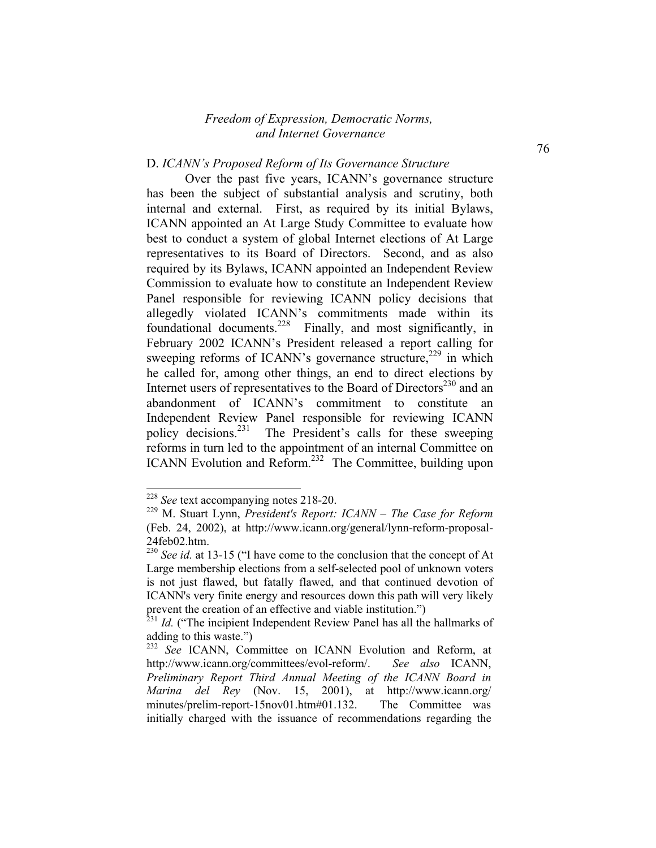#### D. *ICANN's Proposed Reform of Its Governance Structure*

Over the past five years, ICANN's governance structure has been the subject of substantial analysis and scrutiny, both internal and external. First, as required by its initial Bylaws, ICANN appointed an At Large Study Committee to evaluate how best to conduct a system of global Internet elections of At Large representatives to its Board of Directors. Second, and as also required by its Bylaws, ICANN appointed an Independent Review Commission to evaluate how to constitute an Independent Review Panel responsible for reviewing ICANN policy decisions that allegedly violated ICANN's commitments made within its foundational documents.<sup>228</sup> Finally, and most significantly, in February 2002 ICANN's President released a report calling for sweeping reforms of ICANN's governance structure,  $229$  in which he called for, among other things, an end to direct elections by Internet users of representatives to the Board of Directors<sup>230</sup> and an abandonment of ICANN's commitment to constitute an Independent Review Panel responsible for reviewing ICANN policy decisions.<sup>231</sup> The President's calls for these sweeping reforms in turn led to the appointment of an internal Committee on ICANN Evolution and Reform.<sup>232</sup> The Committee, building upon

<sup>&</sup>lt;sup>228</sup> *See* text accompanying notes 218-20.

<sup>229</sup> M. Stuart Lynn, *President's Report: ICANN – The Case for Reform* (Feb. 24, 2002), at http://www.icann.org/general/lynn-reform-proposal-24feb02.htm.

<sup>&</sup>lt;sup>230</sup> *See id.* at 13-15 ("I have come to the conclusion that the concept of At Large membership elections from a self-selected pool of unknown voters is not just flawed, but fatally flawed, and that continued devotion of ICANN's very finite energy and resources down this path will very likely prevent the creation of an effective and viable institution.")

<sup>&</sup>lt;sup>231</sup> *Id.* ("The incipient Independent Review Panel has all the hallmarks of adding to this waste.")

<sup>&</sup>lt;sup>232</sup> See ICANN, Committee on ICANN Evolution and Reform, at http://www.icann.org/committees/evol-reform/. *See also* ICANN, *Preliminary Report Third Annual Meeting of the ICANN Board in Marina del Rey* (Nov. 15, 2001), at http://www.icann.org/ minutes/prelim-report-15nov01.htm#01.132. The Committee was initially charged with the issuance of recommendations regarding the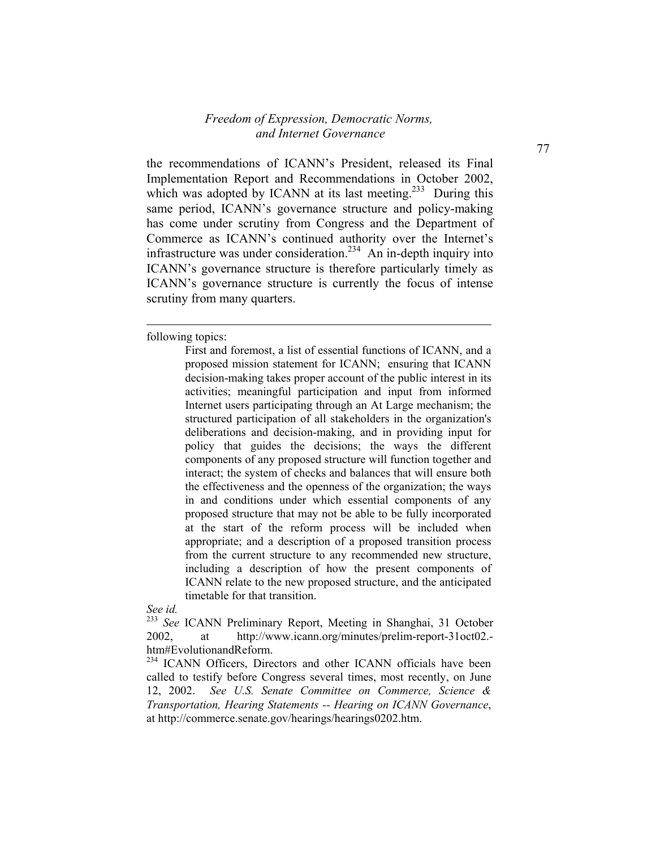the recommendations of ICANN's President, released its Final Implementation Report and Recommendations in October 2002, which was adopted by ICANN at its last meeting.<sup>233</sup> During this same period, ICANN's governance structure and policy-making has come under scrutiny from Congress and the Department of Commerce as ICANN's continued authority over the Internet's infrastructure was under consideration.<sup>234</sup> An in-depth inquiry into ICANN's governance structure is therefore particularly timely as ICANN's governance structure is currently the focus of intense scrutiny from many quarters.

following topics:

l

*See id.*

<sup>233</sup> See ICANN Preliminary Report, Meeting in Shanghai, 31 October 2002, at http://www.icann.org/minutes/prelim-report-31oct02. htm#EvolutionandReform.

<sup>234</sup> ICANN Officers, Directors and other ICANN officials have been called to testify before Congress several times, most recently, on June 12, 2002. *See U.S. Senate Committee on Commerce, Science & Transportation, Hearing Statements -- Hearing on ICANN Governance*, at http://commerce.senate.gov/hearings/hearings0202.htm.

First and foremost, a list of essential functions of ICANN, and a proposed mission statement for ICANN; ensuring that ICANN decision-making takes proper account of the public interest in its activities; meaningful participation and input from informed Internet users participating through an At Large mechanism; the structured participation of all stakeholders in the organization's deliberations and decision-making, and in providing input for policy that guides the decisions; the ways the different components of any proposed structure will function together and interact; the system of checks and balances that will ensure both the effectiveness and the openness of the organization; the ways in and conditions under which essential components of any proposed structure that may not be able to be fully incorporated at the start of the reform process will be included when appropriate; and a description of a proposed transition process from the current structure to any recommended new structure, including a description of how the present components of ICANN relate to the new proposed structure, and the anticipated timetable for that transition.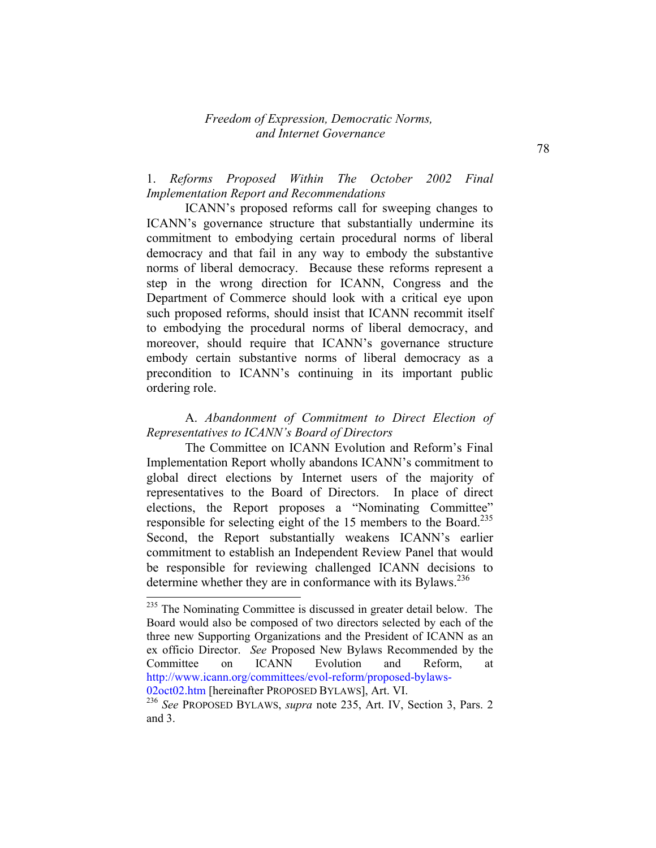# 1. *Reforms Proposed Within The October 2002 Final Implementation Report and Recommendations*

 ICANN's proposed reforms call for sweeping changes to ICANN's governance structure that substantially undermine its commitment to embodying certain procedural norms of liberal democracy and that fail in any way to embody the substantive norms of liberal democracy. Because these reforms represent a step in the wrong direction for ICANN, Congress and the Department of Commerce should look with a critical eye upon such proposed reforms, should insist that ICANN recommit itself to embodying the procedural norms of liberal democracy, and moreover, should require that ICANN's governance structure embody certain substantive norms of liberal democracy as a precondition to ICANN's continuing in its important public ordering role.

### A. *Abandonment of Commitment to Direct Election of Representatives to ICANN's Board of Directors*

 The Committee on ICANN Evolution and Reform's Final Implementation Report wholly abandons ICANN's commitment to global direct elections by Internet users of the majority of representatives to the Board of Directors. In place of direct elections, the Report proposes a "Nominating Committee" responsible for selecting eight of the 15 members to the Board.<sup>235</sup> Second, the Report substantially weakens ICANN's earlier commitment to establish an Independent Review Panel that would be responsible for reviewing challenged ICANN decisions to determine whether they are in conformance with its Bylaws.<sup>236</sup>

02oct02.htm [hereinafter PROPOSED BYLAWS], Art. VI.

<sup>&</sup>lt;sup>235</sup> The Nominating Committee is discussed in greater detail below. The Board would also be composed of two directors selected by each of the three new Supporting Organizations and the President of ICANN as an ex officio Director. *See* Proposed New Bylaws Recommended by the Committee on ICANN Evolution and Reform, at http://www.icann.org/committees/evol-reform/proposed-bylaws-

<sup>236</sup> *See* PROPOSED BYLAWS, *supra* note 235, Art. IV, Section 3, Pars. 2 and 3.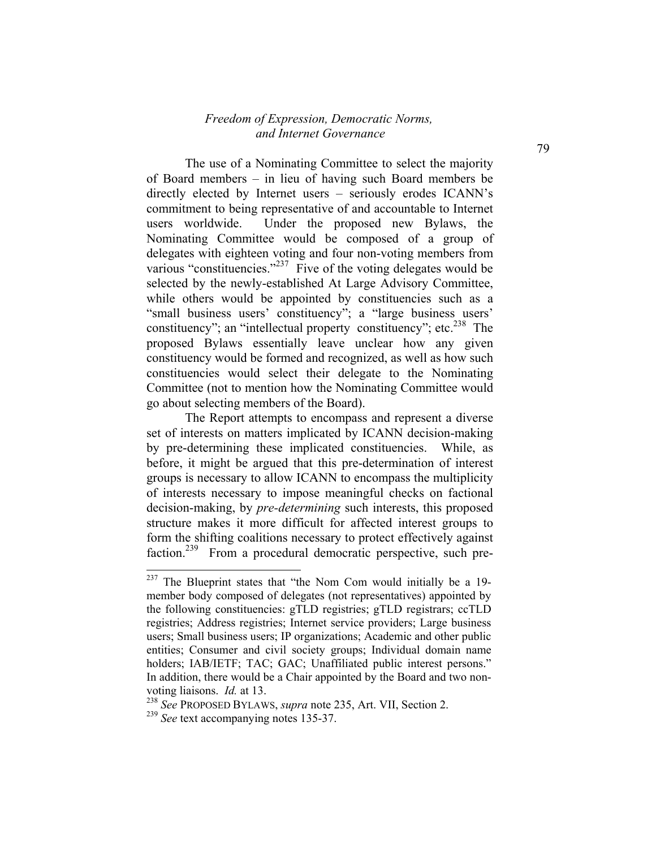The use of a Nominating Committee to select the majority of Board members – in lieu of having such Board members be directly elected by Internet users – seriously erodes ICANN's commitment to being representative of and accountable to Internet users worldwide. Under the proposed new Bylaws, the Nominating Committee would be composed of a group of delegates with eighteen voting and four non-voting members from various "constituencies."<sup>237</sup> Five of the voting delegates would be selected by the newly-established At Large Advisory Committee, while others would be appointed by constituencies such as a "small business users' constituency"; a "large business users' constituency"; an "intellectual property constituency"; etc. $^{238}$  The proposed Bylaws essentially leave unclear how any given constituency would be formed and recognized, as well as how such constituencies would select their delegate to the Nominating Committee (not to mention how the Nominating Committee would go about selecting members of the Board).

The Report attempts to encompass and represent a diverse set of interests on matters implicated by ICANN decision-making by pre-determining these implicated constituencies. While, as before, it might be argued that this pre-determination of interest groups is necessary to allow ICANN to encompass the multiplicity of interests necessary to impose meaningful checks on factional decision-making, by *pre-determining* such interests, this proposed structure makes it more difficult for affected interest groups to form the shifting coalitions necessary to protect effectively against faction.<sup>239</sup> From a procedural democratic perspective, such pre-

 $237$  The Blueprint states that "the Nom Com would initially be a 19member body composed of delegates (not representatives) appointed by the following constituencies: gTLD registries; gTLD registrars; ccTLD registries; Address registries; Internet service providers; Large business users; Small business users; IP organizations; Academic and other public entities; Consumer and civil society groups; Individual domain name holders; IAB/IETF; TAC; GAC; Unaffiliated public interest persons." In addition, there would be a Chair appointed by the Board and two nonvoting liaisons. *Id.* at 13.

<sup>238</sup> *See* PROPOSED BYLAWS, *supra* note 235, Art. VII, Section 2.

<sup>&</sup>lt;sup>239</sup> *See* text accompanying notes 135-37.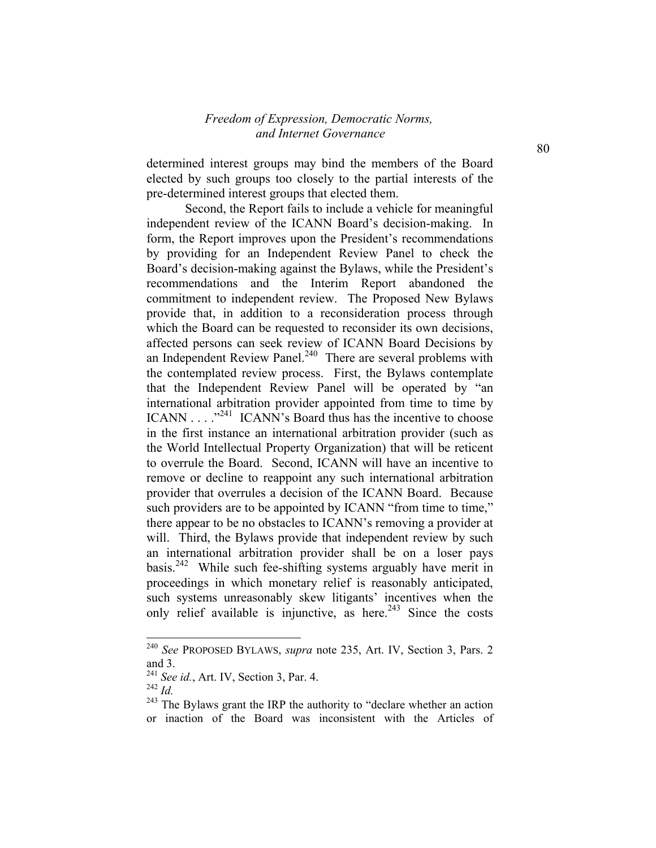determined interest groups may bind the members of the Board elected by such groups too closely to the partial interests of the pre-determined interest groups that elected them.

Second, the Report fails to include a vehicle for meaningful independent review of the ICANN Board's decision-making. In form, the Report improves upon the President's recommendations by providing for an Independent Review Panel to check the Board's decision-making against the Bylaws, while the President's recommendations and the Interim Report abandoned the commitment to independent review. The Proposed New Bylaws provide that, in addition to a reconsideration process through which the Board can be requested to reconsider its own decisions, affected persons can seek review of ICANN Board Decisions by an Independent Review Panel.<sup>240</sup> There are several problems with the contemplated review process. First, the Bylaws contemplate that the Independent Review Panel will be operated by "an international arbitration provider appointed from time to time by ICANN . . . ."241 ICANN's Board thus has the incentive to choose in the first instance an international arbitration provider (such as the World Intellectual Property Organization) that will be reticent to overrule the Board. Second, ICANN will have an incentive to remove or decline to reappoint any such international arbitration provider that overrules a decision of the ICANN Board. Because such providers are to be appointed by ICANN "from time to time," there appear to be no obstacles to ICANN's removing a provider at will. Third, the Bylaws provide that independent review by such an international arbitration provider shall be on a loser pays basis.<sup>242</sup> While such fee-shifting systems arguably have merit in proceedings in which monetary relief is reasonably anticipated, such systems unreasonably skew litigants' incentives when the only relief available is injunctive, as here.<sup>243</sup> Since the costs

<sup>240</sup> *See* PROPOSED BYLAWS, *supra* note 235, Art. IV, Section 3, Pars. 2 and 3.

<sup>241</sup> *See id.*, Art. IV, Section 3, Par. 4.

<sup>242</sup> *Id.*

 $243$  The Bylaws grant the IRP the authority to "declare whether an action" or inaction of the Board was inconsistent with the Articles of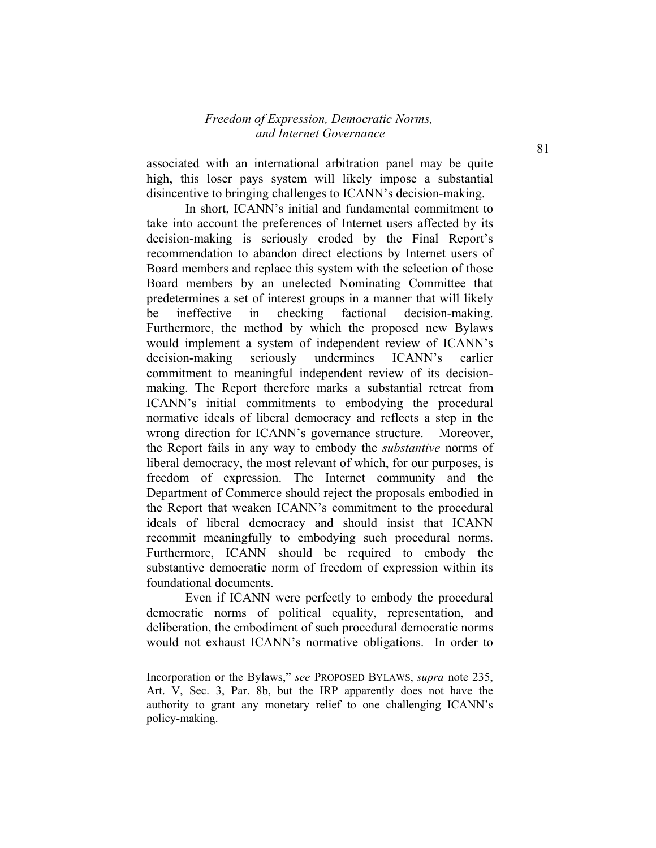associated with an international arbitration panel may be quite high, this loser pays system will likely impose a substantial disincentive to bringing challenges to ICANN's decision-making.

In short, ICANN's initial and fundamental commitment to take into account the preferences of Internet users affected by its decision-making is seriously eroded by the Final Report's recommendation to abandon direct elections by Internet users of Board members and replace this system with the selection of those Board members by an unelected Nominating Committee that predetermines a set of interest groups in a manner that will likely be ineffective in checking factional decision-making. Furthermore, the method by which the proposed new Bylaws would implement a system of independent review of ICANN's decision-making seriously undermines ICANN's earlier commitment to meaningful independent review of its decisionmaking. The Report therefore marks a substantial retreat from ICANN's initial commitments to embodying the procedural normative ideals of liberal democracy and reflects a step in the wrong direction for ICANN's governance structure. Moreover, the Report fails in any way to embody the *substantive* norms of liberal democracy, the most relevant of which, for our purposes, is freedom of expression. The Internet community and the Department of Commerce should reject the proposals embodied in the Report that weaken ICANN's commitment to the procedural ideals of liberal democracy and should insist that ICANN recommit meaningfully to embodying such procedural norms. Furthermore, ICANN should be required to embody the substantive democratic norm of freedom of expression within its foundational documents.

Even if ICANN were perfectly to embody the procedural democratic norms of political equality, representation, and deliberation, the embodiment of such procedural democratic norms would not exhaust ICANN's normative obligations. In order to

l

Incorporation or the Bylaws," *see* PROPOSED BYLAWS, *supra* note 235, Art. V, Sec. 3, Par. 8b, but the IRP apparently does not have the authority to grant any monetary relief to one challenging ICANN's policy-making.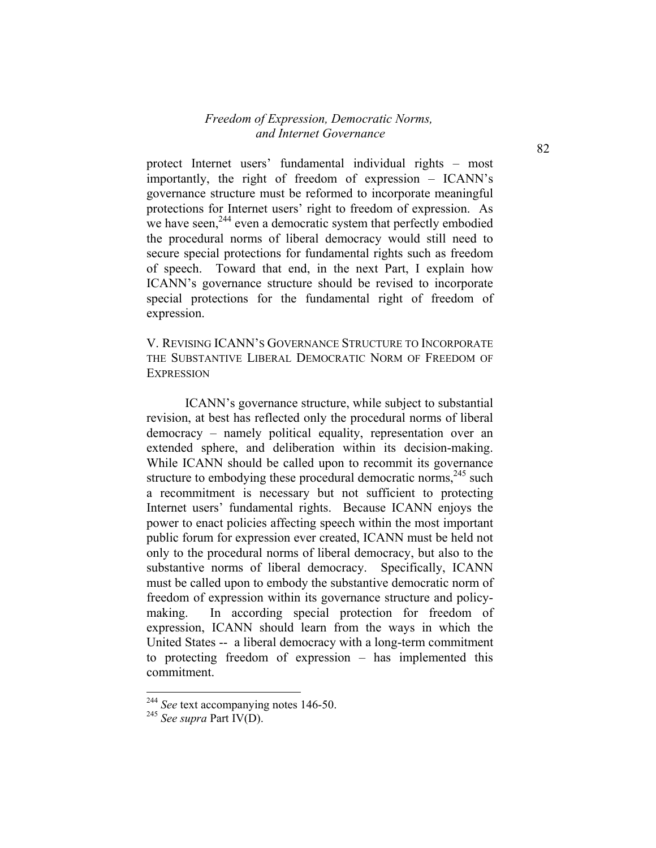protect Internet users' fundamental individual rights – most importantly, the right of freedom of expression – ICANN's governance structure must be reformed to incorporate meaningful protections for Internet users' right to freedom of expression. As we have seen,<sup>244</sup> even a democratic system that perfectly embodied the procedural norms of liberal democracy would still need to secure special protections for fundamental rights such as freedom of speech. Toward that end, in the next Part, I explain how ICANN's governance structure should be revised to incorporate special protections for the fundamental right of freedom of expression.

V. REVISING ICANN'S GOVERNANCE STRUCTURE TO INCORPORATE THE SUBSTANTIVE LIBERAL DEMOCRATIC NORM OF FREEDOM OF **EXPRESSION** 

ICANN's governance structure, while subject to substantial revision, at best has reflected only the procedural norms of liberal democracy – namely political equality, representation over an extended sphere, and deliberation within its decision-making. While ICANN should be called upon to recommit its governance structure to embodying these procedural democratic norms,  $245$  such a recommitment is necessary but not sufficient to protecting Internet users' fundamental rights. Because ICANN enjoys the power to enact policies affecting speech within the most important public forum for expression ever created, ICANN must be held not only to the procedural norms of liberal democracy, but also to the substantive norms of liberal democracy. Specifically, ICANN must be called upon to embody the substantive democratic norm of freedom of expression within its governance structure and policymaking. In according special protection for freedom of expression, ICANN should learn from the ways in which the United States -- a liberal democracy with a long-term commitment to protecting freedom of expression – has implemented this commitment.

<sup>&</sup>lt;sup>244</sup> *See* text accompanying notes 146-50.

<sup>245</sup> *See supra* Part IV(D).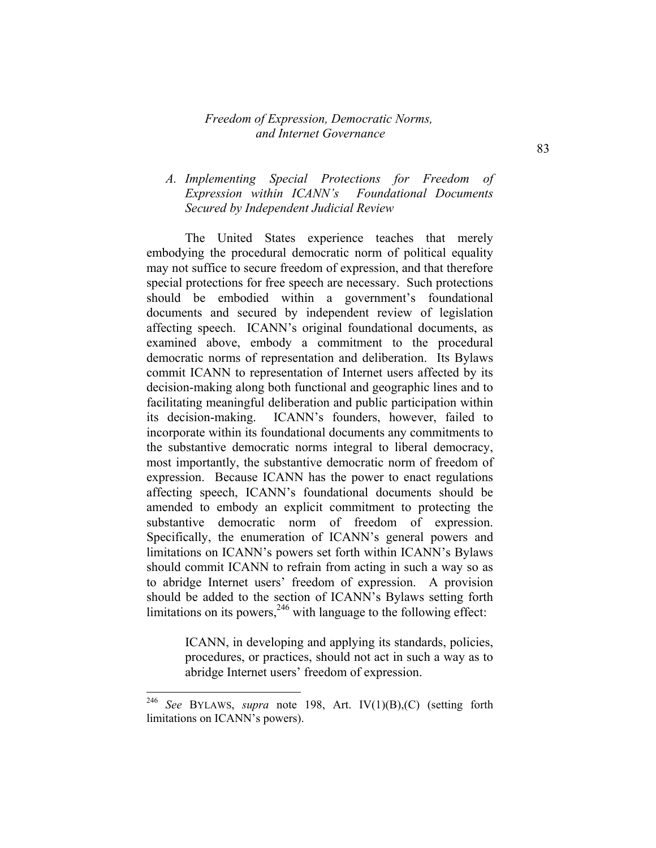# *A. Implementing Special Protections for Freedom of Expression within ICANN's Foundational Documents Secured by Independent Judicial Review*

The United States experience teaches that merely embodying the procedural democratic norm of political equality may not suffice to secure freedom of expression, and that therefore special protections for free speech are necessary. Such protections should be embodied within a government's foundational documents and secured by independent review of legislation affecting speech. ICANN's original foundational documents, as examined above, embody a commitment to the procedural democratic norms of representation and deliberation. Its Bylaws commit ICANN to representation of Internet users affected by its decision-making along both functional and geographic lines and to facilitating meaningful deliberation and public participation within its decision-making. ICANN's founders, however, failed to incorporate within its foundational documents any commitments to the substantive democratic norms integral to liberal democracy, most importantly, the substantive democratic norm of freedom of expression. Because ICANN has the power to enact regulations affecting speech, ICANN's foundational documents should be amended to embody an explicit commitment to protecting the substantive democratic norm of freedom of expression. Specifically, the enumeration of ICANN's general powers and limitations on ICANN's powers set forth within ICANN's Bylaws should commit ICANN to refrain from acting in such a way so as to abridge Internet users' freedom of expression. A provision should be added to the section of ICANN's Bylaws setting forth limitations on its powers,  $246$  with language to the following effect:

> ICANN, in developing and applying its standards, policies, procedures, or practices, should not act in such a way as to abridge Internet users' freedom of expression.

<sup>246</sup> *See* BYLAWS, *supra* note 198, Art. IV(1)(B),(C) (setting forth limitations on ICANN's powers).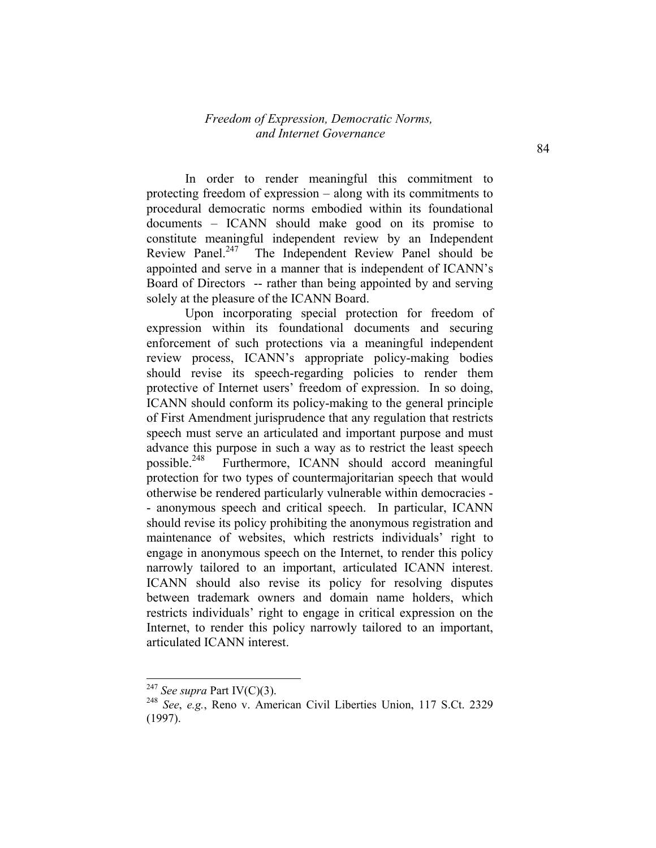In order to render meaningful this commitment to protecting freedom of expression – along with its commitments to procedural democratic norms embodied within its foundational documents – ICANN should make good on its promise to constitute meaningful independent review by an Independent Review Panel.<sup>247</sup> The Independent Review Panel should be appointed and serve in a manner that is independent of ICANN's Board of Directors -- rather than being appointed by and serving solely at the pleasure of the ICANN Board.

Upon incorporating special protection for freedom of expression within its foundational documents and securing enforcement of such protections via a meaningful independent review process, ICANN's appropriate policy-making bodies should revise its speech-regarding policies to render them protective of Internet users' freedom of expression. In so doing, ICANN should conform its policy-making to the general principle of First Amendment jurisprudence that any regulation that restricts speech must serve an articulated and important purpose and must advance this purpose in such a way as to restrict the least speech possible.<sup>248</sup> Furthermore, ICANN should accord meaningful protection for two types of countermajoritarian speech that would otherwise be rendered particularly vulnerable within democracies - - anonymous speech and critical speech. In particular, ICANN should revise its policy prohibiting the anonymous registration and maintenance of websites, which restricts individuals' right to engage in anonymous speech on the Internet, to render this policy narrowly tailored to an important, articulated ICANN interest. ICANN should also revise its policy for resolving disputes between trademark owners and domain name holders, which restricts individuals' right to engage in critical expression on the Internet, to render this policy narrowly tailored to an important, articulated ICANN interest.

<sup>247</sup> *See supra* Part IV(C)(3).

<sup>248</sup> *See*, *e.g.*, Reno v. American Civil Liberties Union, 117 S.Ct. 2329 (1997).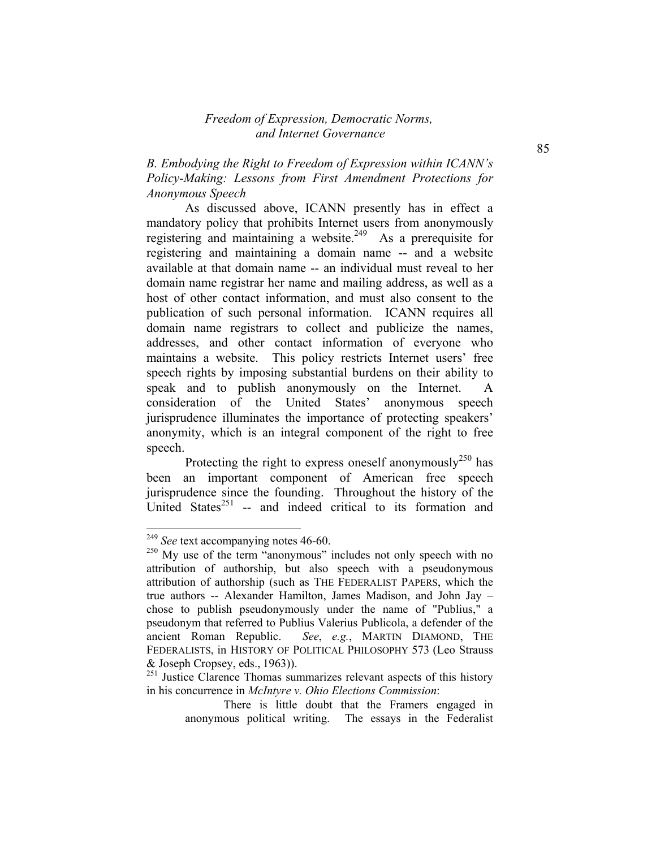*B. Embodying the Right to Freedom of Expression within ICANN's Policy-Making: Lessons from First Amendment Protections for Anonymous Speech* 

As discussed above, ICANN presently has in effect a mandatory policy that prohibits Internet users from anonymously registering and maintaining a website.<sup>249</sup> As a prerequisite for registering and maintaining a domain name -- and a website available at that domain name -- an individual must reveal to her domain name registrar her name and mailing address, as well as a host of other contact information, and must also consent to the publication of such personal information. ICANN requires all domain name registrars to collect and publicize the names, addresses, and other contact information of everyone who maintains a website. This policy restricts Internet users' free speech rights by imposing substantial burdens on their ability to speak and to publish anonymously on the Internet. A consideration of the United States' anonymous speech jurisprudence illuminates the importance of protecting speakers' anonymity, which is an integral component of the right to free speech.

Protecting the right to express oneself anonymously<sup>250</sup> has been an important component of American free speech jurisprudence since the founding. Throughout the history of the United States<sup>251</sup> -- and indeed critical to its formation and

<sup>249</sup> *See* text accompanying notes 46-60.

<sup>&</sup>lt;sup>250</sup> My use of the term "anonymous" includes not only speech with no attribution of authorship, but also speech with a pseudonymous attribution of authorship (such as THE FEDERALIST PAPERS, which the true authors -- Alexander Hamilton, James Madison, and John Jay – chose to publish pseudonymously under the name of "Publius," a pseudonym that referred to Publius Valerius Publicola, a defender of the ancient Roman Republic. *See*, *e.g.*, MARTIN DIAMOND, THE FEDERALISTS, in HISTORY OF POLITICAL PHILOSOPHY 573 (Leo Strauss & Joseph Cropsey, eds., 1963)).

 $^{251}$  Justice Clarence Thomas summarizes relevant aspects of this history in his concurrence in *McIntyre v. Ohio Elections Commission*:

There is little doubt that the Framers engaged in anonymous political writing. The essays in the Federalist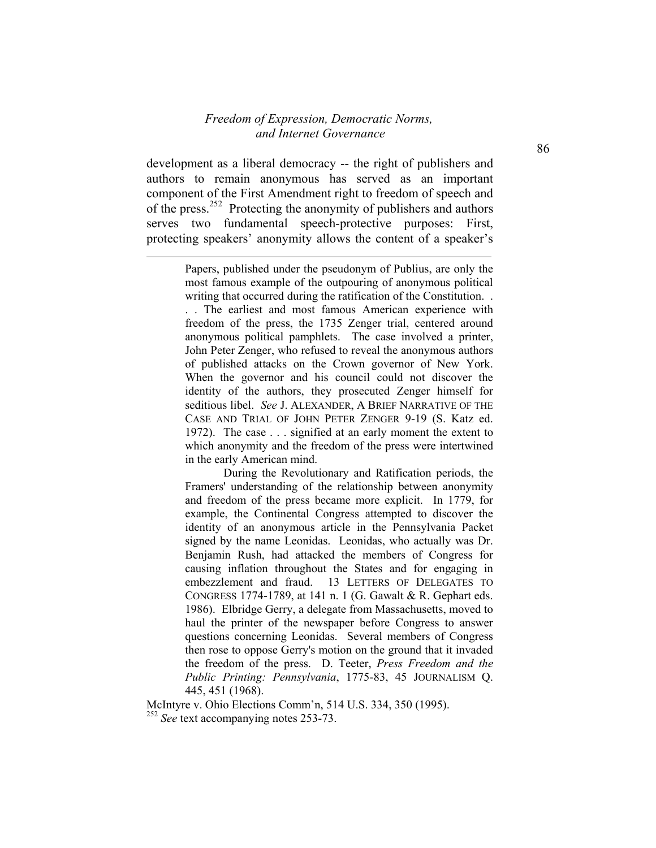development as a liberal democracy -- the right of publishers and authors to remain anonymous has served as an important component of the First Amendment right to freedom of speech and of the press.252 Protecting the anonymity of publishers and authors serves two fundamental speech-protective purposes: First, protecting speakers' anonymity allows the content of a speaker's

l

. . The earliest and most famous American experience with freedom of the press, the 1735 Zenger trial, centered around anonymous political pamphlets. The case involved a printer, John Peter Zenger, who refused to reveal the anonymous authors of published attacks on the Crown governor of New York. When the governor and his council could not discover the identity of the authors, they prosecuted Zenger himself for seditious libel. *See* J. ALEXANDER, A BRIEF NARRATIVE OF THE CASE AND TRIAL OF JOHN PETER ZENGER 9-19 (S. Katz ed. 1972). The case . . . signified at an early moment the extent to which anonymity and the freedom of the press were intertwined in the early American mind.

During the Revolutionary and Ratification periods, the Framers' understanding of the relationship between anonymity and freedom of the press became more explicit. In 1779, for example, the Continental Congress attempted to discover the identity of an anonymous article in the Pennsylvania Packet signed by the name Leonidas. Leonidas, who actually was Dr. Benjamin Rush, had attacked the members of Congress for causing inflation throughout the States and for engaging in embezzlement and fraud. 13 LETTERS OF DELEGATES TO CONGRESS 1774-1789, at 141 n. 1 (G. Gawalt & R. Gephart eds. 1986). Elbridge Gerry, a delegate from Massachusetts, moved to haul the printer of the newspaper before Congress to answer questions concerning Leonidas. Several members of Congress then rose to oppose Gerry's motion on the ground that it invaded the freedom of the press. D. Teeter, *Press Freedom and the Public Printing: Pennsylvania*, 1775-83, 45 JOURNALISM Q. 445, 451 (1968).

McIntyre v. Ohio Elections Comm'n, 514 U.S. 334, 350 (1995). <sup>252</sup> *See* text accompanying notes 253-73.

Papers, published under the pseudonym of Publius, are only the most famous example of the outpouring of anonymous political writing that occurred during the ratification of the Constitution. .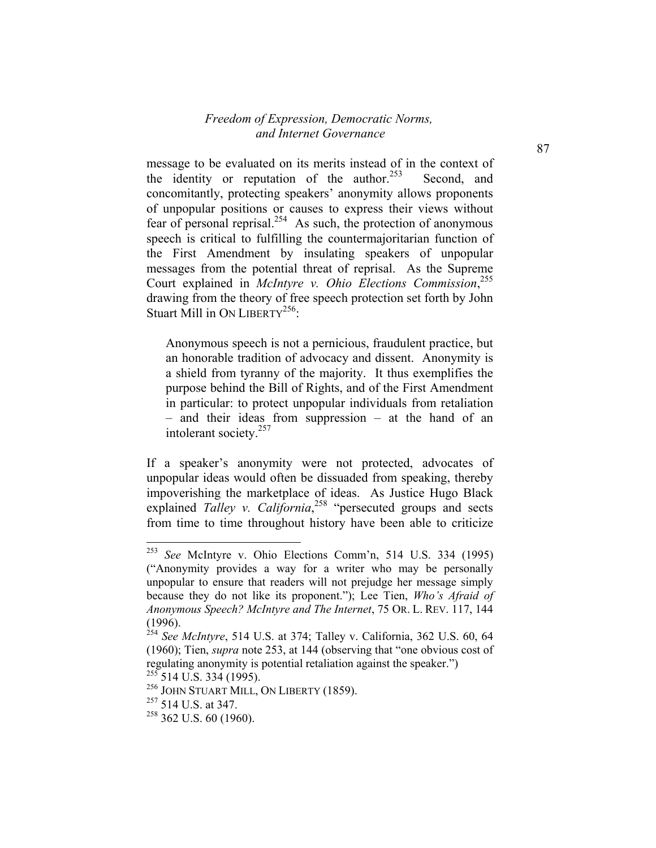message to be evaluated on its merits instead of in the context of the identity or reputation of the author.<sup>253</sup> Second, and concomitantly, protecting speakers' anonymity allows proponents of unpopular positions or causes to express their views without fear of personal reprisal.<sup>254</sup> As such, the protection of anonymous speech is critical to fulfilling the countermajoritarian function of the First Amendment by insulating speakers of unpopular messages from the potential threat of reprisal. As the Supreme Court explained in *McIntyre v. Ohio Elections Commission*, 255 drawing from the theory of free speech protection set forth by John Stuart Mill in ON LIBERTY<sup>256</sup>:

Anonymous speech is not a pernicious, fraudulent practice, but an honorable tradition of advocacy and dissent. Anonymity is a shield from tyranny of the majority. It thus exemplifies the purpose behind the Bill of Rights, and of the First Amendment in particular: to protect unpopular individuals from retaliation – and their ideas from suppression – at the hand of an intolerant society.257

If a speaker's anonymity were not protected, advocates of unpopular ideas would often be dissuaded from speaking, thereby impoverishing the marketplace of ideas. As Justice Hugo Black explained *Talley v. California*<sup>258</sup> "persecuted groups and sects from time to time throughout history have been able to criticize

<sup>253</sup> See McIntyre v. Ohio Elections Comm'n, 514 U.S. 334 (1995) ("Anonymity provides a way for a writer who may be personally unpopular to ensure that readers will not prejudge her message simply because they do not like its proponent."); Lee Tien, *Who's Afraid of Anonymous Speech? McIntyre and The Internet*, 75 OR. L. REV. 117, 144  $(1996)$ 

<sup>254</sup> *See McIntyre*, 514 U.S. at 374; Talley v. California, 362 U.S. 60, 64 (1960); Tien, *supra* note 253, at 144 (observing that "one obvious cost of regulating anonymity is potential retaliation against the speaker.")

 $255$  514 U.S. 334 (1995).

<sup>256</sup> JOHN STUART MILL, ON LIBERTY (1859).

<sup>&</sup>lt;sup>257</sup> 514 U.S. at 347.

 $258$  362 U.S. 60 (1960).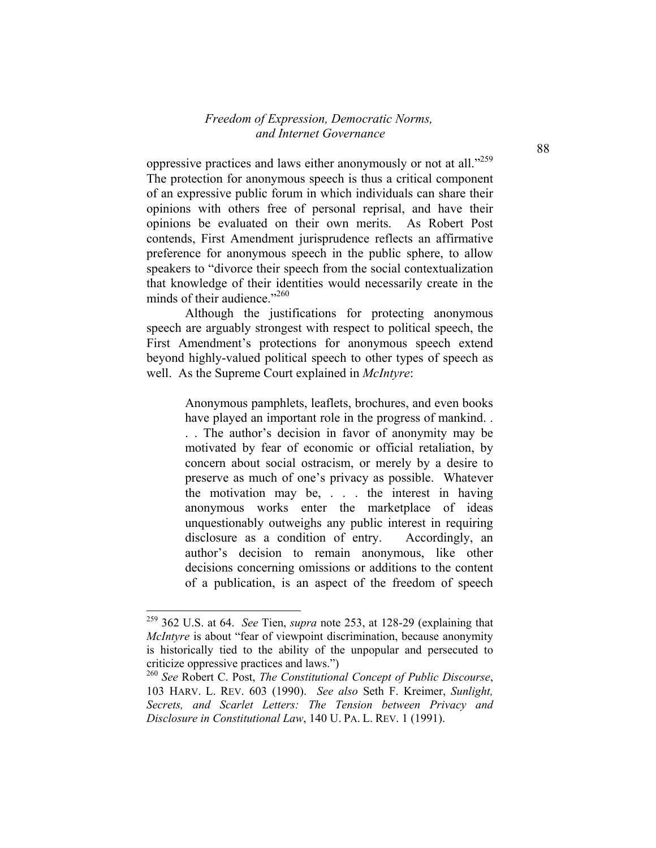oppressive practices and laws either anonymously or not at all."<sup>259</sup> The protection for anonymous speech is thus a critical component of an expressive public forum in which individuals can share their opinions with others free of personal reprisal, and have their opinions be evaluated on their own merits. As Robert Post contends, First Amendment jurisprudence reflects an affirmative preference for anonymous speech in the public sphere, to allow speakers to "divorce their speech from the social contextualization that knowledge of their identities would necessarily create in the minds of their audience."260

Although the justifications for protecting anonymous speech are arguably strongest with respect to political speech, the First Amendment's protections for anonymous speech extend beyond highly-valued political speech to other types of speech as well. As the Supreme Court explained in *McIntyre*:

> Anonymous pamphlets, leaflets, brochures, and even books have played an important role in the progress of mankind. .

> . . The author's decision in favor of anonymity may be motivated by fear of economic or official retaliation, by concern about social ostracism, or merely by a desire to preserve as much of one's privacy as possible. Whatever the motivation may be, . . . the interest in having anonymous works enter the marketplace of ideas unquestionably outweighs any public interest in requiring disclosure as a condition of entry. Accordingly, an author's decision to remain anonymous, like other decisions concerning omissions or additions to the content of a publication, is an aspect of the freedom of speech

<sup>259 362</sup> U.S. at 64. *See* Tien, *supra* note 253, at 128-29 (explaining that *McIntyre* is about "fear of viewpoint discrimination, because anonymity is historically tied to the ability of the unpopular and persecuted to criticize oppressive practices and laws.")

<sup>260</sup> *See* Robert C. Post, *The Constitutional Concept of Public Discourse*, 103 HARV. L. REV. 603 (1990). *See also* Seth F. Kreimer, *Sunlight, Secrets, and Scarlet Letters: The Tension between Privacy and Disclosure in Constitutional Law*, 140 U. PA. L. REV. 1 (1991).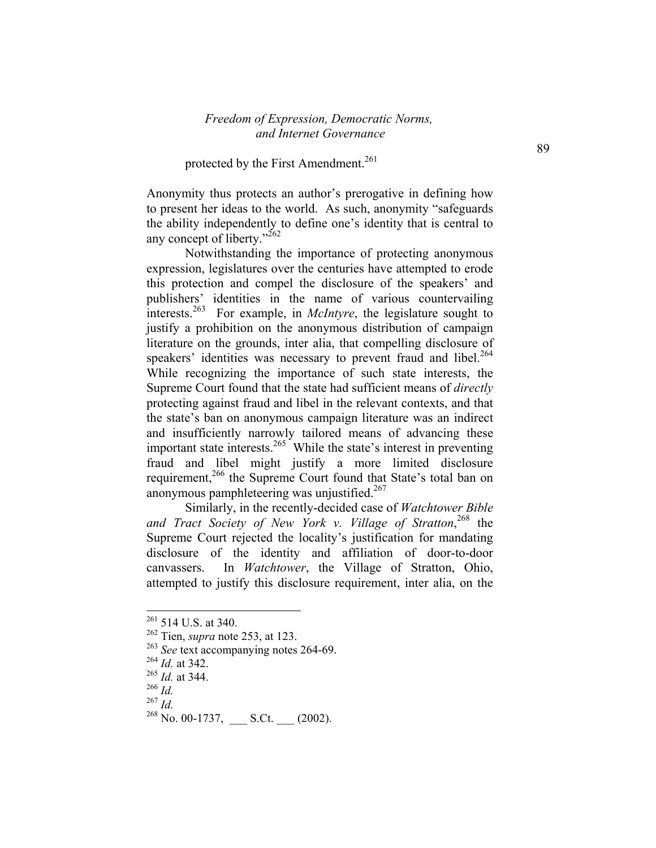#### protected by the First Amendment.<sup>261</sup>

Anonymity thus protects an author's prerogative in defining how to present her ideas to the world. As such, anonymity "safeguards the ability independently to define one's identity that is central to any concept of liberty."<sup>262</sup>

 Notwithstanding the importance of protecting anonymous expression, legislatures over the centuries have attempted to erode this protection and compel the disclosure of the speakers' and publishers' identities in the name of various countervailing interests.<sup>263</sup> For example, in *McIntyre*, the legislature sought to justify a prohibition on the anonymous distribution of campaign literature on the grounds, inter alia, that compelling disclosure of speakers' identities was necessary to prevent fraud and libel.<sup>264</sup> While recognizing the importance of such state interests, the Supreme Court found that the state had sufficient means of *directly* protecting against fraud and libel in the relevant contexts, and that the state's ban on anonymous campaign literature was an indirect and insufficiently narrowly tailored means of advancing these important state interests.<sup>265</sup> While the state's interest in preventing fraud and libel might justify a more limited disclosure requirement,<sup>266</sup> the Supreme Court found that State's total ban on anonymous pamphleteering was unjustified.<sup>267</sup>

Similarly, in the recently-decided case of *Watchtower Bible and Tract Society of New York v. Village of Stratton*, 268 the Supreme Court rejected the locality's justification for mandating disclosure of the identity and affiliation of door-to-door canvassers. In *Watchtower*, the Village of Stratton, Ohio, attempted to justify this disclosure requirement, inter alia, on the

 $261$  514 U.S. at 340.

<sup>262</sup> Tien, *supra* note 253, at 123.

<sup>&</sup>lt;sup>263</sup> See text accompanying notes 264-69.

<sup>264</sup> *Id.* at 342.

<sup>265</sup> *Id.* at 344.

 $\frac{^{266}}{^{267}}$  *Id.* 

<sup>&</sup>lt;sup>268</sup> No. 00-1737, \_\_\_\_ S.Ct. \_\_\_ (2002).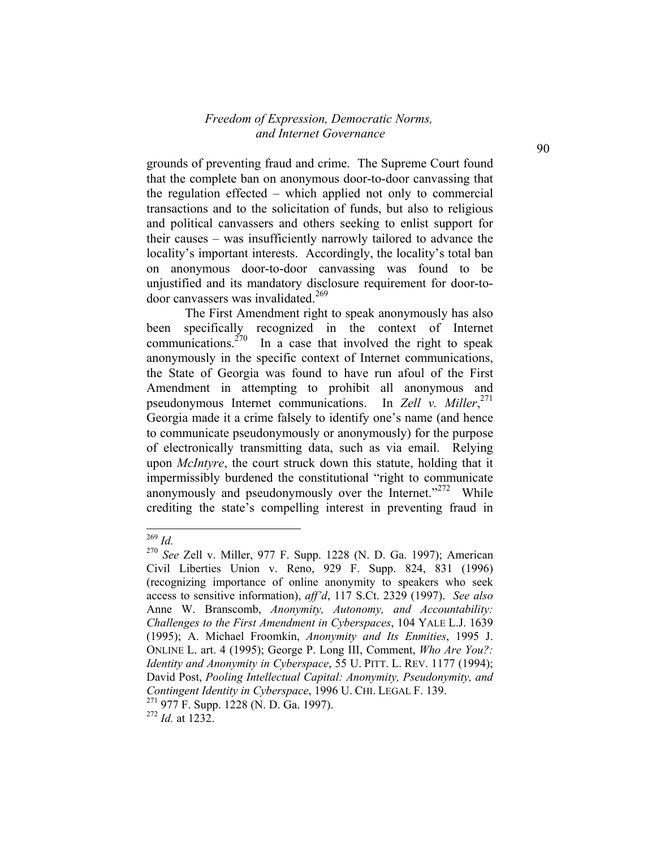grounds of preventing fraud and crime. The Supreme Court found that the complete ban on anonymous door-to-door canvassing that the regulation effected – which applied not only to commercial transactions and to the solicitation of funds, but also to religious and political canvassers and others seeking to enlist support for their causes – was insufficiently narrowly tailored to advance the locality's important interests. Accordingly, the locality's total ban on anonymous door-to-door canvassing was found to be unjustified and its mandatory disclosure requirement for door-todoor canvassers was invalidated.<sup>269</sup>

The First Amendment right to speak anonymously has also been specifically recognized in the context of Internet communications.<sup> $270$ </sup> In a case that involved the right to speak anonymously in the specific context of Internet communications, the State of Georgia was found to have run afoul of the First Amendment in attempting to prohibit all anonymous and pseudonymous Internet communications. In *Zell v. Miller*, 271 Georgia made it a crime falsely to identify one's name (and hence to communicate pseudonymously or anonymously) for the purpose of electronically transmitting data, such as via email. Relying upon *McIntyre*, the court struck down this statute, holding that it impermissibly burdened the constitutional "right to communicate anonymously and pseudonymously over the Internet."<sup>272</sup> While crediting the state's compelling interest in preventing fraud in

-

<sup>269</sup> *Id.*

<sup>270</sup> *See* Zell v. Miller, 977 F. Supp. 1228 (N. D. Ga. 1997); American Civil Liberties Union v. Reno, 929 F. Supp. 824, 831 (1996) (recognizing importance of online anonymity to speakers who seek access to sensitive information), *aff'd*, 117 S.Ct. 2329 (1997). *See also* Anne W. Branscomb, *Anonymity, Autonomy, and Accountability: Challenges to the First Amendment in Cyberspaces*, 104 YALE L.J. 1639 (1995); A. Michael Froomkin, *Anonymity and Its Enmities*, 1995 J. ONLINE L. art. 4 (1995); George P. Long III, Comment, *Who Are You?: Identity and Anonymity in Cyberspace*, 55 U. PITT. L. REV. 1177 (1994); David Post, *Pooling Intellectual Capital: Anonymity, Pseudonymity, and Contingent Identity in Cyberspace*, 1996 U. CHI. LEGAL F. 139. 271 977 F. Supp. 1228 (N. D. Ga. 1997).

<sup>272</sup> *Id.* at 1232.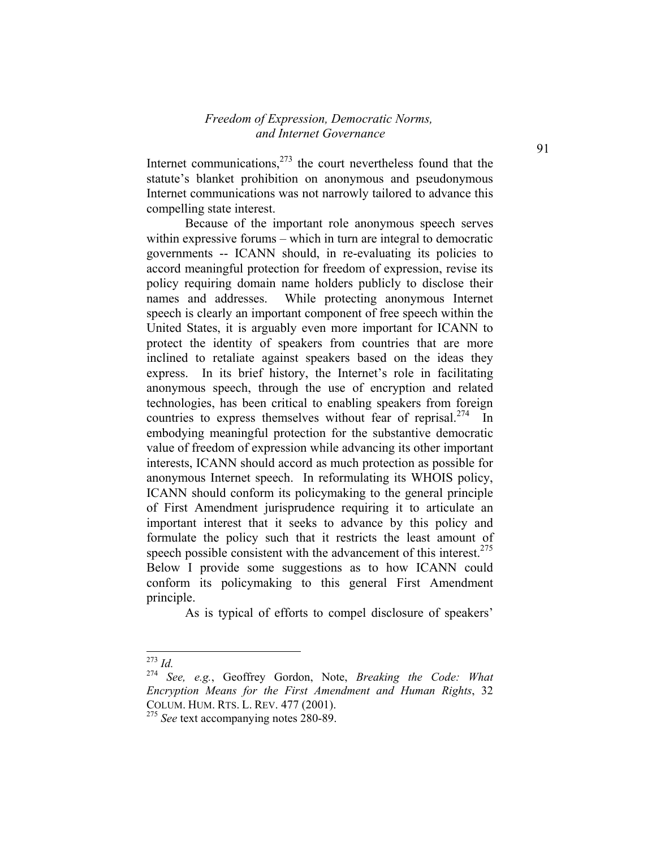Internet communications, $2^{73}$  the court nevertheless found that the statute's blanket prohibition on anonymous and pseudonymous Internet communications was not narrowly tailored to advance this compelling state interest.

 Because of the important role anonymous speech serves within expressive forums – which in turn are integral to democratic governments -- ICANN should, in re-evaluating its policies to accord meaningful protection for freedom of expression, revise its policy requiring domain name holders publicly to disclose their names and addresses. While protecting anonymous Internet speech is clearly an important component of free speech within the United States, it is arguably even more important for ICANN to protect the identity of speakers from countries that are more inclined to retaliate against speakers based on the ideas they express. In its brief history, the Internet's role in facilitating anonymous speech, through the use of encryption and related technologies, has been critical to enabling speakers from foreign countries to express themselves without fear of reprisal.<sup>274</sup> In embodying meaningful protection for the substantive democratic value of freedom of expression while advancing its other important interests, ICANN should accord as much protection as possible for anonymous Internet speech. In reformulating its WHOIS policy, ICANN should conform its policymaking to the general principle of First Amendment jurisprudence requiring it to articulate an important interest that it seeks to advance by this policy and formulate the policy such that it restricts the least amount of speech possible consistent with the advancement of this interest.<sup>275</sup> Below I provide some suggestions as to how ICANN could conform its policymaking to this general First Amendment principle.

As is typical of efforts to compel disclosure of speakers'

<sup>273</sup> *Id.*

<sup>274</sup> *See, e.g.*, Geoffrey Gordon, Note, *Breaking the Code: What Encryption Means for the First Amendment and Human Rights*, 32 COLUM. HUM. RTS. L. REV. 477 (2001).

<sup>&</sup>lt;sup>275</sup> See text accompanying notes 280-89.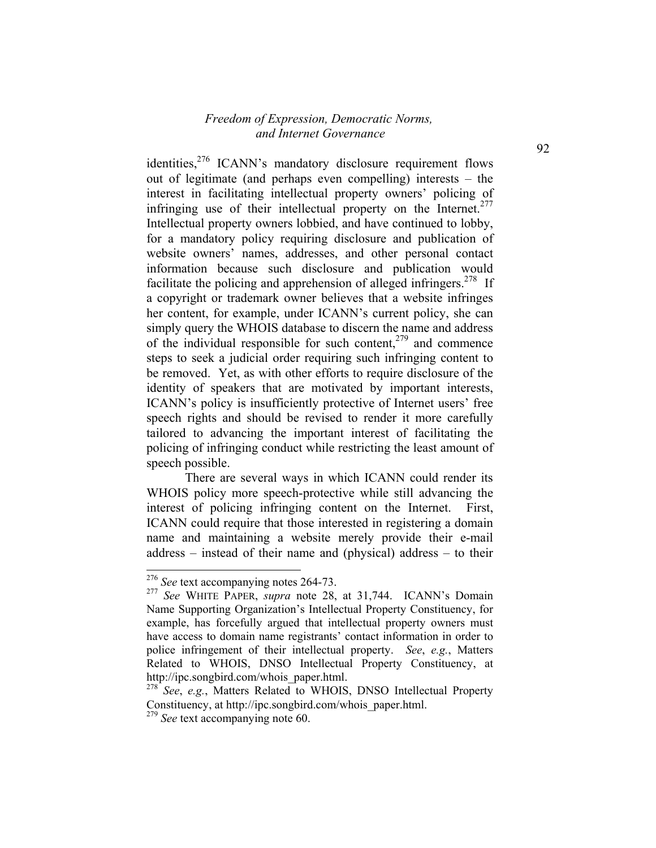identities, $276$  ICANN's mandatory disclosure requirement flows out of legitimate (and perhaps even compelling) interests – the interest in facilitating intellectual property owners' policing of infringing use of their intellectual property on the Internet. $277$ Intellectual property owners lobbied, and have continued to lobby, for a mandatory policy requiring disclosure and publication of website owners' names, addresses, and other personal contact information because such disclosure and publication would facilitate the policing and apprehension of alleged infringers.<sup>278</sup> If a copyright or trademark owner believes that a website infringes her content, for example, under ICANN's current policy, she can simply query the WHOIS database to discern the name and address of the individual responsible for such content, $279$  and commence steps to seek a judicial order requiring such infringing content to be removed. Yet, as with other efforts to require disclosure of the identity of speakers that are motivated by important interests, ICANN's policy is insufficiently protective of Internet users' free speech rights and should be revised to render it more carefully tailored to advancing the important interest of facilitating the policing of infringing conduct while restricting the least amount of speech possible.

 There are several ways in which ICANN could render its WHOIS policy more speech-protective while still advancing the interest of policing infringing content on the Internet. First, ICANN could require that those interested in registering a domain name and maintaining a website merely provide their e-mail address – instead of their name and (physical) address – to their

1

<sup>276</sup> *See* text accompanying notes 264-73.

<sup>277</sup> *See* WHITE PAPER, *supra* note 28, at 31,744. ICANN's Domain Name Supporting Organization's Intellectual Property Constituency, for example, has forcefully argued that intellectual property owners must have access to domain name registrants' contact information in order to police infringement of their intellectual property. *See*, *e.g.*, Matters Related to WHOIS, DNSO Intellectual Property Constituency, at http://ipc.songbird.com/whois\_paper.html.

<sup>278</sup> *See*, *e.g.*, Matters Related to WHOIS, DNSO Intellectual Property Constituency, at http://ipc.songbird.com/whois\_paper.html.

<sup>279</sup> *See* text accompanying note 60.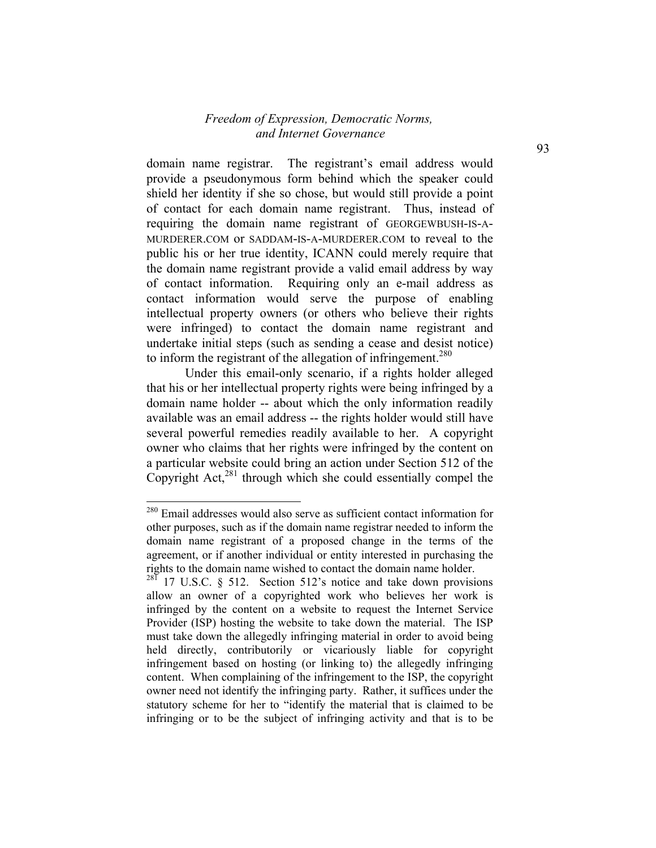domain name registrar. The registrant's email address would provide a pseudonymous form behind which the speaker could shield her identity if she so chose, but would still provide a point of contact for each domain name registrant. Thus, instead of requiring the domain name registrant of GEORGEWBUSH-IS-A-MURDERER.COM or SADDAM-IS-A-MURDERER.COM to reveal to the public his or her true identity, ICANN could merely require that the domain name registrant provide a valid email address by way of contact information. Requiring only an e-mail address as contact information would serve the purpose of enabling intellectual property owners (or others who believe their rights were infringed) to contact the domain name registrant and undertake initial steps (such as sending a cease and desist notice) to inform the registrant of the allegation of infringement.<sup>280</sup>

 Under this email-only scenario, if a rights holder alleged that his or her intellectual property rights were being infringed by a domain name holder -- about which the only information readily available was an email address -- the rights holder would still have several powerful remedies readily available to her. A copyright owner who claims that her rights were infringed by the content on a particular website could bring an action under Section 512 of the Copyright Act, $^{281}$  through which she could essentially compel the

<sup>&</sup>lt;sup>280</sup> Email addresses would also serve as sufficient contact information for other purposes, such as if the domain name registrar needed to inform the domain name registrant of a proposed change in the terms of the agreement, or if another individual or entity interested in purchasing the rights to the domain name wished to contact the domain name holder.

 $^{28\overline{1}}$  17 U.S.C. § 512. Section 512's notice and take down provisions allow an owner of a copyrighted work who believes her work is infringed by the content on a website to request the Internet Service Provider (ISP) hosting the website to take down the material. The ISP must take down the allegedly infringing material in order to avoid being held directly, contributorily or vicariously liable for copyright infringement based on hosting (or linking to) the allegedly infringing content. When complaining of the infringement to the ISP, the copyright owner need not identify the infringing party. Rather, it suffices under the statutory scheme for her to "identify the material that is claimed to be infringing or to be the subject of infringing activity and that is to be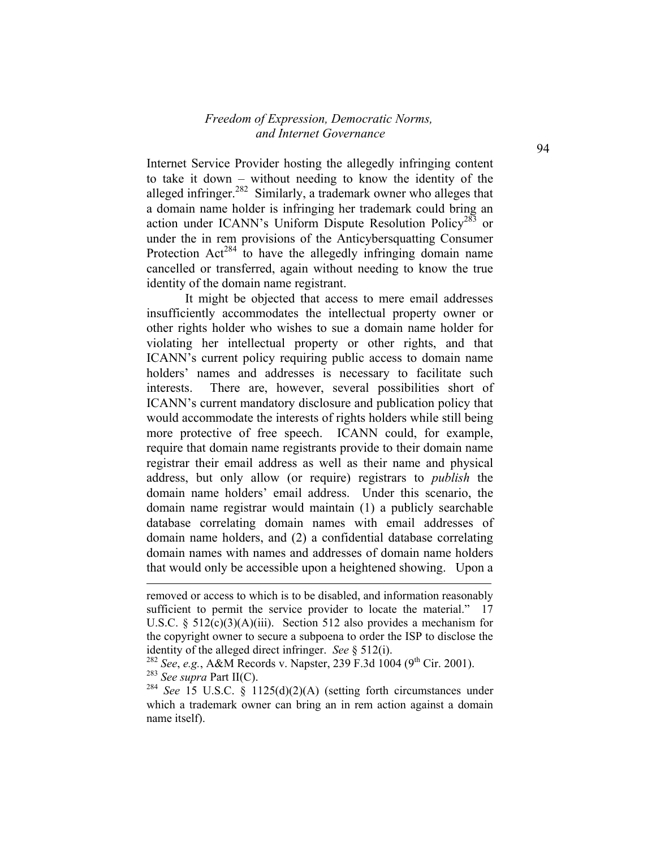Internet Service Provider hosting the allegedly infringing content to take it down – without needing to know the identity of the alleged infringer.<sup>282</sup> Similarly, a trademark owner who alleges that a domain name holder is infringing her trademark could bring an action under ICANN's Uniform Dispute Resolution Policy<sup>283</sup> or under the in rem provisions of the Anticybersquatting Consumer Protection  $Act^{284}$  to have the allegedly infringing domain name cancelled or transferred, again without needing to know the true identity of the domain name registrant.

 It might be objected that access to mere email addresses insufficiently accommodates the intellectual property owner or other rights holder who wishes to sue a domain name holder for violating her intellectual property or other rights, and that ICANN's current policy requiring public access to domain name holders' names and addresses is necessary to facilitate such interests. There are, however, several possibilities short of ICANN's current mandatory disclosure and publication policy that would accommodate the interests of rights holders while still being more protective of free speech. ICANN could, for example, require that domain name registrants provide to their domain name registrar their email address as well as their name and physical address, but only allow (or require) registrars to *publish* the domain name holders' email address. Under this scenario, the domain name registrar would maintain (1) a publicly searchable database correlating domain names with email addresses of domain name holders, and (2) a confidential database correlating domain names with names and addresses of domain name holders that would only be accessible upon a heightened showing. Upon a

l

removed or access to which is to be disabled, and information reasonably sufficient to permit the service provider to locate the material." 17 U.S.C. §  $512(c)(3)(A)(iii)$ . Section 512 also provides a mechanism for the copyright owner to secure a subpoena to order the ISP to disclose the identity of the alleged direct infringer. *See* § 512(i).

<sup>&</sup>lt;sup>282</sup> *See*, *e.g.*, A&M Records v. Napster, 239 F.3d 1004 (9<sup>th</sup> Cir. 2001). <sup>283</sup> *See supra* Part II(C).

<sup>&</sup>lt;sup>284</sup> *See* 15 U.S.C. § 1125(d)(2)(A) (setting forth circumstances under which a trademark owner can bring an in rem action against a domain name itself).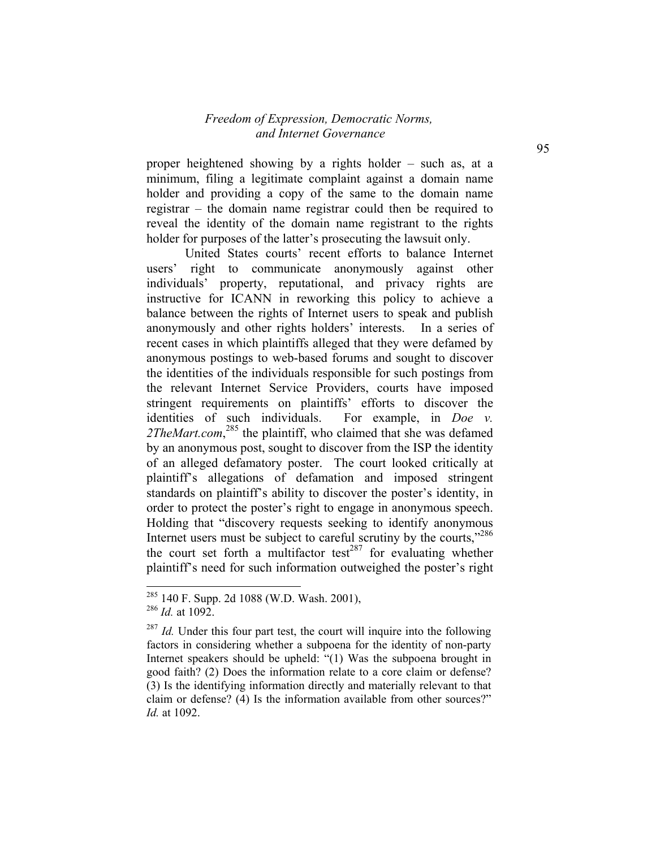proper heightened showing by a rights holder – such as, at a minimum, filing a legitimate complaint against a domain name holder and providing a copy of the same to the domain name registrar – the domain name registrar could then be required to reveal the identity of the domain name registrant to the rights holder for purposes of the latter's prosecuting the lawsuit only.

 United States courts' recent efforts to balance Internet users' right to communicate anonymously against other individuals' property, reputational, and privacy rights are instructive for ICANN in reworking this policy to achieve a balance between the rights of Internet users to speak and publish anonymously and other rights holders' interests. In a series of recent cases in which plaintiffs alleged that they were defamed by anonymous postings to web-based forums and sought to discover the identities of the individuals responsible for such postings from the relevant Internet Service Providers, courts have imposed stringent requirements on plaintiffs' efforts to discover the identities of such individuals. For example, in *Doe v.*  2TheMart.com,<sup>285</sup> the plaintiff, who claimed that she was defamed by an anonymous post, sought to discover from the ISP the identity of an alleged defamatory poster. The court looked critically at plaintiff's allegations of defamation and imposed stringent standards on plaintiff's ability to discover the poster's identity, in order to protect the poster's right to engage in anonymous speech. Holding that "discovery requests seeking to identify anonymous Internet users must be subject to careful scrutiny by the courts,"<sup>286</sup> the court set forth a multifactor test<sup>287</sup> for evaluating whether plaintiff's need for such information outweighed the poster's right

 $285$  140 F. Supp. 2d 1088 (W.D. Wash. 2001),

<sup>286</sup> *Id.* at 1092.

<sup>&</sup>lt;sup>287</sup> *Id.* Under this four part test, the court will inquire into the following factors in considering whether a subpoena for the identity of non-party Internet speakers should be upheld: "(1) Was the subpoena brought in good faith? (2) Does the information relate to a core claim or defense? (3) Is the identifying information directly and materially relevant to that claim or defense? (4) Is the information available from other sources?" *Id.* at 1092.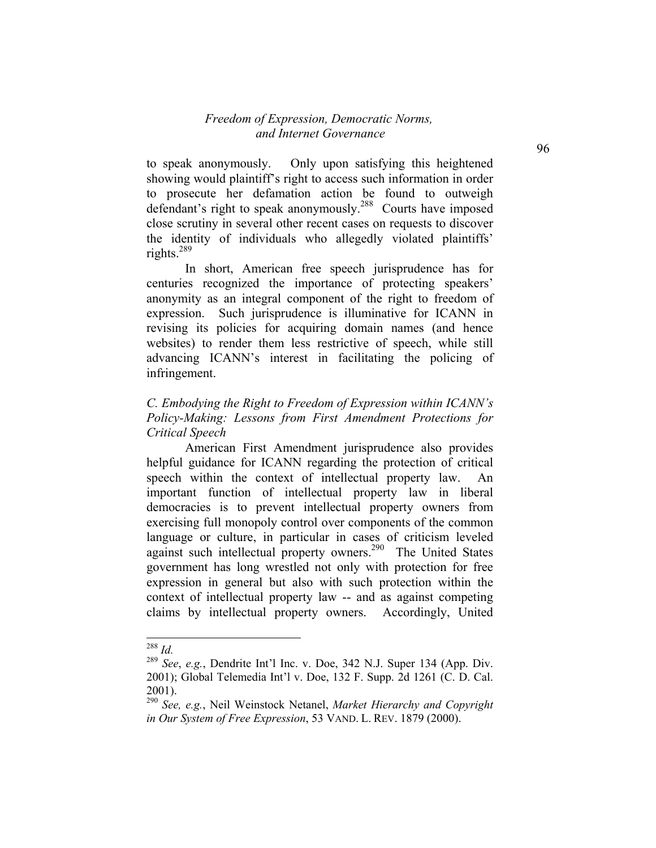to speak anonymously. Only upon satisfying this heightened showing would plaintiff's right to access such information in order to prosecute her defamation action be found to outweigh defendant's right to speak anonymously.<sup>288</sup> Courts have imposed close scrutiny in several other recent cases on requests to discover the identity of individuals who allegedly violated plaintiffs' rights. $^{289}$ 

 In short, American free speech jurisprudence has for centuries recognized the importance of protecting speakers' anonymity as an integral component of the right to freedom of expression. Such jurisprudence is illuminative for ICANN in revising its policies for acquiring domain names (and hence websites) to render them less restrictive of speech, while still advancing ICANN's interest in facilitating the policing of infringement.

# *C. Embodying the Right to Freedom of Expression within ICANN's Policy-Making: Lessons from First Amendment Protections for Critical Speech*

 American First Amendment jurisprudence also provides helpful guidance for ICANN regarding the protection of critical speech within the context of intellectual property law. An important function of intellectual property law in liberal democracies is to prevent intellectual property owners from exercising full monopoly control over components of the common language or culture, in particular in cases of criticism leveled against such intellectual property owners.<sup>290</sup> The United States government has long wrestled not only with protection for free expression in general but also with such protection within the context of intellectual property law -- and as against competing claims by intellectual property owners. Accordingly, United

<sup>288</sup> *Id.*

<sup>289</sup> *See*, *e.g.*, Dendrite Int'l Inc. v. Doe, 342 N.J. Super 134 (App. Div. 2001); Global Telemedia Int'l v. Doe, 132 F. Supp. 2d 1261 (C. D. Cal. 2001).

<sup>290</sup> *See, e.g.*, Neil Weinstock Netanel, *Market Hierarchy and Copyright in Our System of Free Expression*, 53 VAND. L. REV. 1879 (2000).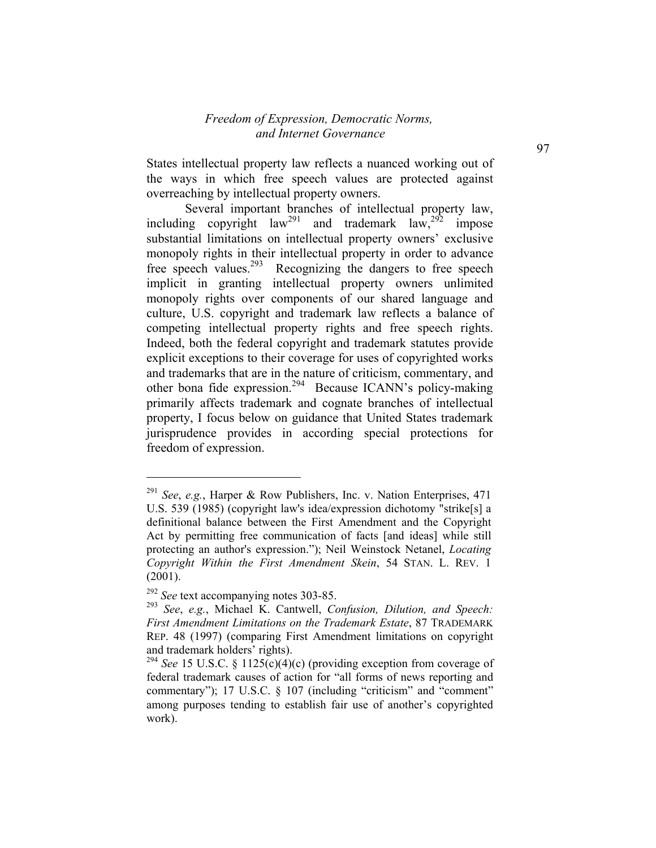States intellectual property law reflects a nuanced working out of the ways in which free speech values are protected against overreaching by intellectual property owners.

 Several important branches of intellectual property law, including copyright law<sup>291</sup> and trademark  $\frac{1}{2}$  and  $\frac{1}{2}$  impose substantial limitations on intellectual property owners' exclusive monopoly rights in their intellectual property in order to advance free speech values.293 Recognizing the dangers to free speech implicit in granting intellectual property owners unlimited monopoly rights over components of our shared language and culture, U.S. copyright and trademark law reflects a balance of competing intellectual property rights and free speech rights. Indeed, both the federal copyright and trademark statutes provide explicit exceptions to their coverage for uses of copyrighted works and trademarks that are in the nature of criticism, commentary, and other bona fide expression.294 Because ICANN's policy-making primarily affects trademark and cognate branches of intellectual property, I focus below on guidance that United States trademark jurisprudence provides in according special protections for freedom of expression.

<sup>291</sup> *See*, *e.g.*, Harper & Row Publishers, Inc. v. Nation Enterprises, 471 U.S. 539 (1985) (copyright law's idea/expression dichotomy "strike[s] a definitional balance between the First Amendment and the Copyright Act by permitting free communication of facts [and ideas] while still protecting an author's expression."); Neil Weinstock Netanel, *Locating Copyright Within the First Amendment Skein*, 54 STAN. L. REV. 1 (2001).

<sup>292</sup> *See* text accompanying notes 303-85.

<sup>293</sup> *See*, *e.g.*, Michael K. Cantwell, *Confusion, Dilution, and Speech: First Amendment Limitations on the Trademark Estate*, 87 TRADEMARK REP. 48 (1997) (comparing First Amendment limitations on copyright and trademark holders' rights).

<sup>&</sup>lt;sup>294</sup> *See* 15 U.S.C. § 1125(c)(4)(c) (providing exception from coverage of federal trademark causes of action for "all forms of news reporting and commentary"); 17 U.S.C. § 107 (including "criticism" and "comment" among purposes tending to establish fair use of another's copyrighted work).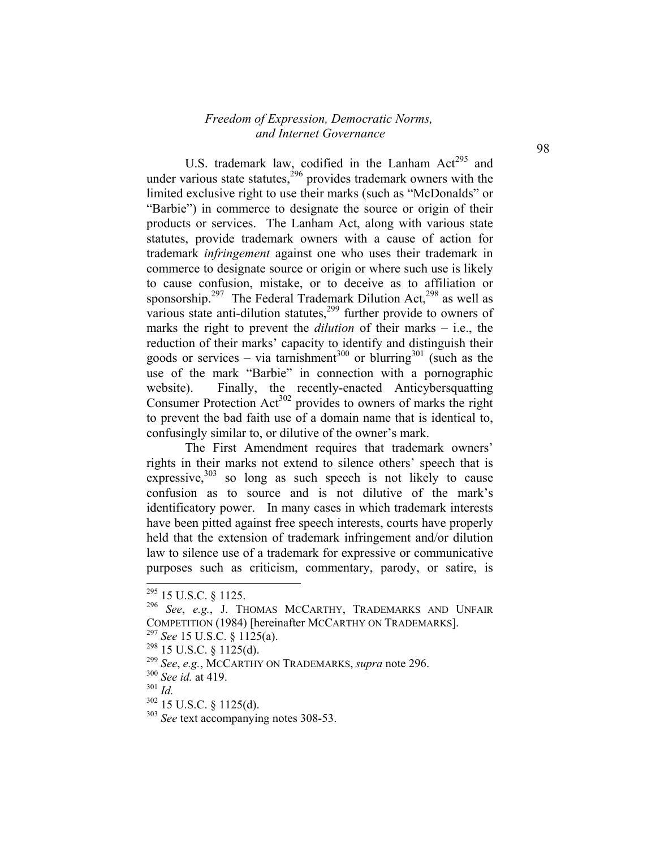U.S. trademark law, codified in the Lanham  $Act^{295}$  and under various state statutes,  $296$  provides trademark owners with the limited exclusive right to use their marks (such as "McDonalds" or "Barbie") in commerce to designate the source or origin of their products or services. The Lanham Act, along with various state statutes, provide trademark owners with a cause of action for trademark *infringement* against one who uses their trademark in commerce to designate source or origin or where such use is likely to cause confusion, mistake, or to deceive as to affiliation or sponsorship.<sup>297</sup> The Federal Trademark Dilution Act,<sup>298</sup> as well as various state anti-dilution statutes,<sup>299</sup> further provide to owners of marks the right to prevent the *dilution* of their marks – i.e., the reduction of their marks' capacity to identify and distinguish their goods or services – via tarnishment<sup>300</sup> or blurring<sup>301</sup> (such as the use of the mark "Barbie" in connection with a pornographic website). Finally, the recently-enacted Anticybersquatting Consumer Protection  $Act^{302}$  provides to owners of marks the right to prevent the bad faith use of a domain name that is identical to, confusingly similar to, or dilutive of the owner's mark.

The First Amendment requires that trademark owners' rights in their marks not extend to silence others' speech that is expressive, $303$  so long as such speech is not likely to cause confusion as to source and is not dilutive of the mark's identificatory power. In many cases in which trademark interests have been pitted against free speech interests, courts have properly held that the extension of trademark infringement and/or dilution law to silence use of a trademark for expressive or communicative purposes such as criticism, commentary, parody, or satire, is

 $295$  15 U.S.C. § 1125.

<sup>296</sup> *See*, *e.g.*, J. THOMAS MCCARTHY, TRADEMARKS AND UNFAIR COMPETITION (1984) [hereinafter MCCARTHY ON TRADEMARKS].

<sup>297</sup> *See* 15 U.S.C. § 1125(a).

 $298$  15 U.S.C. § 1125(d).

<sup>299</sup> *See*, *e.g.*, MCCARTHY ON TRADEMARKS, *supra* note 296.

<sup>300</sup> *See id.* at 419.

 $301$  *Id.* 

<sup>302 15</sup> U.S.C. § 1125(d).

<sup>303</sup> *See* text accompanying notes 308-53.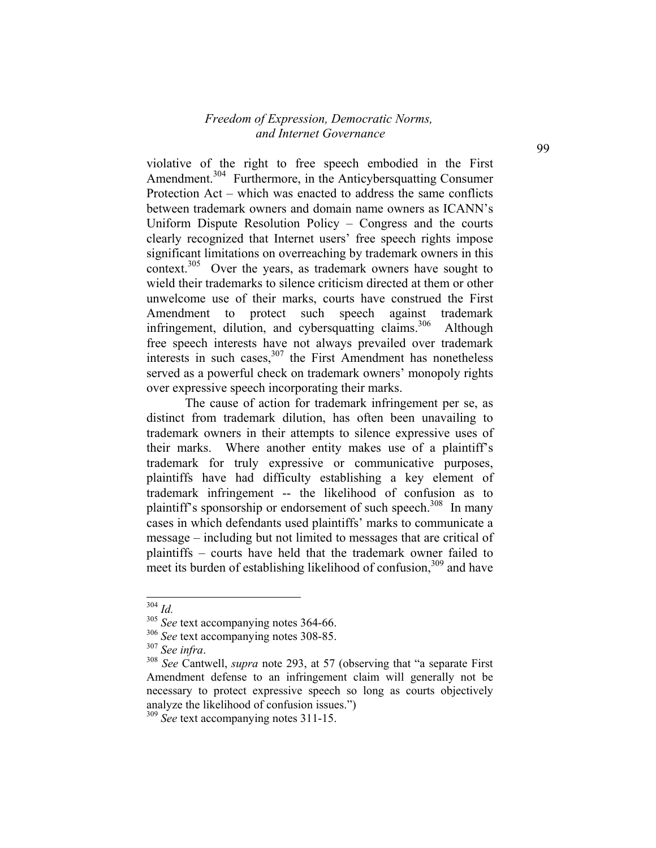violative of the right to free speech embodied in the First Amendment.<sup>304</sup> Furthermore, in the Anticybersquatting Consumer Protection Act – which was enacted to address the same conflicts between trademark owners and domain name owners as ICANN's Uniform Dispute Resolution Policy – Congress and the courts clearly recognized that Internet users' free speech rights impose significant limitations on overreaching by trademark owners in this context.<sup>305</sup> Over the years, as trademark owners have sought to wield their trademarks to silence criticism directed at them or other unwelcome use of their marks, courts have construed the First Amendment to protect such speech against trademark infringement, dilution, and cybersquatting claims.<sup>306</sup> Although free speech interests have not always prevailed over trademark interests in such cases, $307$  the First Amendment has nonetheless served as a powerful check on trademark owners' monopoly rights over expressive speech incorporating their marks.

The cause of action for trademark infringement per se, as distinct from trademark dilution, has often been unavailing to trademark owners in their attempts to silence expressive uses of their marks. Where another entity makes use of a plaintiff's trademark for truly expressive or communicative purposes, plaintiffs have had difficulty establishing a key element of trademark infringement -- the likelihood of confusion as to plaintiff's sponsorship or endorsement of such speech.<sup>308</sup> In many cases in which defendants used plaintiffs' marks to communicate a message – including but not limited to messages that are critical of plaintiffs – courts have held that the trademark owner failed to meet its burden of establishing likelihood of confusion,  $309$  and have

-

<sup>304</sup> *Id.*

<sup>&</sup>lt;sup>305</sup> See text accompanying notes 364-66.

<sup>&</sup>lt;sup>306</sup> *See* text accompanying notes 308-85.<br><sup>307</sup> *See infra*.

<sup>&</sup>lt;sup>308</sup> *See* Cantwell, *supra* note 293, at 57 (observing that "a separate First Amendment defense to an infringement claim will generally not be necessary to protect expressive speech so long as courts objectively analyze the likelihood of confusion issues.")

<sup>309</sup> *See* text accompanying notes 311-15.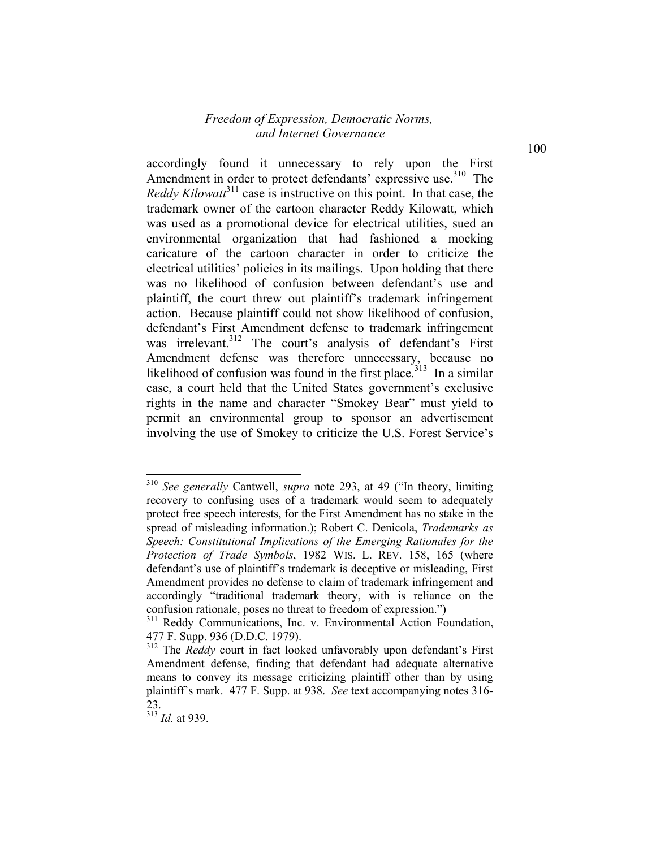accordingly found it unnecessary to rely upon the First Amendment in order to protect defendants' expressive use.<sup>310</sup> The *Reddy Kilowatt*<sup>311</sup> case is instructive on this point. In that case, the trademark owner of the cartoon character Reddy Kilowatt, which was used as a promotional device for electrical utilities, sued an environmental organization that had fashioned a mocking caricature of the cartoon character in order to criticize the electrical utilities' policies in its mailings. Upon holding that there was no likelihood of confusion between defendant's use and plaintiff, the court threw out plaintiff's trademark infringement action. Because plaintiff could not show likelihood of confusion, defendant's First Amendment defense to trademark infringement was irrelevant.<sup>312</sup> The court's analysis of defendant's First Amendment defense was therefore unnecessary, because no likelihood of confusion was found in the first place.<sup> $313$ </sup> In a similar case, a court held that the United States government's exclusive rights in the name and character "Smokey Bear" must yield to permit an environmental group to sponsor an advertisement involving the use of Smokey to criticize the U.S. Forest Service's

<sup>313</sup> *Id.* at 939.

-

<sup>310</sup> *See generally* Cantwell, *supra* note 293, at 49 ("In theory, limiting recovery to confusing uses of a trademark would seem to adequately protect free speech interests, for the First Amendment has no stake in the spread of misleading information.); Robert C. Denicola, *Trademarks as Speech: Constitutional Implications of the Emerging Rationales for the Protection of Trade Symbols*, 1982 WIS. L. REV. 158, 165 (where defendant's use of plaintiff's trademark is deceptive or misleading, First Amendment provides no defense to claim of trademark infringement and accordingly "traditional trademark theory, with is reliance on the confusion rationale, poses no threat to freedom of expression.")

<sup>&</sup>lt;sup>311</sup> Reddy Communications, Inc. v. Environmental Action Foundation, 477 F. Supp. 936 (D.D.C. 1979).

<sup>&</sup>lt;sup>312</sup> The *Reddy* court in fact looked unfavorably upon defendant's First Amendment defense, finding that defendant had adequate alternative means to convey its message criticizing plaintiff other than by using plaintiff's mark. 477 F. Supp. at 938. *See* text accompanying notes 316- 23.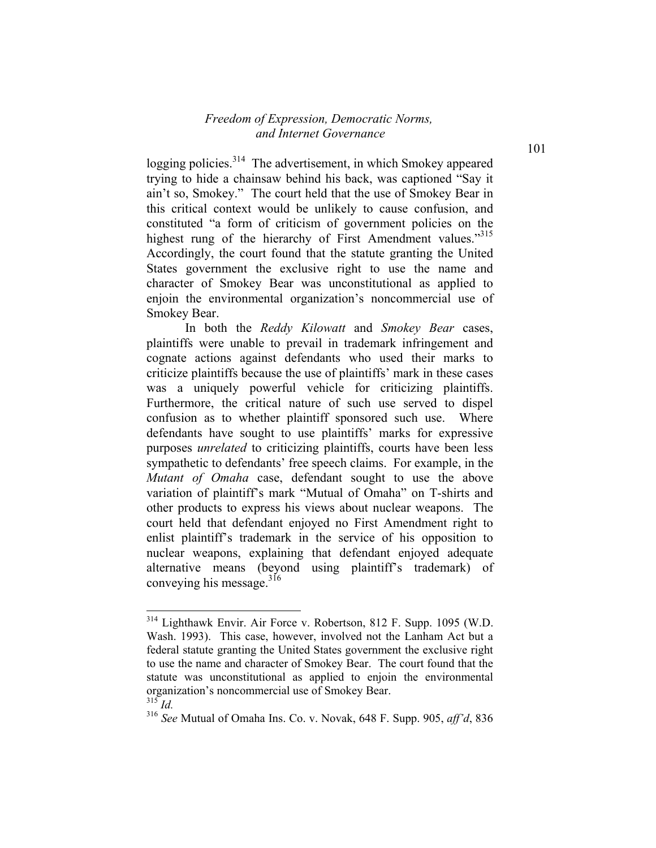logging policies.<sup>314</sup> The advertisement, in which Smokey appeared trying to hide a chainsaw behind his back, was captioned "Say it ain't so, Smokey." The court held that the use of Smokey Bear in this critical context would be unlikely to cause confusion, and constituted "a form of criticism of government policies on the highest rung of the hierarchy of First Amendment values."<sup>315</sup> Accordingly, the court found that the statute granting the United States government the exclusive right to use the name and character of Smokey Bear was unconstitutional as applied to enjoin the environmental organization's noncommercial use of Smokey Bear.

In both the *Reddy Kilowatt* and *Smokey Bear* cases, plaintiffs were unable to prevail in trademark infringement and cognate actions against defendants who used their marks to criticize plaintiffs because the use of plaintiffs' mark in these cases was a uniquely powerful vehicle for criticizing plaintiffs. Furthermore, the critical nature of such use served to dispel confusion as to whether plaintiff sponsored such use. Where defendants have sought to use plaintiffs' marks for expressive purposes *unrelated* to criticizing plaintiffs, courts have been less sympathetic to defendants' free speech claims. For example, in the *Mutant of Omaha* case, defendant sought to use the above variation of plaintiff's mark "Mutual of Omaha" on T-shirts and other products to express his views about nuclear weapons. The court held that defendant enjoyed no First Amendment right to enlist plaintiff's trademark in the service of his opposition to nuclear weapons, explaining that defendant enjoyed adequate alternative means (beyond using plaintiff's trademark) of conveying his message.<sup>316</sup>

<sup>314</sup> Lighthawk Envir. Air Force v. Robertson, 812 F. Supp. 1095 (W.D. Wash. 1993). This case, however, involved not the Lanham Act but a federal statute granting the United States government the exclusive right to use the name and character of Smokey Bear. The court found that the statute was unconstitutional as applied to enjoin the environmental organization's noncommercial use of Smokey Bear.  $^{315}$ *Id.* 

<sup>316</sup> *See* Mutual of Omaha Ins. Co. v. Novak, 648 F. Supp. 905, *aff'd*, 836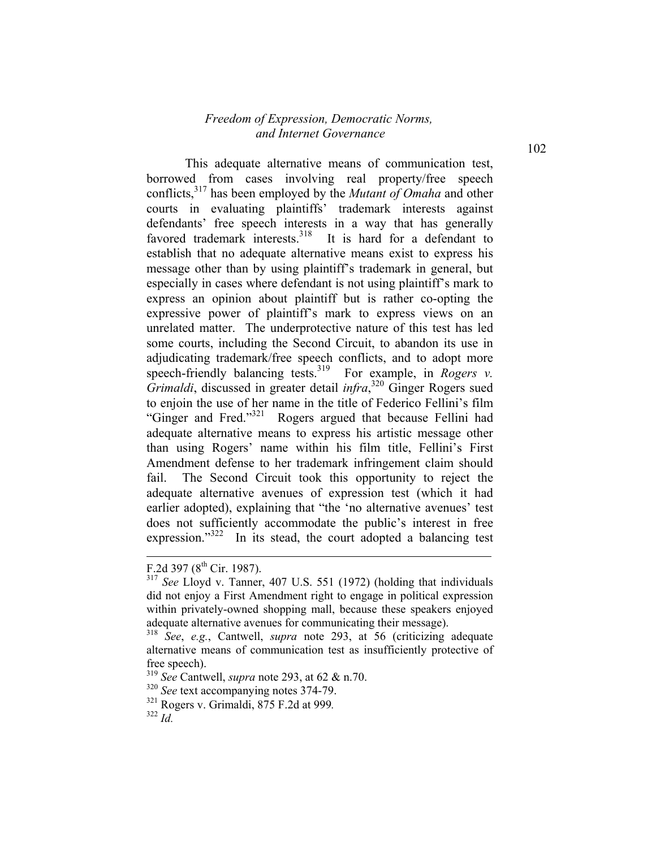This adequate alternative means of communication test, borrowed from cases involving real property/free speech conflicts,317 has been employed by the *Mutant of Omaha* and other courts in evaluating plaintiffs' trademark interests against defendants' free speech interests in a way that has generally favored trademark interests.<sup>318</sup> It is hard for a defendant to establish that no adequate alternative means exist to express his message other than by using plaintiff's trademark in general, but especially in cases where defendant is not using plaintiff's mark to express an opinion about plaintiff but is rather co-opting the expressive power of plaintiff's mark to express views on an unrelated matter. The underprotective nature of this test has led some courts, including the Second Circuit, to abandon its use in adjudicating trademark/free speech conflicts, and to adopt more speech-friendly balancing tests.<sup>319</sup> For example, in *Rogers v. Grimaldi*, discussed in greater detail *infra*, 320 Ginger Rogers sued to enjoin the use of her name in the title of Federico Fellini's film "Ginger and Fred."321 Rogers argued that because Fellini had adequate alternative means to express his artistic message other than using Rogers' name within his film title, Fellini's First Amendment defense to her trademark infringement claim should fail. The Second Circuit took this opportunity to reject the adequate alternative avenues of expression test (which it had earlier adopted), explaining that "the 'no alternative avenues' test does not sufficiently accommodate the public's interest in free expression."<sup>322</sup> In its stead, the court adopted a balancing test

l

F.2d 397 ( $8^{th}$  Cir. 1987).

<sup>317</sup> *See* Lloyd v. Tanner, 407 U.S. 551 (1972) (holding that individuals did not enjoy a First Amendment right to engage in political expression within privately-owned shopping mall, because these speakers enjoyed adequate alternative avenues for communicating their message).

<sup>318</sup> *See*, *e.g.*, Cantwell, *supra* note 293, at 56 (criticizing adequate alternative means of communication test as insufficiently protective of free speech).

<sup>319</sup> *See* Cantwell, *supra* note 293, at 62 & n.70.

<sup>320</sup> *See* text accompanying notes 374-79.

<sup>321</sup> Rogers v. Grimaldi, 875 F.2d at 999*.* <sup>322</sup> *Id.*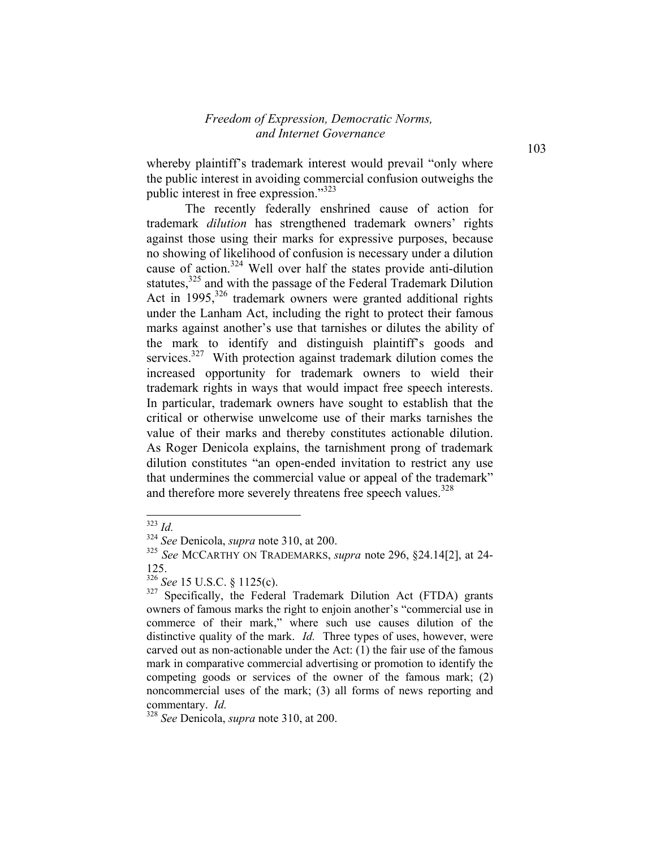whereby plaintiff's trademark interest would prevail "only where the public interest in avoiding commercial confusion outweighs the public interest in free expression."<sup>323</sup>

The recently federally enshrined cause of action for trademark *dilution* has strengthened trademark owners' rights against those using their marks for expressive purposes, because no showing of likelihood of confusion is necessary under a dilution cause of action.<sup>324</sup> Well over half the states provide anti-dilution statutes,<sup>325</sup> and with the passage of the Federal Trademark Dilution Act in  $1995$ ,<sup>326</sup> trademark owners were granted additional rights under the Lanham Act, including the right to protect their famous marks against another's use that tarnishes or dilutes the ability of the mark to identify and distinguish plaintiff's goods and services. $327$  With protection against trademark dilution comes the increased opportunity for trademark owners to wield their trademark rights in ways that would impact free speech interests. In particular, trademark owners have sought to establish that the critical or otherwise unwelcome use of their marks tarnishes the value of their marks and thereby constitutes actionable dilution. As Roger Denicola explains, the tarnishment prong of trademark dilution constitutes "an open-ended invitation to restrict any use that undermines the commercial value or appeal of the trademark" and therefore more severely threatens free speech values.<sup>328</sup>

<sup>323</sup> *Id.*

<sup>324</sup> *See* Denicola, *supra* note 310, at 200.

<sup>325</sup> *See* MCCARTHY ON TRADEMARKS, *supra* note 296, §24.14[2], at 24- 125.

 $\frac{326}{327}$  *See* 15 U.S.C. § 1125(c).

Specifically, the Federal Trademark Dilution Act (FTDA) grants owners of famous marks the right to enjoin another's "commercial use in commerce of their mark," where such use causes dilution of the distinctive quality of the mark. *Id.* Three types of uses, however, were carved out as non-actionable under the Act: (1) the fair use of the famous mark in comparative commercial advertising or promotion to identify the competing goods or services of the owner of the famous mark; (2) noncommercial uses of the mark; (3) all forms of news reporting and commentary. *Id.*

<sup>328</sup> *See* Denicola, *supra* note 310, at 200.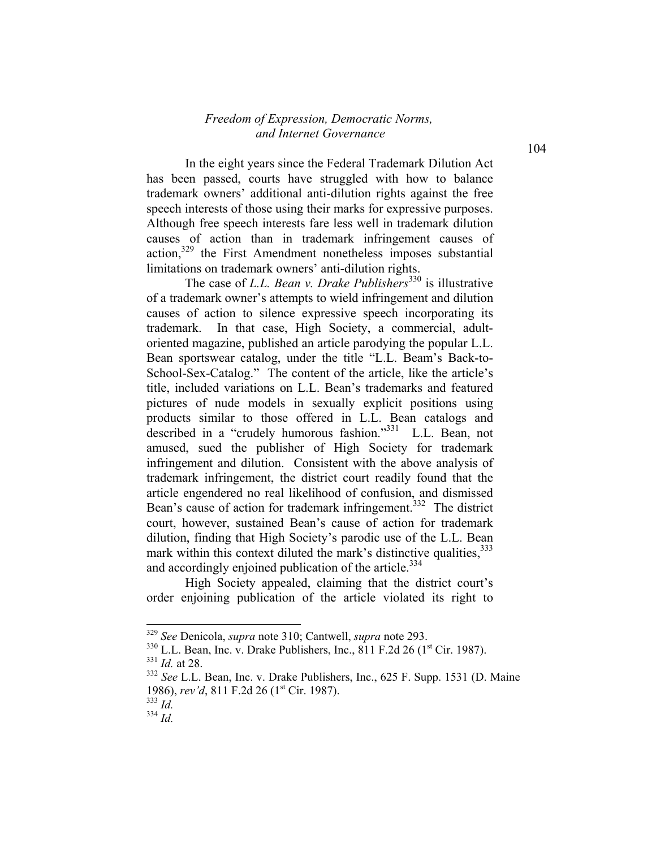In the eight years since the Federal Trademark Dilution Act has been passed, courts have struggled with how to balance trademark owners' additional anti-dilution rights against the free speech interests of those using their marks for expressive purposes. Although free speech interests fare less well in trademark dilution causes of action than in trademark infringement causes of action,329 the First Amendment nonetheless imposes substantial limitations on trademark owners' anti-dilution rights.

The case of *L.L. Bean v. Drake Publishers*<sup>330</sup> is illustrative of a trademark owner's attempts to wield infringement and dilution causes of action to silence expressive speech incorporating its trademark. In that case, High Society, a commercial, adultoriented magazine, published an article parodying the popular L.L. Bean sportswear catalog, under the title "L.L. Beam's Back-to-School-Sex-Catalog." The content of the article, like the article's title, included variations on L.L. Bean's trademarks and featured pictures of nude models in sexually explicit positions using products similar to those offered in L.L. Bean catalogs and described in a "crudely humorous fashion."<sup>331</sup> L.L. Bean, not amused, sued the publisher of High Society for trademark infringement and dilution. Consistent with the above analysis of trademark infringement, the district court readily found that the article engendered no real likelihood of confusion, and dismissed Bean's cause of action for trademark infringement.<sup>332</sup> The district court, however, sustained Bean's cause of action for trademark dilution, finding that High Society's parodic use of the L.L. Bean mark within this context diluted the mark's distinctive qualities.<sup>333</sup> and accordingly enjoined publication of the article.<sup>334</sup>

High Society appealed, claiming that the district court's order enjoining publication of the article violated its right to

<sup>329</sup> *See* Denicola, *supra* note 310; Cantwell, *supra* note 293.

 $330$  L.L. Bean, Inc. v. Drake Publishers, Inc.,  $811$  F.2d 26 ( $1<sup>st</sup>$  Cir. 1987). <sup>331</sup> *Id.* at 28.

<sup>332</sup> *See* L.L. Bean, Inc. v. Drake Publishers, Inc., 625 F. Supp. 1531 (D. Maine 1986), *rev'd*, 811 F.2d 26 (1<sup>st</sup> Cir. 1987).

<sup>333</sup> *Id.*

 $334 \frac{10}{10}$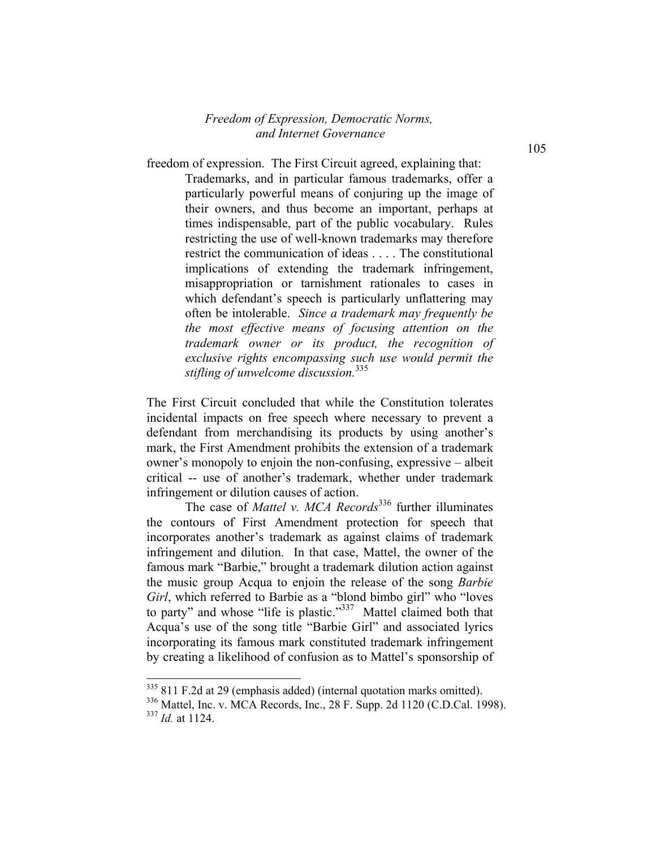freedom of expression. The First Circuit agreed, explaining that: Trademarks, and in particular famous trademarks, offer a particularly powerful means of conjuring up the image of their owners, and thus become an important, perhaps at times indispensable, part of the public vocabulary. Rules restricting the use of well-known trademarks may therefore restrict the communication of ideas . . . . The constitutional implications of extending the trademark infringement, misappropriation or tarnishment rationales to cases in which defendant's speech is particularly unflattering may often be intolerable. *Since a trademark may frequently be the most effective means of focusing attention on the trademark owner or its product, the recognition of exclusive rights encompassing such use would permit the stifling of unwelcome discussion.*335

The First Circuit concluded that while the Constitution tolerates incidental impacts on free speech where necessary to prevent a defendant from merchandising its products by using another's mark, the First Amendment prohibits the extension of a trademark owner's monopoly to enjoin the non-confusing, expressive – albeit critical -- use of another's trademark, whether under trademark infringement or dilution causes of action.

The case of *Mattel v. MCA Records*336 further illuminates the contours of First Amendment protection for speech that incorporates another's trademark as against claims of trademark infringement and dilution. In that case, Mattel, the owner of the famous mark "Barbie," brought a trademark dilution action against the music group Acqua to enjoin the release of the song *Barbie Girl*, which referred to Barbie as a "blond bimbo girl" who "loves to party" and whose "life is plastic."<sup>337</sup> Mattel claimed both that Acqua's use of the song title "Barbie Girl" and associated lyrics incorporating its famous mark constituted trademark infringement by creating a likelihood of confusion as to Mattel's sponsorship of

<sup>&</sup>lt;sup>335</sup> 811 F.2d at 29 (emphasis added) (internal quotation marks omitted).

<sup>336</sup> Mattel, Inc. v. MCA Records, Inc., 28 F. Supp. 2d 1120 (C.D.Cal. 1998). <sup>337</sup> *Id.* at 1124.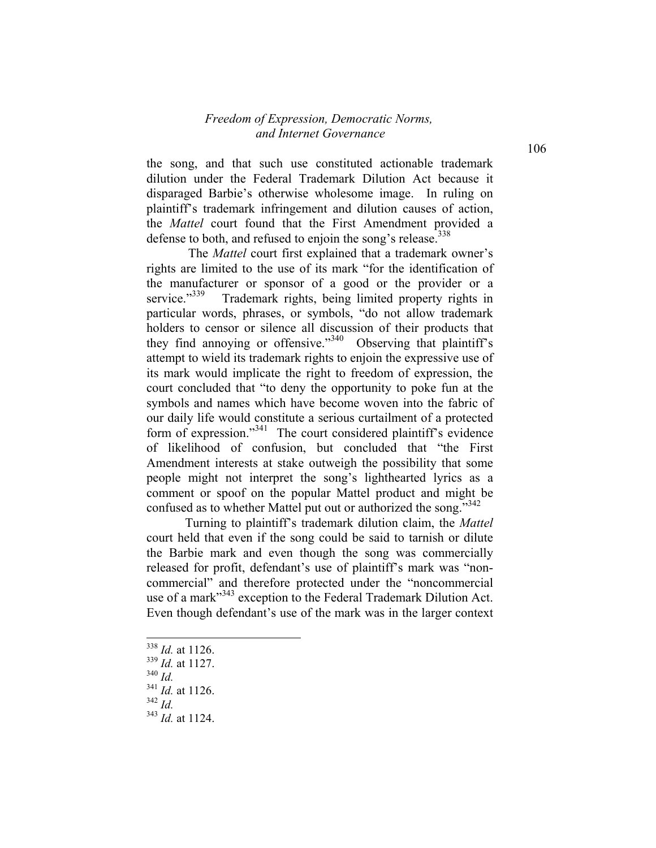the song, and that such use constituted actionable trademark dilution under the Federal Trademark Dilution Act because it disparaged Barbie's otherwise wholesome image. In ruling on plaintiff's trademark infringement and dilution causes of action, the *Mattel* court found that the First Amendment provided a defense to both, and refused to enjoin the song's release.  $338$ 

 The *Mattel* court first explained that a trademark owner's rights are limited to the use of its mark "for the identification of the manufacturer or sponsor of a good or the provider or a service.<sup>339</sup> Trademark rights, being limited property rights in Trademark rights, being limited property rights in particular words, phrases, or symbols, "do not allow trademark holders to censor or silence all discussion of their products that they find annoying or offensive."<sup>340</sup> Observing that plaintiff's attempt to wield its trademark rights to enjoin the expressive use of its mark would implicate the right to freedom of expression, the court concluded that "to deny the opportunity to poke fun at the symbols and names which have become woven into the fabric of our daily life would constitute a serious curtailment of a protected form of expression."<sup>341</sup> The court considered plaintiff's evidence of likelihood of confusion, but concluded that "the First Amendment interests at stake outweigh the possibility that some people might not interpret the song's lighthearted lyrics as a comment or spoof on the popular Mattel product and might be confused as to whether Mattel put out or authorized the song."<sup>342</sup>

Turning to plaintiff's trademark dilution claim, the *Mattel* court held that even if the song could be said to tarnish or dilute the Barbie mark and even though the song was commercially released for profit, defendant's use of plaintiff's mark was "noncommercial" and therefore protected under the "noncommercial use of a mark<sup>343</sup> exception to the Federal Trademark Dilution Act. Even though defendant's use of the mark was in the larger context

<sup>338</sup> *Id.* at 1126.

<sup>339</sup> *Id.* at 1127.

<sup>340</sup> *Id.*

<sup>341</sup> *Id.* at 1126.

<sup>342</sup> *Id.*

<sup>343</sup> *Id.* at 1124.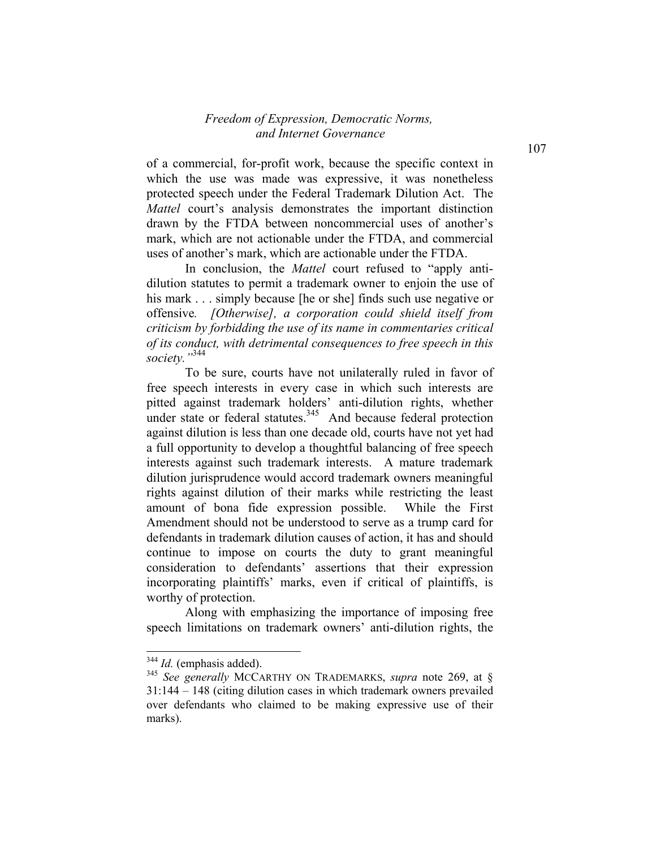of a commercial, for-profit work, because the specific context in which the use was made was expressive, it was nonetheless protected speech under the Federal Trademark Dilution Act. The *Mattel* court's analysis demonstrates the important distinction drawn by the FTDA between noncommercial uses of another's mark, which are not actionable under the FTDA, and commercial uses of another's mark, which are actionable under the FTDA.

In conclusion, the *Mattel* court refused to "apply antidilution statutes to permit a trademark owner to enjoin the use of his mark . . . simply because [he or she] finds such use negative or offensive*. [Otherwise], a corporation could shield itself from criticism by forbidding the use of its name in commentaries critical of its conduct, with detrimental consequences to free speech in this society."*344

To be sure, courts have not unilaterally ruled in favor of free speech interests in every case in which such interests are pitted against trademark holders' anti-dilution rights, whether under state or federal statutes.<sup>345</sup> And because federal protection against dilution is less than one decade old, courts have not yet had a full opportunity to develop a thoughtful balancing of free speech interests against such trademark interests. A mature trademark dilution jurisprudence would accord trademark owners meaningful rights against dilution of their marks while restricting the least amount of bona fide expression possible. While the First Amendment should not be understood to serve as a trump card for defendants in trademark dilution causes of action, it has and should continue to impose on courts the duty to grant meaningful consideration to defendants' assertions that their expression incorporating plaintiffs' marks, even if critical of plaintiffs, is worthy of protection.

Along with emphasizing the importance of imposing free speech limitations on trademark owners' anti-dilution rights, the

<sup>344</sup> *Id.* (emphasis added).

<sup>345</sup> *See generally* MCCARTHY ON TRADEMARKS, *supra* note 269, at § 31:144 – 148 (citing dilution cases in which trademark owners prevailed over defendants who claimed to be making expressive use of their marks).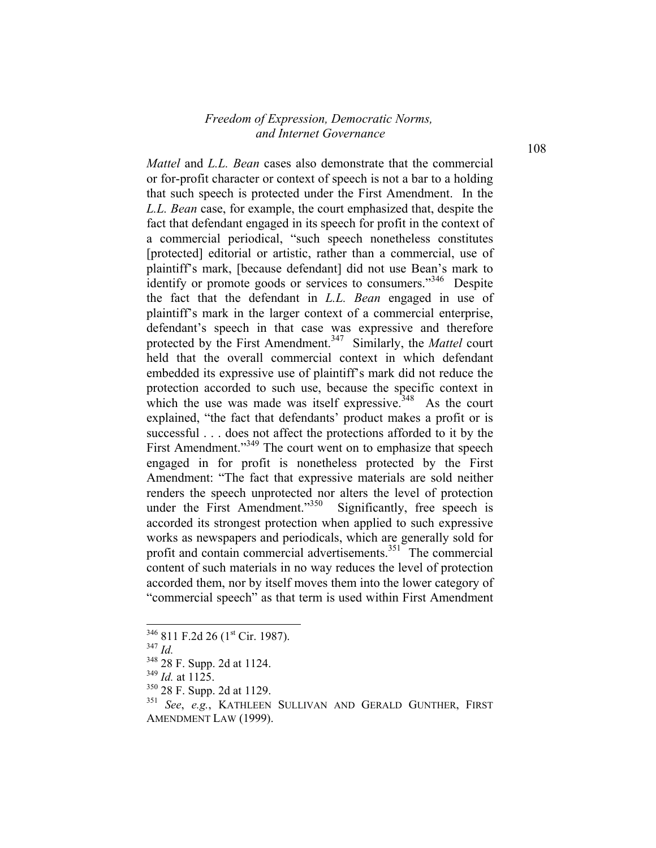*Mattel* and *L.L. Bean* cases also demonstrate that the commercial or for-profit character or context of speech is not a bar to a holding that such speech is protected under the First Amendment. In the *L.L. Bean* case, for example, the court emphasized that, despite the fact that defendant engaged in its speech for profit in the context of a commercial periodical, "such speech nonetheless constitutes [protected] editorial or artistic, rather than a commercial, use of plaintiff's mark, [because defendant] did not use Bean's mark to identify or promote goods or services to consumers."<sup>346</sup> Despite the fact that the defendant in *L.L. Bean* engaged in use of plaintiff's mark in the larger context of a commercial enterprise, defendant's speech in that case was expressive and therefore protected by the First Amendment.<sup>347</sup> Similarly, the *Mattel* court held that the overall commercial context in which defendant embedded its expressive use of plaintiff's mark did not reduce the protection accorded to such use, because the specific context in which the use was made was itself expressive.<sup>348</sup> As the court explained, "the fact that defendants' product makes a profit or is successful . . . does not affect the protections afforded to it by the First Amendment."<sup>349</sup> The court went on to emphasize that speech engaged in for profit is nonetheless protected by the First Amendment: "The fact that expressive materials are sold neither renders the speech unprotected nor alters the level of protection under the First Amendment."<sup>350</sup> Significantly, free speech is accorded its strongest protection when applied to such expressive works as newspapers and periodicals, which are generally sold for profit and contain commercial advertisements. $351^{\circ}$  The commercial content of such materials in no way reduces the level of protection accorded them, nor by itself moves them into the lower category of "commercial speech" as that term is used within First Amendment

<sup>347</sup> *Id.*

-

 $349$  *Id.* at 1125.

 $346$  811 F.2d 26 (1<sup>st</sup> Cir. 1987).

<sup>348 28</sup> F. Supp. 2d at 1124.

<sup>350 28</sup> F. Supp. 2d at 1129.

<sup>351</sup> *See*, *e.g.*, KATHLEEN SULLIVAN AND GERALD GUNTHER, FIRST AMENDMENT LAW (1999).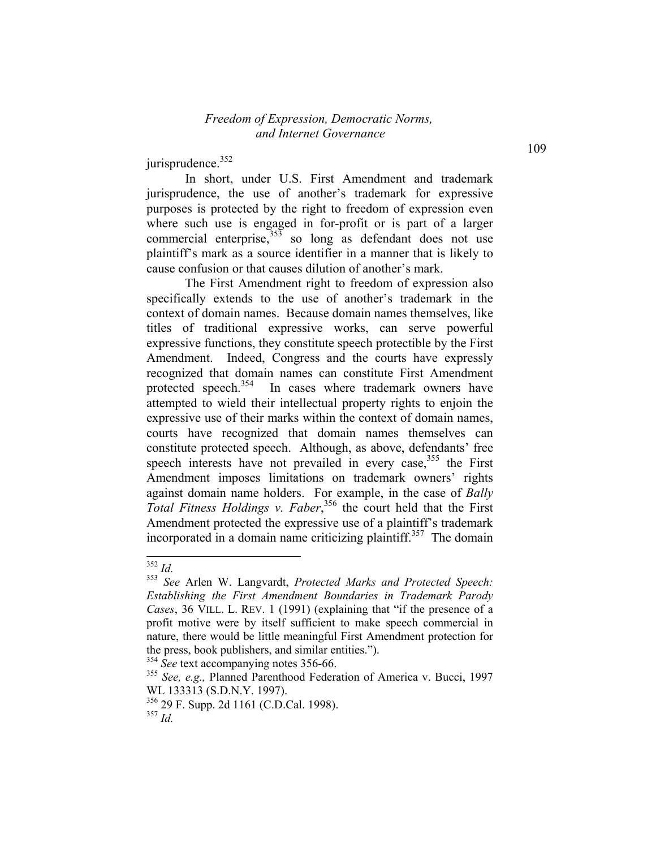jurisprudence.<sup>352</sup>

In short, under U.S. First Amendment and trademark jurisprudence, the use of another's trademark for expressive purposes is protected by the right to freedom of expression even where such use is engaged in for-profit or is part of a larger commercial enterprise, $35\frac{353}{10}$  so long as defendant does not use plaintiff's mark as a source identifier in a manner that is likely to cause confusion or that causes dilution of another's mark.

 The First Amendment right to freedom of expression also specifically extends to the use of another's trademark in the context of domain names. Because domain names themselves, like titles of traditional expressive works, can serve powerful expressive functions, they constitute speech protectible by the First Amendment. Indeed, Congress and the courts have expressly recognized that domain names can constitute First Amendment protected speech.<sup>354</sup> In cases where trademark owners have attempted to wield their intellectual property rights to enjoin the expressive use of their marks within the context of domain names, courts have recognized that domain names themselves can constitute protected speech. Although, as above, defendants' free speech interests have not prevailed in every case,<sup>355</sup> the First Amendment imposes limitations on trademark owners' rights against domain name holders. For example, in the case of *Bally*  Total Fitness Holdings v. Faber,<sup>356</sup> the court held that the First Amendment protected the expressive use of a plaintiff's trademark incorporated in a domain name criticizing plaintiff.<sup>357</sup> The domain

-

109

<sup>352</sup> *Id.*

<sup>353</sup> *See* Arlen W. Langvardt, *Protected Marks and Protected Speech: Establishing the First Amendment Boundaries in Trademark Parody Cases*, 36 VILL. L. REV. 1 (1991) (explaining that "if the presence of a profit motive were by itself sufficient to make speech commercial in nature, there would be little meaningful First Amendment protection for the press, book publishers, and similar entities.").

<sup>&</sup>lt;sup>354</sup> *See* text accompanying notes 356-66.

<sup>355</sup> *See, e.g.,* Planned Parenthood Federation of America v. Bucci, 1997 WL 133313 (S.D.N.Y. 1997).

<sup>356 29</sup> F. Supp. 2d 1161 (C.D.Cal. 1998). <sup>357</sup> *Id.*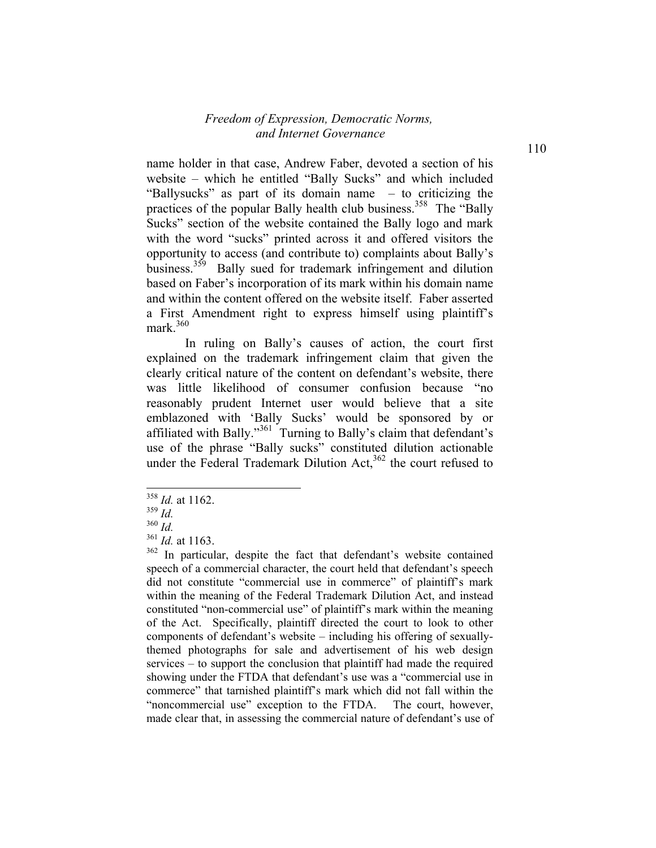name holder in that case, Andrew Faber, devoted a section of his website – which he entitled "Bally Sucks" and which included "Ballysucks" as part of its domain name – to criticizing the practices of the popular Bally health club business.<sup>358</sup> The "Bally" Sucks" section of the website contained the Bally logo and mark with the word "sucks" printed across it and offered visitors the opportunity to access (and contribute to) complaints about Bally's business.<sup>359</sup> Bally sued for trademark infringement and dilution based on Faber's incorporation of its mark within his domain name and within the content offered on the website itself. Faber asserted a First Amendment right to express himself using plaintiff's mark $360$ 

In ruling on Bally's causes of action, the court first explained on the trademark infringement claim that given the clearly critical nature of the content on defendant's website, there was little likelihood of consumer confusion because "no reasonably prudent Internet user would believe that a site emblazoned with 'Bally Sucks' would be sponsored by or affiliated with Bally."<sup>361</sup> Turning to Bally's claim that defendant's use of the phrase "Bally sucks" constituted dilution actionable under the Federal Trademark Dilution Act, $362$  the court refused to

<sup>358</sup> *Id.* at 1162.

<sup>359</sup> *Id.*

<sup>360</sup> *Id.*

<sup>361</sup> *Id.* at 1163.

<sup>362</sup> In particular, despite the fact that defendant's website contained speech of a commercial character, the court held that defendant's speech did not constitute "commercial use in commerce" of plaintiff's mark within the meaning of the Federal Trademark Dilution Act, and instead constituted "non-commercial use" of plaintiff's mark within the meaning of the Act. Specifically, plaintiff directed the court to look to other components of defendant's website – including his offering of sexuallythemed photographs for sale and advertisement of his web design services – to support the conclusion that plaintiff had made the required showing under the FTDA that defendant's use was a "commercial use in commerce" that tarnished plaintiff's mark which did not fall within the "noncommercial use" exception to the FTDA. The court, however, made clear that, in assessing the commercial nature of defendant's use of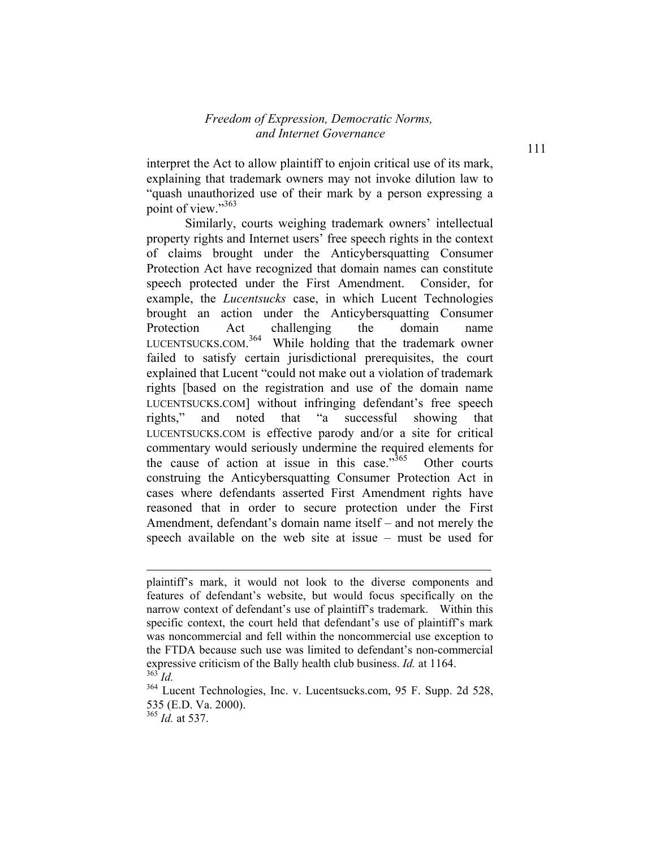interpret the Act to allow plaintiff to enjoin critical use of its mark, explaining that trademark owners may not invoke dilution law to "quash unauthorized use of their mark by a person expressing a point of view."<sup>363</sup>

Similarly, courts weighing trademark owners' intellectual property rights and Internet users' free speech rights in the context of claims brought under the Anticybersquatting Consumer Protection Act have recognized that domain names can constitute speech protected under the First Amendment. Consider, for example, the *Lucentsucks* case, in which Lucent Technologies brought an action under the Anticybersquatting Consumer Protection Act challenging the domain name LUCENTSUCKS.COM.<sup>364</sup> While holding that the trademark owner failed to satisfy certain jurisdictional prerequisites, the court explained that Lucent "could not make out a violation of trademark rights [based on the registration and use of the domain name LUCENTSUCKS.COM] without infringing defendant's free speech rights," and noted that "a successful showing that LUCENTSUCKS.COM is effective parody and/or a site for critical commentary would seriously undermine the required elements for the cause of action at issue in this case. $1365}$  Other courts construing the Anticybersquatting Consumer Protection Act in cases where defendants asserted First Amendment rights have reasoned that in order to secure protection under the First Amendment, defendant's domain name itself – and not merely the speech available on the web site at issue – must be used for

<sup>365</sup> *Id.* at 537.

l

plaintiff's mark, it would not look to the diverse components and features of defendant's website, but would focus specifically on the narrow context of defendant's use of plaintiff's trademark. Within this specific context, the court held that defendant's use of plaintiff's mark was noncommercial and fell within the noncommercial use exception to the FTDA because such use was limited to defendant's non-commercial expressive criticism of the Bally health club business. *Id.* at 1164. <sup>363</sup> *Id.*

<sup>364</sup> Lucent Technologies, Inc. v. Lucentsucks.com, 95 F. Supp. 2d 528, 535 (E.D. Va. 2000).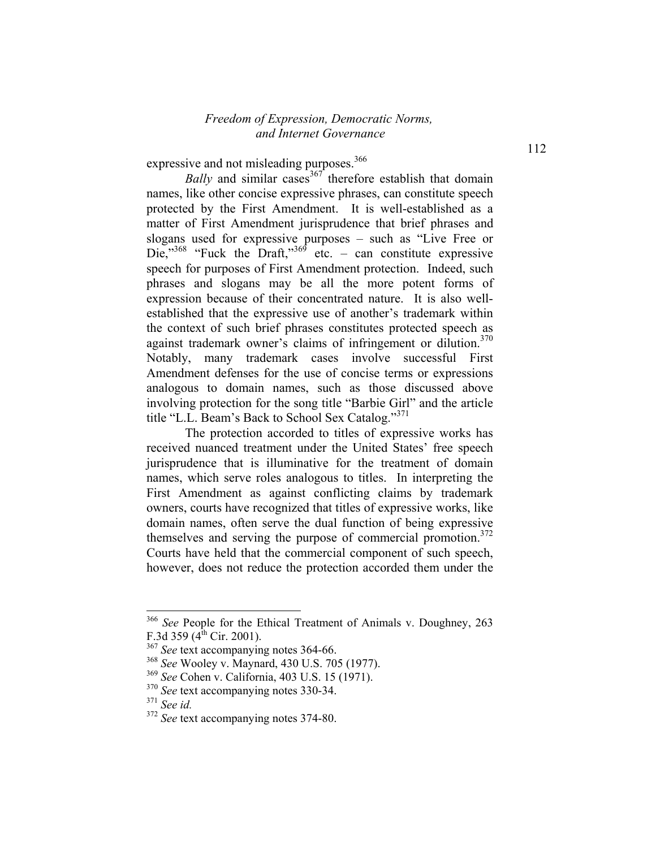expressive and not misleading purposes.<sup>366</sup>

*Bally* and similar cases<sup>367</sup> therefore establish that domain names, like other concise expressive phrases, can constitute speech protected by the First Amendment. It is well-established as a matter of First Amendment jurisprudence that brief phrases and slogans used for expressive purposes – such as "Live Free or Die, $^{368}$  "Fuck the Draft, $^{369}$  etc. – can constitute expressive speech for purposes of First Amendment protection. Indeed, such phrases and slogans may be all the more potent forms of expression because of their concentrated nature. It is also wellestablished that the expressive use of another's trademark within the context of such brief phrases constitutes protected speech as against trademark owner's claims of infringement or dilution.<sup>370</sup> Notably, many trademark cases involve successful First Amendment defenses for the use of concise terms or expressions analogous to domain names, such as those discussed above involving protection for the song title "Barbie Girl" and the article title "L.L. Beam's Back to School Sex Catalog."<sup>371</sup>

The protection accorded to titles of expressive works has received nuanced treatment under the United States' free speech jurisprudence that is illuminative for the treatment of domain names, which serve roles analogous to titles. In interpreting the First Amendment as against conflicting claims by trademark owners, courts have recognized that titles of expressive works, like domain names, often serve the dual function of being expressive themselves and serving the purpose of commercial promotion.<sup>372</sup> Courts have held that the commercial component of such speech, however, does not reduce the protection accorded them under the

<sup>366</sup> *See* People for the Ethical Treatment of Animals v. Doughney, 263 F.3d 359  $(4^{th}$  Cir. 2001).

<sup>&</sup>lt;sup>367</sup> See text accompanying notes 364-66.

<sup>368</sup> *See* Wooley v. Maynard, 430 U.S. 705 (1977).

<sup>369</sup> *See* Cohen v. California, 403 U.S. 15 (1971).

<sup>370</sup> *See* text accompanying notes 330-34.

<sup>371</sup> *See id.*

<sup>372</sup> *See* text accompanying notes 374-80.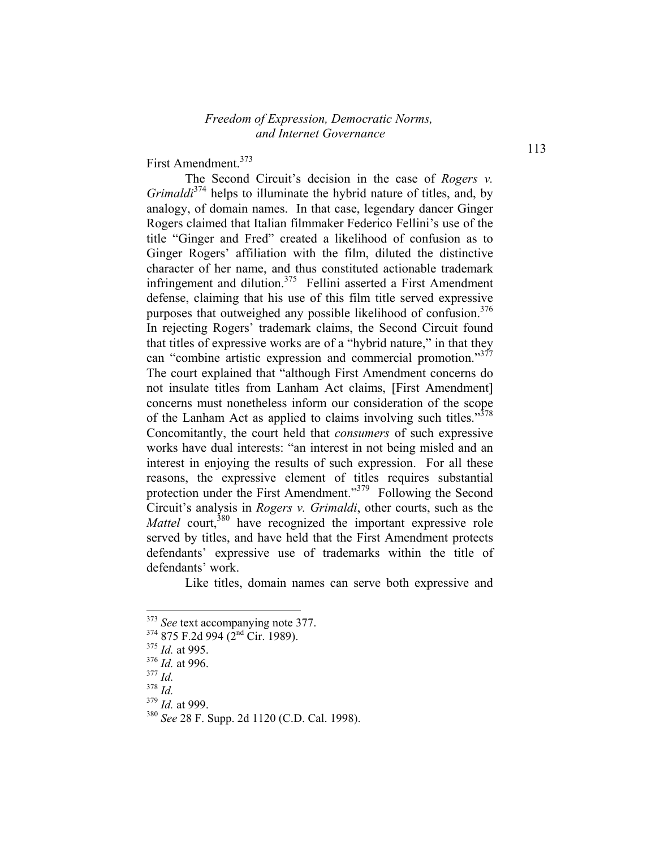First Amendment.<sup>373</sup>

The Second Circuit's decision in the case of *Rogers v. Grimaldi*374 helps to illuminate the hybrid nature of titles, and, by analogy, of domain names. In that case, legendary dancer Ginger Rogers claimed that Italian filmmaker Federico Fellini's use of the title "Ginger and Fred" created a likelihood of confusion as to Ginger Rogers' affiliation with the film, diluted the distinctive character of her name, and thus constituted actionable trademark infringement and dilution.<sup>375</sup> Fellini asserted a First Amendment defense, claiming that his use of this film title served expressive purposes that outweighed any possible likelihood of confusion.<sup>376</sup> In rejecting Rogers' trademark claims, the Second Circuit found that titles of expressive works are of a "hybrid nature," in that they can "combine artistic expression and commercial promotion."<sup>377</sup> The court explained that "although First Amendment concerns do not insulate titles from Lanham Act claims, [First Amendment] concerns must nonetheless inform our consideration of the scope of the Lanham Act as applied to claims involving such titles."<sup>378</sup> Concomitantly, the court held that *consumers* of such expressive works have dual interests: "an interest in not being misled and an interest in enjoying the results of such expression. For all these reasons, the expressive element of titles requires substantial protection under the First Amendment."<sup>379</sup> Following the Second Circuit's analysis in *Rogers v. Grimaldi*, other courts, such as the *Mattel* court,<sup>380</sup> have recognized the important expressive role served by titles, and have held that the First Amendment protects defendants' expressive use of trademarks within the title of defendants' work.

Like titles, domain names can serve both expressive and

<sup>&</sup>lt;sup>373</sup> See text accompanying note 377.

 $374$  875 F.2d 994 ( $2<sup>nd</sup>$  Cir. 1989).

<sup>375</sup> *Id.* at 995.

<sup>376</sup> *Id.* at 996.

<sup>377</sup> *Id.*

<sup>378</sup> *Id.*

<sup>379</sup> *Id.* at 999.

<sup>380</sup> *See* 28 F. Supp. 2d 1120 (C.D. Cal. 1998).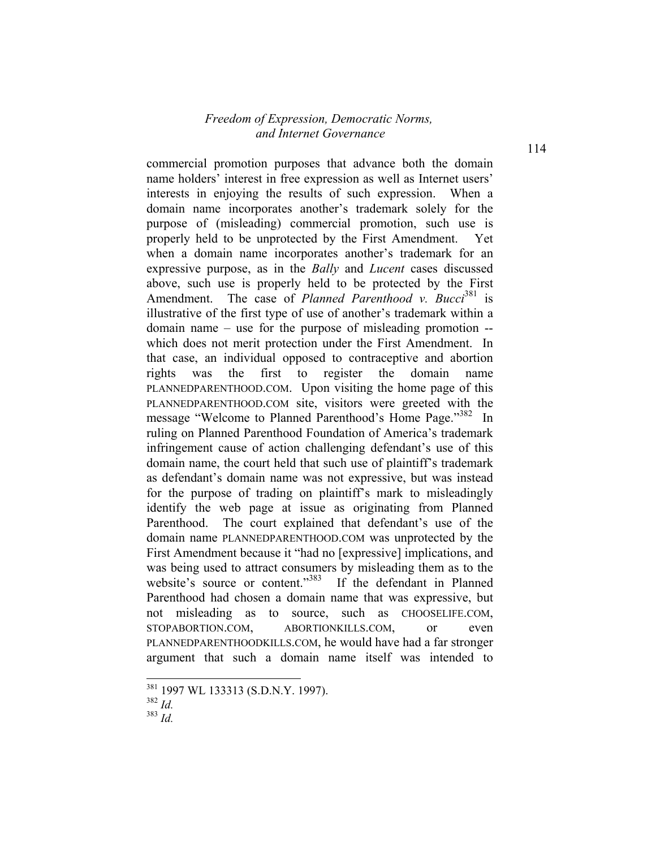commercial promotion purposes that advance both the domain name holders' interest in free expression as well as Internet users' interests in enjoying the results of such expression. When a domain name incorporates another's trademark solely for the purpose of (misleading) commercial promotion, such use is properly held to be unprotected by the First Amendment. Yet when a domain name incorporates another's trademark for an expressive purpose, as in the *Bally* and *Lucent* cases discussed above, such use is properly held to be protected by the First Amendment. The case of *Planned Parenthood v. Bucci*<sup>381</sup> is illustrative of the first type of use of another's trademark within a domain name – use for the purpose of misleading promotion - which does not merit protection under the First Amendment. In that case, an individual opposed to contraceptive and abortion rights was the first to register the domain name PLANNEDPARENTHOOD.COM. Upon visiting the home page of this PLANNEDPARENTHOOD.COM site, visitors were greeted with the message "Welcome to Planned Parenthood's Home Page."<sup>382</sup> In ruling on Planned Parenthood Foundation of America's trademark infringement cause of action challenging defendant's use of this domain name, the court held that such use of plaintiff's trademark as defendant's domain name was not expressive, but was instead for the purpose of trading on plaintiff's mark to misleadingly identify the web page at issue as originating from Planned Parenthood. The court explained that defendant's use of the domain name PLANNEDPARENTHOOD.COM was unprotected by the First Amendment because it "had no [expressive] implications, and was being used to attract consumers by misleading them as to the website's source or content."<sup>383</sup> If the defendant in Planned Parenthood had chosen a domain name that was expressive, but not misleading as to source, such as CHOOSELIFE.COM, STOPABORTION.COM, ABORTIONKILLS.COM, or even PLANNEDPARENTHOODKILLS.COM, he would have had a far stronger argument that such a domain name itself was intended to

<sup>&</sup>lt;sup>381</sup> 1997 WL 133313 (S.D.N.Y. 1997).

<sup>382</sup> *Id.*

<sup>383</sup> *Id.*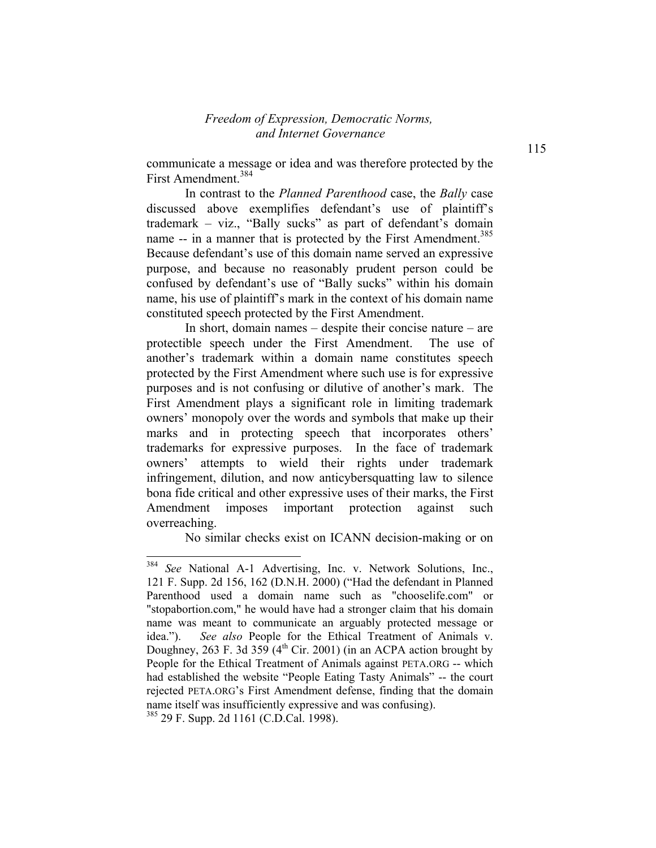communicate a message or idea and was therefore protected by the First Amendment.384

In contrast to the *Planned Parenthood* case, the *Bally* case discussed above exemplifies defendant's use of plaintiff's trademark – viz., "Bally sucks" as part of defendant's domain name -- in a manner that is protected by the First Amendment.<sup>385</sup> Because defendant's use of this domain name served an expressive purpose, and because no reasonably prudent person could be confused by defendant's use of "Bally sucks" within his domain name, his use of plaintiff's mark in the context of his domain name constituted speech protected by the First Amendment.

In short, domain names – despite their concise nature – are protectible speech under the First Amendment. The use of another's trademark within a domain name constitutes speech protected by the First Amendment where such use is for expressive purposes and is not confusing or dilutive of another's mark. The First Amendment plays a significant role in limiting trademark owners' monopoly over the words and symbols that make up their marks and in protecting speech that incorporates others' trademarks for expressive purposes. In the face of trademark owners' attempts to wield their rights under trademark infringement, dilution, and now anticybersquatting law to silence bona fide critical and other expressive uses of their marks, the First Amendment imposes important protection against such overreaching.

No similar checks exist on ICANN decision-making or on

1

<sup>384</sup> *See* National A-1 Advertising, Inc. v. Network Solutions, Inc., 121 F. Supp. 2d 156, 162 (D.N.H. 2000) ("Had the defendant in Planned Parenthood used a domain name such as "chooselife.com" or "stopabortion.com," he would have had a stronger claim that his domain name was meant to communicate an arguably protected message or idea."). *See also* People for the Ethical Treatment of Animals v. Doughney, 263 F. 3d 359 ( $4<sup>th</sup>$  Cir. 2001) (in an ACPA action brought by People for the Ethical Treatment of Animals against PETA.ORG -- which had established the website "People Eating Tasty Animals" -- the court rejected PETA.ORG's First Amendment defense, finding that the domain name itself was insufficiently expressive and was confusing).

<sup>385 29</sup> F. Supp. 2d 1161 (C.D.Cal. 1998).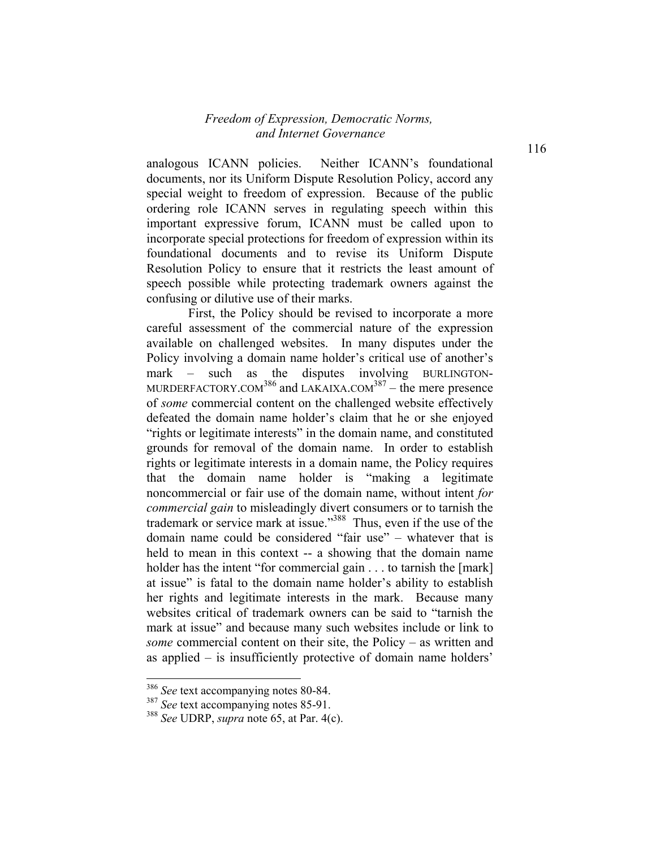analogous ICANN policies. Neither ICANN's foundational documents, nor its Uniform Dispute Resolution Policy, accord any special weight to freedom of expression. Because of the public ordering role ICANN serves in regulating speech within this important expressive forum, ICANN must be called upon to incorporate special protections for freedom of expression within its foundational documents and to revise its Uniform Dispute Resolution Policy to ensure that it restricts the least amount of speech possible while protecting trademark owners against the confusing or dilutive use of their marks.

 First, the Policy should be revised to incorporate a more careful assessment of the commercial nature of the expression available on challenged websites. In many disputes under the Policy involving a domain name holder's critical use of another's mark – such as the disputes involving BURLINGTON-MURDERFACTORY.COM<sup>386</sup> and LAKAIXA.COM<sup>387</sup> – the mere presence of *some* commercial content on the challenged website effectively defeated the domain name holder's claim that he or she enjoyed "rights or legitimate interests" in the domain name, and constituted grounds for removal of the domain name. In order to establish rights or legitimate interests in a domain name, the Policy requires that the domain name holder is "making a legitimate noncommercial or fair use of the domain name, without intent *for commercial gain* to misleadingly divert consumers or to tarnish the trademark or service mark at issue."388 Thus, even if the use of the domain name could be considered "fair use" – whatever that is held to mean in this context -- a showing that the domain name holder has the intent "for commercial gain . . . to tarnish the [mark] at issue" is fatal to the domain name holder's ability to establish her rights and legitimate interests in the mark. Because many websites critical of trademark owners can be said to "tarnish the mark at issue" and because many such websites include or link to *some* commercial content on their site, the Policy – as written and as applied – is insufficiently protective of domain name holders'

<sup>386</sup> *See* text accompanying notes 80-84.

<sup>387</sup> *See* text accompanying notes 85-91.

<sup>388</sup> *See* UDRP, *supra* note 65, at Par. 4(c).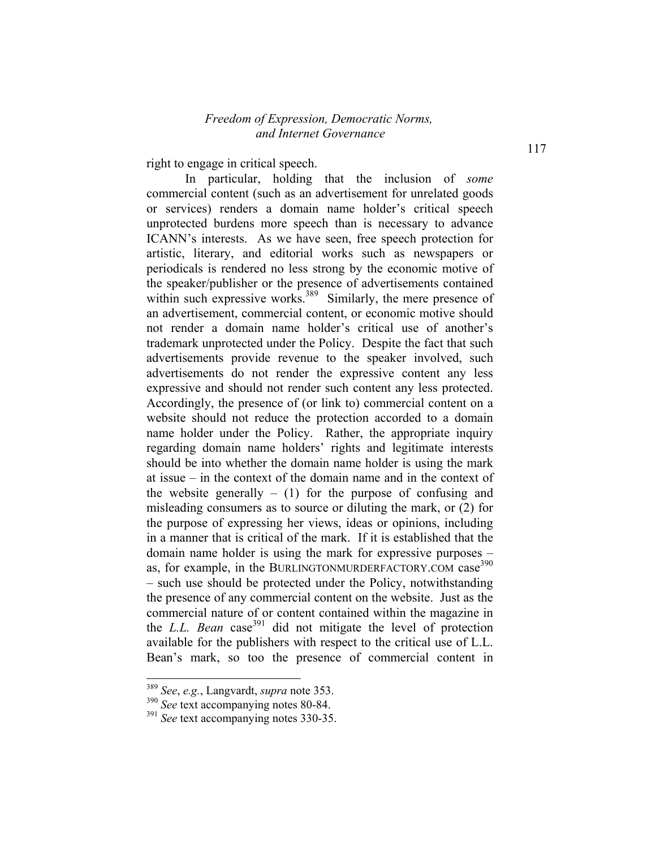right to engage in critical speech.

In particular, holding that the inclusion of *some* commercial content (such as an advertisement for unrelated goods or services) renders a domain name holder's critical speech unprotected burdens more speech than is necessary to advance ICANN's interests. As we have seen, free speech protection for artistic, literary, and editorial works such as newspapers or periodicals is rendered no less strong by the economic motive of the speaker/publisher or the presence of advertisements contained within such expressive works.<sup>389</sup> Similarly, the mere presence of an advertisement, commercial content, or economic motive should not render a domain name holder's critical use of another's trademark unprotected under the Policy. Despite the fact that such advertisements provide revenue to the speaker involved, such advertisements do not render the expressive content any less expressive and should not render such content any less protected. Accordingly, the presence of (or link to) commercial content on a website should not reduce the protection accorded to a domain name holder under the Policy. Rather, the appropriate inquiry regarding domain name holders' rights and legitimate interests should be into whether the domain name holder is using the mark at issue – in the context of the domain name and in the context of the website generally  $-$  (1) for the purpose of confusing and misleading consumers as to source or diluting the mark, or (2) for the purpose of expressing her views, ideas or opinions, including in a manner that is critical of the mark. If it is established that the domain name holder is using the mark for expressive purposes – as, for example, in the BURLINGTONMURDERFACTORY.COM case<sup>390</sup> – such use should be protected under the Policy, notwithstanding the presence of any commercial content on the website. Just as the commercial nature of or content contained within the magazine in the *L.L. Bean* case<sup>391</sup> did not mitigate the level of protection available for the publishers with respect to the critical use of L.L. Bean's mark, so too the presence of commercial content in

<sup>389</sup> *See*, *e.g.*, Langvardt, *supra* note 353.

<sup>390</sup> *See* text accompanying notes 80-84.

<sup>391</sup> *See* text accompanying notes 330-35.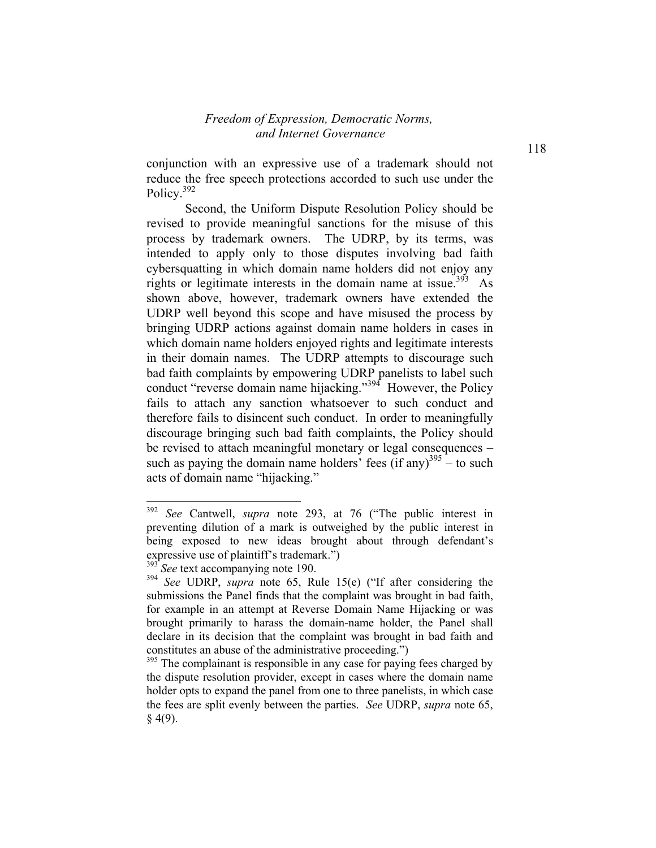conjunction with an expressive use of a trademark should not reduce the free speech protections accorded to such use under the Policy.<sup>392</sup>

Second, the Uniform Dispute Resolution Policy should be revised to provide meaningful sanctions for the misuse of this process by trademark owners. The UDRP, by its terms, was intended to apply only to those disputes involving bad faith cybersquatting in which domain name holders did not enjoy any rights or legitimate interests in the domain name at issue.<sup>393</sup> As shown above, however, trademark owners have extended the UDRP well beyond this scope and have misused the process by bringing UDRP actions against domain name holders in cases in which domain name holders enjoyed rights and legitimate interests in their domain names. The UDRP attempts to discourage such bad faith complaints by empowering UDRP panelists to label such conduct "reverse domain name hijacking."<sup>394</sup> However, the Policy fails to attach any sanction whatsoever to such conduct and therefore fails to disincent such conduct. In order to meaningfully discourage bringing such bad faith complaints, the Policy should be revised to attach meaningful monetary or legal consequences – such as paying the domain name holders' fees (if any)<sup>395</sup> – to such acts of domain name "hijacking."

<sup>392</sup> See Cantwell, *supra* note 293, at 76 ("The public interest in preventing dilution of a mark is outweighed by the public interest in being exposed to new ideas brought about through defendant's expressive use of plaintiff's trademark.")

<sup>&</sup>lt;sup>3</sup> See text accompanying note 190.

<sup>&</sup>lt;sup>394</sup> See UDRP, *supra* note 65, Rule 15(e) ("If after considering the submissions the Panel finds that the complaint was brought in bad faith, for example in an attempt at Reverse Domain Name Hijacking or was brought primarily to harass the domain-name holder, the Panel shall declare in its decision that the complaint was brought in bad faith and constitutes an abuse of the administrative proceeding.")

 $395$  The complainant is responsible in any case for paying fees charged by the dispute resolution provider, except in cases where the domain name holder opts to expand the panel from one to three panelists, in which case the fees are split evenly between the parties. *See* UDRP, *supra* note 65,  $§$  4(9).